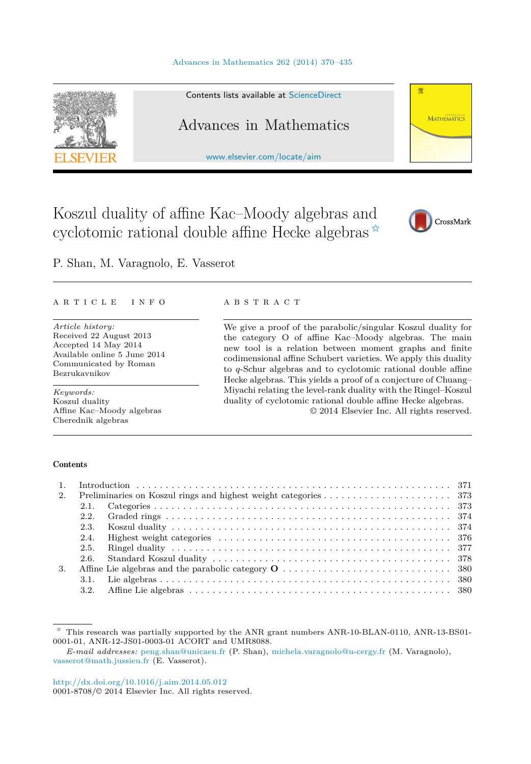



Koszul duality of affine Kac–Moody algebras and cyclotomic rational double affine Hecke algebras  $\hat{z}$ 



P. Shan, M. Varagnolo, E. Vasserot

#### article info abstract

*Article history:* Received 22 August 2013 Accepted 14 May 2014 Available online 5 June 2014 Communicated by Roman Bezrukavnikov

*Keywords:* Koszul duality Affine Kac–Moody algebras Cherednik algebras

We give a proof of the parabolic/singular Koszul duality for the category O of affine Kac–Moody algebras. The main new tool is a relation between moment graphs and finite codimensional affine Schubert varieties. We apply this duality to *q*-Schur algebras and to cyclotomic rational double affine Hecke algebras. This yields a proof of a conjecture of Chuang– Miyachi relating the level-rank duality with the Ringel–Koszul duality of cyclotomic rational double affine Hecke algebras.

© 2014 Elsevier Inc. All rights reserved.

#### Contents

|    | 2.1. |  |
|----|------|--|
|    |      |  |
|    |      |  |
|    | 2.4. |  |
|    |      |  |
|    | 2.6. |  |
| 3. |      |  |
|    |      |  |
|    |      |  |

<sup>✩</sup> This research was partially supported by the ANR grant numbers ANR-10-BLAN-0110, ANR-13-BS01- 0001-01, ANR-12-JS01-0003-01 ACORT and UMR8088.

*E-mail addresses:* [peng.shan@unicaen.fr](mailto:peng.shan@unicaen.fr) (P. Shan), [michela.varagnolo@u-cergy.fr](mailto:michela.varagnolo@u-cergy.fr) (M. Varagnolo), [vasserot@math.jussieu.fr](mailto:vasserot@math.jussieu.fr) (E. Vasserot).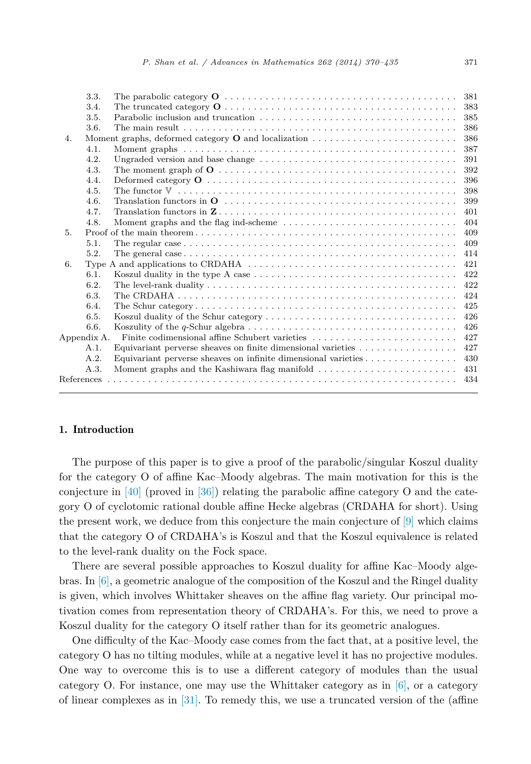|                  | 3.3.        |                                                                                                                  |     |
|------------------|-------------|------------------------------------------------------------------------------------------------------------------|-----|
|                  | 3.4.        |                                                                                                                  |     |
|                  | 3.5.        |                                                                                                                  |     |
|                  | 3.6.        |                                                                                                                  | 386 |
| $\overline{4}$ . |             |                                                                                                                  |     |
|                  | 4.1.        |                                                                                                                  | 387 |
|                  | 4.2.        |                                                                                                                  | 391 |
|                  | 4.3.        |                                                                                                                  |     |
|                  | 4.4.        |                                                                                                                  |     |
|                  | 4.5.        |                                                                                                                  | 398 |
|                  | 4.6.        |                                                                                                                  | 399 |
|                  | 4.7.        |                                                                                                                  | 401 |
|                  | 4.8.        |                                                                                                                  | 404 |
| .5.              |             |                                                                                                                  | 409 |
|                  | 5.1.        |                                                                                                                  | 409 |
|                  | 5.2.        |                                                                                                                  | 414 |
| 6.               |             | Type A and applications to CRDAHA $\ldots \ldots \ldots \ldots \ldots \ldots \ldots \ldots \ldots \ldots \ldots$ | 421 |
|                  | 6.1.        |                                                                                                                  | 422 |
|                  | 6.2.        |                                                                                                                  | 422 |
|                  | 6.3.        |                                                                                                                  | 424 |
|                  | 6.4.        |                                                                                                                  | 425 |
|                  | 6.5.        |                                                                                                                  | 426 |
|                  | 6.6.        | Koszulity of the q-Schur algebra $\dots \dots \dots \dots \dots \dots \dots \dots \dots \dots \dots \dots \dots$ | 426 |
|                  | Appendix A. | Finite codimensional affine Schubert varieties                                                                   | 427 |
|                  | A.1.        | Equivariant perverse sheaves on finite dimensional varieties $\dots \dots \dots \dots \dots$                     | 427 |
|                  | A.2.        | Equivariant perverse sheaves on infinite dimensional varieties $\dots \dots \dots \dots$                         | 430 |
|                  | A.3.        | Moment graphs and the Kashiwara flag manifold                                                                    | 431 |
| References       |             |                                                                                                                  | 434 |
|                  |             |                                                                                                                  |     |

# 1. Introduction

The purpose of this paper is to give a proof of the parabolic/singular Koszul duality for the category O of affine Kac–Moody algebras. The main motivation for this is the conjecture in [\[40\]](#page-65-0) (proved in [\[36\]\)](#page-65-0) relating the parabolic affine category O and the category O of cyclotomic rational double affine Hecke algebras (CRDAHA for short). Using the present work, we deduce from this conjecture the main conjecture of [\[9\]](#page-64-0) which claims that the category O of CRDAHA's is Koszul and that the Koszul equivalence is related to the level-rank duality on the Fock space.

There are several possible approaches to Koszul duality for affine Kac–Moody algebras. In [\[6\],](#page-64-0) a geometric analogue of the composition of the Koszul and the Ringel duality is given, which involves Whittaker sheaves on the affine flag variety. Our principal motivation comes from representation theory of CRDAHA's. For this, we need to prove a Koszul duality for the category O itself rather than for its geometric analogues.

One difficulty of the Kac–Moody case comes from the fact that, at a positive level, the category O has no tilting modules, while at a negative level it has no projective modules. One way to overcome this is to use a different category of modules than the usual category O. For instance, one may use the Whittaker category as in  $[6]$ , or a category of linear complexes as in [\[31\].](#page-65-0) To remedy this, we use a truncated version of the (affine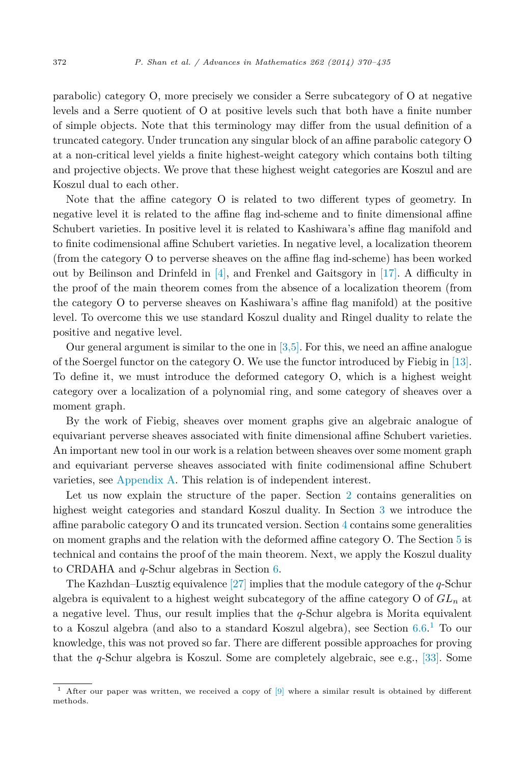parabolic) category O, more precisely we consider a Serre subcategory of O at negative levels and a Serre quotient of O at positive levels such that both have a finite number of simple objects. Note that this terminology may differ from the usual definition of a truncated category. Under truncation any singular block of an affine parabolic category O at a non-critical level yields a finite highest-weight category which contains both tilting and projective objects. We prove that these highest weight categories are Koszul and are Koszul dual to each other.

Note that the affine category O is related to two different types of geometry. In negative level it is related to the affine flag ind-scheme and to finite dimensional affine Schubert varieties. In positive level it is related to Kashiwara's affine flag manifold and to finite codimensional affine Schubert varieties. In negative level, a localization theorem (from the category O to perverse sheaves on the affine flag ind-scheme) has been worked out by Beilinson and Drinfeld in  $[4]$ , and Frenkel and Gaitsgory in [\[17\].](#page-64-0) A difficulty in the proof of the main theorem comes from the absence of a localization theorem (from the category O to perverse sheaves on Kashiwara's affine flag manifold) at the positive level. To overcome this we use standard Koszul duality and Ringel duality to relate the positive and negative level.

Our general argument is similar to the one in  $[3,5]$ . For this, we need an affine analogue of the Soergel functor on the category O. We use the functor introduced by Fiebig in [\[13\].](#page-64-0) To define it, we must introduce the deformed category O, which is a highest weight category over a localization of a polynomial ring, and some category of sheaves over a moment graph.

By the work of Fiebig, sheaves over moment graphs give an algebraic analogue of equivariant perverse sheaves associated with finite dimensional affine Schubert varieties. An important new tool in our work is a relation between sheaves over some moment graph and equivariant perverse sheaves associated with finite codimensional affine Schubert varieties, see [Appendix A.](#page-57-0) This relation is of independent interest.

Let us now explain the structure of the paper. Section [2](#page-3-0) contains generalities on highest weight categories and standard Koszul duality. In Section [3](#page-10-0) we introduce the affine parabolic category O and its truncated version. Section [4](#page-16-0) contains some generalities on moment graphs and the relation with the deformed affine category O. The Section [5](#page-39-0) is technical and contains the proof of the main theorem. Next, we apply the Koszul duality to CRDAHA and *q*-Schur algebras in Section [6.](#page-51-0)

The Kazhdan–Lusztig equivalence [\[27\]](#page-64-0) implies that the module category of the *q*-Schur algebra is equivalent to a highest weight subcategory of the affine category O of *GL<sup>n</sup>* at a negative level. Thus, our result implies that the *q*-Schur algebra is Morita equivalent to a Koszul algebra (and also to a standard Koszul algebra), see Section [6.6.](#page-56-0) [1](#page-56-0) To our knowledge, this was not proved so far. There are different possible approaches for proving that the *q*-Schur algebra is Koszul. Some are completely algebraic, see e.g., [\[33\].](#page-65-0) Some

After our paper was written, we received a copy of  $[9]$  where a similar result is obtained by different methods.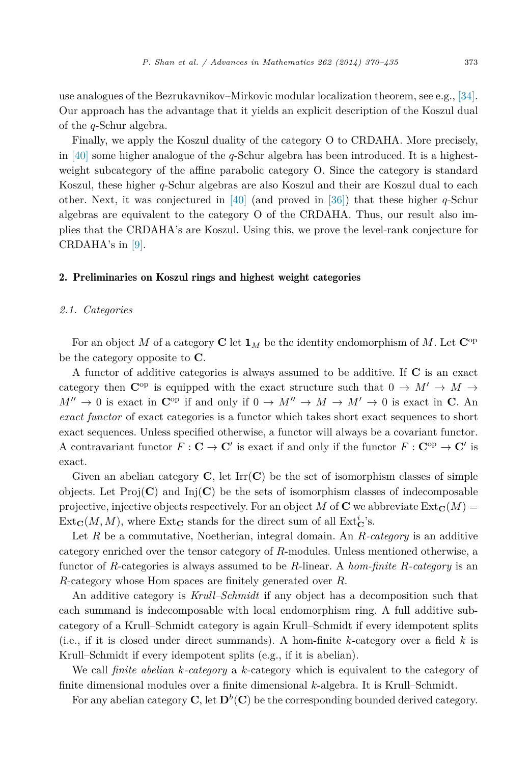<span id="page-3-0"></span>Finally, we apply the Koszul duality of the category O to CRDAHA. More precisely, in [\[40\]](#page-65-0) some higher analogue of the *q*-Schur algebra has been introduced. It is a highestweight subcategory of the affine parabolic category O. Since the category is standard Koszul, these higher *q*-Schur algebras are also Koszul and their are Koszul dual to each other. Next, it was conjectured in [\[40\]](#page-65-0) (and proved in [\[36\]\)](#page-65-0) that these higher *q*-Schur algebras are equivalent to the category O of the CRDAHA. Thus, our result also implies that the CRDAHA's are Koszul. Using this, we prove the level-rank conjecture for CRDAHA's in [\[9\].](#page-64-0)

### 2. Preliminaries on Koszul rings and highest weight categories

# *2.1. Categories*

For an object M of a category **C** let  $\mathbf{1}_M$  be the identity endomorphism of M. Let  $\mathbf{C}^{\mathrm{op}}$ be the category opposite to **C**.

A functor of additive categories is always assumed to be additive. If **C** is an exact category then  $\mathbb{C}^{\text{op}}$  is equipped with the exact structure such that  $0 \to M' \to M \to$  $M'' \to 0$  is exact in  $\mathbb{C}^{\text{op}}$  if and only if  $0 \to M'' \to M \to M' \to 0$  is exact in  $\mathbb{C}$ . An *exact functor* of exact categories is a functor which takes short exact sequences to short exact sequences. Unless specified otherwise, a functor will always be a covariant functor. A contravariant functor  $F : \mathbf{C} \to \mathbf{C}'$  is exact if and only if the functor  $F : \mathbf{C}^{\text{op}} \to \mathbf{C}'$  is exact.

Given an abelian category  $C$ , let  $\text{Irr}(C)$  be the set of isomorphism classes of simple objects. Let  $\text{Proj}(\mathbf{C})$  and  $\text{Inj}(\mathbf{C})$  be the sets of isomorphism classes of indecomposable projective, injective objects respectively. For an object *M* of **C** we abbreviate  $\text{Ext}_{\mathbf{C}}(M)$  =  $\text{Ext}_{\mathbf{C}}(M, M)$ , where  $\text{Ext}_{\mathbf{C}}$  stands for the direct sum of all  $\text{Ext}_{\mathbf{C}}^{i}$ 's.

Let *R* be a commutative, Noetherian, integral domain. An *R-category* is an additive category enriched over the tensor category of *R*-modules. Unless mentioned otherwise, a functor of *R*-categories is always assumed to be *R*-linear. A *hom-finite R-category* is an *R*-category whose Hom spaces are finitely generated over *R*.

An additive category is *Krull–Schmidt* if any object has a decomposition such that each summand is indecomposable with local endomorphism ring. A full additive subcategory of a Krull–Schmidt category is again Krull–Schmidt if every idempotent splits (i.e., if it is closed under direct summands). A hom-finite *k*-category over a field *k* is Krull–Schmidt if every idempotent splits (e.g., if it is abelian).

We call *finite abelian k-category* a *k*-category which is equivalent to the category of finite dimensional modules over a finite dimensional *k*-algebra. It is Krull–Schmidt.

For any abelian category **C**, let  $D^b(C)$  be the corresponding bounded derived category.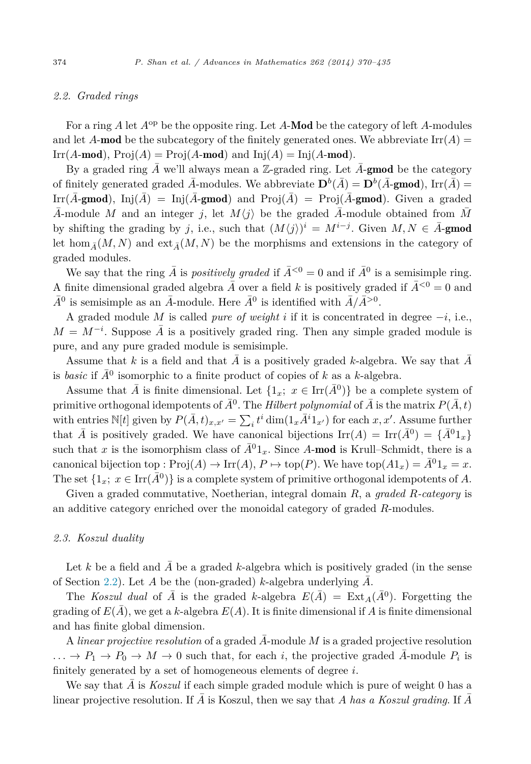# <span id="page-4-0"></span>*2.2. Graded rings*

For a ring *A* let *A*op be the opposite ring. Let *A*-Mod be the category of left *A*-modules and let *A*-mod be the subcategory of the finitely generated ones. We abbreviate  $\text{Irr}(A)$ Irr( $A$ -mod),  $Proj(A) = Proj(A$ -mod) and  $Inj(A) = Inj(A-mod)$ .

By a graded ring  $\bar{A}$  we'll always mean a Z-graded ring. Let  $\bar{A}$ -gmod be the category of finitely generated graded  $\overline{A}$ -modules. We abbreviate  $\mathbf{D}^b(\overline{A}) = \mathbf{D}^b(\overline{A}$ -gmod), Irr $(\overline{A}) =$ Irr( $\overline{A}$ -gmod), Inj( $\overline{A}$ ) = Inj( $\overline{A}$ -gmod) and Proj( $\overline{A}$ ) = Proj( $\overline{A}$ -gmod). Given a graded *A*–module *M* and an integer *j*, let  $M\langle j \rangle$  be the graded *A*–module obtained from  $\overline{M}$ by shifting the grading by *j*, i.e., such that  $(M\langle j \rangle)^i = M^{i-j}$ . Given  $M, N \in \overline{A}$ -gmod let hom  $_{\bar{A}}(M,N)$  and  $ext_{\bar{A}}(M,N)$  be the morphisms and extensions in the category of graded modules.

We say that the ring  $\bar{A}$  is *positively graded* if  $\bar{A}^{<0} = 0$  and if  $\bar{A}^{0}$  is a semisimple ring. A finite dimensional graded algebra  $\overline{A}$  over a field k is positively graded if  $\overline{A}^{<0} = 0$  and  $\bar{A}^0$  is semisimple as an  $\bar{A}$ -module. Here  $\bar{A}^0$  is identified with  $\bar{A}/\bar{A}^{>0}$ .

A graded module *M* is called *pure of weight i* if it is concentrated in degree −*i*, i.e.,  $M = M^{-i}$ . Suppose  $\overline{A}$  is a positively graded ring. Then any simple graded module is pure, and any pure graded module is semisimple.

Assume that *k* is a field and that  $\overline{A}$  is a positively graded *k*-algebra. We say that  $A$ is *basic* if  $\bar{A}^0$  isomorphic to a finite product of copies of *k* as a *k*-algebra.

Assume that  $\bar{A}$  is finite dimensional. Let  $\{1_x; x \in \text{Irr}(\bar{A}^0)\}\)$  be a complete system of primitive orthogonal idempotents of  $\overline{A}^0$ . The *Hilbert polynomial* of  $\overline{A}$  is the matrix  $P(\overline{A}, t)$ with entries  $\mathbb{N}[t]$  given by  $P(\bar{A}, t)_{x,x'} = \sum_i t^i \dim(1_x \bar{A}^i 1_{x'})$  for each  $x, x'$ . Assume further that  $\bar{A}$  is positively graded. We have canonical bijections  $\text{Irr}(A) = \text{Irr}(\bar{A}^0) = {\bar{A}^0}^1{}_x$ such that *x* is the isomorphism class of  $\bar{A}^01_x$ . Since *A*-mod is Krull–Schmidt, there is a canonical bijection top :  $\text{Proj}(A) \to \text{Irr}(A), P \mapsto \text{top}(P)$ . We have  $\text{top}(A1_x) = \overline{A}^01_x = x$ . The set  $\{1_x; x \in \text{Irr}(\bar{A}^0)\}\$ is a complete system of primitive orthogonal idempotents of A.

Given a graded commutative, Noetherian, integral domain *R*, a *graded R-category* is an additive category enriched over the monoidal category of graded *R*-modules.

# *2.3. Koszul duality*

Let *k* be a field and  $\overline{A}$  be a graded *k*-algebra which is positively graded (in the sense of Section 2.2). Let *A* be the (non-graded) *k*-algebra underlying  $\overline{A}$ .

The *Koszul dual* of  $\overline{A}$  is the graded *k*-algebra  $E(\overline{A}) = \text{Ext}_{A}(\overline{A}^{0})$ . Forgetting the grading of  $E(\overline{A})$ , we get a *k*-algebra  $E(A)$ . It is finite dimensional if *A* is finite dimensional and has finite global dimension.

A *linear projective resolution* of a graded A-module M is a graded projective resolution  $\ldots \rightarrow P_1 \rightarrow P_0 \rightarrow M \rightarrow 0$  such that, for each *i*, the projective graded  $\overline{A}$ -module  $P_i$  is finitely generated by a set of homogeneous elements of degree *i*.

We say that *A* is *Koszul* if each simple graded module which is pure of weight 0 has a linear projective resolution. If *A* is Koszul, then we say that *A has a Koszul grading*. If *A*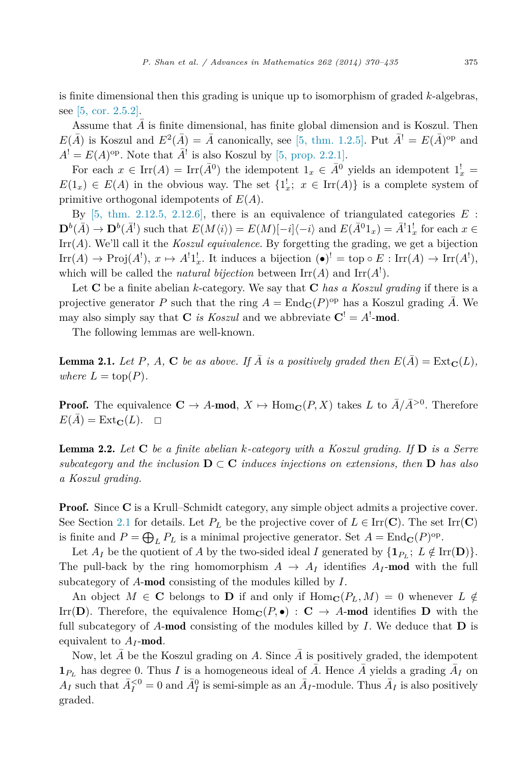<span id="page-5-0"></span>is finite dimensional then this grading is unique up to isomorphism of graded *k*-algebras, see [\[5, cor. 2.5.2\].](#page-64-0)

Assume that  $\overline{A}$  is finite dimensional, has finite global dimension and is Koszul. Then  $E(\bar{A})$  is Koszul and  $E^2(\bar{A}) = \bar{A}$  canonically, see [\[5, thm. 1.2.5\].](#page-64-0) Put  $\bar{A}^! = E(\bar{A})^{\rm op}$  and  $A^! = E(A)$ <sup>op</sup>. Note that  $\overline{A}^!$  is also Koszul by [\[5, prop. 2.2.1\].](#page-64-0)

For each  $x \in \text{Irr}(A) = \text{Irr}(\bar{A}^0)$  the idempotent  $1_x \in \bar{A}^0$  yields an idempotent  $1_x^1 =$  $E(1_x) \in E(A)$  in the obvious way. The set  $\{1_x^!, x \in \text{Irr}(A)\}\)$  is a complete system of primitive orthogonal idempotents of *E*(*A*).

By [5, [thm. 2.12.5, 2.12.6\],](#page-64-0) there is an equivalence of triangulated categories *E* :  $\mathbf{D}^b(\bar{A}) \to \mathbf{D}^b(\bar{A}^!)$  such that  $E(M\langle i \rangle) = E(M)[-i] \langle -i \rangle$  and  $E(\bar{A}^0 1_x) = \bar{A}^! 1_x^!$  for each  $x \in$ Irr(*A*). We'll call it the *Koszul equivalence*. By forgetting the grading, we get a bijection  $\text{Irr}(A) \to \text{Proj}(A^!)$ ,  $x \mapsto A^! 1_x^!$ . It induces a bijection  $(\bullet)^! = \text{top} \circ E : \text{Irr}(A) \to \text{Irr}(A^!)$ , which will be called the *natural bijection* between  $\text{Irr}(A)$  and  $\text{Irr}(A^!)$ .

Let **C** be a finite abelian *k*-category. We say that **C** *has a Koszul grading* if there is a projective generator *P* such that the ring  $A = \text{End}_{\mathbf{C}}(P)^\text{op}$  has a Koszul grading  $\overline{A}$ . We may also simply say that **C** *is Koszul* and we abbreviate  $C^! = A^!$ -mod.

The following lemmas are well-known.

**Lemma 2.1.** Let P, A, C be as above. If  $\overline{A}$  is a positively graded then  $E(\overline{A}) = \text{Ext}_{\mathbf{C}}(L)$ , *where*  $L = \text{top}(P)$ *.* 

**Proof.** The equivalence  $C \to A$ -mod,  $X \mapsto \text{Hom}_{\mathbf{C}}(P, X)$  takes  $L$  to  $\overline{A}/\overline{A}^{>0}$ . Therefore  $E(A) = \text{Ext}_{\mathbf{C}}(L).$ 

Lemma 2.2. *Let* **C** *be a finite abelian k-category with a Koszul grading. If* **D** *is a Serre subcategory and the inclusion*  $D \subset C$  *induces injections on extensions, then*  $D$  *has also a Koszul grading.*

**Proof.** Since **C** is a Krull–Schmidt category, any simple object admits a projective cover. See Section [2.1](#page-3-0) for details. Let  $P_L$  be the projective cover of  $L \in \text{Irr}(\mathbf{C})$ . The set Irr( $\mathbf{C}$ ) is finite and  $P = \bigoplus_{L} P_{L}$  is a minimal projective generator. Set  $A = \text{End}_{\mathbf{C}}(P)^{\text{op}}$ .

Let  $A_I$  be the quotient of *A* by the two-sided ideal *I* generated by  $\{1_{P_L}; L \notin \text{Irr}(\mathbf{D})\}.$ The pull-back by the ring homomorphism  $A \rightarrow A_I$  identifies  $A_I$ -mod with the full subcategory of *A*-mod consisting of the modules killed by *I*.

An object  $M \in \mathbb{C}$  belongs to **D** if and only if  $\text{Hom}_{\mathbb{C}}(P_L, M) = 0$  whenever  $L \notin$ Irr(**D**). Therefore, the equivalence  $Hom_{\mathbf{C}}(P, \bullet) : \mathbf{C} \to A$ -mod identifies **D** with the full subcategory of *A*-mod consisting of the modules killed by *I*. We deduce that **D** is equivalent to  $A_I$ -mod.

Now, let *A* be the Koszul grading on *A*. Since *A* is positively graded, the idempotent  $1_{P_L}$  has degree 0. Thus *I* is a homogeneous ideal of  $\bar{A}$ . Hence  $\bar{A}$  yields a grading  $\bar{A}_I$  on  $A_I$  such that  $\bar{A}_I^{<0} = 0$  and  $\bar{A}_I^0$  is semi-simple as an  $\bar{A}_I$ -module. Thus  $\bar{A}_I$  is also positively graded.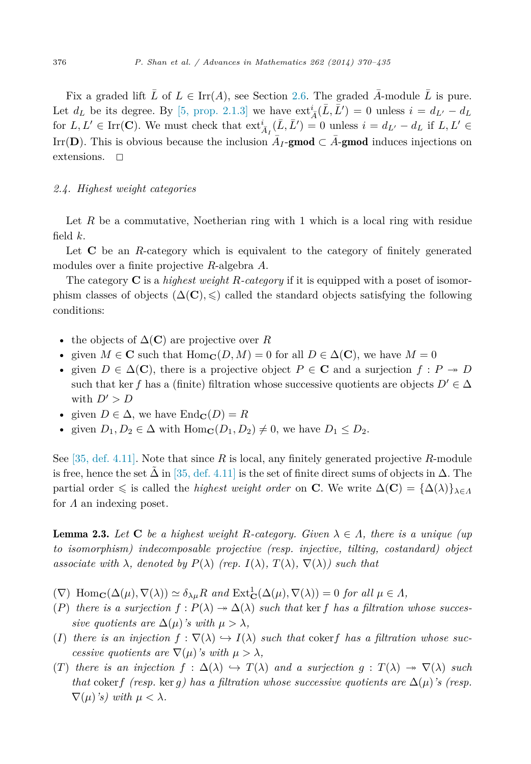<span id="page-6-0"></span>Fix a graded lift  $\bar{L}$  of  $L \in \text{Irr}(A)$ , see Section [2.6.](#page-8-0) The graded  $\bar{A}$ -module  $\bar{L}$  is pure. Let  $d_L$  be its degree. By [\[5, prop. 2.1.3\]](#page-64-0) we have  $ext_{\bar{A}}^i(\bar{L}, \bar{L}') = 0$  unless  $i = d_{L'} - d_L$ for  $L, L' \in \text{Irr}(\mathbf{C})$ . We must check that  $ext_{\bar{A}_I}^i(\bar{L}, \bar{L}') = 0$  unless  $i = d_{L'} - d_L$  if  $L, L' \in$ Irr(**D**). This is obvious because the inclusion  $A_I$ -gmod  $\subset A$ -gmod induces injections on extensions.  $\square$ 

# *2.4. Highest weight categories*

Let  $R$  be a commutative, Noetherian ring with 1 which is a local ring with residue field *k*.

Let **C** be an *R*-category which is equivalent to the category of finitely generated modules over a finite projective *R*-algebra *A*.

The category **C** is a *highest weight R-category* if it is equipped with a poset of isomorphism classes of objects  $(\Delta(\mathbf{C}), \leqslant)$  called the standard objects satisfying the following conditions:

- the objects of  $\Delta(\mathbf{C})$  are projective over *R*
- given  $M \in \mathbb{C}$  such that  $\text{Hom}_{\mathbb{C}}(D, M) = 0$  for all  $D \in \Delta(\mathbb{C})$ , we have  $M = 0$
- given  $D \in \Delta(\mathbf{C})$ , there is a projective object  $P \in \mathbf{C}$  and a surjection  $f : P \to D$ such that ker *f* has a (finite) filtration whose successive quotients are objects  $D' \in \Delta$ with  $D' > D$
- given  $D \in \Delta$ , we have  $\text{End}_{\mathbf{C}}(D) = R$
- given  $D_1, D_2 \in \Delta$  with  $\text{Hom}_{\mathbf{C}}(D_1, D_2) \neq 0$ , we have  $D_1 \leq D_2$ .

See [35, [def. 4.11\].](#page-65-0) Note that since *R* is local, any finitely generated projective *R*-module is free, hence the set  $\Delta$  in [\[35, def. 4.11\]](#page-65-0) is the set of finite direct sums of objects in  $\Delta$ . The partial order  $\leq$  is called the *highest weight order* on **C**. We write  $\Delta$ (**C**) = { $\Delta$ ( $\lambda$ )} $_{\lambda \in \Lambda}$ for *Λ* an indexing poset.

**Lemma 2.3.** Let **C** be a highest weight R-category. Given  $\lambda \in \Lambda$ , there is a unique (up *to isomorphism) indecomposable projective (resp. injective, tilting, costandard) object associate with*  $\lambda$ *, denoted by*  $P(\lambda)$  *(rep.*  $I(\lambda)$ *,*  $T(\lambda)$ *,*  $\nabla(\lambda)$ *) such that* 

- $(\nabla)$  Hom<sub>**C**</sub>( $\Delta(\mu), \nabla(\lambda)) \simeq \delta_{\lambda\mu} R$  *and*  $\text{Ext}^1_{\mathbf{C}}(\Delta(\mu), \nabla(\lambda)) = 0$  *for all*  $\mu \in \Lambda$ ,
- $(P)$  *there is a surjection*  $f: P(\lambda) \to \Delta(\lambda)$  *such that* ker *f has a filtration whose successive quotients are*  $\Delta(\mu)$ *'s with*  $\mu > \lambda$ *,*
- (*I*) there is an injection  $f : \nabla(\lambda) \hookrightarrow I(\lambda)$  such that cokerf has a filtration whose suc*cessive quotients are*  $\nabla(\mu)$ *'s with*  $\mu > \lambda$ *,*
- $(T)$  there is an injection  $f : \Delta(\lambda) \hookrightarrow T(\lambda)$  and a surjection  $g : T(\lambda) \to \nabla(\lambda)$  such *that* coker*f* (resp. ker *g*) has a filtration whose successive quotients are  $\Delta(\mu)$ 's (resp.  $\nabla(\mu)$ *'s)* with  $\mu < \lambda$ .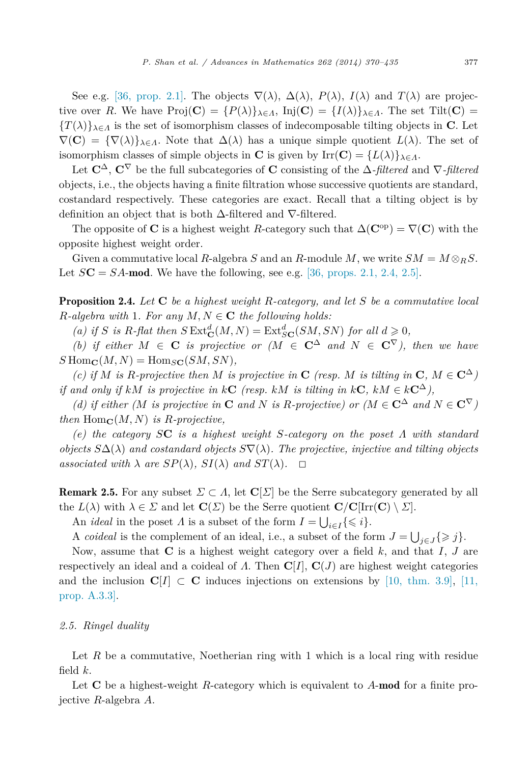<span id="page-7-0"></span>See e.g. [\[36, prop. 2.1\].](#page-65-0) The objects  $\nabla(\lambda)$ ,  $\Delta(\lambda)$ ,  $P(\lambda)$ ,  $I(\lambda)$  and  $T(\lambda)$  are projective over *R*. We have  $\text{Proj}(\mathbf{C}) = {P(\lambda)}_{\lambda \in \Lambda}$ ,  $\text{Inj}(\mathbf{C}) = {I(\lambda)}_{\lambda \in \Lambda}$ . The set Tilt(**C**) =  ${T(\lambda)}_{\lambda \in \Lambda}$  is the set of isomorphism classes of indecomposable tilting objects in **C**. Let  $\nabla(\mathbf{C}) = {\nabla(\lambda)}_{\lambda \in \Lambda}$ . Note that  $\Delta(\lambda)$  has a unique simple quotient  $L(\lambda)$ . The set of isomorphism classes of simple objects in **C** is given by  $\text{Irr}(\mathbf{C}) = \{L(\lambda)\}_{\lambda \in \Lambda}$ .

Let  $\mathbf{C}^{\Delta}$ ,  $\mathbf{C}^{\nabla}$  be the full subcategories of **C** consisting of the  $\Delta$ -*filtered* and  $\nabla$ -*filtered* objects, i.e., the objects having a finite filtration whose successive quotients are standard, costandard respectively. These categories are exact. Recall that a tilting object is by definition an object that is both  $\Delta$ -filtered and  $\nabla$ -filtered.

The opposite of **C** is a highest weight *R*-category such that  $\Delta(\mathbf{C}^{\text{op}}) = \nabla(\mathbf{C})$  with the opposite highest weight order.

Given a commutative local *R*-algebra *S* and an *R*-module *M*, we write  $SM = M \otimes_R S$ . Let  $S\mathbf{C} = SA$ -mod. We have the following, see e.g. [\[36, props. 2.1, 2.4, 2.5\].](#page-65-0)

Proposition 2.4. *Let* **C** *be a highest weight R-category, and let S be a commutative local R*-algebra with 1. For any  $M, N \in \mathbb{C}$  the following holds:

(a) if *S* is *R*-flat then  $S \text{Ext}^d_{\mathbf{C}}(M, N) = \text{Ext}^d_{S\mathbf{C}}(SM, SN)$  for all  $d \geq 0$ ,

*(b)* if either  $M \in \mathbb{C}$  is projective or  $(M \in \mathbb{C}^{\Delta}$  and  $N \in \mathbb{C}^{\nabla}$ , then we have  $S$  Hom<sub>*C*</sub>( $M, N$ ) = Hom<sub>*SC*</sub>( $SM, SN$ )*,* 

*(c) if M is R*-projective then *M is* projective in **C** (resp. *M is tilting in* **C**,  $M \in \mathbb{C}^{\Delta}$ ) *if and only if*  $kM$  *is projective in*  $kC$  *(resp.*  $kM$  *is tilting in*  $kC$ *,*  $kM \in kC^{\Delta}$ *)*,

*(d) if either (M is projective in* **C** *and N is R-projective) or*  $(M \in \mathbb{C}^{\Delta}$  *and*  $N \in \mathbb{C}^{\nabla}$ *) then*  $Hom_C(M, N)$  *is R-projective*,

*(e) the category S***C** *is a highest weight S-category on the poset Λ with standard objects*  $S\Delta(\lambda)$  *and costandard objects*  $S\nabla(\lambda)$ *. The projective, injective and tilting objects associated with*  $\lambda$  *are*  $SP(\lambda)$ *,*  $SI(\lambda)$  *and*  $ST(\lambda)$ *.*  $\Box$ 

**Remark 2.5.** For any subset  $\Sigma \subset \Lambda$ , let  $\mathbb{C}[\Sigma]$  be the Serre subcategory generated by all the  $L(\lambda)$  with  $\lambda \in \Sigma$  and let  $\mathbf{C}(\Sigma)$  be the Serre quotient  $\mathbf{C}/\mathbf{C}[\text{Irr}(\mathbf{C}) \setminus \Sigma]$ .

An *ideal* in the poset *Λ* is a subset of the form  $I = \bigcup_{i \in I} \{ \leq i \}.$ 

A *coideal* is the complement of an ideal, i.e., a subset of the form  $J = \bigcup_{j \in J} \{ \geq j \}.$ 

Now, assume that **C** is a highest weight category over a field *k*, and that *I*, *J* are respectively an ideal and a coideal of *Λ*. Then  $\mathbf{C}[I], \mathbf{C}(J)$  are highest weight categories and the inclusion  $C[I] \subset C$  induces injections on extensions by [\[10, thm. 3.9\],](#page-64-0) [\[11,](#page-64-0) [prop. A.3.3\].](#page-64-0)

# *2.5. Ringel duality*

Let *R* be a commutative, Noetherian ring with 1 which is a local ring with residue field *k*.

Let **C** be a highest-weight *R*-category which is equivalent to *A*-mod for a finite projective *R*-algebra *A*.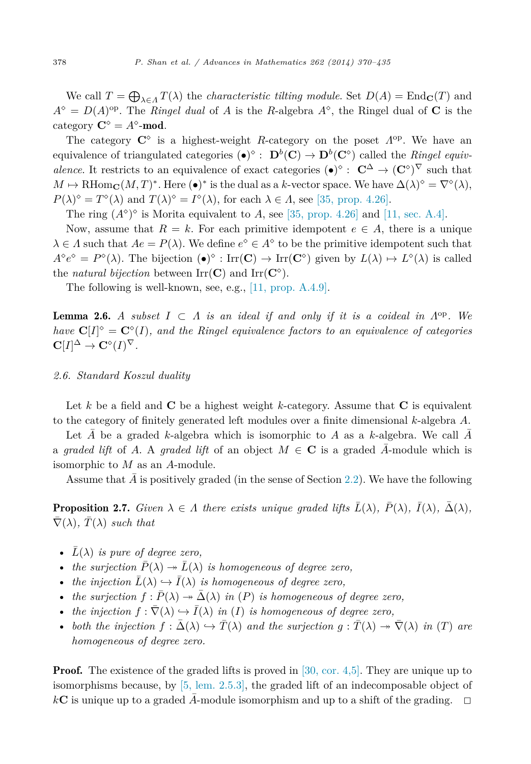<span id="page-8-0"></span>We call  $T = \bigoplus_{\lambda \in \Lambda} T(\lambda)$  the *characteristic tilting module*. Set  $D(A) = \text{End}_{\mathbf{C}}(T)$  and  $A^{\circ} = D(A)^{\text{op}}$ . The *Ringel dual* of *A* is the *R*-algebra  $A^{\circ}$ , the Ringel dual of **C** is the category  $\mathbf{C}^{\diamond} = A^{\diamond}$ -mod.

The category  $\mathbb{C}^{\diamond}$  is a highest-weight *R*-category on the poset  $\Lambda^{\rm op}$ . We have an equivalence of triangulated categories  $(\bullet)^{\diamond}$ :  $D^b(C) \rightarrow D^b(C^{\diamond})$  called the *Ringel equivalence*. It restricts to an equivalence of exact categories  $(\bullet)^{\diamond}$ :  $\mathbf{C}^{\Delta} \to (\mathbf{C}^{\diamond})^{\nabla}$  such that  $M \mapsto \text{RHom}_{\mathbf{C}}(M,T)^*$ . Here  $(\bullet)^*$  is the dual as a *k*-vector space. We have  $\Delta(\lambda)^\diamond = \nabla^\diamond(\lambda)$ ,  $P(\lambda)^\diamond = T^\diamond(\lambda)$  and  $T(\lambda)^\diamond = I^\diamond(\lambda)$ , for each  $\lambda \in \Lambda$ , see [\[35, prop. 4.26\].](#page-65-0)

The ring  $(A^{\circ})^{\circ}$  is Morita equivalent to *A*, see [\[35, prop. 4.26\]](#page-65-0) and [\[11, sec. A.4\].](#page-64-0)

Now, assume that  $R = k$ . For each primitive idempotent  $e \in A$ , there is a unique  $\lambda \in \Lambda$  such that  $Ae = P(\lambda)$ . We define  $e^{\diamond} \in A^{\diamond}$  to be the primitive idempotent such that  $A^{\circ}e^{\circ} = P^{\circ}(\lambda)$ . The bijection  $(\bullet)^{\circ}$ : Irr $(\mathbf{C}) \to \text{Irr}(\mathbf{C}^{\circ})$  given by  $L(\lambda) \mapsto L^{\circ}(\lambda)$  is called the *natural bijection* between  $\text{Irr}(\mathbf{C})$  and  $\text{Irr}(\mathbf{C}^{\diamond})$ .

The following is well-known, see, e.g., [11, [prop. A.4.9\].](#page-64-0)

**Lemma 2.6.** *A subset*  $I \subset \Lambda$  *is an ideal if and only if it is a coideal in*  $\Lambda^{op}$ *. We*  $have \mathbf{C}[I]^\diamond = \mathbf{C}^\diamond(I)$ , and the Ringel equivalence factors to an equivalence of categories  $\mathbf{C}[I]^{\Delta} \to \mathbf{C}^{\diamond}(I)^{\nabla}$ .

# *2.6. Standard Koszul duality*

Let *k* be a field and **C** be a highest weight *k*-category. Assume that **C** is equivalent to the category of finitely generated left modules over a finite dimensional *k*-algebra *A*.

Let  $\overline{A}$  be a graded *k*-algebra which is isomorphic to  $A$  as a *k*-algebra. We call  $\overline{A}$ a *graded lift* of *A*. A *graded lift* of an object  $M \in \mathbb{C}$  is a graded  $\overline{A}$ -module which is isomorphic to *M* as an *A*-module.

Assume that  $\tilde{A}$  is positively graded (in the sense of Section [2.2\)](#page-4-0). We have the following

**Proposition 2.7.** *Given*  $\lambda \in \Lambda$  *there exists unique graded lifts*  $\bar{L}(\lambda)$ ,  $\bar{P}(\lambda)$ ,  $\bar{I}(\lambda)$ ,  $\Delta(\lambda)$ ,  $\nabla(\lambda)$ ,  $T(\lambda)$  *such that* 

- $L(\lambda)$  *is pure of degree zero,*
- *the surjection*  $\bar{P}(\lambda) \rightarrow \bar{L}(\lambda)$  *is homogeneous of degree zero,*
- *the injection*  $\bar{L}(\lambda) \hookrightarrow \bar{I}(\lambda)$  *is homogeneous of degree zero,*
- *the surjection*  $f: \overline{P}(\lambda) \rightarrow \overline{\Delta}(\lambda)$  *in*  $(P)$  *is homogeneous of degree zero,*
- *the injection*  $f : \overline{\nabla}(\lambda) \hookrightarrow \overline{I}(\lambda)$  *in* (*I*) *is homogeneous of degree zero,*
- *both the injection*  $f : \overline{\Delta}(\lambda) \hookrightarrow \overline{T}(\lambda)$  *and the surjection*  $g : \overline{T}(\lambda) \twoheadrightarrow \overline{\nabla}(\lambda)$  *in* (*T*) *are homogeneous of degree zero.*

**Proof.** The existence of the graded lifts is proved in  $[30, \text{cor. } 4.5]$ . They are unique up to isomorphisms because, by [\[5, lem. 2.5.3\],](#page-64-0) the graded lift of an indecomposable object of  $k\mathbf{C}$  is unique up to a graded *A*-module isomorphism and up to a shift of the grading.  $\Box$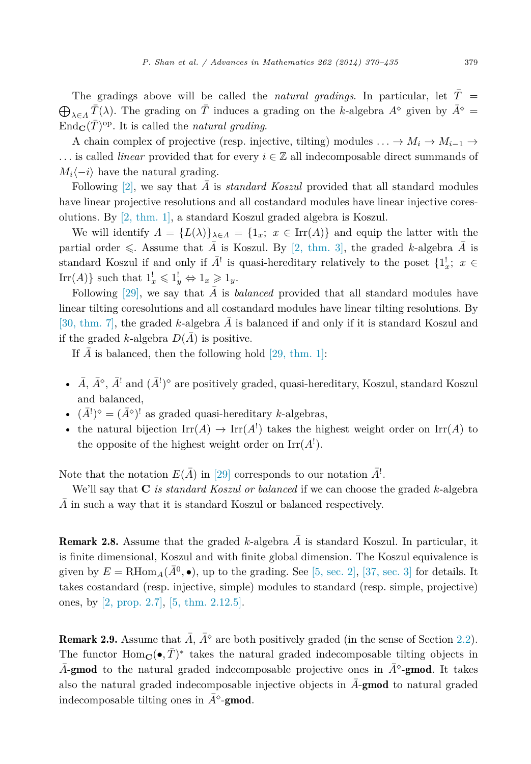The gradings above will be called the *natural gradings*. In particular, let  $\overline{T}$  =  $\bigoplus_{\lambda \in A} \overline{T}(\lambda)$ . The grading on  $\overline{T}$  induces a grading on the *k*-algebra *A*<sup> $\circ$ </sup> given by  $\overline{A}^{\circ}$  =  $\text{End}_{\mathbf{C}}(\overline{T})^{\text{op}}$ . It is called the *natural grading*.

A chain complex of projective (resp. injective, tilting) modules  $\ldots \to M_i \to M_{i-1} \to$ *...* is called *linear* provided that for every *<sup>i</sup>* <sup>∈</sup> <sup>Z</sup> all indecomposable direct summands of  $M_i \langle -i \rangle$  have the natural grading.

Following  $[2]$ , we say that *A* is *standard Koszul* provided that all standard modules have linear projective resolutions and all costandard modules have linear injective coresolutions. By [\[2, thm. 1\],](#page-64-0) a standard Koszul graded algebra is Koszul.

We will identify  $\Lambda = \{L(\lambda)\}_{\lambda \in \Lambda} = \{1_x; x \in \text{Irr}(A)\}\$ and equip the latter with the partial order  $\leq$ . Assume that  $\overline{A}$  is Koszul. By [\[2, thm. 3\],](#page-64-0) the graded *k*-algebra  $\overline{A}$  is standard Koszul if and only if  $\overline{A}^!$  is quasi-hereditary relatively to the poset  $\{1_x^!, x \in$ Irr(*A*)} such that  $1_x^! \leqslant 1_y^! \Leftrightarrow 1_x \geqslant 1_y$ .

Following [\[29\],](#page-65-0) we say that  $\overline{A}$  is *balanced* provided that all standard modules have linear tilting coresolutions and all costandard modules have linear tilting resolutions. By [\[30, thm. 7\],](#page-65-0) the graded *k*-algebra  $\overline{A}$  is balanced if and only if it is standard Koszul and if the graded *k*-algebra  $D(\bar{A})$  is positive.

If  $\overline{A}$  is balanced, then the following hold [\[29, thm. 1\]:](#page-65-0)

- $\bar{A}$ ,  $\bar{A}^{\circ}$ ,  $\bar{A}^!$  and  $(\bar{A}^!)^{\circ}$  are positively graded, quasi-hereditary, Koszul, standard Koszul and balanced,
- $(\bar{A}^!)^{\diamond} = (\bar{A}^{\diamond})^!$  as graded quasi-hereditary *k*-algebras,
- the natural bijection  $\text{Irr}(A) \to \text{Irr}(A^!)$  takes the highest weight order on  $\text{Irr}(A)$  to the opposite of the highest weight order on  $\text{Irr}(A^!)$ .

Note that the notation  $E(\bar{A})$  in [\[29\]](#page-65-0) corresponds to our notation  $\bar{A}^!$ .

We'll say that **C** *is standard Koszul or balanced* if we can choose the graded *k*-algebra  $\overline{A}$  in such a way that it is standard Koszul or balanced respectively.

**Remark 2.8.** Assume that the graded *k*-algebra *A* is standard Koszul. In particular, it is finite dimensional, Koszul and with finite global dimension. The Koszul equivalence is given by  $E = \text{RHom}_{A}(\bar{A}^{0}, \bullet)$ , up to the grading. See [\[5, sec. 2\],](#page-64-0) [\[37, sec. 3\]](#page-65-0) for details. It takes costandard (resp. injective, simple) modules to standard (resp. simple, projective) ones, by [\[2, prop. 2.7\],](#page-64-0) [\[5, thm. 2.12.5\].](#page-64-0)

**Remark 2.9.** Assume that  $\bar{A}$ ,  $\bar{A}^{\circ}$  are both positively graded (in the sense of Section [2.2\)](#page-4-0). The functor Hom<sub>C</sub>(• $\overline{T}$ )<sup>\*</sup> takes the natural graded indecomposable tilting objects in  $\overline{A}$ -gmod to the natural graded indecomposable projective ones in  $\overline{A}^{\circ}$ -gmod. It takes also the natural graded indecomposable injective objects in  $\overline{A}$ -**gmod** to natural graded indecomposable tilting ones in  $\bar{A}^{\diamond}$ -gmod.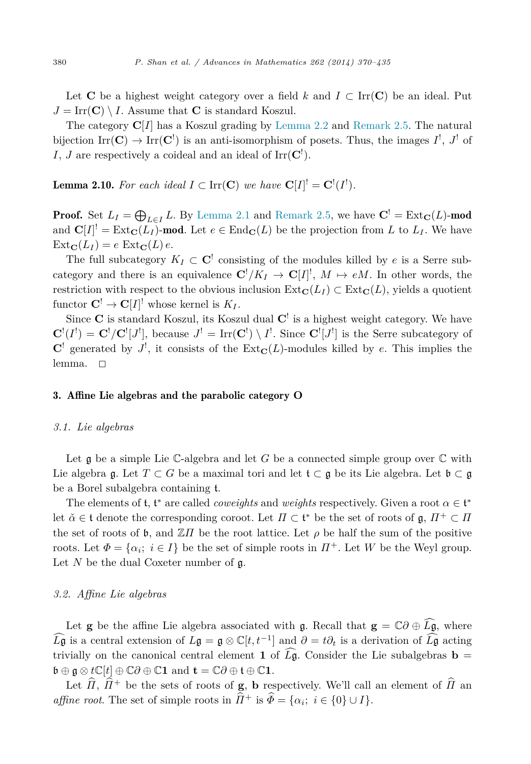<span id="page-10-0"></span>Let **C** be a highest weight category over a field  $k$  and  $I \subset \text{Irr}(\mathbf{C})$  be an ideal. Put  $J = \text{Irr}(\mathbf{C}) \setminus I$ . Assume that **C** is standard Koszul.

The category **C**[*I*] has a Koszul grading by [Lemma 2.2](#page-5-0) and [Remark 2.5.](#page-7-0) The natural bijection  $\text{Irr}(\mathbf{C}) \to \text{Irr}(\mathbf{C}^!)$  is an anti-isomorphism of posets. Thus, the images  $I^!, J^!$  of *I*, *J* are respectively a coideal and an ideal of  $\text{Irr}(\mathbf{C}^!)$ .

**Lemma 2.10.** For each ideal  $I \subset \text{Irr}(\mathbf{C})$  we have  $\mathbf{C}[I] = \mathbf{C}^!(I^!)$ .

**Proof.** Set  $L_I = \bigoplus_{L \in I} L$ . By [Lemma 2.1](#page-5-0) and [Remark 2.5,](#page-7-0) we have  $\mathbf{C}^! = \text{Ext}_{\mathbf{C}}(L)$ -mod and  $\mathbf{C}[I] = \text{Ext}_{\mathbf{C}}(L_I)$ -mod. Let  $e \in \text{End}_{\mathbf{C}}(L)$  be the projection from *L* to  $L_I$ . We have  $\text{Ext}_{\mathbf{C}}(L_I) = e \text{ Ext}_{\mathbf{C}}(L) e.$ 

The full subcategory  $K_I \subset \mathbb{C}^!$  consisting of the modules killed by *e* is a Serre subcategory and there is an equivalence  $\mathbb{C}^!/K_I \to \mathbb{C}[I]^!$ ,  $M \mapsto eM$ . In other words, the restriction with respect to the obvious inclusion  $\text{Ext}_{\mathbf{C}}(L_I) \subset \text{Ext}_{\mathbf{C}}(L)$ , yields a quotient functor  $\mathbf{C}^! \to \mathbf{C}[I]^!$  whose kernel is  $K_I$ .

Since **C** is standard Koszul, its Koszul dual **C**! is a highest weight category. We have  $\mathbf{C}^!(I^!) = \mathbf{C}^!/ \mathbf{C}^![J^!]$ , because  $J^! = \text{Irr}(\mathbf{C}^!) \setminus I^!$ . Since  $\mathbf{C}^![J^!]$  is the Serre subcategory of  $\mathbb{C}^!$  generated by  $J^!$ , it consists of the  $\text{Ext}_{\mathbb{C}}(L)$ -modules killed by *e*. This implies the lemma.  $\square$ 

# 3. Affine Lie algebras and the parabolic category **O**

# *3.1. Lie algebras*

Let g be a simple Lie C-algebra and let G be a connected simple group over C with Lie algebra g. Let  $T \subset G$  be a maximal tori and let  $\mathfrak{t} \subset \mathfrak{g}$  be its Lie algebra. Let  $\mathfrak{b} \subset \mathfrak{g}$ be a Borel subalgebra containing t.

The elements of  $\mathfrak{t}, \mathfrak{t}^*$  are called *coweights* and *weights* respectively. Given a root  $\alpha \in \mathfrak{t}^*$ Let  $\check{\alpha} \in \mathfrak{t}$  denote the corresponding coroot. Let  $\Pi \subset \mathfrak{t}^*$  be the set of roots of  $\mathfrak{g}, \Pi^+ \subset \Pi$ the set of roots of b, and  $\mathbb{Z}I$  be the root lattice. Let  $\rho$  be half the sum of the positive roots. Let  $\Phi = {\alpha_i; i \in I}$  be the set of simple roots in  $\Pi^+$ . Let W be the Weyl group. Let *N* be the dual Coxeter number of  $\mathfrak{g}$ .

# *3.2. Affine Lie algebras*

Let **g** be the affine Lie algebra associated with **g**. Recall that  $\mathbf{g} = \mathbb{C}\partial \oplus \widehat{L}\mathbf{g}$ , where  $\widehat{L}$ **g** is a central extension of  $L$ **g** = **g**  $\otimes$   $\mathbb{C}[t, t^{-1}]$  and  $\partial = t\partial_t$  is a derivation of  $\widehat{L}$ **g** acting trivially on the canonical central element **1** of  $L\mathfrak{g}$ . Consider the Lie subalgebras  $\mathbf{b} =$  $\mathfrak{b} \oplus \mathfrak{g} \otimes t\mathbb{C}[t] \oplus \mathbb{C}\partial \oplus \mathbb{C}1$  and  $\mathbf{t} = \mathbb{C}\partial \oplus \mathfrak{t} \oplus \mathbb{C}1$ .

Let  $\widehat{\Pi}$ ,  $\widehat{\Pi}$ <sup>+</sup> be the sets of roots of **g**, **b** respectively. We'll call an element of  $\widehat{\Pi}$  an *affine root*. The set of simple roots in  $\widehat{\Pi}^+$  is  $\widehat{\Phi} = {\alpha_i; i \in \{0\} \cup I}.$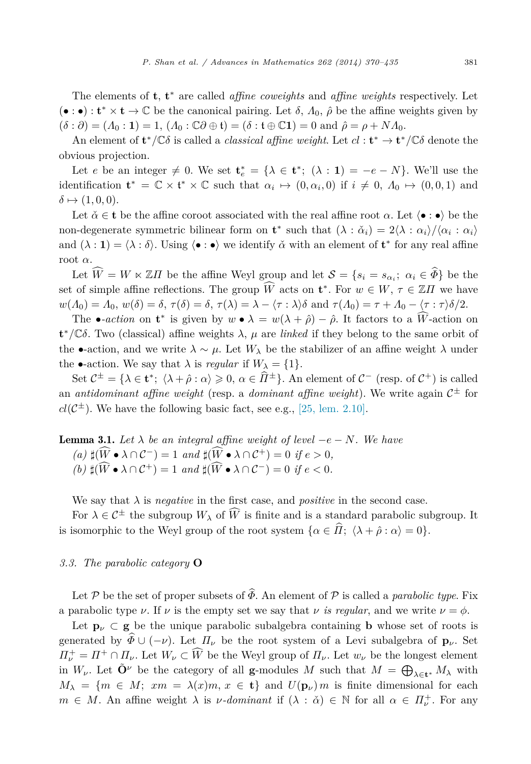<span id="page-11-0"></span>The elements of **t**, **t**<sup>∗</sup> are called *affine coweights* and *affine weights* respectively. Let  $(\bullet : \bullet) : \mathbf{t}^* \times \mathbf{t} \to \mathbb{C}$  be the canonical pairing. Let  $\delta$ ,  $\Lambda_0$ ,  $\hat{\rho}$  be the affine weights given by  $(\delta : \partial) = (A_0 : \mathbf{1}) = 1$ ,  $(A_0 : \mathbb{C}\partial \oplus \mathbf{t}) = (\delta : \mathbf{t} \oplus \mathbb{C}\mathbf{1}) = 0$  and  $\hat{\rho} = \rho + N A_0$ .

An element of **<sup>t</sup>**∗*/*C*<sup>δ</sup>* is called a *classical affine weight*. Let *cl* : **<sup>t</sup>**<sup>∗</sup> <sup>→</sup> **<sup>t</sup>**∗*/*C*<sup>δ</sup>* denote the obvious projection.

Let *e* be an integer  $\neq 0$ . We set  $\mathbf{t}_e^* = {\lambda \in \mathbf{t}^*; (\lambda : \mathbf{1}) = -e - N}$ . We'll use the identification  $\mathbf{t}^* = \mathbb{C} \times \mathbf{t}^* \times \mathbb{C}$  such that  $\alpha_i \mapsto (0, \alpha_i, 0)$  if  $i \neq 0, \Lambda_0 \mapsto (0, 0, 1)$  and  $\delta \mapsto (1, 0, 0).$ 

Let  $\check{\alpha} \in \mathbf{t}$  be the affine coroot associated with the real affine root  $\alpha$ . Let  $\langle \bullet : \bullet \rangle$  be the non-degenerate symmetric bilinear form on **t**<sup>\*</sup> such that  $(\lambda : \check{\alpha}_i) = 2\langle \lambda : \alpha_i \rangle / \langle \alpha_i : \alpha_i \rangle$ and  $(\lambda : \mathbf{1}) = \langle \lambda : \delta \rangle$ . Using  $\langle \bullet : \bullet \rangle$  we identify  $\check{\alpha}$  with an element of  $\mathbf{t}^*$  for any real affine root *α*.

Let  $\widehat{W} = W \ltimes \mathbb{Z} \Pi$  be the affine Weyl group and let  $\mathcal{S} = \{s_i = s_{\alpha_i}; \ \alpha_i \in \widehat{\Phi}\}\)$  be the set of simple affine reflections. The group  $\widehat{W}$  acts on  $\mathbf{t}^*$ . For  $w \in W$ ,  $\tau \in \mathbb{Z}H$  we have  $w(\Lambda_0) = \Lambda_0, w(\delta) = \delta, \tau(\delta) = \delta, \tau(\lambda) = \lambda - \langle \tau : \lambda \rangle \delta \text{ and } \tau(\Lambda_0) = \tau + \Lambda_0 - \langle \tau : \tau \rangle \delta/2.$ 

The  $\bullet$ -*action* on  $t^*$  is given by  $w \bullet \lambda = w(\lambda + \hat{\rho}) - \hat{\rho}$ . It factors to a *W*-action on **t**∗*/*C*δ*. Two (classical) affine weights *λ*, *μ* are *linked* if they belong to the same orbit of the •-action, and we write  $\lambda \sim \mu$ . Let  $W_{\lambda}$  be the stabilizer of an affine weight  $\lambda$  under the •-action. We say that  $\lambda$  is *regular* if  $W_{\lambda} = \{1\}.$ 

Set  $\mathcal{C}^{\pm} = {\lambda \in \mathbf{t}^*; \langle \lambda + \hat{\rho} : \alpha \rangle \geqslant 0, \alpha \in \widehat{\Pi}^{\pm} }$ . An element of  $\mathcal{C}^-$  (resp. of  $\mathcal{C}^+$ ) is called an *antidominant affine weight* (resp. a *dominant affine weight*). We write again  $C^{\pm}$  for  $cl(\mathcal{C}^{\pm})$ . We have the following basic fact, see e.g., [\[25, lem. 2.10\].](#page-64-0)

**Lemma 3.1.** Let  $\lambda$  be an integral affine weight of level  $-e - N$ . We have  $(u)$   $\sharp(\underline{W} \bullet \lambda \cap C^{-})=1$  *and*  $\sharp(\underline{W} \bullet \lambda \cap C^{+})=0$  *if*  $e > 0$ *,*  $(h)$   $\sharp(\tilde{W} \bullet \lambda \cap C^+) = 1$  *and*  $\sharp(\tilde{W} \bullet \lambda \cap C^-) = 0$  *if*  $e < 0$ *.* 

We say that  $\lambda$  is *negative* in the first case, and *positive* in the second case.

For  $\lambda \in C^{\pm}$  the subgroup  $W_{\lambda}$  of W is finite and is a standard parabolic subgroup. It is isomorphic to the Weyl group of the root system  $\{\alpha \in \hat{\Pi}; \ \langle \lambda + \hat{\rho} : \alpha \rangle = 0\}.$ 

#### *3.3. The parabolic category* **O**

Let P be the set of proper subsets of  $\widehat{\Phi}$ . An element of P is called a *parabolic type*. Fix a parabolic type *ν*. If *ν* is the empty set we say that *ν is regular*, and we write  $\nu = \phi$ .

Let  $\mathbf{p}_{\nu} \subset \mathbf{g}$  be the unique parabolic subalgebra containing **b** whose set of roots is generated by  $\hat{\Phi} \cup (-\nu)$ . Let  $\Pi_{\nu}$  be the root system of a Levi subalgebra of  $\mathbf{p}_{\nu}$ . Set  $\Pi_{\nu}^{+} = \Pi^{+} \cap \Pi_{\nu}$ . Let  $W_{\nu} \subset \widehat{W}$  be the Weyl group of  $\Pi_{\nu}$ . Let  $w_{\nu}$  be the longest element in *W<sub>v</sub>*. Let  $\tilde{\mathbf{O}}^{\nu}$  be the category of all **g**-modules *M* such that  $M = \bigoplus_{\lambda \in \mathbf{t}^*} M_\lambda$  with  $M_{\lambda} = \{m \in M; \ xm = \lambda(x)m, x \in \mathbf{t}\}\$ and  $U(\mathbf{p}_{\nu})m$  is finite dimensional for each *m* ∈ *M*. An affine weight  $\lambda$  is *v-dominant* if  $(\lambda : \check{\alpha}) \in \mathbb{N}$  for all  $\alpha \in \Pi_{\nu}^{+}$ . For any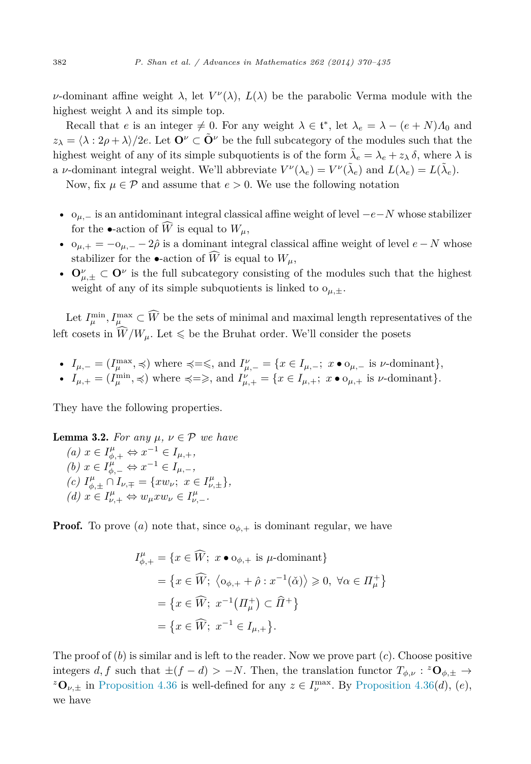<span id="page-12-0"></span>*ν*-dominant affine weight  $\lambda$ , let  $V^{\nu}(\lambda)$ ,  $L(\lambda)$  be the parabolic Verma module with the highest weight  $\lambda$  and its simple top.

Recall that *e* is an integer  $\neq$  0. For any weight  $\lambda \in \mathfrak{t}^*$ , let  $\lambda_e = \lambda - (e + N)\Lambda_0$  and  $z_{\lambda} = \langle \lambda : 2\rho + \lambda \rangle/2e$ . Let  $\mathbf{O}^{\nu} \subset \tilde{\mathbf{O}}^{\nu}$  be the full subcategory of the modules such that the highest weight of any of its simple subquotients is of the form  $\tilde{\lambda}_e = \lambda_e + z_\lambda \delta$ , where  $\lambda$  is a *ν*-dominant integral weight. We'll abbreviate  $V^{\nu}(\lambda_e) = V^{\nu}(\tilde{\lambda}_e)$  and  $L(\lambda_e) = L(\tilde{\lambda}_e)$ .

Now, fix  $\mu \in \mathcal{P}$  and assume that  $e > 0$ . We use the following notation

- o*μ,*<sup>−</sup> is an antidominant integral classical affine weight of level −*e*−*N* whose stabilizer for the  $\bullet$ -action of *W* is equal to  $W_{\mu}$ ,
- $o_{\mu,+} = -o_{\mu,-} 2\hat{\rho}$  is a dominant integral classical affine weight of level  $e N$  whose stabilizer for the  $\bullet$ -action of *W* is equal to  $W_{\mu}$ ,
- $\mathbf{O}^{\nu}_{\mu,\pm} \subset \mathbf{O}^{\nu}$  is the full subcategory consisting of the modules such that the highest weight of any of its simple subquotients is linked to  $o_{\mu,\pm}$ .

Let  $I_{\mu}^{\min}$ ,  $I_{\mu}^{\max} \subset W$  be the sets of minimal and maximal length representatives of the left cosets in  $W/W_\mu$ . Let  $\leqslant$  be the Bruhat order. We'll consider the posets

- $I_{\mu,-} = (I_{\mu}^{\max}, \preccurlyeq)$  where  $\preccurlyeq = \preccurlyeq$ , and  $I_{\mu,-}^{\nu} = \{x \in I_{\mu,-}; x \bullet \circ_{\mu,-} \text{ is } \nu\text{-dominant}\},\$
- $I_{\mu,+} = (I_{\mu}^{\min}, \preccurlyeq)$  where  $\preccurlyeq \geq \geq$ , and  $I_{\mu,+}^{\nu} = \{x \in I_{\mu,+}; x \bullet \circ_{\mu,+}$  is *v*-dominant}.

They have the following properties.

**Lemma 3.2.** *For any*  $μ$ *,*  $ν ∈ P$  *we have*  $(a)$   $x \in I^{\mu}_{\phi,+} \Leftrightarrow x^{-1} \in I_{\mu,+}$ *(b)*  $x \in I_{\phi,-}^{\mu}$  ⇔  $x^{-1} \in I_{\mu,-}$ ,  $(c)$   $I_{\phi,\pm}^{\mu} \cap I_{\nu,\mp} = \{xw_{\nu}; x \in I_{\nu,\pm}^{\mu}\},$  $(d)$   $x \in I_{\nu,+}^{\mu} \Leftrightarrow w_{\mu} x w_{\nu} \in I_{\nu,-}^{\mu}$ .

**Proof.** To prove (*a*) note that, since  $o_{\phi,+}$  is dominant regular, we have

$$
I_{\phi,+}^{\mu} = \{ x \in \widehat{W}; x \bullet \mathbf{o}_{\phi,+} \text{ is } \mu\text{-dominant} \}
$$
  
= 
$$
\{ x \in \widehat{W}; \langle \mathbf{o}_{\phi,+} + \hat{\rho} : x^{-1}(\check{\alpha}) \rangle \ge 0, \forall \alpha \in \Pi_{\mu}^{+} \}
$$
  
= 
$$
\{ x \in \widehat{W}; x^{-1}(\Pi_{\mu}^{+}) \subset \widehat{\Pi}^{+} \}
$$
  
= 
$$
\{ x \in \widehat{W}; x^{-1} \in I_{\mu,+} \}.
$$

The proof of (*b*) is similar and is left to the reader. Now we prove part (*c*). Choose positive integers  $d, f$  such that  $\pm (f - d) > -N$ . Then, the translation functor  $T_{\phi,\nu} : {}^z\mathbf{O}_{\phi,\pm} \to {}^z\mathbf{O}_{\nu,\pm}$  in [Proposition 4.36](#page-30-0) is well-defined for any  $z \in I_{\nu}^{\max}$ . By [Proposition 4.36\(](#page-30-0)d), (e), we have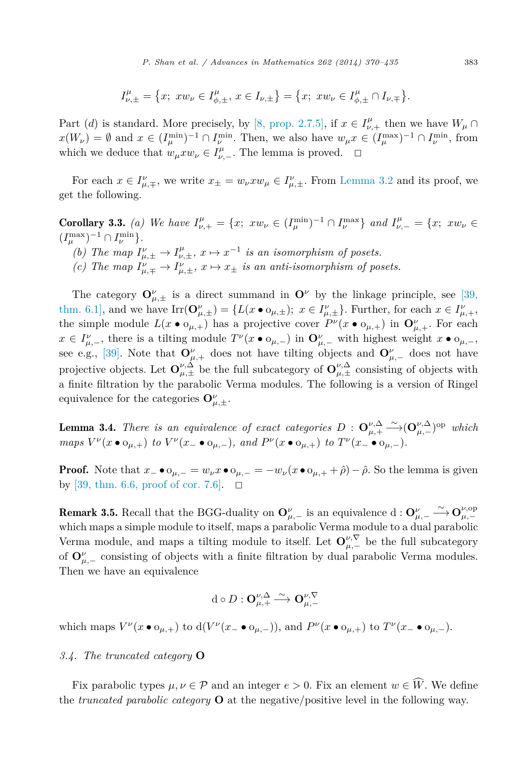$$
I_{\nu,\pm}^\mu=\big\{x;\ x w_\nu\in I_{\phi,\pm}^\mu,\, x\in I_{\nu,\pm}\big\}=\big\{x;\ x w_\nu\in I_{\phi,\pm}^\mu\cap I_{\nu,\mp}\big\}.
$$

<span id="page-13-0"></span>Part (*d*) is standard. More precisely, by [\[8, prop. 2.7.5\],](#page-64-0) if  $x \in I^{\mu}_{\nu,+}$  then we have  $W_{\mu} \cap$  $x(W_\nu) = \emptyset$  and  $x \in (I_\mu^{\min})^{-1} \cap I_\nu^{\min}$ . Then, we also have  $w_\mu x \in (I_\mu^{\max})^{-1} \cap I_\nu^{\min}$ , from which we deduce that  $w_{\mu}xw_{\nu} \in I^{\mu}_{\nu,-}$ . The lemma is proved.  $\Box$ 

For each  $x \in I_{\mu,\pm}^{\nu}$ , we write  $x_{\pm} = w_{\nu} x w_{\mu} \in I_{\mu,\pm}^{\nu}$ . From [Lemma 3.2](#page-12-0) and its proof, we get the following.

**Corollary 3.3.** *(a) We have*  $I_{\nu,+}^{\mu} = \{x; xw_{\nu} \in (I_{\mu}^{\min})^{-1} \cap I_{\nu}^{\max}\}\$  *and*  $I_{\nu,-}^{\mu} = \{x; xw_{\nu} \in (I_{\mu}^{\min})^{-1} \cap I_{\nu}^{\max}\}\$  $(I_\mu^{\max})^{-1} \cap I_\nu^{\min}$ .

*(b)* The map  $I_{\mu,\pm}^{\nu} \to I_{\nu,\pm}^{\mu}$ ,  $x \mapsto x^{-1}$  is an isomorphism of posets.

*(c)* The map  $I_{\mu,\pm}^{\nu} \to I_{\mu,\pm}^{\nu}$ ,  $x \mapsto x_{\pm}$  is an anti-isomorphism of posets.

The category  $\mathbf{O}^{\nu}_{\mu,\pm}$  is a direct summand in  $\mathbf{O}^{\nu}$  by the linkage principle, see [\[39,](#page-65-0) [thm. 6.1\],](#page-65-0) and we have  $\text{Irr}(\mathbf{O}_{\mu,\pm}^{\nu}) = \{L(x \bullet \mathbf{o}_{\mu,\pm}); x \in I_{\mu,\pm}^{\nu}\}$ . Further, for each  $x \in I_{\mu,+}^{\nu}$ , the simple module  $L(x \bullet o_{\mu,+})$  has a projective cover  $P^{\nu}(x \bullet o_{\mu,+})$  in  $O^{\nu}_{\mu,+}$ . For each  $x \in I_{\mu,-}^{\nu}$ , there is a tilting module  $T^{\nu}(x \bullet \mathfrak{o}_{\mu,-})$  in  $\mathbf{O}_{\mu,-}^{\nu}$  with highest weight  $x \bullet \mathfrak{o}_{\mu,-}$ , see e.g., [\[39\].](#page-65-0) Note that  $\mathbf{O}^{\nu}_{\mu,+}$  does not have tilting objects and  $\mathbf{O}^{\nu}_{\mu,-}$  does not have projective objects. Let  $\mathbf{O}_{\mu,\pm}^{\nu,\Delta}$  be the full subcategory of  $\mathbf{O}_{\mu,\pm}^{\nu,\Delta}$  consisting of objects with a finite filtration by the parabolic Verma modules. The following is a version of Ringel equivalence for the categories  $O_{\mu,\pm}^{\nu}$ .

**Lemma 3.4.** *There is an equivalence of exact categories*  $D : \mathbf{O}_{\mu,+}^{\nu,\Delta} \xrightarrow{\sim} (\mathbf{O}_{\mu,-}^{\nu,\Delta})^{\text{op}}$  *which maps*  $V^{\nu}(x \bullet o_{\mu,+})$  *to*  $V^{\nu}(x_{-} \bullet o_{\mu,-})$ *, and*  $P^{\nu}(x \bullet o_{\mu,+})$  *to*  $T^{\nu}(x_{-} \bullet o_{\mu,-})$ *.* 

**Proof.** Note that  $x_{-} \bullet o_{\mu,-} = w_{\nu} x \bullet o_{\mu,-} = -w_{\nu}(x \bullet o_{\mu,+} + \hat{\rho}) - \hat{\rho}$ . So the lemma is given by [\[39, thm. 6.6, proof of cor. 7.6\].](#page-65-0)  $\Box$ 

**Remark 3.5.** Recall that the BGG-duality on  $\mathbf{O}^{\nu}_{\mu,-}$  is an equivalence d :  $\mathbf{O}^{\nu}_{\mu,-} \xrightarrow{\sim} \mathbf{O}^{\nu, \text{op}}_{\mu,-}$ which maps a simple module to itself, maps a parabolic Verma module to a dual parabolic Verma module, and maps a tilting module to itself. Let  $\mathbf{O}_{\mu,-}^{\nu,\nabla}$  be the full subcategory of  $\mathbf{O}^{\nu}_{\mu,-}$  consisting of objects with a finite filtration by dual parabolic Verma modules. Then we have an equivalence

$$
\mathrm{d} \circ D: \mathbf{O}^{\nu,\Delta}_{\mu,+} \xrightarrow{\sim} \mathbf{O}^{\nu,\nabla}_{\mu,-}
$$

which maps  $V^{\nu}(x \bullet o_{\mu,+})$  to  $d(V^{\nu}(x_{-} \bullet o_{\mu,-}))$ , and  $P^{\nu}(x \bullet o_{\mu,+})$  to  $T^{\nu}(x_{-} \bullet o_{\mu,-})$ .

# *3.4. The truncated category* **O**

Fix parabolic types  $\mu, \nu \in \mathcal{P}$  and an integer  $e > 0$ . Fix an element  $w \in W$ . We define the *truncated parabolic category* **O** at the negative/positive level in the following way.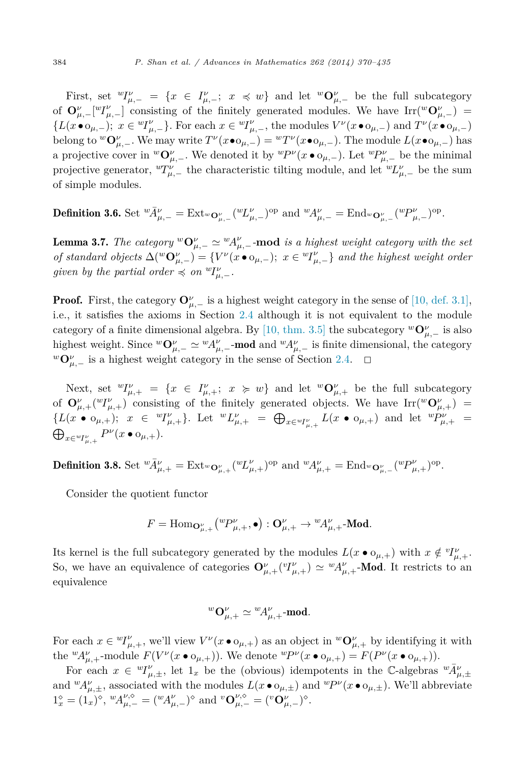<span id="page-14-0"></span>First, set  ${}^wI^{\nu}_{\mu,-} = \{x \in I^{\nu}_{\mu,-}; x \preccurlyeq w\}$  and let  ${}^w\mathbf{O}^{\nu}_{\mu,-}$  be the full subcategory of  $\mathbf{O}^{\nu}_{\mu,-}[{}^{w}I^{\nu}_{\mu,-}]$  consisting of the finitely generated modules. We have  $\text{Irr}({}^{w}\mathbf{O}^{\nu}_{\mu,-})$  =  ${L(x \bullet o_{\mu,-}); x \in {^wI}_{\mu,-}^{\nu}}$ . For each  $x \in {^wI}_{\mu,-}^{\nu}$ , the modules  $V^{\nu}(x \bullet o_{\mu,-})$  and  $T^{\nu}(x \bullet o_{\mu,-})$ belong to  ${}^w\mathbf{O}^{\nu}_{\mu,-}$ . We may write  $T^{\nu}(x \bullet \mathbf{o}_{\mu,-}) = {}^w T^{\nu}(x \bullet \mathbf{o}_{\mu,-})$ . The module  $L(x \bullet \mathbf{o}_{\mu,-})$  has a projective cover in  $^w\mathbf{O}^{\nu}_{\mu,-}$ . We denoted it by  $^wP^{\nu}(x \bullet \mathfrak{o}_{\mu,-})$ . Let  $^wP^{\nu}_{\mu,-}$  be the minimal projective generator,  $^wT^{\nu}_{\mu,-}$  the characteristic tilting module, and let  $^wL^{\nu}_{\mu,-}$  be the sum of simple modules.

# **Definition 3.6.** Set  ${}^w \bar{A}_{\mu,-}^{\nu} = \text{Ext}_{w} \mathbf{o}_{\mu,-}^{\nu} ({}^w L_{\mu,-}^{\nu})^{\text{op}}$  and  ${}^w \! A_{\mu,-}^{\nu} = \text{End}_{w} \mathbf{o}_{\mu,-}^{\nu} ({}^w P_{\mu,-}^{\nu})^{\text{op}}$ .

**Lemma 3.7.** *The category*  $^wO_{\mu,-}^{\nu} \simeq {^wA}_{\mu,-}^{\nu}$  **-mod** *is a highest weight category with the set of standard objects*  $\Delta({}^w\mathbf{O}^{\nu}_{\mu,-}) = \{V^{\nu}(x \bullet \mathbf{o}_{\mu,-}); x \in {}^wI^{\nu}_{\mu,-}\}\$ and the highest weight order *given by the partial order*  $\preccurlyeq$  *on*  ${}^wI_{\mu,-}^{\nu}$ .

**Proof.** First, the category  $\mathbf{O}^{\nu}_{\mu,-}$  is a highest weight category in the sense of [\[10, def. 3.1\],](#page-64-0) i.e., it satisfies the axioms in Section [2.4](#page-6-0) although it is not equivalent to the module category of a finite dimensional algebra. By [\[10, thm. 3.5\]](#page-64-0) the subcategory  $^wO_{\mu,-}^\nu$  is also highest weight. Since  ${}^wO_{\mu,-}^{\nu} \simeq {}^wA_{\mu,-}^{\nu}$  **mod** and  ${}^wA_{\mu,-}^{\nu}$  is finite dimensional, the category  ${}^wO_{\mu,-}^{\nu}$  is a highest weight category in the sense of Section 2.4.  $\Box$  $^w\mathbf{O}_{\mu}^{\nu}$  is a highest weight category in the sense of Section [2.4.](#page-6-0)  $\Box$ 

Next, set  ${}^{w}I^{\nu}_{\mu,+} = \{x \in I^{\nu}_{\mu,+}; x \geqslant w\}$  and let  ${}^{w}O^{\nu}_{\mu,+}$  be the full subcategory of  $\mathbf{O}_{\mu,+}^{\nu}({}^{w}I_{\mu,+}^{\nu})$  consisting of the finitely generated objects. We have Irr $({}^{w}O_{\mu,+}^{\nu})$  =  ${L(x \bullet o_{\mu,+})$ ;  $x \in {}^{w}I_{\mu,+}^{\nu}$ . Let  ${}^{w}L_{\mu,+}^{\nu} = \bigoplus_{x \in {}^{w}I_{\mu,+}^{\nu}} L(x \bullet o_{\mu,+})$  and let  ${}^{w}P_{\mu,+}^{\nu} = \bigoplus_{x \in {}^{w}I_{\mu,+}^{\nu}} L(x \bullet o_{\mu,+})$  $x \in W^{\nu}_{\mu,+}$   $P^{\nu}(x \bullet \mathbf{o}_{\mu,+}).$ 

**Definition 3.8.** Set  ${}^w \bar{A}_{\mu,+}^{\nu} = \text{Ext}_{w} \mathbf{o}_{\mu,+}^{\nu} ({}^w L_{\mu,+}^{\nu})^{\text{op}}$  and  ${}^w A_{\mu,+}^{\nu} = \text{End}_{w} \mathbf{o}_{\mu,-}^{\nu} ({}^w P_{\mu,+}^{\nu})^{\text{op}}$ .

Consider the quotient functor

$$
F=\mathrm{Hom}_{\mathbf{O}_{\mu,+}^{\nu}}\left({}^w\!P_{\mu,+}^{\nu},\bullet\right):\mathbf{O}_{\mu,+}^{\nu}\to{}^w\!A_{\mu,+}^{\nu}\text{-}\mathbf{Mod}.
$$

Its kernel is the full subcategory generated by the modules  $L(x \bullet o_{\mu,+})$  with  $x \notin {^v}L^{\nu}_{\mu,+}$ . So, we have an equivalence of categories  $\mathbf{O}_{\mu,+}^{\nu}(^{\nu}I_{\mu,+}^{\nu}) \simeq {}^{w}A_{\mu,+}^{\nu}$ -Mod. It restricts to an equivalence

$$
^w\textbf{O}_{\mu,+}^\nu\simeq {^w\!A}_{\mu,+}^\nu\textbf{-mod}.
$$

For each  $x \in {^wI}_{\mu,+}^{\nu}$ , we'll view  $V^{\nu}(x \bullet \mathfrak{0}_{\mu,+})$  as an object in  ${^w\mathbb{O}}_{\mu,+}^{\nu}$  by identifying it with the  ${}^wA^{\nu}_{\mu,+}$ -module  $F(V^{\nu}(x \bullet \mathfrak{o}_{\mu,+}))$ . We denote  ${}^wP^{\nu}(x \bullet \mathfrak{o}_{\mu,+}) = F(P^{\nu}(x \bullet \mathfrak{o}_{\mu,+}))$ .

For each  $x \in {}^{w}I^{\nu}_{\mu,\pm}$ , let  $1_x$  be the (obvious) idempotents in the C-algebras  ${}^{w}\bar{A}^{\nu}_{\mu,\pm}$ and  $^{w}A^{\nu}_{\mu,\pm}$ , associated with the modules  $L(x \bullet o_{\mu,\pm})$  and  $^{w}P^{\nu}(x \bullet o_{\mu,\pm})$ . We'll abbreviate  $1_x^{\circ} = (1_x)^{\circ}, \, ^wA_{\mu, -}^{\nu, \circ} = (^wA_{\mu, -}^{\nu})^{\circ}$  and  $^v\mathbf{O}_{\mu, -}^{\nu, \circ} = (^v\mathbf{O}_{\mu, -}^{\nu})^{\circ}.$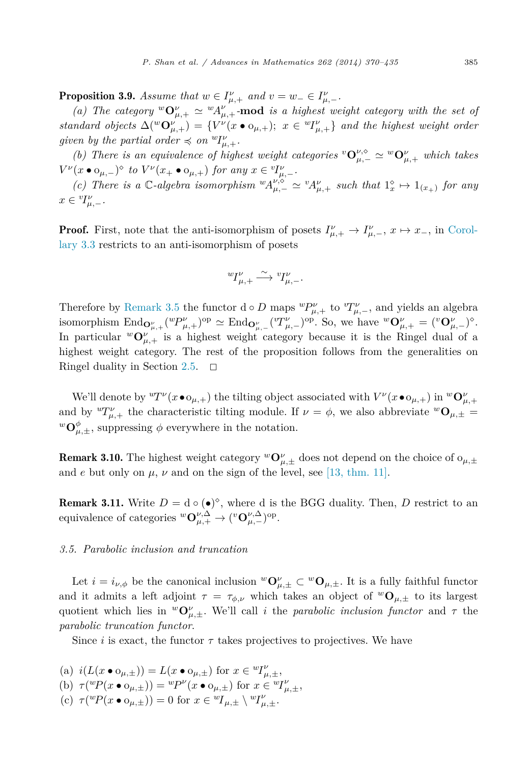<span id="page-15-0"></span>**Proposition 3.9.** *Assume that*  $w \in I_{\mu,+}^{\nu}$  *and*  $v = w_- \in I_{\mu,-}^{\nu}$ .

(a) The category  ${}^w\mathbf{O}^{\nu}_{\mu,+} \simeq {}^w\!A^{\nu}_{\mu,+}$ -mod *is a highest weight category with the set of standard objects*  $\Delta({}^w\mathbf{O}^{\nu}_{\mu,+}) = {V^{\nu}(x \bullet o_{\mu,+})}$ ;  $x \in {}^wI^{\nu}_{\mu,+}$  *and the highest weight order given by the partial order*  $\preccurlyeq$  *on*  ${}^wI^{\nu}_{\mu,+}$ .

*(b)* There is an equivalence of highest weight categories  $^v\mathbf{O}_{\mu,-}^{\nu,\diamond} \simeq ^w\mathbf{O}_{\mu,+}^{\nu}$  which takes  $V^{\nu}(x \bullet o_{\mu,-})^{\diamond}$  *to*  $V^{\nu}(x_{+} \bullet o_{\mu,+})$  *for any*  $x \in {^vI}_{\mu,-}^{\nu}$ .

(c) There is a  $\mathbb{C}$ -algebra isomorphism  ${}^w A_{\mu,-}^{\nu,\diamond} \simeq {}^v A_{\mu,+}^{\nu}$  such that  $1_x^\diamond \mapsto 1_{(x_+)}$  for any  $x \in {}^{vI}\!I^{\nu}_{\mu,-}$ .

**Proof.** First, note that the anti-isomorphism of posets  $I_{\mu,+}^{\nu} \to I_{\mu,-}^{\nu}$ ,  $x \mapsto x_{-}$ , in [Corol](#page-13-0)[lary 3.3](#page-13-0) restricts to an anti-isomorphism of posets

$$
{}^{w}\!I_{\mu,+}^{\nu}\stackrel{\sim}{\longrightarrow}{}^{v}\!I_{\mu,-}^{\nu}.
$$

Therefore by [Remark 3.5](#page-13-0) the functor d ∘ *D* maps  ${}^{w}P^{\nu}_{\mu,+}$  to  ${}^{v}T^{\nu}_{\mu,-}$ , and yields an algebra isomorphism  $\text{End}_{\mathbf{O}_{\mu,+}^{\nu}}({}^wP_{\mu,+}^{\nu})^{\text{op}} \simeq \text{End}_{\mathbf{O}_{\mu,-}^{\nu}}({}^vT_{\mu,-}^{\nu})^{\text{op}}.$  So, we have  ${}^w\mathbf{O}_{\mu,+}^{\nu} = ({}^v\mathbf{O}_{\mu,-}^{\nu})^{\circ}$ . In particular  $^wO_{\mu,+}^{\nu}$  is a highest weight category because it is the Ringel dual of a highest weight category. The rest of the proposition follows from the generalities on Ringel duality in Section [2.5.](#page-7-0)  $\Box$ 

We'll denote by  ${}^wT^{\nu}(x \bullet o_{\mu,+})$  the tilting object associated with  $V^{\nu}(x \bullet o_{\mu,+})$  in  ${}^w\mathbf{O}^{\nu}_{\mu,+}$ and by  ${}^wT^{\nu}_{\mu,+}$  the characteristic tilting module. If  $\nu = \phi$ , we also abbreviate  ${}^w\mathbf{O}_{\mu,+}$  $^{w}\mathbf{O}_{\mu,\pm}^{\phi}$ , suppressing  $\phi$  everywhere in the notation.

**Remark 3.10.** The highest weight category  $^wO_{\mu,\pm}^{\nu}$  does not depend on the choice of  $o_{\mu,\pm}$ and *e* but only on  $\mu$ ,  $\nu$  and on the sign of the level, see [\[13, thm. 11\].](#page-64-0)

**Remark 3.11.** Write  $D = d \circ (\bullet)^{\diamond}$ , where d is the BGG duality. Then, D restrict to an equivalence of categories  $^wO_{\mu,+}^{\nu,\Delta} \to (^vO_{\mu,-}^{\nu,\Delta})^{\text{op}}.$ 

### *3.5. Parabolic inclusion and truncation*

Let  $i = i_{\nu,\phi}$  be the canonical inclusion  $^w\mathbf{O}_{\mu,\pm}^{\nu} \subset {}^w\mathbf{O}_{\mu,\pm}$ . It is a fully faithful functor and it admits a left adjoint  $\tau = \tau_{\phi,\nu}$  which takes an object of  $^wO_{\mu,\pm}$  to its largest quotient which lies in  $^wO_{\mu,\pm}^{\nu}$ . We'll call *i* the *parabolic inclusion functor* and  $\tau$  the *parabolic truncation functor*.

Since *i* is exact, the functor  $\tau$  takes projectives to projectives. We have

- (a)  $i(L(x \bullet o_{\mu,\pm})) = L(x \bullet o_{\mu,\pm})$  for  $x \in {^wI}_{\mu,\pm}^{\nu}$ ,
- (b)  $\tau({}^wP(x \bullet o_{\mu,\pm})) = {}^wP^{\nu}(x \bullet o_{\mu,\pm})$  for  $x \in {}^wI_{\mu,\pm}^{\nu}$ ,
- $\sigma(\mathbf{r}) \tau(\mathbf{v}P(x \bullet \mathbf{o}_{\mu,\pm})) = 0$  for  $x \in \mathbf{v}I_{\mu,\pm} \setminus \mathbf{v}I_{\mu,\pm}^{\nu}$ .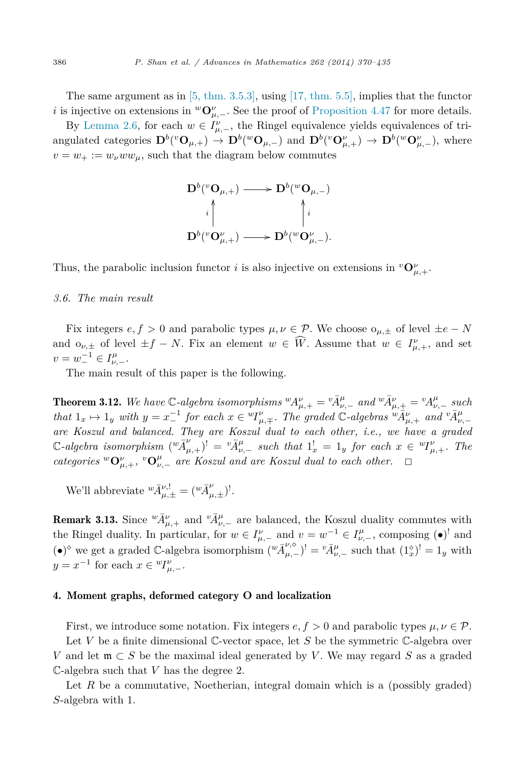<span id="page-16-0"></span>The same argument as in  $[5, \text{thm. } 3.5.3]$ , using  $[17, \text{thm. } 5.5]$ , implies that the functor *i* is injective on extensions in  $^wO_{\mu,-}^\nu$ . See the proof of [Proposition 4.47](#page-36-0) for more details.

By [Lemma](#page-8-0) 2.6, for each  $w \in I_{\mu,-}^{\nu}$ , the Ringel equivalence yields equivalences of triangulated categories  $\mathbf{D}^b({}^v\mathbf{O}_{\mu,+}) \to \mathbf{D}^b({}^w\mathbf{O}_{\mu,-})$  and  $\mathbf{D}^b({}^v\mathbf{O}_{\mu,+}^{\nu}) \to \mathbf{D}^b({}^w\mathbf{O}_{\mu,-}^{\nu})$ , where  $v = w_+ := w_\nu w w_\mu$ , such that the diagram below commutes



Thus, the parabolic inclusion functor *i* is also injective on extensions in  $^v\mathbf{O}^\nu_{\mu,+}$ .

# *3.6. The main result*

Fix integers  $e, f > 0$  and parabolic types  $\mu, \nu \in \mathcal{P}$ . We choose  $o_{\mu, \pm}$  of level  $\pm e - N$ and  $o_{\nu,\pm}$  of level  $\pm f - N$ . Fix an element  $w \in W$ . Assume that  $w \in I_{\mu,+}^{\nu}$ , and set  $v = w_-^{-1} \in I_{\nu,-}^{\mu}.$ 

The main result of this paper is the following.

**Theorem 3.12.** We have  $\mathbb{C}$ -algebra isomorphisms  ${}^wA^{\nu}_{\mu,+} = {}^v\bar{A}^{\mu}_{\nu,-}$  and  ${}^w\bar{A}^{\nu}_{\mu,+} = {}^vA^{\mu}_{\nu,-}$  such that  $1_x \mapsto 1_y$  with  $y = x_{-}^{-1}$  for each  $x \in {^wI}_{\mu,\mp}^{\nu}$ . The graded  $\mathbb{C}$ -algebras  ${^wA}_{\mu,+}^{\nu}$  and  ${^vA}_{\nu,-}^{\mu}$ *are Koszul and balanced. They are Koszul dual to each other, i.e., we have a graded*  $\mathbb{C}$ -algebra isomorphism  $({}^w \overline{A}_{\mu,+}^{\nu})^! = {}^v \overline{A}_{\nu,-}^{\mu}$  such that  $1_x^! = 1_y$  for each  $x \in {}^w I_{\mu,+}^{\nu}$ . The *categories*  $^wO_{\mu,+}^{\nu}$ ,  $^vO_{\nu,-}^{\mu}$  are Koszul and are Koszul dual to each other.  $\Box$ 

We'll abbreviate  ${}^w \bar{A}^{\nu,!}_{\mu,\pm} = ({}^w \bar{A}^{\nu}_{\mu,\pm})^!$ .

**Remark 3.13.** Since  ${}^w\bar{A}^{\nu}_{\mu,+}$  and  ${}^v\bar{A}^{\mu}_{\nu,-}$  are balanced, the Koszul duality commutes with the Ringel duality. In particular, for  $w \in I_{\mu,-}^{\nu}$  and  $v = w^{-1} \in I_{\nu,-}^{\mu}$ , composing  $(\bullet)^{!}$  and  $(\bullet)$ <sup>o</sup> we get a graded C-algebra isomorphism  $({}^w \bar{A}^{\nu, \diamond}_{\mu, -})' = {}^v \bar{A}^{\mu}_{\nu, -}$  such that  $(1_x^{\diamond})' = 1_y$  with *y* =  $x^{-1}$  for each  $x \in {}^{w}I_{\mu,-}^{\nu}$ .

# 4. Moment graphs, deformed category **O** and localization

First, we introduce some notation. Fix integers  $e, f > 0$  and parabolic types  $\mu, \nu \in \mathcal{P}$ . Let *V* be a finite dimensional C-vector space, let *S* be the symmetric C-algebra over *V* and let m ⊂ *S* be the maximal ideal generated by *V* . We may regard *S* as a graded C-algebra such that *V* has the degree 2.

Let  $R$  be a commutative, Noetherian, integral domain which is a (possibly graded) *S*-algebra with 1.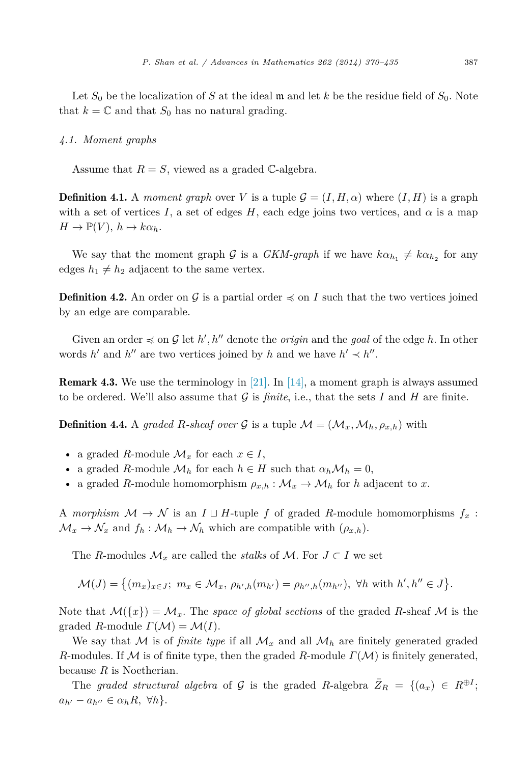Let  $S_0$  be the localization of  $S$  at the ideal  $\mathfrak m$  and let  $k$  be the residue field of  $S_0$ . Note that  $k = \mathbb{C}$  and that  $S_0$  has no natural grading.

# *4.1. Moment graphs*

Assume that  $R = S$ , viewed as a graded C-algebra.

**Definition 4.1.** A *moment graph* over *V* is a tuple  $\mathcal{G} = (I, H, \alpha)$  where  $(I, H)$  is a graph with a set of vertices *I*, a set of edges *H*, each edge joins two vertices, and  $\alpha$  is a map  $H \to \mathbb{P}(V)$ ,  $h \mapsto k\alpha_h$ .

We say that the moment graph G is a *GKM-graph* if we have  $k\alpha_{h_1} \neq k\alpha_{h_2}$  for any edges  $h_1 \neq h_2$  adjacent to the same vertex.

**Definition 4.2.** An order on G is a partial order  $\preccurlyeq$  on I such that the two vertices joined by an edge are comparable.

Given an order  $\leq$  on  $\mathcal{G}$  let  $h', h''$  denote the *origin* and the *goal* of the edge *h*. In other words *h*<sup> $\prime$ </sup> and *h*<sup> $\prime$ </sup> are two vertices joined by *h* and we have  $h' \prec h''$ .

**Remark 4.3.** We use the terminology in [\[21\].](#page-64-0) In [\[14\],](#page-64-0) a moment graph is always assumed to be ordered. We'll also assume that  $\mathcal G$  is *finite*, i.e., that the sets  $I$  and  $H$  are finite.

**Definition 4.4.** A graded R-sheaf over G is a tuple  $\mathcal{M} = (\mathcal{M}_x, \mathcal{M}_h, \rho_{x,h})$  with

- a graded *R*-module  $\mathcal{M}_x$  for each  $x \in I$ ,
- a graded *R*-module  $\mathcal{M}_h$  for each  $h \in H$  such that  $\alpha_h \mathcal{M}_h = 0$ ,
- a graded *R*-module homomorphism  $\rho_{x,h} : \mathcal{M}_x \to \mathcal{M}_h$  for *h* adjacent to *x*.

A morphism  $\mathcal{M} \to \mathcal{N}$  is an  $I \sqcup H$ -tuple f of graded R-module homomorphisms  $f_x$ :  $\mathcal{M}_x \to \mathcal{N}_x$  and  $f_h : \mathcal{M}_h \to \mathcal{N}_h$  which are compatible with  $(\rho_{x,h})$ .

The *R*-modules  $\mathcal{M}_x$  are called the *stalks* of  $\mathcal{M}$ . For  $J \subset I$  we set

$$
\mathcal{M}(J) = \{ (m_x)_{x \in J}; \ m_x \in \mathcal{M}_x, \ \rho_{h',h}(m_{h'}) = \rho_{h'',h}(m_{h''}), \ \forall h \text{ with } h', h'' \in J \}.
$$

Note that  $\mathcal{M}(\lbrace x \rbrace) = \mathcal{M}_x$ . The *space of global sections* of the graded *R*-sheaf  $\mathcal{M}$  is the graded *R*-module  $\Gamma(\mathcal{M}) = \mathcal{M}(I)$ .

We say that M is of *finite type* if all  $\mathcal{M}_x$  and all  $\mathcal{M}_h$  are finitely generated graded *R*-modules. If M is of finite type, then the graded *R*-module *Γ*(M) is finitely generated, because *R* is Noetherian.

The graded structural algebra of G is the graded *R*-algebra  $\bar{Z}_R = \{(a_x) \in R^{\oplus I};$  $a_{h'} - a_{h''} \in \alpha_h R, \ \forall h$  }.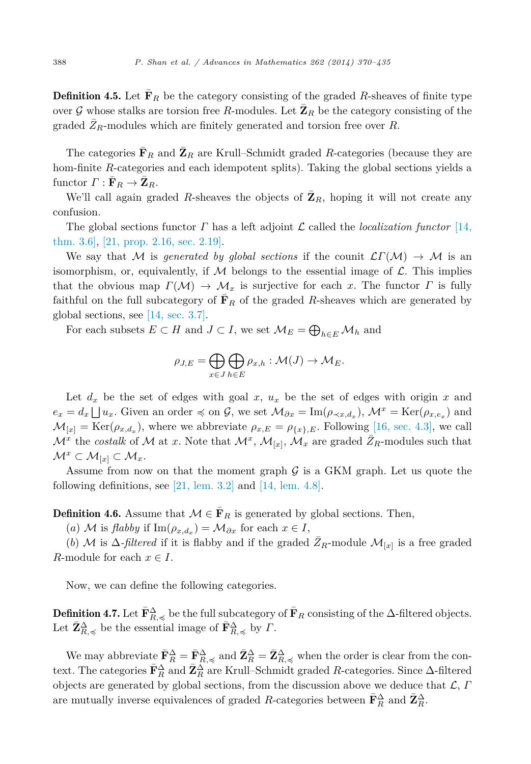**Definition 4.5.** Let  $\mathbf{F}_R$  be the category consisting of the graded R-sheaves of finite type over G whose stalks are torsion free R-modules. Let  $\mathbf{Z}_R$  be the category consisting of the graded  $Z_R$ -modules which are finitely generated and torsion free over  $R$ .

The categories  $\mathbf{F}_R$  and  $\mathbf{Z}_R$  are Krull–Schmidt graded *R*-categories (because they are hom-finite *R*-categories and each idempotent splits). Taking the global sections yields a  $f$ unctor  $\Gamma: \mathbf{F}_R \to \mathbf{Z}_R$ .

We'll call again graded *R*-sheaves the objects of  $\mathbf{Z}_R$ , hoping it will not create any confusion.

The global sections functor  $\Gamma$  has a left adjoint  $\mathcal L$  called the *localization functor* [\[14,](#page-64-0) [thm. 3.6\],](#page-64-0) [\[21, prop. 2.16, sec. 2.19\].](#page-64-0)

We say that M is *generated by global sections* if the counit  $\mathcal{L}\Gamma(\mathcal{M}) \to \mathcal{M}$  is an isomorphism, or, equivalently, if  $M$  belongs to the essential image of  $\mathcal L$ . This implies that the obvious map  $\Gamma(\mathcal{M}) \to \mathcal{M}_x$  is surjective for each x. The functor  $\Gamma$  is fully faithful on the full subcategory of  $\mathbf{F}_R$  of the graded *R*-sheaves which are generated by global sections, see [\[14, sec. 3.7\].](#page-64-0)

For each subsets  $E \subset H$  and  $J \subset I$ , we set  $\mathcal{M}_E = \bigoplus_{h \in E} \mathcal{M}_h$  and

$$
\rho_{J,E} = \bigoplus_{x \in J} \bigoplus_{h \in E} \rho_{x,h} : \mathcal{M}(J) \to \mathcal{M}_E.
$$

Let  $d_x$  be the set of edges with goal x,  $u_x$  be the set of edges with origin x and  $e_x = d_x \bigsqcup u_x$ . Given an order  $\preccurlyeq$  on  $\mathcal{G}$ , we set  $\mathcal{M}_{\partial x} = \text{Im}(\rho_{\prec x, d_x})$ ,  $\mathcal{M}^x = \text{Ker}(\rho_{x, e_x})$  and  $\mathcal{M}_{[x]} = \text{Ker}(\rho_{x,d_x}),$  where we abbreviate  $\rho_{x,E} = \rho_{\{x\},E}.$  Following [\[16, sec. 4.3\],](#page-64-0) we call  $\mathcal{M}^x$  the *costalk* of  $\mathcal M$  at *x*. Note that  $\mathcal M^x$ ,  $\mathcal M_{[x]}$ ,  $\mathcal M_x$  are graded  $\bar{Z}_R$ -modules such that  $\mathcal{M}^x \subset \mathcal{M}_{[x]} \subset \mathcal{M}_x$ .

Assume from now on that the moment graph  $\mathcal G$  is a GKM graph. Let us quote the following definitions, see  $[21, \text{lem. } 3.2]$  and  $[14, \text{lem. } 4.8]$ .

**Definition 4.6.** Assume that  $M \in \mathbf{F}_R$  is generated by global sections. Then,

(*a*) M is *flabby* if  $\text{Im}(\rho_{x,d_x}) = M_{\partial x}$  for each  $x \in I$ ,

(*b*) M is  $\Delta$ -*filtered* if it is flabby and if the graded  $\bar{Z}_R$ -module  $\mathcal{M}_{[x]}$  is a free graded *R*-module for each  $x \in I$ .

Now, we can define the following categories.

**Definition 4.7.** Let  $\bar{\mathbf{F}}_{R,\preccurlyeq}^{\Delta}$  be the full subcategory of  $\bar{\mathbf{F}}_R$  consisting of the  $\Delta$ -filtered objects. Let  $\bar{\mathbf{Z}}_{R,\preccurlyeq}^{\Delta}$  be the essential image of  $\bar{\mathbf{F}}_{R,\preccurlyeq}^{\Delta}$  by  $\Gamma$ .

We may abbreviate  $\bar{\mathbf{F}}_R^{\Delta} = \bar{\mathbf{F}}_{R,\preccurlyeq}^{\Delta}$  and  $\bar{\mathbf{Z}}_R^{\Delta} = \bar{\mathbf{Z}}_{R,\preccurlyeq}^{\Delta}$  when the order is clear from the context. The categories  $\bar{\mathbf{F}}_R^{\Delta}$  and  $\bar{\mathbf{Z}}_R^{\Delta}$  are Krull–Schmidt graded *R*-categories. Since  $\Delta$ -filtered objects are generated by global sections, from the discussion above we deduce that L, *Γ* are mutually inverse equivalences of graded  $R$ -categories between  $\bar{\mathbf{F}}_R^{\Delta}$  and  $\bar{\mathbf{Z}}_R^{\Delta}$ .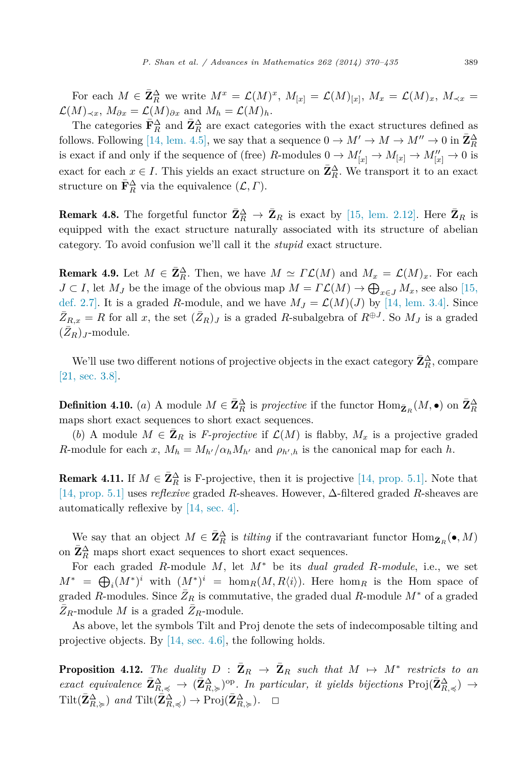<span id="page-19-0"></span>For each  $M \in \mathbf{Z}_R^{\Delta}$  we write  $M^x = \mathcal{L}(M)^x$ ,  $M_{[x]} = \mathcal{L}(M)_{[x]}$ ,  $M_x = \mathcal{L}(M)_x$ ,  $M_{\prec x} =$  $\mathcal{L}(M)_{\prec x}, M_{\partial x} = \mathcal{L}(M)_{\partial x}$  and  $M_h = \mathcal{L}(M)_h$ .

The categories  $\bar{\mathbf{F}}_R^{\Delta}$  and  $\bar{\mathbf{Z}}_R^{\Delta}$  are exact categories with the exact structures defined as follows. Following [\[14, lem. 4.5\],](#page-64-0) we say that a sequence  $0 \to M' \to M \to M'' \to 0$  in  $\bar{\mathbf{Z}}_R^{\Delta}$ is exact if and only if the sequence of (free)  $R$ -modules  $0 \to M'_{[x]} \to M_{[x]} \to M''_{[x]} \to 0$  is exact for each  $x \in I$ . This yields an exact structure on  $\bar{\mathbf{Z}}_R^{\Delta}$ . We transport it to an exact structure on  $\bar{\mathbf{F}}_R^{\Delta}$  via the equivalence  $(\mathcal{L}, \Gamma)$ .

**Remark 4.8.** The forgetful functor  $\bar{\mathbf{Z}}_R^{\Delta} \to \bar{\mathbf{Z}}_R$  is exact by [\[15, lem. 2.12\].](#page-64-0) Here  $\bar{\mathbf{Z}}_R$  is equipped with the exact structure naturally associated with its structure of abelian category. To avoid confusion we'll call it the *stupid* exact structure.

**Remark 4.9.** Let  $M \in \mathbf{Z}_R^{\Delta}$ . Then, we have  $M \simeq \Gamma \mathcal{L}(M)$  and  $M_x = \mathcal{L}(M)_x$ . For each  $J \subset I$ , let  $M_J$  be the image of the obvious map  $M = \Gamma \mathcal{L}(M) \to \bigoplus_{x \in J} M_x$ , see also [\[15,](#page-64-0) [def. 2.7\].](#page-64-0) It is a graded *R*-module, and we have  $M_J = \mathcal{L}(M)(J)$  by [\[14, lem. 3.4\].](#page-64-0) Since  $\bar{Z}_{R,x} = R$  for all *x*, the set  $(\bar{Z}_R)_J$  is a graded *R*-subalgebra of  $R^{\oplus J}$ . So  $M_J$  is a graded  $(\bar{Z}_R)$ <sub>*J*</sub>-module.

We'll use two different notions of projective objects in the exact category  $\bar{\mathbf{Z}}_R^{\Delta}$ , compare [\[21, sec. 3.8\].](#page-64-0)

Definition 4.10. (*a*) A module  $M \in \mathbf{Z}_R^{\Delta}$  is *projective* if the functor  $\text{Hom}_{\mathbf{Z}_R}(M, \bullet)$  on  $\mathbf{Z}_R^{\Delta}$ maps short exact sequences to short exact sequences.

(*b*) A module  $M \in \mathbf{Z}_R$  is *F-projective* if  $\mathcal{L}(M)$  is flabby,  $M_x$  is a projective graded *R*-module for each *x*,  $M_h = M_{h'}/\alpha_h M_{h'}$  and  $\rho_{h',h}$  is the canonical map for each *h*.

**Remark 4.11.** If  $M \in \mathbf{Z}_R^{\Delta}$  is F-projective, then it is projective [\[14, prop. 5.1\].](#page-64-0) Note that [\[14, prop. 5.1\]](#page-64-0) uses *reflexive* graded *R*-sheaves. However, Δ-filtered graded *R*-sheaves are automatically reflexive by [\[14, sec. 4\].](#page-64-0)

We say that an object  $M \in \mathbf{Z}_R^{\Delta}$  is *tilting* if the contravariant functor  $\text{Hom}_{\mathbf{Z}_R}(\bullet, M)$ on  $\bar{\mathbf{Z}}^{\Delta}_R$  maps short exact sequences.

For each graded *R*-module *M*, let *M*<sup>∗</sup> be its *dual graded R-module*, i.e., we set  $M^* = \bigoplus_i (M^*)^i$  with  $(M^*)^i = \hom_R(M, R\langle i \rangle)$ . Here  $\hom_R$  is the Hom space of graded *R*-modules. Since  $\bar{Z}_R$  is commutative, the graded dual *R*-module  $M^*$  of a graded  $\bar{Z}_R$ -module *M* is a graded  $\bar{Z}_R$ -module.

As above, let the symbols Tilt and Proj denote the sets of indecomposable tilting and projective objects. By [\[14, sec. 4.6\],](#page-64-0) the following holds.

**Proposition 4.12.** The duality  $D$  :  $\bar{\mathbf{Z}}_R \to \bar{\mathbf{Z}}_R$  such that  $M \mapsto M^*$  restricts to an  $\vec{P}_{R,\preccurlyeq} = \sum_{k=1}^{\infty} \vec{P}_{R,\preccurlyeq} \rightarrow (\vec{Z}_{R,\succeq}^{\Delta})^{\text{op}}$ . In particular, it yields bijections Proj $(\vec{Z}_{R,\preccurlyeq}^{\Delta}) \rightarrow$  $\mathrm{Tilt}(\bar{\mathbf{Z}}_{R,\succ}^{\Delta})$  and  $\mathrm{Tilt}(\bar{\mathbf{Z}}_{R,\preccurlyeq}^{\Delta}) \to \mathrm{Proj}(\bar{\mathbf{Z}}_{R,\succ}^{\Delta})$ .  $\Box$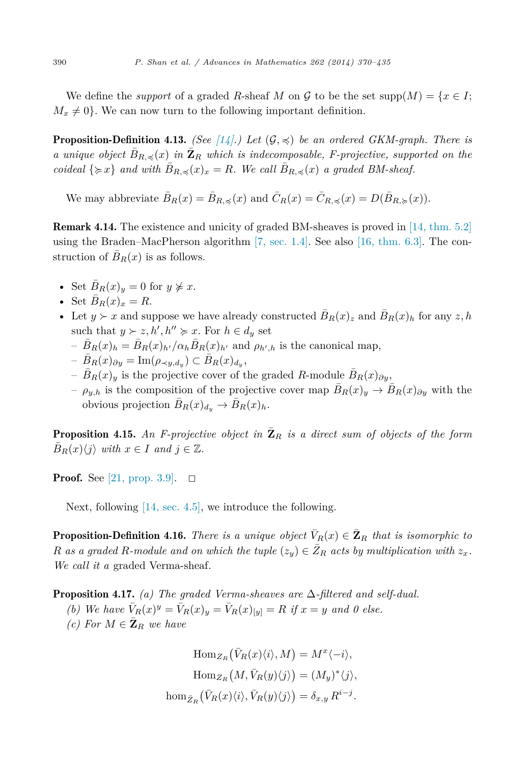<span id="page-20-0"></span>We define the *support* of a graded *R*-sheaf *M* on G to be the set supp $(M) = \{x \in I;$  $M_x \neq 0$ . We can now turn to the following important definition.

**Proposition-Definition 4.13.** *(See [\[14\].](#page-64-0)) Let*  $(G, \preccurlyeq)$  *be an ordered GKM-graph. There is a* unique object  $\bar{B}_{R,\preccurlyeq}(x)$  in  $\bar{\mathbf{Z}}_R$  which is indecomposable, F-projective, supported on the *coideal*  $\{\succcurlyeq x\}$  *and with*  $\bar{B}_{R,\preccurlyeq}(x)_x = R$ *. We call*  $\bar{B}_{R,\preccurlyeq}(x)$  *a graded BM-sheaf.* 

We may abbreviate  $\bar{B}_R(x) = \bar{B}_{R,\preccurlyeq}(x)$  and  $\bar{C}_R(x) = \bar{C}_{R,\preccurlyeq}(x) = D(\bar{B}_{R,\succcurlyeq}(x)).$ 

Remark 4.14. The existence and unicity of graded BM-sheaves is proved in [\[14, thm. 5.2\]](#page-64-0) using the Braden–MacPherson algorithm [\[7, sec. 1.4\].](#page-64-0) See also [\[16, thm. 6.3\].](#page-64-0) The construction of  $B_R(x)$  is as follows.

- Set  $B_R(x)_y = 0$  for  $y \neq x$ .
- Set  $B_R(x)_x = R$ .
- Let  $y > x$  and suppose we have already constructed  $\bar{B}_R(x)_z$  and  $\bar{B}_R(x)_h$  for any  $z, h$ such that  $y \succeq z, h', h'' \succeq x$ . For  $h \in d_y$  set
	- $-\bar{B}_R(x)_h = \bar{B}_R(x)_{h'}/\alpha_h \bar{B}_R(x)_{h'}$  and  $\rho_{h',h}$  is the canonical map,
	- $-\bar{B}_R(x)_{\partial y} = \text{Im}(\rho_{\prec y,d_y}) \subset \bar{B}_R(x)_{d_y}$
	- $-\bar{B}_R(x)_y$  is the projective cover of the graded *R*-module  $\bar{B}_R(x)_{\partial y}$ ,
	- $-\rho_{y,h}$  is the composition of the projective cover map  $\bar{B}_R(x)_y \to \bar{B}_R(x)_{\partial y}$  with the obvious projection  $\bar{B}_R(x)_{d_y} \to \bar{B}_R(x)_h$ .

**Proposition 4.15.** An F-projective object in  $\mathbf{Z}_R$  is a direct sum of objects of the form  $B_R(x)\langle j \rangle$  *with*  $x \in I$  *and*  $j \in \mathbb{Z}$ *.* 

**Proof.** See [21, [prop. 3.9\].](#page-64-0)  $\Box$ 

Next, following [14, [sec. 4.5\],](#page-64-0) we introduce the following.

**Proposition-Definition 4.16.** *There is a unique object*  $\bar{V}_R(x) \in \mathbf{Z}_R$  *that is isomorphic to R* as a graded *R*-module and on which the tuple  $(z_y) \in Z_R$  acts by multiplication with  $z_x$ . *We call it a* graded Verma-sheaf*.*

Proposition 4.17. *(a) The graded Verma-sheaves are* Δ*-filtered and self-dual.*

- *(b)* We have  $\bar{V}_R(x)^y = \bar{V}_R(x)_y = \bar{V}_R(x)_{[y]} = R$  if  $x = y$  and 0 else.
- *(c)* For  $M \in \mathbf{Z}_R$  *we have*

 $\text{Hom}_{Z_R}(\bar{V}_R(x)\langle i \rangle, M) = M^x \langle -i \rangle,$  $\text{Hom}_{Z_R}\big(M, \bar{V}_R(y)\langle j \rangle\big) = (M_y)^* \langle j \rangle,$  $\hom_{\bar{Z}_R}(\bar{V}_R(x)\langle i\rangle, \bar{V}_R(y)\langle j\rangle) = \delta_{x,y} R^{i-j}.$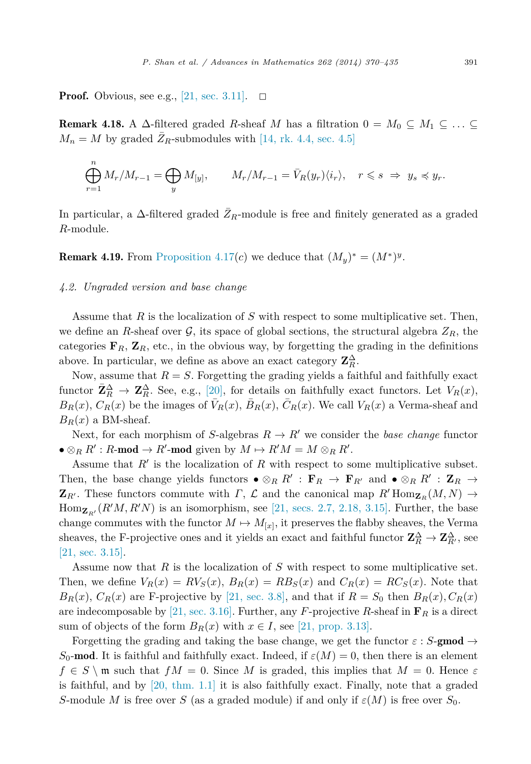<span id="page-21-0"></span>**Proof.** Obvious, see e.g., [\[21, sec. 3.11\].](#page-64-0)  $\Box$ 

**Remark 4.18.** A  $\Delta$ -filtered graded *R*-sheaf *M* has a filtration  $0 = M_0 \subseteq M_1 \subseteq \ldots \subseteq$  $M_n = M$  by graded  $\bar{Z}_R$ -submodules with [\[14, rk. 4.4, sec. 4.5\]](#page-64-0)

$$
\bigoplus_{r=1}^{n} M_r/M_{r-1} = \bigoplus_{y} M_{[y]}, \qquad M_r/M_{r-1} = \bar{V}_R(y_r)\langle i_r \rangle, \quad r \leq s \Rightarrow y_s \leq y_r.
$$

In particular, a  $\Delta$ -filtered graded  $\bar{Z}_R$ -module is free and finitely generated as a graded *R*-module.

**Remark 4.19.** From [Proposition 4.17\(](#page-20-0)*c*) we deduce that  $(M_y)^* = (M^*)^y$ .

# *4.2. Ungraded version and base change*

Assume that *R* is the localization of *S* with respect to some multiplicative set. Then, we define an *R*-sheaf over  $\mathcal{G}$ , its space of global sections, the structural algebra  $Z_R$ , the categories  $\mathbf{F}_R$ ,  $\mathbf{Z}_R$ , etc., in the obvious way, by forgetting the grading in the definitions above. In particular, we define as above an exact category  $\mathbf{Z}_R^{\Delta}$ .

Now, assume that  $R = S$ . Forgetting the grading yields a faithful and faithfully exact functor  $\bar{\mathbf{Z}}_R^{\Delta} \to \mathbf{Z}_R^{\Delta}$ . See, e.g., [\[20\],](#page-64-0) for details on faithfully exact functors. Let  $V_R(x)$ ,  $B_R(x)$ ,  $C_R(x)$  be the images of  $\bar{V}_R(x)$ ,  $\bar{B}_R(x)$ ,  $\bar{C}_R(x)$ . We call  $V_R(x)$  a Verma-sheaf and  $B_R(x)$  a BM-sheaf.

Next, for each morphism of  $S$ -algebras  $R \to R'$  we consider the *base change* functor •  $\otimes_R R'$ : *R*-mod  $\rightarrow R'$ -mod given by  $M \mapsto R'M = M \otimes_R R'$ .

Assume that *R*<sup> $\prime$ </sup> is the localization of *R* with respect to some multiplicative subset. Then, the base change yields functors  $\bullet \otimes_R R' : \mathbf{F}_R \to \mathbf{F}_{R'}$  and  $\bullet \otimes_R R' : \mathbf{Z}_R \to$ **Z**<sub>*R*</sub>. These functors commute with *Γ*,  $\mathcal{L}$  and the canonical map  $R'$  Hom $_{\mathbf{Z}_R}(M, N) \to$  $\text{Hom}_{\mathbf{Z}_{R'}}(R'M, R'N)$  is an isomorphism, see [\[21, secs. 2.7, 2.18, 3.15\].](#page-64-0) Further, the base change commutes with the functor  $M \mapsto M_{[x]}$ , it preserves the flabby sheaves, the Verma sheaves, the F-projective ones and it yields an exact and faithful functor  $\mathbf{Z}_R^{\Delta} \to \mathbf{Z}_{R'}^{\Delta}$ , see [\[21, sec. 3.15\].](#page-64-0)

Assume now that *R* is the localization of *S* with respect to some multiplicative set. Then, we define  $V_R(x) = RV_S(x)$ ,  $B_R(x) = RB_S(x)$  and  $C_R(x) = RC_S(x)$ . Note that  $B_R(x)$ ,  $C_R(x)$  are F-projective by [\[21, sec. 3.8\],](#page-64-0) and that if  $R = S_0$  then  $B_R(x)$ ,  $C_R(x)$ are indecomposable by [\[21, sec. 3.16\].](#page-64-0) Further, any *F*-projective *R*-sheaf in **F***<sup>R</sup>* is a direct sum of objects of the form  $B_R(x)$  with  $x \in I$ , see [\[21, prop. 3.13\].](#page-64-0)

Forgetting the grading and taking the base change, we get the functor  $\varepsilon$  : *S*-gmod  $\rightarrow$  $S_0$ -mod. It is faithful and faithfully exact. Indeed, if  $\varepsilon(M) = 0$ , then there is an element  $f \in S \setminus \mathfrak{m}$  such that  $fM = 0$ . Since *M* is graded, this implies that  $M = 0$ . Hence  $\varepsilon$ is faithful, and by [\[20, thm. 1.1\]](#page-64-0) it is also faithfully exact. Finally, note that a graded *S*-module *M* is free over *S* (as a graded module) if and only if  $\varepsilon(M)$  is free over  $S_0$ .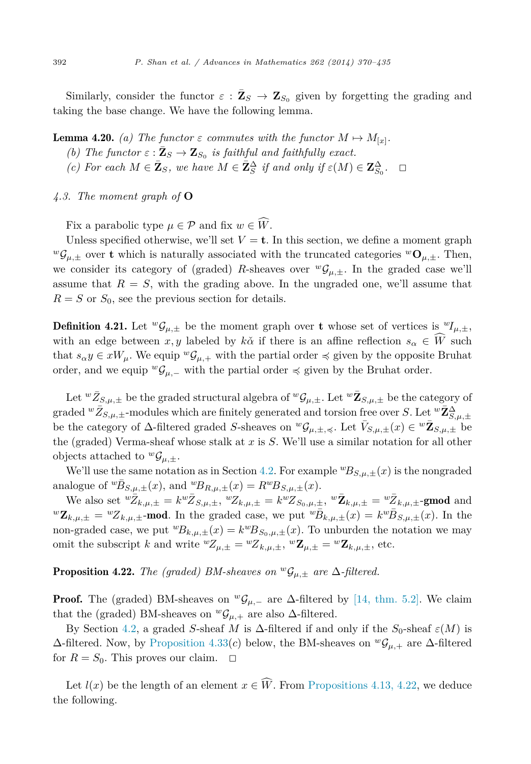<span id="page-22-0"></span>Similarly, consider the functor  $\varepsilon : \mathbf{Z}_S \to \mathbf{Z}_{S_0}$  given by forgetting the grading and taking the base change. We have the following lemma.

**Lemma 4.20.** *(a) The functor*  $\varepsilon$  *commutes with the functor*  $M \mapsto M_{[x]}$ *.* 

*(b)* The functor  $\varepsilon : \bar{\mathbf{Z}}_S \to \mathbf{Z}_{S_0}$  is faithful and faithfully exact.

*(c)* For each  $M \in \mathbf{Z}_S$ , we have  $M \in \mathbf{Z}_S^{\Delta}$  if and only if  $\varepsilon(M) \in \mathbf{Z}_{S_0}^{\Delta}$ .  $\square$ 

*4.3. The moment graph of* **O**

Fix a parabolic type  $\mu \in \mathcal{P}$  and fix  $w \in W$ .

Unless specified otherwise, we'll set  $V = \mathbf{t}$ . In this section, we define a moment graph  $^{w}\mathcal{G}_{\mu,\pm}$  over **t** which is naturally associated with the truncated categories  $^{w}O_{\mu,\pm}$ . Then, we consider its category of (graded) *R*-sheaves over  $^{w}\mathcal{G}_{\mu,\pm}$ . In the graded case we'll assume that  $R = S$ , with the grading above. In the ungraded one, we'll assume that  $R = S$  or  $S_0$ , see the previous section for details.

**Definition 4.21.** Let  $^w\mathcal{G}_{\mu,\pm}$  be the moment graph over **t** whose set of vertices is  $^wI_{\mu,\pm}$ , with an edge between  $x, y$  labeled by  $k\check{\alpha}$  if there is an affine reflection  $s_{\alpha} \in W$  such that  $s_{\alpha}y \in xW_{\mu}$ . We equip  $^w{\mathcal{G}}_{\mu,+}$  with the partial order  $\preccurlyeq$  given by the opposite Bruhat order, and we equip  $^w\mathcal{G}_{\mu,-}$  with the partial order  $\preccurlyeq$  given by the Bruhat order.

Let  ${}^w\bar{Z}_{S,\mu,\pm}$  be the graded structural algebra of  ${}^w\mathcal{G}_{\mu,\pm}$ . Let  ${}^w\bar{\mathbf{Z}}_{S,\mu,\pm}$  be the category of  $\sum_{i=1}^{\infty} \sum_{j=1}^{N} \sum_{j=1}^{N}$  and  $\sum_{j=1}^{N} \sum_{j=1}^{N} \sum_{j=1}^{N}$  and  $\sum_{j=1}^{N} \sum_{j=1}^{N} \sum_{j=1}^{N} \sum_{j=1}^{N}$ be the category of  $\Delta$ -filtered graded *S*-sheaves on  $^w\mathcal{G}_{\mu,\pm,\preccurlyeq}$ . Let  $\bar{V}_{S,\mu,\pm}(x) \in {^w\bar{\mathbf{Z}}}_{S,\mu,\pm}$  be the (graded) Verma-sheaf whose stalk at *x* is *S*. We'll use a similar notation for all other objects attached to  $^w{\mathcal{G}}_{\mu,\pm}$ .

We'll use the same notation as in Section [4.2.](#page-21-0) For example  ${}^w\!B_{S,\mu,\pm}(x)$  is the nongraded analogue of  ${}^{w}B_{S,\mu,\pm}(x)$ , and  ${}^{w}B_{R,\mu,\pm}(x) = R^{w}B_{S,\mu,\pm}(x)$ .

We also set  ${}^w\bar{Z}_{k,\mu,\pm} = k{}^w\bar{Z}_{S,\mu,\pm}, {}^wZ_{k,\mu,\pm} = k{}^wZ_{S_0,\mu,\pm}, {}^w\bar{Z}_{k,\mu,\pm} = {}^w\bar{Z}_{k,\mu,\pm}$ -gmod and  ${}^w\mathbf{Z}_{k,\mu,\pm} = {}^wZ_{k,\mu,\pm}$ -mod. In the graded case, we put  ${}^w\bar{B}_{k,\mu,\pm}(x) = k{}^w\bar{B}_{S,\mu,\pm}(x)$ . In the non-graded case, we put  ${}^wB_{k,\mu,\pm}(x) = k^wB_{S_0,\mu,\pm}(x)$ . To unburden the notation we may omit the subscript *k* and write  $^wZ_{\mu,\pm} = {^wZ}_{k,\mu,\pm}$ ,  $^wZ_{\mu,\pm} = {^wZ}_{k,\mu,\pm}$ , etc.

**Proposition 4.22.** *The (graded) BM-sheaves on*  $^w\mathcal{G}_{\mu,\pm}$  *are*  $\Delta$ *-filtered.* 

**Proof.** The (graded) BM-sheaves on  $^w\mathcal{G}_{\mu,-}$  are  $\Delta$ -filtered by [\[14, thm. 5.2\].](#page-64-0) We claim that the (graded) BM-sheaves on  $^w\mathcal{G}_{\mu,+}$  are also  $\Delta$ -filtered.

By Section [4.2,](#page-21-0) a graded *S*-sheaf *M* is  $\Delta$ -filtered if and only if the  $S_0$ -sheaf  $\varepsilon(M)$  is Δ-filtered. Now, by [Proposition 4.33\(](#page-28-0)*c*) below, the BM-sheaves on *<sup>w</sup>*G*μ,*<sup>+</sup> are Δ-filtered for  $R = S_0$ . This proves our claim.  $\Box$ 

Let  $l(x)$  be the length of an element  $x \in W$ . From [Propositions 4.13, 4.22,](#page-20-0) we deduce the following.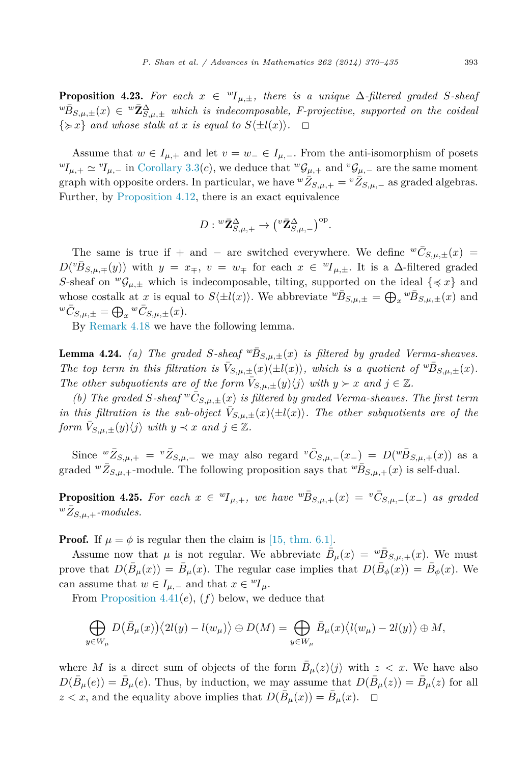<span id="page-23-0"></span>**Proposition 4.23.** For each  $x \in {}^{w}I_{\mu,\pm}$ , there is a unique  $\Delta$ -filtered graded *S*-sheaf  $^{w}B_{S,\mu,\pm}(x) \in {^{w}Z_{S,\mu,\pm}^{\Delta}}$  which is indecomposable, F-projective, supported on the coideal  $\{\succcurlyeq x\}$  *and whose stalk at x is equal to*  $S\langle \pm l(x) \rangle$ .  $\Box$ 

Assume that  $w \in I_{\mu,+}$  and let  $v = w_- \in I_{\mu,-}$ . From the anti-isomorphism of posets  ${}^wI_{\mu,+} \simeq {}^vI_{\mu,-}$  in [Corollary 3.3\(](#page-13-0)*c*), we deduce that  ${}^w\mathcal{G}_{\mu,+}$  and  ${}^v\mathcal{G}_{\mu,-}$  are the same moment graph with opposite orders. In particular, we have  ${}^w\bar{Z}_{S,\mu,+} = {}^v\bar{Z}_{S,\mu,-}$  as graded algebras. Further, by [Proposition 4.12,](#page-19-0) there is an exact equivalence

$$
D: {}^{w}\bar{\mathbf{Z}}^{\Delta}_{S,\mu,+}\to \left({}^{v}\bar{\mathbf{Z}}^{\Delta}_{S,\mu,-}\right)^{\text{op}}.
$$

The same is true if + and - are switched everywhere. We define  ${}^w\bar{C}_{S,\mu,\pm}(x)$  =  $D(^{v\bar{B}}_{S,\mu,\mp}(y))$  with  $y = x_{\mp}$ ,  $v = w_{\mp}$  for each  $x \in {}^{w}I_{\mu,\pm}$ . It is a  $\Delta$ -filtered graded *S*-sheaf on  $^w\mathcal{G}_{\mu,\pm}$  which is indecomposable, tilting, supported on the ideal  $\{\preccurlyeq x\}$  and whose costalk at *x* is equal to  $S\langle \pm l(x) \rangle$ . We abbreviate  ${}^w\bar{B}_{S,\mu,\pm} = \bigoplus_x {}^w\bar{B}_{S,\mu,\pm}(x)$  and  ${}^w\bar{C}_{S,\mu,\pm} = \bigoplus_x {}^w\bar{C}_{S,\mu,\pm}(x)$ .  ${}^w\bar{C}_{S,\mu,\pm} = \bigoplus_{x} {}^w\bar{C}_{S,\mu,\pm}(x).$ 

By [Remark](#page-21-0) 4.18 we have the following lemma.

**Lemma 4.24.** (a) The graded S-sheaf  ${}^w\overline{B}_{S,\mu,\pm}(x)$  is filtered by graded Verma-sheaves. *The top term in this filtration is*  $\bar{V}_{S,\mu,\pm}(x)\langle \pm l(x) \rangle$ *, which is a quotient of*  ${}^w\bar{B}_{S,\mu,\pm}(x)$ *. The other subquotients are of the form*  $\bar{V}_{S,\mu,\pm}(y)\langle j \rangle$  *with*  $y \succ x$  *and*  $j \in \mathbb{Z}$ *.* 

*(b)* The graded S-sheaf  ${}^wC_{S,\mu,\pm}(x)$  is filtered by graded Verma-sheaves. The first term *in this filtration is the sub-object*  $\bar{V}_{S,\mu,\pm}(x)\langle \pm l(x) \rangle$ . The other subquotients are of the *form*  $V_{S,\mu,\pm}(y)\langle j \rangle$  *with*  $y \prec x$  *and*  $j \in \mathbb{Z}$ *.* 

Since  ${}^w\bar{Z}_{S,\mu,+} = {}^v\bar{Z}_{S,\mu,-}$  we may also regard  ${}^v\bar{C}_{S,\mu,-}(x-) = D({}^w\bar{B}_{S,\mu,+}(x))$  as a graded  ${}^w\bar{Z}_{S,\mu,+}$ -module. The following proposition says that  ${}^w\bar{B}_{S,\mu,+}(x)$  is self-dual.

**Proposition 4.25.** For each  $x \in {}^wI_{\mu,+}$ , we have  ${}^w\bar{B}_{S,\mu,+}(x) = {}^v\bar{C}_{S,\mu,-}(x_-)$  as graded  ${}^w\bar{Z}_{S,\mu,+}$  modules.

**Proof.** If  $\mu = \phi$  is regular then the claim is [\[15, thm. 6.1\].](#page-64-0)

Assume now that  $\mu$  is not regular. We abbreviate  $\bar{B}_{\mu}(x) = {}^{w}B_{S,\mu,+}(x)$ . We must prove that  $D(\bar{B}_\mu(x)) = \bar{B}_\mu(x)$ . The regular case implies that  $D(\bar{B}_\phi(x)) = \bar{B}_\phi(x)$ . We can assume that  $w \in I_{\mu,-}$  and that  $x \in {^wI}_{\mu}$ .

From Proposition 4.41 $(e)$ ,  $(f)$  below, we deduce that

$$
\bigoplus_{y\in W_{\mu}} D(\bar{B}_{\mu}(x)) \langle 2l(y) - l(w_{\mu})\rangle \oplus D(M) = \bigoplus_{y\in W_{\mu}} \bar{B}_{\mu}(x) \langle l(w_{\mu}) - 2l(y)\rangle \oplus M,
$$

where *M* is a direct sum of objects of the form  $B_{\mu}(z)\langle j \rangle$  with  $z < x$ . We have also  $D(B_\mu(e)) = B_\mu(e)$ . Thus, by induction, we may assume that  $D(B_\mu(z)) = B_\mu(z)$  for all  $z < x$ , and the equality above implies that  $D(B_\mu(x)) = B_\mu(x)$ .  $\Box$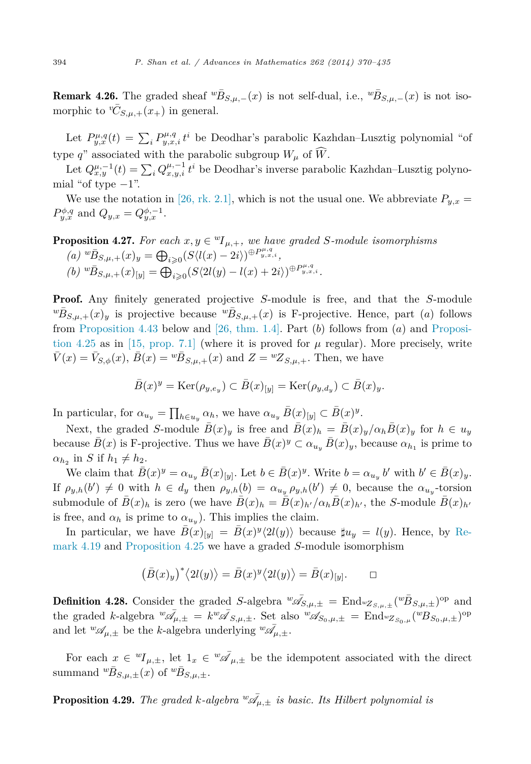<span id="page-24-0"></span>**Remark 4.26.** The graded sheaf  $^{w}B_{S,\mu,-}(x)$  is not self-dual, i.e.,  $^{w}\overline{B}_{S,\mu,-}(x)$  is not isomorphic to  ${}^v\bar{C}_{S,\mu,+}(x_+)$  in general.

Let  $P_{y,x}^{\mu,q}(t) = \sum_i P_{y,x,i}^{\mu,q} t^i$  be Deodhar's parabolic Kazhdan–Lusztig polynomial "of type *q*" associated with the parabolic subgroup *W<sup>μ</sup>* of *W* .

Let  $Q_{x,y}^{\mu,-1}(t) = \sum_i Q_{x,y,i}^{\mu,-1} t^i$  be Deodhar's inverse parabolic Kazhdan–Lusztig polynomial "of type  $-1$ ".

We use the notation in [26, [rk. 2.1\],](#page-64-0) which is not the usual one. We abbreviate  $P_{y,x}$  =  $P_{y,x}^{\phi,q}$  and  $Q_{y,x} = Q_{y,x}^{\phi,-1}$ .

**Proposition 4.27.** For each  $x, y \in {^wI}_{\mu,+}$ , we have graded *S*-module isomorphisms

(a) 
$$
{}^{w}B_{S,\mu,+}(x)_y = \bigoplus_{i \geq 0} (S\langle l(x) - 2i \rangle)^{\oplus P_{y,x,i}^{\mu,q}},
$$
  
(b)  ${}^{w}B_{S,\mu,+}(x)_{[y]} = \bigoplus_{i \geq 0} (S\langle 2l(y) - l(x) + 2i \rangle)^{\oplus P_{y,x,i}^{\mu,q}}.$ 

Proof. Any finitely generated projective *S*-module is free, and that the *S*-module  $^{w}B_{S,\mu,+}(x)$ <sub>y</sub> is projective because  $^{w}B_{S,\mu,+}(x)$  is F-projective. Hence, part (*a*) follows from [Proposition 4.43](#page-35-0) below and [\[26, thm. 1.4\].](#page-64-0) Part (*b*) follows from (*a*) and [Proposi](#page-23-0)[tion 4.25](#page-23-0) as in [\[15, prop. 7.1\]](#page-64-0) (where it is proved for  $\mu$  regular). More precisely, write  $\bar{V}(x) = \bar{V}_{S,\phi}(x), \bar{B}(x) = {}^{w}\bar{B}_{S,\mu,+}(x)$  and  $Z = {}^{w}\!Z_{S,\mu,+}$ . Then, we have

$$
\bar{B}(x)^y = \text{Ker}(\rho_{y,e_y}) \subset \bar{B}(x)_{[y]} = \text{Ker}(\rho_{y,d_y}) \subset \bar{B}(x)_y.
$$

In particular, for  $\alpha_{u_y} = \prod_{h \in u_y} \alpha_h$ , we have  $\alpha_{u_y} \bar{B}(x)_{[y]} \subset \bar{B}(x)^y$ .

Next, the graded *S*-module  $\bar{B}(x)_y$  is free and  $\bar{B}(x)_h = \bar{B}(x)_y/\alpha_h \bar{B}(x)_y$  for  $h \in u_y$ because  $\bar{B}(x)$  is F-projective. Thus we have  $\bar{B}(x)^y \subset \alpha_{u_y} \bar{B}(x)_y$ , because  $\alpha_{h_1}$  is prime to  $\alpha_{h_2}$  in *S* if  $h_1 \neq h_2$ .

We claim that  $\bar{B}(x)^y = \alpha_{u_y} \bar{B}(x)_{[y]}$ . Let  $b \in \bar{B}(x)^y$ . Write  $b = \alpha_{u_y} b'$  with  $b' \in \bar{B}(x)_y$ .  $\text{If } \rho_{y,h}(b') \neq 0 \text{ with } h \in d_y \text{ then } \rho_{y,h}(b) = \alpha_{u_y} \rho_{y,h}(b') \neq 0, \text{ because the } \alpha_{u_y} \text{-torsion}$ submodule of  $\bar{B}(x)_h$  is zero (we have  $\bar{B}(x)_h = \bar{B}(x)_{h'}/\alpha_h \bar{B}(x)_{h'}$ , the *S*-module  $\bar{B}(x)_{h'}$ is free, and  $\alpha_h$  is prime to  $\alpha_{u_u}$ ). This implies the claim.

In particular, we have  $B(x)_{[y]} = B(x)^y \langle 2l(y) \rangle$  because  $\sharp u_y = l(y)$ . Hence, by [Re](#page-21-0)[mark 4.19](#page-21-0) and [Proposition 4.25](#page-23-0) we have a graded *S*-module isomorphism

$$
\left(\bar{B}(x)_y\right)^*\left\langle 2l(y)\right\rangle=\bar{B}(x)^y\left\langle 2l(y)\right\rangle=\bar{B}(x)_{[y]}.\qquad\Box
$$

**Definition 4.28.** Consider the graded *S*-algebra  $^w\overline{\mathcal{A}}_{S,\mu,\pm} = \text{End}_{^w\mathcal{Z}_{S,\mu,\pm}}(^w\overline{B}_{S,\mu,\pm})^{\text{op}}$  and  $\text{the graded } k\text{-algebra } {}^w\overline{\mathscr{A}}_{\mu,\pm} = k^w\overline{\mathscr{A}}_{S,\mu,\pm}$ . Set also  ${}^w\mathscr{A}_{S_0,\mu,\pm} = \text{End} {}^w\mathscr{A}_{S_0,\mu}({}^w\mathscr{B}_{S_0,\mu,\pm})^{\text{op}}$ and let  $^w\!\mathscr{A}_{\mu,\pm}$  be the *k*-algebra underlying  $^w\!\mathscr{\bar{A}}_{\mu,\pm}$ .

For each  $x \in {^wI}_{\mu,\pm}$ , let  $1_x \in {^w\mathscr{A}}_{\mu,\pm}$  be the idempotent associated with the direct summand  $^w\overline{B}_{S,\mu,+}(x)$  of  $^w\overline{B}_{S,\mu,+}$ .

**Proposition 4.29.** *The graded k*-algebra  $^w\overline{\mathscr{A}}_{\mu,\pm}$  *is basic. Its Hilbert polynomial is*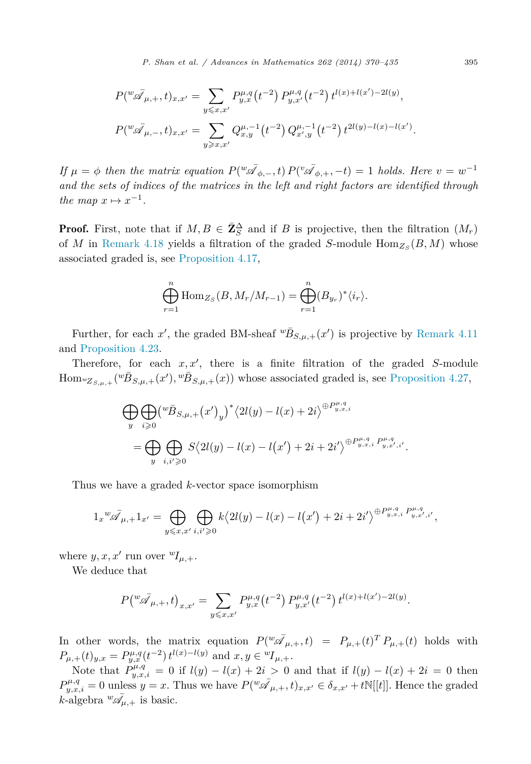$$
P({}^w\!\overline{\mathscr{A}}_{\mu,+},t)_{x,x'} = \sum_{y \leq x,x'} P^{\mu,q}_{y,x}(t^{-2}) P^{\mu,q}_{y,x'}(t^{-2}) t^{l(x)+l(x')-2l(y)},
$$
  

$$
P({}^w\!\overline{\mathscr{A}}_{\mu,-},t)_{x,x'} = \sum_{y \geq x,x'} Q^{\mu,-1}_{x,y}(t^{-2}) Q^{\mu,-1}_{x',y}(t^{-2}) t^{2l(y)-l(x)-l(x')}.
$$

*If*  $\mu = \phi$  *then the matrix equation*  $P(w\overline{A}_{\phi,-}, t) P(v\overline{A}_{\phi,+}, -t) = 1$  *holds. Here*  $v = w^{-1}$ *and the sets of indices of the matrices in the left and right factors are identified through the map*  $x \mapsto x^{-1}$ .

**Proof.** First, note that if  $M, B \in \mathbb{Z}_S^{\Delta}$  and if *B* is projective, then the filtration  $(M_r)$ of *M* in [Remark 4.18](#page-21-0) yields a filtration of the graded *S*-module  $\text{Hom}_{Z_S}(B, M)$  whose associated graded is, see [Proposition 4.17,](#page-20-0)

$$
\bigoplus_{r=1}^{n} \text{Hom}_{Z_{S}}(B, M_{r}/M_{r-1}) = \bigoplus_{r=1}^{n} (B_{y_{r}})^{*} \langle i_{r} \rangle.
$$

Further, for each *x*', the graded BM-sheaf  $^{w}$  $\bar{B}_{S,\mu,+}(x')$  is projective by [Remark 4.11](#page-19-0) and [Proposition 4.23.](#page-23-0)

Therefore, for each  $x, x'$ , there is a finite filtration of the graded  $S$ -module  $\text{Hom}_{^{wZ}S,\mu,+}(^{w\bar{B}}S,\mu,+}(x'),^{w\bar{B}}S,\mu,+}(x))$  whose associated graded is, see [Proposition 4.27,](#page-24-0)

$$
\bigoplus_{y} \bigoplus_{i \geq 0} \left( \begin{array}{c} w\bar{B}_{S,\mu,+}(x')_{y} \right)^{*} \langle 2l(y) - l(x) + 2i \rangle^{\oplus P_{y,x,i}^{\mu,q}} \\ = \bigoplus_{y} \bigoplus_{i,i' \geq 0} S \langle 2l(y) - l(x) - l(x') + 2i + 2i' \rangle^{\oplus P_{y,x,i}^{\mu,q} P_{y,x',i'}^{\mu,q}} . \end{array}
$$

Thus we have a graded *k*-vector space isomorphism

$$
1_x{}^w\bar{\mathscr{A}}_{\mu,+} 1_{x'} = \bigoplus_{y \leqslant x, x'} \bigoplus_{i,i' \geqslant 0} k \langle 2l(y) - l(x) - l(x') + 2i + 2i' \rangle^{\oplus P^{\mu,q}_{y,x,i} P^{\mu,q}_{y,x',i'}},
$$

where  $y, x, x'$  run over  $^{w}I_{\mu,+}$ .

We deduce that

$$
P\left({}^w\!\overline{\mathscr{A}}_{\mu,+},t\right)_{x,x'} = \sum_{y\leqslant x,x'} P^{\mu,q}_{y,x}\left(t^{-2}\right)P^{\mu,q}_{y,x'}\left(t^{-2}\right)t^{l(x)+l(x')-2l(y)}.
$$

In other words, the matrix equation  $P(w\overline{\mathscr{A}}_{\mu,+},t) = P_{\mu,+}(t)^T P_{\mu,+}(t)$  holds with  $P_{\mu,+}(t)_{y,x} = P_{y,x}^{\mu,q}(t^{-2}) t^{l(x)-l(y)}$  and  $x, y \in {}^{w}I_{\mu,+}.$ 

Note that  $P_{y,x,i}^{\mu,q} = 0$  if  $l(y) - l(x) + 2i > 0$  and that if  $l(y) - l(x) + 2i = 0$  then  $P_{y,x,i}^{\mu,q} = 0$  unless  $y = x$ . Thus we have  $P(\overline{w} \overline{d}_{\mu,+}, t)_{x,x'} \in \delta_{x,x'} + t\mathbb{N}[[t]]$ . Hence the graded  $\vec{k}$ -algebra  $^w\overline{\mathscr{A}}_{\mu,+}$  is basic.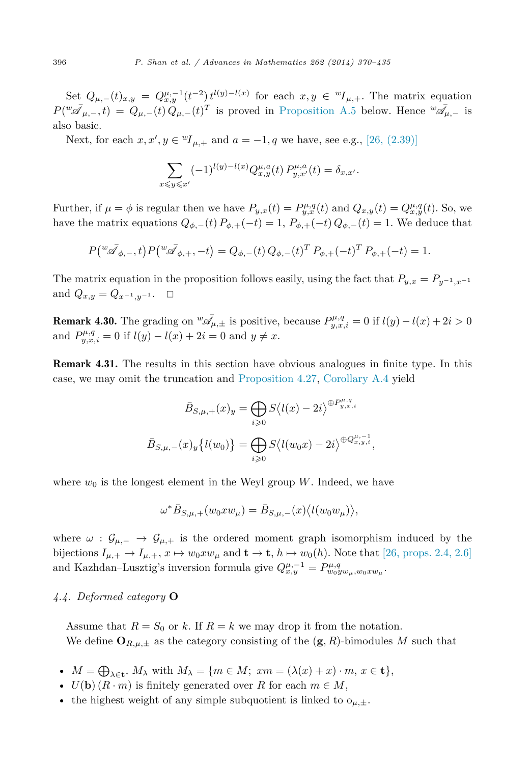<span id="page-26-0"></span> $\text{Set}_{-} Q_{\mu,-}(t)_{x,y} = Q_{x,y}^{\mu,-1}(t^{-2}) t^{l(y)-l(x)}$  for each  $x, y \in {}^{w}I_{\mu,+}$ . The matrix equation  $P(w\overline{\mathscr{A}}_{\mu,-},t) = Q_{\mu,-}(t)\overline{Q}_{\mu,-}(t)^T$  is proved in [Proposition A.5](#page-63-0) below. Hence  $w\overline{\mathscr{A}}_{\mu,-}$  is also basic.

Next, for each  $x, x', y \in {^wI}_{\mu,+}$  and  $a = -1, q$  we have, see e.g., [\[26, \(2.39\)\]](#page-64-0)

$$
\sum_{x \leq y \leq x'} (-1)^{l(y)-l(x)} Q_{x,y}^{\mu,a}(t) P_{y,x'}^{\mu,a}(t) = \delta_{x,x'}.
$$

Further, if  $\mu = \phi$  is regular then we have  $P_{y,x}(t) = P_{y,x}^{\mu,q}(t)$  and  $Q_{x,y}(t) = Q_{x,y}^{\mu,q}(t)$ . So, we have the matrix equations  $Q_{\phi,-}(t) P_{\phi,+}(-t) = 1$ ,  $P_{\phi,+}(-t) Q_{\phi,-}(t) = 1$ . We deduce that

$$
P({^w\bar{\mathscr{A}}}_{\phi,-},t)P({^w\bar{\mathscr{A}}}_{\phi,+},-t) = Q_{\phi,-}(t)Q_{\phi,-}(t)^T P_{\phi,+}(-t)^T P_{\phi,+}(-t) = 1.
$$

The matrix equation in the proposition follows easily, using the fact that  $P_{y,x} = P_{y^{-1},x^{-1}}$ and  $Q_{x,y} = Q_{x^{-1},y^{-1}}$ .  $\Box$ 

**Remark 4.30.** The grading on  $^w\overline{\mathscr{A}}_{\mu,\pm}$  is positive, because  $P_{y,x,i}^{\mu,q} = 0$  if  $l(y) - l(x) + 2i > 0$ and  $P_{y,x,i}^{\mu,q} = 0$  if  $l(y) - l(x) + 2i = 0$  and  $y \neq x$ .

Remark 4.31. The results in this section have obvious analogues in finite type. In this case, we may omit the truncation and [Proposition 4.27,](#page-24-0) [Corollary A.4](#page-63-0) yield

$$
\bar{B}_{S,\mu,+}(x)_y = \bigoplus_{i \geq 0} S \langle l(x) - 2i \rangle^{\oplus P_{y,x,i}^{\mu,q}} \n\bar{B}_{S,\mu,-}(x)_y \{l(w_0)\} = \bigoplus_{i \geq 0} S \langle l(w_0x) - 2i \rangle^{\oplus Q_{x,y,i}^{\mu,-1}},
$$

where  $w_0$  is the longest element in the Weyl group W. Indeed, we have

$$
\omega^* \bar{B}_{S,\mu,+}(w_0 x w_\mu) = \bar{B}_{S,\mu,-}(x) \langle l(w_0 w_\mu) \rangle,
$$

where  $\omega$ :  $\mathcal{G}_{\mu,-} \to \mathcal{G}_{\mu,+}$  is the ordered moment graph isomorphism induced by the bijections  $I_{\mu,+} \to I_{\mu,+}$ ,  $x \mapsto w_0 x w_\mu$  and  $t \to t$ ,  $h \mapsto w_0(h)$ . Note that [\[26, props. 2.4, 2.6\]](#page-64-0) and Kazhdan–Lusztig's inversion formula give  $Q_{x,y}^{\mu,-1} = P_{w_0yw_\mu,w_0xw_\mu}^{\mu,q}$ .

# *4.4. Deformed category* **O**

Assume that  $R = S_0$  or k. If  $R = k$  we may drop it from the notation. We define  $\mathbf{O}_{R,\mu,\pm}$  as the category consisting of the  $(\mathbf{g},R)$ -bimodules M such that

- *M* =  $\bigoplus_{\lambda \in \mathbf{t}^*} M_\lambda$  with  $M_\lambda = \{m \in M; \ xm = (\lambda(x) + x) \cdot m, \ x \in \mathbf{t}\},\$
- $U(\mathbf{b}) (R \cdot m)$  is finitely generated over R for each  $m \in M$ ,
- the highest weight of any simple subquotient is linked to  $o_{\mu,\pm}$ .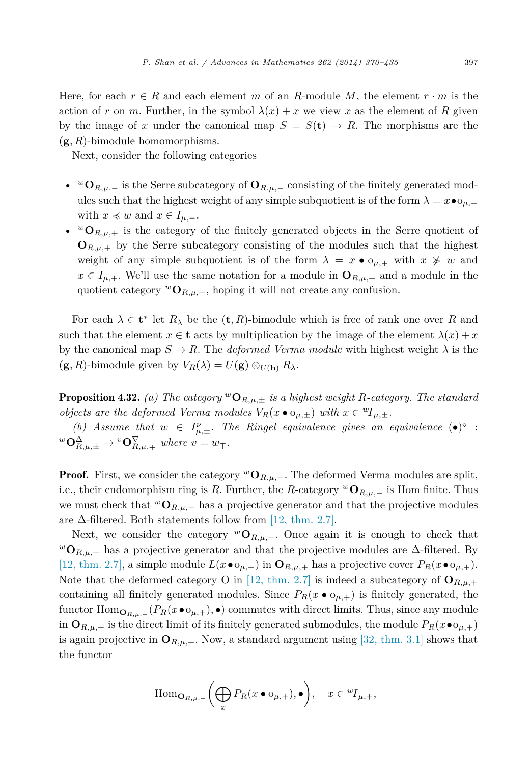Here, for each  $r \in R$  and each element *m* of an *R*-module *M*, the element  $r \cdot m$  is the action of *r* on *m*. Further, in the symbol  $\lambda(x) + x$  we view *x* as the element of *R* given by the image of *x* under the canonical map  $S = S(t) \rightarrow R$ . The morphisms are the (**g***, R*)-bimodule homomorphisms.

Next, consider the following categories

- *<sup>w</sup>***O***R,μ,*<sup>−</sup> is the Serre subcategory of **<sup>O</sup>***R,μ,*<sup>−</sup> consisting of the finitely generated modules such that the highest weight of any simple subquotient is of the form  $\lambda = x \bullet o_{\mu,-}$ with  $x \preccurlyeq w$  and  $x \in I_{\mu,-}$ .
- $^{w}O_{R,\mu,+}$  is the category of the finitely generated objects in the Serre quotient of  $\mathbf{O}_{R,\mu,+}$  by the Serre subcategory consisting of the modules such that the highest weight of any simple subquotient is of the form  $\lambda = x \bullet o_{\mu,+}$  with  $x \neq w$  and  $x \in I_{\mu,+}$ . We'll use the same notation for a module in  $\mathbf{O}_{R,\mu,+}$  and a module in the quotient category  $^wO_{R,\mu,+}$ , hoping it will not create any confusion.

For each  $\lambda \in \mathbf{t}^*$  let  $R_\lambda$  be the  $(\mathbf{t}, R)$ -bimodule which is free of rank one over R and such that the element  $x \in \mathbf{t}$  acts by multiplication by the image of the element  $\lambda(x) + x$ by the canonical map  $S \to R$ . The *deformed Verma module* with highest weight  $\lambda$  is the  $(\mathbf{g}, R)$ -bimodule given by  $V_R(\lambda) = U(\mathbf{g}) \otimes_{U(\mathbf{b})} R_\lambda$ .

**Proposition 4.32.** *(a) The category*  $^wO_{R,\mu,\pm}$  *is a highest weight R*-category. The standard *objects are the deformed Verma modules*  $V_R(x \bullet o_{\mu,\pm})$  *with*  $x \in {^wI}_{\mu,\pm}$ *.* 

*(b)* Assume that  $w \in I_{\mu,\pm}^{\nu}$ . The Ringel equivalence gives an equivalence  $(\bullet)^{\diamond}$  :  $^w\mathbf{O}_{R,\mu,\pm}^{\Delta} \to {^v\mathbf{O}_{R,\mu,\mp}^{\nabla}}$  where  $v = w_{\mp}$ .

**Proof.** First, we consider the category  $^wO_{R,\mu,-}$ . The deformed Verma modules are split, i.e., their endomorphism ring is *<sup>R</sup>*. Further, the *<sup>R</sup>*-category *<sup>w</sup>***O***R,μ,*<sup>−</sup> is Hom finite. Thus we must check that  $^wO_{R,\mu,-}$  has a projective generator and that the projective modules are  $\Delta$ -filtered. Both statements follow from [\[12, thm. 2.7\].](#page-64-0)

Next, we consider the category  $^wO_{R,\mu,+}$ . Once again it is enough to check that  $^{w}O_{R,\mu,+}$  has a projective generator and that the projective modules are  $\Delta$ -filtered. By [\[12, thm. 2.7\],](#page-64-0) a simple module  $L(x \bullet o_{\mu,+})$  in  $\mathbf{O}_{R,\mu,+}$  has a projective cover  $P_R(x \bullet o_{\mu,+})$ . Note that the deformed category O in [\[12, thm. 2.7\]](#page-64-0) is indeed a subcategory of  $\mathbf{O}_{R,\mu,+}$ containing all finitely generated modules. Since  $P_R(x \bullet o_{\mu,+})$  is finitely generated, the functor  $Hom_{\mathbf{O}_{R,\mu,+}}(P_R(x \bullet \mathfrak{O}_{\mu,+}), \bullet)$  commutes with direct limits. Thus, since any module in  $\mathbf{O}_{R,\mu,+}$  is the direct limit of its finitely generated submodules, the module  $P_R(x \bullet o_{\mu,+})$ is again projective in  $\mathbf{O}_{R,\mu,+}$ . Now, a standard argument using [\[32, thm. 3.1\]](#page-65-0) shows that the functor

$$
\operatorname{Hom}_{\mathbf{O}_{R,\mu,+}}\bigg(\bigoplus_{x} P_R(x \bullet \mathrm{o}_{\mu,+}), \bullet\bigg), \quad x \in {^wI}_{\mu,+},
$$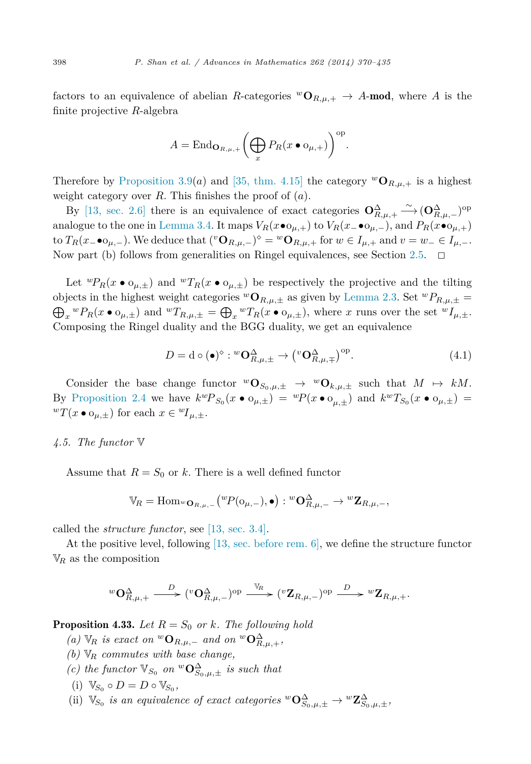<span id="page-28-0"></span>factors to an equivalence of abelian *R*-categories  $^wO_{R,\mu,+} \to A$ -mod, where *A* is the finite projective *R*-algebra

$$
A = \mathrm{End}_{\mathbf{O}_{R,\mu,+}} \bigg( \bigoplus_{x} P_R(x \bullet \mathrm{o}_{\mu,+}) \bigg)^{\mathrm{op}}.
$$

Therefore by [Proposition 3.9\(](#page-15-0)*a*) and [\[35, thm. 4.15\]](#page-65-0) the category  $^{w}O_{R,\mu+}$  is a highest weight category over *R*. This finishes the proof of (*a*).

By [13, [sec. 2.6\]](#page-64-0) there is an equivalence of exact categories  $\mathbf{O}_{R,\mu,+}^{\Delta} \xrightarrow{\sim} (\mathbf{O}_{R,\mu,-}^{\Delta})^{\text{op}}$ analogue to the one in [Lemma 3.4.](#page-13-0) It maps  $V_R(x \bullet o_{\mu,+})$  to  $V_R(x \bullet o_{\mu,-})$ , and  $P_R(x \bullet o_{\mu,+})$  $\text{to } T_R(x_{-}\bullet o_{\mu,-})$ . We deduce that  $({}^v\mathbf{O}_{R,\mu,-})^{\diamond} = {}^w\mathbf{O}_{R,\mu,+}$  for  $w \in I_{\mu,+}$  and  $v = w_{-} \in I_{\mu,-}$ . Now part (b) follows from generalities on Ringel equivalences, see Section [2.5.](#page-7-0)  $\Box$ 

Let  ${}^wP_R(x \bullet o_{\mu,\pm})$  and  ${}^wT_R(x \bullet o_{\mu,\pm})$  be respectively the projective and the tilting objects in the highest weight categories  $^wO_{R,\mu,\pm}$  as given by [Lemma 2.3.](#page-6-0) Set  $^wP_{R,\mu,\pm}$  =  $\oint_{x}^{w} P_R(x \bullet o_{\mu,\pm})$  and  ${}^{w} T_{R,\mu,\pm} = \bigoplus_{x} {}^{w} T_R(x \bullet o_{\mu,\pm})$ , where *x* runs over the set  ${}^{w} I_{\mu,\pm}$ . Composing the Ringel duality and the BGG duality, we get an equivalence

$$
D = d \circ (\bullet)^{\diamond} : {}^{w}O_{R,\mu,\pm}^{\Delta} \to ({}^{v}O_{R,\mu,\mp}^{\Delta})^{\text{op}}.
$$
 (4.1)

Consider the base change functor  $^wO_{S_0,\mu,\pm} \to {^wO_{k,\mu,\pm}}$  such that  $M \mapsto kM$ . By [Proposition 2.4](#page-7-0) we have  $k^w P_{S_0}(x \bullet o_{\mu,\pm}) = {}^w P(x \bullet o_{\mu,\pm})$  and  $k^w T_{S_0}(x \bullet o_{\mu,\pm}) = {}^w T(x \bullet o_{\mu,\pm})$  for each  $x \in {}^w I_{\mu,\pm}$ .

# *4.5. The functor* V

Assume that  $R = S_0$  or k. There is a well defined functor

$$
\mathbb{V}_R = \mathrm{Hom}_{w\,\mathbf{O}_{R,\mu,-}}(\mathbf{^w}P(\mathrm{o}_{\mu,-}),\bullet):\mathbf{^w}\mathbf{O}_{R,\mu,-}^{\Delta} \to \mathbf{^w}\mathbf{Z}_{R,\mu,-},
$$

called the *structure functor*, see [\[13, sec. 3.4\].](#page-64-0)

At the positive level, following [13, [sec. before rem. 6\],](#page-64-0) we define the structure functor V*<sup>R</sup>* as the composition

$$
^w\mathbf{O}^\Delta_{R,\mu,+} \xrightarrow{\hspace{0.5cm} D}(^v\mathbf{O}^\Delta_{R,\mu,-})^{\mathrm{op}} \xrightarrow{\hspace{0.5cm} \mathbb{V}_R} (^v\mathbf{Z}_{R,\mu,-})^{\mathrm{op}} \xrightarrow{\hspace{0.5cm} D} {^w\mathbf{Z}_{R,\mu,+}}.
$$

**Proposition 4.33.** Let  $R = S_0$  or k. The following hold

- $(a)$   $\mathbb{V}_R$  *is exact on*  $^w\mathbf{O}_{R,\mu,-}$  *and on*  $^w\mathbf{O}_{R,\mu,+}^{\Delta}$ *,*
- *(b)* V*<sup>R</sup> commutes with base change,*
- *(c)* the functor  $\nabla_{S_0}$  *on*  $^w\mathbf{O}_{S_0,\mu,\pm}^{\Delta}$  *is such that*
- $(i)$   $\mathbb{V}_{S_0} \circ D = D \circ \mathbb{V}_{S_0}$
- (ii)  $\mathbb{V}_{S_0}$  *is an equivalence of exact categories*  $^w\mathbf{O}_{S_0,\mu,\pm}^{\Delta} \rightarrow {^w\mathbf{Z}_{S_0,\mu,\pm}^{\Delta}}$ ,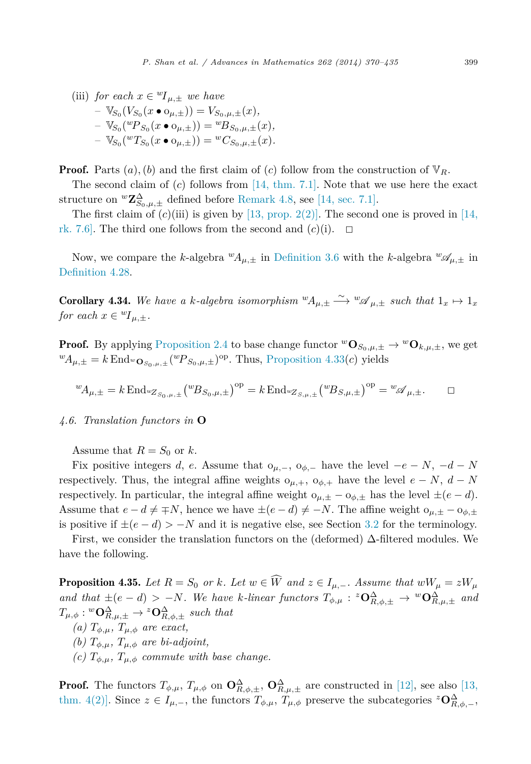<span id="page-29-0"></span>(iii) for each 
$$
x \in {}^wI_{\mu, \pm}
$$
 we have  
\n
$$
- \mathbb{V}_{S_0}(V_{S_0}(x \bullet \mathbf{o}_{\mu, \pm})) = V_{S_0, \mu, \pm}(x),
$$
\n
$$
- \mathbb{V}_{S_0}({}^wP_{S_0}(x \bullet \mathbf{o}_{\mu, \pm})) = {}^wB_{S_0, \mu, \pm}(x),
$$
\n
$$
- \mathbb{V}_{S_0}({}^wT_{S_0}(x \bullet \mathbf{o}_{\mu, \pm})) = {}^wC_{S_0, \mu, \pm}(x).
$$

**Proof.** Parts  $(a)$ ,  $(b)$  and the first claim of  $(c)$  follow from the construction of  $\mathbb{V}_R$ .

The second claim of (*c*) follows from [\[14, thm. 7.1\].](#page-64-0) Note that we use here the exact structure on  ${}^w\mathbf{Z}_{S_0,\mu,\pm}^{\Delta}$  defined before [Remark 4.8,](#page-19-0) see [\[14, sec. 7.1\].](#page-64-0)

The first claim of  $(c)$ (iii) is given by [\[13, prop. 2\(2\)\].](#page-64-0) The second one is proved in [\[14,](#page-64-0) rk. 7.6. The third one follows from the second and  $(c)(i)$ .  $\Box$ 

Now, we compare the *k*-algebra  ${}^wA_{\mu,\pm}$  in [Definition 3.6](#page-14-0) with the *k*-algebra  ${}^wA_{\mu,\pm}$  in [Definition 4.28.](#page-24-0)

Corollary 4.34. We have a *k*-algebra isomorphism  ${}^wA_{\mu,\pm} \xrightarrow{\sim} {}^w{\mathscr A}_{\mu,\pm}$  such that  $1_x \mapsto 1_x$ *for each*  $x \in {^wI}_{\mu,\pm}$ .

**Proof.** By applying [Proposition 2.4](#page-7-0) to base change functor  $^w\mathbf{O}_{S_0,\mu,\pm} \to {^w\mathbf{O}_{k,\mu,\pm}}$ , we get  $^wA_{\mu,\pm} = k \operatorname{End}_{^w\mathbf{O}_{S_0,\mu,\pm}}({^wP_{S_0,\mu,\pm}})^{\mathrm{op}}$ . Thus, [Proposition 4.33\(](#page-28-0)c) yields

$$
{}^{w}A_{\mu,\pm} = k \operatorname{End} {}^{w}Z_{S_0,\mu,\pm} \left( {}^{w}B_{S_0,\mu,\pm} \right)^{\mathrm{op}} = k \operatorname{End} {}^{w}Z_{S,\mu,\pm} \left( {}^{w}B_{S,\mu,\pm} \right)^{\mathrm{op}} = {}^{w}\mathscr{A}_{\mu,\pm}. \square
$$

*4.6. Translation functors in* **O**

Assume that  $R = S_0$  or  $k$ .

Fix positive integers *d*, *e*. Assume that  $o_{\mu,-}$ ,  $o_{\phi,-}$  have the level  $-e-N$ ,  $-d-N$ respectively. Thus, the integral affine weights  $o_{\mu,+}$ ,  $o_{\phi,+}$  have the level  $e - N$ ,  $d - N$ respectively. In particular, the integral affine weight  $o_{\mu,\pm} - o_{\phi,\pm}$  has the level  $\pm (e - d)$ . Assume that  $e - d \neq \pm N$ , hence we have  $\pm (e - d) \neq -N$ . The affine weight  $o_{\mu, \pm} - o_{\phi, \pm}$ is positive if  $\pm (e - d) > -N$  and it is negative else, see Section [3.2](#page-10-0) for the terminology.

First, we consider the translation functors on the (deformed) Δ-filtered modules. We have the following.

**Proposition 4.35.** Let  $R = S_0$  or  $k$ . Let  $w \in W$  and  $z \in I_{\mu,-}$ . Assume that  $wW_{\mu} = zW_{\mu}$ *and that*  $\pm(e-d) > -N$ *. We have k*-linear functors  $T_{\phi,\mu}: {}^{z}\mathbf{O}_{R,\phi,\pm}^{\Delta} \rightarrow {}^{w}\mathbf{O}_{R,\mu,\pm}^{\Delta}$  and  $T_{\mu,\phi}: {^w}O_{R,\mu,\pm}^{\Delta} \to {^z}O_{R,\phi,\pm}^{\Delta}$  such that  $(a)$   $T_{\phi,\mu}$ ,  $T_{\mu,\phi}$  are exact, *(b) Tφ,μ, Tμ,φ are bi-adjoint, (c)*  $T_{\phi,\mu}$ ,  $T_{\mu,\phi}$  *commute with base change.* 

**Proof.** The functors  $T_{\phi,\mu}$ ,  $T_{\mu,\phi}$  on  $\mathbf{O}_{R,\phi,\pm}^{\Delta}$ ,  $\mathbf{O}_{R,\mu,\pm}^{\Delta}$  are constructed in [\[12\],](#page-64-0) see also [\[13,](#page-64-0) [thm. 4\(2\)\].](#page-64-0) Since  $z \in I_{\mu,-}$ , the functors  $T_{\phi,\mu}$ ,  $T_{\mu,\phi}$  preserve the subcategories <sup>*z*</sup>**O** $_{R,\phi,-}^{\Delta}$ ,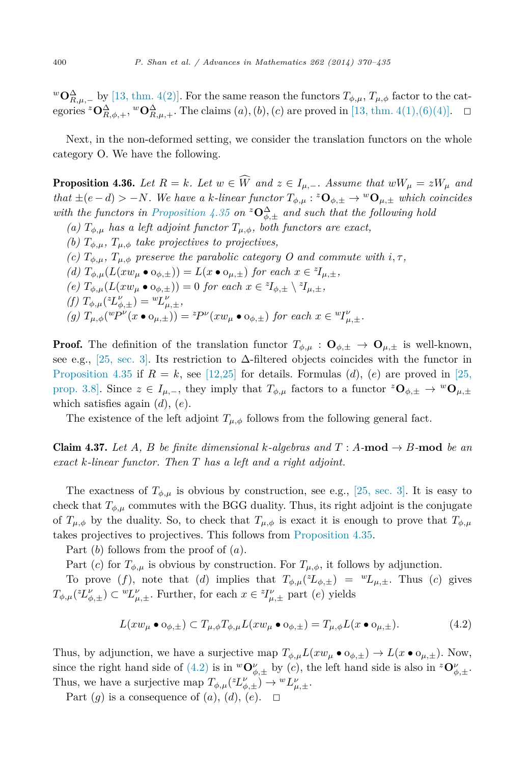<span id="page-30-0"></span> ${}^{w}O_{R,\mu,-}^{\Delta}$  by [\[13, thm. 4\(2\)\].](#page-64-0) For the same reason the functors  $T_{\phi,\mu}$ ,  $T_{\mu,\phi}$  factor to the categories  ${}^z\mathbf{O}_{R,\phi,+}^{\Delta}$ ,  ${}^w\mathbf{O}_{R,\mu,+}^{\Delta}$ . The claims  $(a), (b), (c)$  are proved in [\[13, thm. 4\(1\),\(6\)\(4\)\].](#page-64-0)  $\Box$ 

Next, in the non-deformed setting, we consider the translation functors on the whole category O. We have the following.

**Proposition 4.36.** Let  $R = k$ . Let  $w \in W$  and  $z \in I_{\mu,-}$ . Assume that  $wW_{\mu} = zW_{\mu}$  and *that*  $\pm (e - d) > -N$ *. We have a k-linear functor*  $T_{\phi,\mu}: {}^{z}O_{\phi,\pm} \to {}^{w}O_{\mu,\pm}$  *which coincides* with the functors in [Proposition 4.35](#page-29-0) on  ${}^z\mathbf{O}_{\phi,\pm}^{\Delta}$  and such that the following hold

- *(a)*  $T_{\phi,\mu}$  *has a left adjoint functor*  $T_{\mu,\phi}$ *, both functors are exact,*
- *(b)*  $T_{\phi,\mu}$ ,  $T_{\mu,\phi}$  *take projectives to projectives,*
- *(c)*  $T_{\phi,\mu}$ ,  $T_{\mu,\phi}$  preserve the parabolic category O and commute with  $i, \tau$ ,
- *(d) <sup>T</sup>φ,μ*(*L*(*xw<sup>μ</sup>* <sup>o</sup>*φ,*±)) = *<sup>L</sup>*(*<sup>x</sup>* <sup>o</sup>*μ,*±) *for each <sup>x</sup>* <sup>∈</sup> *<sup>z</sup> Iμ,*±*,*
- $(e) T_{\phi,\mu}(L(xw_{\mu} \bullet o_{\phi,\pm})) = 0$  *for each*  $x \in {}^{z}I_{\phi,\pm} \setminus {}^{z}I_{\mu,\pm},$

$$
(\mathit{f})~T_{\phi,\mu}(^zL^\nu_{\phi,\pm})={}^wL^\nu_{\mu,\pm},
$$

 $(g) T_{\mu,\phi}({}^{w}P^{\nu}(x \bullet o_{\mu,\pm})) = {}^{z}P^{\nu}(xw_{\mu} \bullet o_{\phi,\pm})$  *for each*  $x \in {}^{w}I^{\nu}_{\mu,\pm}.$ 

**Proof.** The definition of the translation functor  $T_{\phi,\mu}: \mathbf{O}_{\phi,\pm} \to \mathbf{O}_{\mu,\pm}$  is well-known, see e.g., [\[25, sec. 3\].](#page-64-0) Its restriction to  $\Delta$ -filtered objects coincides with the functor in [Proposition 4.35](#page-29-0) if  $R = k$ , see [\[12,25\]](#page-64-0) for details. Formulas (d), (e) are proved in [\[25,](#page-64-0) [prop. 3.8\].](#page-64-0) Since  $z \in I_{\mu,-}$ , they imply that  $T_{\phi,\mu}$  factors to a functor  ${}^z\mathbf{O}_{\phi,\pm} \to {}^w\mathbf{O}_{\mu,\pm}$ which satisfies again (*d*), (*e*).

The existence of the left adjoint  $T_{\mu,\phi}$  follows from the following general fact.

Claim 4.37. Let A, B be finite dimensional *k*-algebras and  $T : A$ -mod  $\rightarrow B$ -mod be an *exact k-linear functor. Then T has a left and a right adjoint.*

The exactness of  $T_{\phi,\mu}$  is obvious by construction, see e.g., [\[25, sec. 3\].](#page-64-0) It is easy to check that  $T_{\phi,\mu}$  commutes with the BGG duality. Thus, its right adjoint is the conjugate of  $T_{\mu,\phi}$  by the duality. So, to check that  $T_{\mu,\phi}$  is exact it is enough to prove that  $T_{\phi,\mu}$ takes projectives to projectives. This follows from [Proposition 4.35.](#page-29-0)

Part (*b*) follows from the proof of (*a*).

Part (*c*) for  $T_{\phi,\mu}$  is obvious by construction. For  $T_{\mu,\phi}$ , it follows by adjunction.

To prove (*f*), note that (*d*) implies that  $T_{\phi,\mu}(^zL_{\phi,\pm}) = {^wL}_{\mu,\pm}$ . Thus (*c*) gives  $T_{\phi,\mu}(^zL_{\phi,\pm}^{\nu}) \subset {}^wL_{\mu,\pm}^{\nu}$ . Further, for each  $x \in {}^zI_{\mu,\pm}^{\nu}$  part  $(e)$  yields

$$
L(xw_{\mu} \bullet \mathbf{o}_{\phi,\pm}) \subset T_{\mu,\phi} T_{\phi,\mu} L(xw_{\mu} \bullet \mathbf{o}_{\phi,\pm}) = T_{\mu,\phi} L(x \bullet \mathbf{o}_{\mu,\pm}). \tag{4.2}
$$

Thus, by adjunction, we have a surjective map  $T_{\phi,\mu}L(xw_{\mu} \bullet \mathbf{o}_{\phi,\pm}) \to L(x \bullet \mathbf{o}_{\mu,\pm})$ . Now, since the right hand side of (4.2) is in  $^wO_{\phi,\pm}^{\nu}$  by (*c*), the left hand side is also in  $^zO_{\phi,\pm}^{\nu}$ . Thus, we have a surjective map  $T_{\phi,\mu}({}^zL^{\nu}_{\phi,\pm}) \to {^wL^{\nu}_{\mu,\pm}}.$ 

Part  $(g)$  is a consequence of  $(a)$ ,  $(d)$ ,  $(e)$ .  $\Box$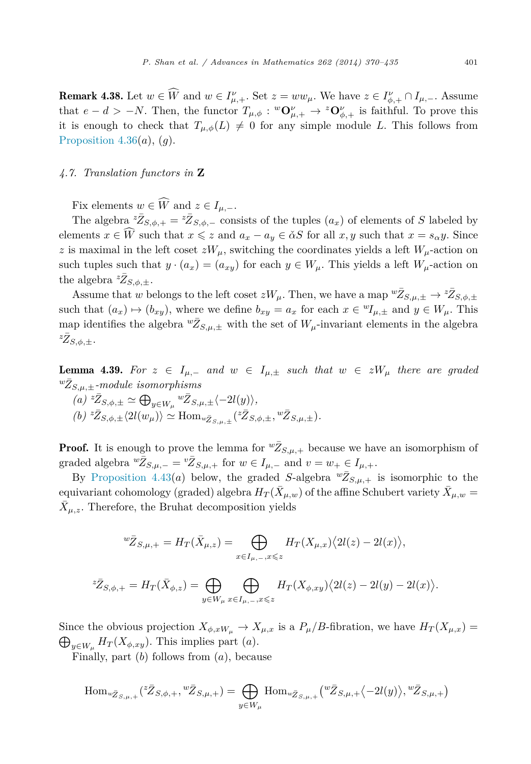<span id="page-31-0"></span>**Remark 4.38.** Let  $w \in W$  and  $w \in I_{\mu,+}^{\nu}$ . Set  $z = ww_{\mu}$ . We have  $z \in I_{\phi,+}^{\nu} \cap I_{\mu,-}$ . Assume that  $e - d > -N$ . Then, the functor  $T_{\mu,\phi}: {^w}O_{\mu,+}^{\nu} \to {^z}O_{\phi,+}^{\nu}$  is faithful. To prove this it is enough to check that  $T_{\mu,\phi}(L) \neq 0$  for any simple module L. This follows from [Proposition 4.36\(](#page-30-0)*a*), (*g*).

# *4.7. Translation functors in* **Z**

Fix elements  $w \in W$  and  $z \in I_{\mu,-}$ .

The algebra  $z\bar{Z}_{S,\phi,+} = z\bar{Z}_{S,\phi,-}$  consists of the tuples  $(a_x)$  of elements of *S* labeled by elements  $x \in W$  such that  $x \leq z$  and  $a_x - a_y \in \check{\alpha}S$  for all  $x, y$  such that  $x = s_\alpha y$ . Since *z* is maximal in the left coset  $zW_\mu$ , switching the coordinates yields a left  $W_\mu$ -action on such tuples such that  $y \cdot (a_x) = (a_{xy})$  for each  $y \in W_\mu$ . This yields a left  $W_\mu$ -action on the algebra  ${}^{z}\bar{Z}_{S,\phi,\pm}$ .

Assume that *w* belongs to the left coset  $zW_\mu$ . Then, we have a map  ${}^w\bar{Z}_{S,\mu,\pm} \to {}^z\bar{Z}_{S,\phi,\pm}$ such that  $(a_x) \mapsto (b_{xy})$ , where we define  $b_{xy} = a_x$  for each  $x \in {^wI}_{\mu, \pm}$  and  $y \in W_\mu$ . This map identifies the algebra  ${}^w\!Z_{S,\mu,\pm}$  with the set of  $W_\mu$ -invariant elements in the algebra  ${}^zZ_{S,\phi,\pm}$ .

**Lemma 4.39.** *For*  $z \in I_{\mu,-}$  *and*  $w \in I_{\mu,\pm}$  *such that*  $w \in zW_{\mu}$  *there are graded*  $w\bar{Z}_{S,\mu,\pm}$ *-module isomorphisms* 

$$
(a) z \bar{Z}_{S,\phi,\pm} \simeq \bigoplus_{y \in W_{\mu}} \mathcal{W}_{Z_{S,\mu,\pm}} \langle -2l(y) \rangle,
$$
  
\n
$$
(b) z \bar{Z}_{S,\phi,\pm} \langle 2l(w_{\mu}) \rangle \simeq \text{Hom}_{\mathcal{W}_{Z_{S,\mu,\pm}}} (\mathcal{Z}_{S,\phi,\pm}, \mathcal{W}_{Z_{S,\mu,\pm}}).
$$

**Proof.** It is enough to prove the lemma for  $^{wZ}S_{S,\mu,+}$  because we have an isomorphism of graded algebra  ${}^{w}\bar{Z}_{S,\mu,-} = {}^{v}\bar{Z}_{S,\mu,+}$  for  $w \in I_{\mu,-}$  and  $v = w_{+} \in I_{\mu,+}$ .

By [Proposition 4.43\(](#page-35-0)*a*) below, the graded *S*-algebra  ${}^w\bar{Z}_{S,\mu,+}$  is isomorphic to the equivariant cohomology (graded) algebra  $H_T(\bar{X}_{\mu,w})$  of the affine Schubert variety  $\bar{X}_{\mu,w}$  =  $X_{\mu,z}$ . Therefore, the Bruhat decomposition yields

$$
\begin{aligned}\n\omega \bar{Z}_{S,\mu,+} &= H_T(\bar{X}_{\mu,z}) = \bigoplus_{x \in I_{\mu,-}, x \leq z} H_T(X_{\mu,x}) \langle 2l(z) - 2l(x) \rangle, \\
&z \bar{Z}_{S,\phi,+} &= H_T(\bar{X}_{\phi,z}) = \bigoplus_{y \in W_\mu} \bigoplus_{x \in I_{\mu,-}, x \leq z} H_T(X_{\phi,xy}) \langle 2l(z) - 2l(y) - 2l(x) \rangle.\n\end{aligned}
$$

Since the obvious projection  $X_{\phi,xW_\mu} \to X_{\mu,x}$  is a  $P_\mu/B$ -fibration, we have  $H_T(X_{\mu,x}) =$  $\bigoplus_{y \in W_\mu} H_T(X_{\phi, xy})$ . This implies part (*a*).

Finally, part (*b*) follows from (*a*), because

$$
\mathrm{Hom}_{^{w\bar{Z}}S,\mu,+}(^{z\bar{Z}}S,\phi,+,{^{w\bar{Z}}S,\mu,+})=\bigoplus_{y\in W_{\mu}}\mathrm{Hom}_{^{w\bar{Z}}S,\mu,+}(^{w\bar{Z}}S,\mu,+(-2l(y)),{^{w\bar{Z}}S,\mu,+})
$$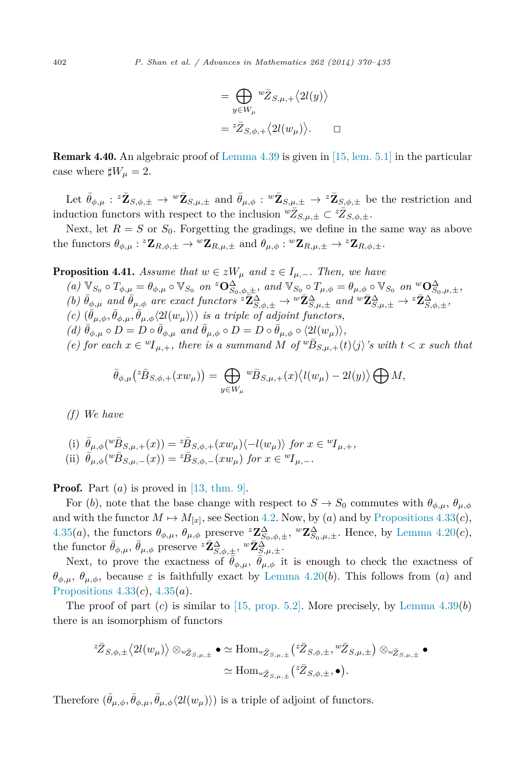$$
= \bigoplus_{y \in W_{\mu}} {}^{w\bar{Z}}S_{,\mu,+} \langle 2l(y) \rangle
$$
  

$$
= {}^{z\bar{Z}}S_{,\phi,+} \langle 2l(w_{\mu}) \rangle. \qquad \Box
$$

Remark 4.40. An algebraic proof of [Lemma 4.39](#page-31-0) is given in [\[15, lem. 5.1\]](#page-64-0) in the particular case where  $\sharp W_\mu = 2$ .

Let  $\bar{\theta}_{\phi,\mu}: \bar{z}(\mathbf{Z}_{S,\phi,\pm}) \to \bar{z}(\mathbf{Z}_{S,\mu,\pm})$  and  $\bar{\theta}_{\mu,\phi}: \bar{z}(\mathbf{Z}_{S,\mu,\pm}) \to \bar{z}(\mathbf{Z}_{S,\phi,\pm})$  be the restriction and induction functors with respect to the inclusion  ${}^w\bar{Z}_{S,\mu,\pm} \subset {}^z\bar{Z}_{S,\phi,\pm}$ .

Next, let  $R = S$  or  $S_0$ . Forgetting the gradings, we define in the same way as above the functors  $\theta_{\phi,\mu}: {}^z\mathbf{Z}_{R,\phi,\pm} \to {}^w\mathbf{Z}_{R,\mu,\pm}$  and  $\theta_{\mu,\phi}: {}^w\mathbf{Z}_{R,\mu,\pm} \to {}^z\mathbf{Z}_{R,\phi,\pm}.$ 

**Proposition 4.41.** *Assume that*  $w \in zW_\mu$  *and*  $z \in I_{\mu,-}$ *. Then, we have* 

(a)  $\mathbb{V}_{S_0} \circ T_{\phi,\mu} = \theta_{\phi,\mu} \circ \mathbb{V}_{S_0}$  on  ${}^z\mathbf{O}^{\Delta}_{S_0,\phi,\pm}$ , and  $\mathbb{V}_{S_0} \circ T_{\mu,\phi} = \theta_{\mu,\phi} \circ \mathbb{V}_{S_0}$  on  ${}^w\mathbf{O}^{\Delta}_{S_0,\mu,\pm}$ , (b)  $\bar{\theta}_{\phi,\mu}$  and  $\bar{\theta}_{\mu,\phi}$  are exact functors  ${}^2\bar{\mathbf{Z}}_{S,\phi,\pm}^{\Delta} \rightarrow {}^w\bar{\mathbf{Z}}_{S,\mu,\pm}^{\Delta}$  and  ${}^w\bar{\mathbf{Z}}_{S,\mu,\pm}^{\Delta} \rightarrow {}^z\bar{\mathbf{Z}}_{S,\phi,\pm}^{\Delta}$  $(c)$   $(\bar{\theta}_{\mu,\phi}, \bar{\theta}_{\phi,\mu}, \bar{\theta}_{\mu,\phi} \langle 2l(w_{\mu}) \rangle)$  *is a triple of adjoint functors,*  $(d) \bar{\theta}_{\phi,\mu} \circ D = D \circ \bar{\theta}_{\phi,\mu} \text{ and } \bar{\theta}_{\mu,\phi} \circ D = D \circ \theta_{\mu,\phi} \circ \langle 2l(w_{\mu}) \rangle,$ *(e)* for each  $x \in {^wI}_{\mu,+}$ , there is a summand M of  ${^wB}_{S,\mu,+}(t)\langle j \rangle$ 's with  $t < x$  such that

$$
\bar{\theta}_{\phi,\mu}\left(^{z} \bar{B}_{S,\phi,+}(x w_{\mu})\right) = \bigoplus_{y \in W_{\mu}} {}^{w} \bar{B}_{S,\mu,+}(x) \langle l(w_{\mu}) - 2l(y) \rangle \bigoplus M,
$$

*(f) We have*

(i)  $\bar{\theta}_{\mu,\phi}(^w\bar{B}_{S,\mu,+}(x)) = {^z\!\bar{B}}_{S,\phi,+}(x w_\mu) \langle -l(w_\mu) \rangle$  *for*  $x \in {^w\!I}_{\mu,+},$ (ii)  $\bar{\theta}_{\mu,\phi}(^w\bar{B}_{S,\mu,-}(x)) = {^z\bar{B}}_{S,\phi,-}(xw_\mu)$  *for*  $x \in {^wI}_{\mu,-}$ .

**Proof.** Part  $(a)$  is proved in [\[13, thm. 9\].](#page-64-0)

For (*b*), note that the base change with respect to  $S \to S_0$  commutes with  $\theta_{\phi,\mu}$ ,  $\theta_{\mu,\phi}$ and with the functor  $M \mapsto M_{[x]}$ , see Section [4.2.](#page-21-0) Now, by (*a*) and by [Propositions 4.33\(](#page-28-0)*c*), [4.35\(](#page-29-0)*a*), the functors  $\theta_{\phi,\mu}$ ,  $\theta_{\mu,\phi}$  preserve  ${}^z\mathbf{Z}^{\Delta}_{\mathcal{S}_0,\phi,\pm}$ ,  ${}^w\mathbf{Z}^{\Delta}_{\mathcal{S}_0,\mu,\pm}$ . Hence, by [Lemma 4.20\(](#page-22-0)*c*),  $\text{the functor } \bar{\theta}_{\phi,\mu}, \bar{\theta}_{\mu,\phi} \text{ preserve } {}^z\bar{\mathbf{Z}}_{S,\phi,\pm}^{\Delta}, {}^{w\bar{\mathbf{Z}}_{\underline{S},\mu,\pm}^{\Delta},\dots}$ 

Next, to prove the exactness of  $\theta_{\phi,\mu}$ ,  $\theta_{\mu,\phi}$  it is enough to check the exactness of *θ*<sub>φ,μ</sub>, *θ*<sub>μ,φ</sub>, because *ε* is faithfully exact by [Lemma 4.20\(](#page-22-0)*b*). This follows from (*a*) and [Propositions 4.33\(](#page-28-0)*c*), [4.35\(](#page-29-0)*a*).

The proof of part  $(c)$  is similar to [\[15, prop. 5.2\].](#page-64-0) More precisely, by Lemma 4.39 $(b)$ there is an isomorphism of functors

$$
{}^z\bar{Z}_{S,\phi,\pm}\langle 2l(w_{\mu})\rangle \otimes_{w\bar{Z}_{S,\mu,\pm}} \bullet \simeq \text{Hom}_{w\bar{Z}_{S,\mu,\pm}}({}^z\bar{Z}_{S,\phi,\pm},{}^w\bar{Z}_{S,\mu,\pm}) \otimes_{w\bar{Z}_{S,\mu,\pm}} \bullet \simeq \text{Hom}_{w\bar{Z}_{S,\mu,\pm}}({}^z\bar{Z}_{S,\phi,\pm},\bullet).
$$

Therefore  $(\bar{\theta}_{\mu,\phi}, \bar{\theta}_{\phi,\mu}, \bar{\theta}_{\mu,\phi}\langle 2l(w_{\mu})\rangle)$  is a triple of adjoint of functors.

<span id="page-32-0"></span>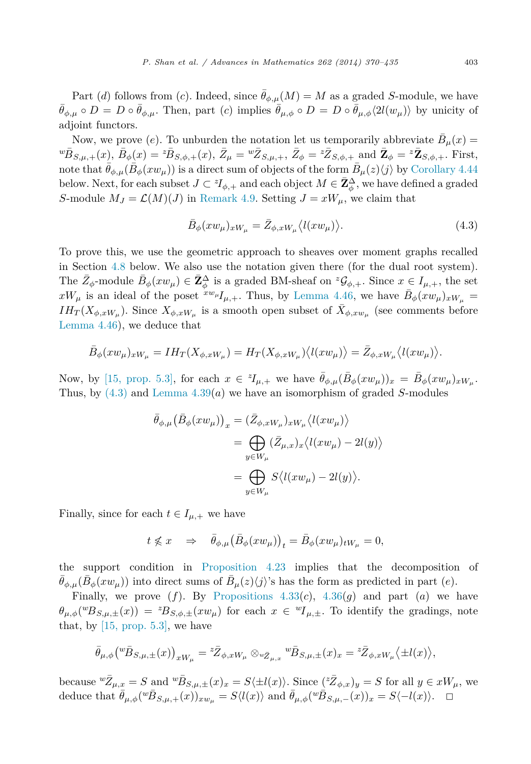Part (*d*) follows from (*c*). Indeed, since  $\bar{\theta}_{\phi,\mu}(M) = M$  as a graded *S*-module, we have  $\theta_{\phi,\mu} \circ D = D \circ \theta_{\phi,\mu}$ . Then, part (*c*) implies  $\theta_{\mu,\phi} \circ D = D \circ \theta_{\mu,\phi} \langle 2l(w_{\mu}) \rangle$  by unicity of adjoint functors.

Now, we prove (*e*). To unburden the notation let us temporarily abbreviate  $\bar{B}_{\mu}(x)$  ${}^{w\bar{B}}S_{,\mu,+}(x),\,\bar{B}_{\phi}(x)={}^{z\bar{B}}S_{,\phi,+}(x),\,\bar{Z}_{\mu}={}^{w\bar{Z}}S_{,\mu,+},\,\bar{Z}_{\phi}={}^{z\bar{Z}}S_{,\phi,+} \,\,\text{and}\,\, \bar{\mathbf{Z}}_{\phi}={}^{z\bar{\mathbf{Z}}S_{,\phi,+}}. \,\,\text{First,}$ note that  $\bar{\theta}_{\phi,\mu}(\bar{B}_{\phi}(xw_{\mu}))$  is a direct sum of objects of the form  $\bar{B}_{\mu}(z)\langle j\rangle$  by [Corollary 4.44](#page-35-0) below. Next, for each subset  $J \subset {}^{z}I_{\phi,+}$  and each object  $M \in \bar{Z}_{\phi}^{\Delta}$ , we have defined a graded *S*-module  $M_J = \mathcal{L}(M)(J)$  in [Remark 4.9.](#page-19-0) Setting  $J = xW_\mu$ , we claim that

$$
\bar{B}_{\phi}(x w_{\mu})_{x W_{\mu}} = \bar{Z}_{\phi,x W_{\mu}} \langle l(x w_{\mu}) \rangle.
$$
\n(4.3)

To prove this, we use the geometric approach to sheaves over moment graphs recalled in Section [4.8](#page-34-0) below. We also use the notation given there (for the dual root system). The  $\bar{Z}_{\phi}$ -module  $\bar{B}_{\phi}(xw_{\mu}) \in \bar{\mathbf{Z}}_{\phi}^{\Delta}$  is a graded BM-sheaf on  ${}^{z}\mathcal{G}_{\phi,+}$ . Since  $x \in I_{\mu,+}$ , the set  $xW_\mu$  is an ideal of the poset  $x^w \mu I_{\mu,+}$ . Thus, by [Lemma 4.46,](#page-35-0) we have  $\bar{B}_\phi(xw_\mu)_{xW_\mu} =$ *IH<sub>T</sub>* (*X*<sub>*φ,xW<sub><i>μ*</sub></sub>). Since  $X_{\phi,xW_{\mu}}$  is a smooth open subset of  $\bar{X}_{\phi,xw_{\mu}}$  (see comments before</sub> [Lemma 4.46\)](#page-35-0), we deduce that

$$
\bar{B}_{\phi}(xw_{\mu})_{xW_{\mu}}=IH_{T}(X_{\phi,xW_{\mu}})=H_{T}(X_{\phi,xW_{\mu}})\bigl\langle l(xw_{\mu})\bigr\rangle=\bar{Z}_{\phi,xW_{\mu}}\bigl\langle l(xw_{\mu})\bigr\rangle.
$$

Now, by [\[15, prop. 5.3\],](#page-64-0) for each  $x \in {}^{z}I_{\mu,+}$  we have  $\bar{\theta}_{\phi,\mu}(\bar{B}_{\phi}(xw_{\mu}))_{x} = \bar{B}_{\phi}(xw_{\mu})_{xW_{\mu}}$ . Thus, by (4.3) and [Lemma 4.39\(](#page-31-0)*a*) we have an isomorphism of graded *S*-modules

$$
\bar{\theta}_{\phi,\mu}(\bar{B}_{\phi}(x w_{\mu}))_{x} = (\bar{Z}_{\phi,xW_{\mu}})_{xW_{\mu}} \langle l(xw_{\mu}) \rangle
$$
  
\n
$$
= \bigoplus_{y \in W_{\mu}} (\bar{Z}_{\mu,x})_{x} \langle l(xw_{\mu}) - 2l(y) \rangle
$$
  
\n
$$
= \bigoplus_{y \in W_{\mu}} S \langle l(xw_{\mu}) - 2l(y) \rangle.
$$

Finally, since for each  $t \in I_{\mu,+}$  we have

$$
t\not\leqslant x\quad\Rightarrow\quad \bar\theta_{\phi,\mu}\big(\bar B_\phi(xw_\mu)\big)_t=\bar B_\phi(xw_\mu)_{tW_\mu}=0,
$$

the support condition in [Proposition 4.23](#page-23-0) implies that the decomposition of  $\bar{\theta}_{\phi,\mu}(\bar{B}_{\phi}(xw_{\mu}))$  into direct sums of  $\bar{B}_{\mu}(z)\langle j\rangle$ 's has the form as predicted in part *(e)*.

Finally, we prove  $(f)$ . By Propositions 4.33 $(c)$ , 4.36 $(g)$  and part  $(a)$  we have  $\theta_{\mu,\phi}(^wB_{S,\mu,\pm}(x)) = {}^zB_{S,\phi,\pm}(xw_\mu)$  for each  $x \in {}^wI_{\mu,\pm}$ . To identify the gradings, note that, by  $[15, \text{prop. } 5.3]$ , we have

$$
\bar{\theta}_{\mu,\phi} \big( {^w\bar{B}}_{S,\mu,\pm}(x) \big)_{xW_\mu} = {^z\bar{Z}}_{\phi,xW_\mu} \otimes_{^w\bar{Z}_{\mu,x}} {^w\bar{B}}_{S,\mu,\pm}(x)_x = {^z\bar{Z}}_{\phi,xW_\mu} \big( \pm l(x) \big),
$$

because  ${}^w\bar{Z}_{\mu,\underline{x}} = S$  and  ${}^w\bar{B}_{S,\mu,\pm}(x)_x = S\langle \pm l(x) \rangle$ . Since  $({}^z\bar{Z}_{\phi,x})_y = S$  for all  $y \in xW_\mu$ , we deduce that  $\theta_{\mu,\phi}(^w\overline{B}_{S,\mu,\pm}(x))_{xw_\mu} = S\langle l(x) \rangle$  and  $\theta_{\mu,\phi}(^w\overline{B}_{S,\mu,\pm}(x))_x = S\langle -l(x) \rangle$ .  $\Box$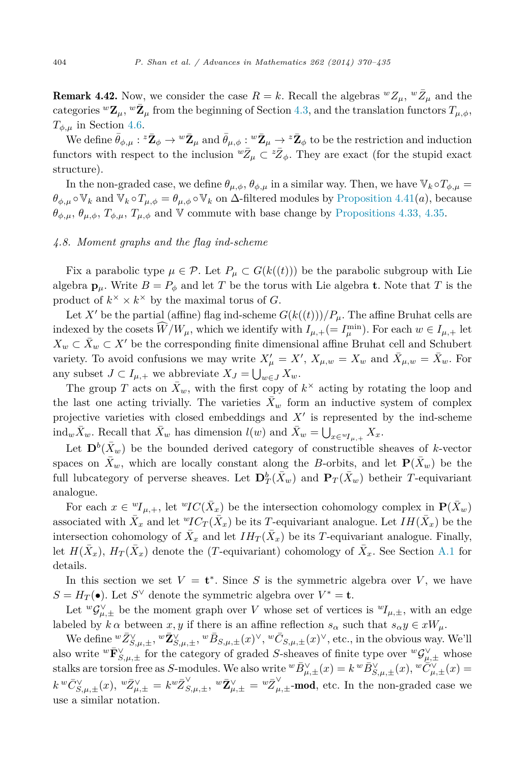<span id="page-34-0"></span>**Remark 4.42.** Now, we consider the case  $R = k$ . Recall the algebras  $^wZ_\mu$ ,  $^wZ_\mu$  and the categories  ${}^w\mathbf{Z}_\mu$ ,  ${}^w\mathbf{Z}_\mu$  from the beginning of Section [4.3,](#page-22-0) and the translation functors  $T_{\mu,\phi}$ ,  $T_{\phi,\mu}$  in Section [4.6.](#page-29-0)

We define  $\bar{\theta}_{\phi,\mu}: {}^z \bar{\mathbf{Z}}_{\phi} \to {}^w \bar{\mathbf{Z}}_{\mu}$  and  $\bar{\theta}_{\mu,\phi}: {}^w \bar{\mathbf{Z}}_{\mu} \to {}^z \bar{\mathbf{Z}}_{\phi}$  to be the restriction and induction functors with respect to the inclusion  ${}^w\bar{Z}_{\mu} \subset {}^z\bar{Z}_{\phi}$ . They are exact (for the stupid exact structure).

In the non-graded case, we define  $\theta_{\mu,\phi}$ ,  $\theta_{\phi,\mu}$  in a similar way. Then, we have  $V_k \circ T_{\phi,\mu} =$  $\theta_{\phi,\mu} \circ \mathbb{V}_k$  and  $\mathbb{V}_k \circ T_{\mu,\phi} = \theta_{\mu,\phi} \circ \mathbb{V}_k$  on  $\Delta$ -filtered modules by [Proposition 4.41\(](#page-32-0)*a*), because  $\theta_{\phi,\mu}$ ,  $\theta_{\mu,\phi}$ ,  $T_{\phi,\mu}$ ,  $T_{\mu,\phi}$  and V commute with base change by [Propositions 4.33, 4.35.](#page-28-0)

# *4.8. Moment graphs and the flag ind-scheme*

Fix a parabolic type  $\mu \in \mathcal{P}$ . Let  $P_{\mu} \subset G(k((t)))$  be the parabolic subgroup with Lie algebra  $\mathbf{p}_{\mu}$ . Write  $B = P_{\phi}$  and let *T* be the torus with Lie algebra **t**. Note that *T* is the product of  $k^{\times} \times k^{\times}$  by the maximal torus of *G*.

Let  $X'$  be the partial (affine) flag ind-scheme  $G(k((t)))/P_\mu$ . The affine Bruhat cells are indexed by the cosets  $\hat{W}/W_{\mu}$ , which we identify with  $I_{\mu,+} (= I_{\mu}^{\min})$ . For each  $w \in I_{\mu,+}$  let  $X_w \subset \overline{X}_w \subset X'$  be the corresponding finite dimensional affine Bruhat cell and Schubert variety. To avoid confusions we may write  $X'_{\mu} = X'$ ,  $X_{\mu,w} = X_w$  and  $\bar{X}_{\mu,w} = \bar{X}_w$ . For any subset  $J \subset I_{\mu,+}$  we abbreviate  $X_J = \bigcup_{w \in J}^{\mu} X_w$ .

The group *T* acts on  $X_w$ , with the first copy of  $k^\times$  acting by rotating the loop and the last one acting trivially. The varieties  $X_w$  form an inductive system of complex projective varieties with closed embeddings and *X*- is represented by the ind-scheme  $\overline{X}_w$ . Recall that  $\overline{X}_w$  has dimension  $l(w)$  and  $\overline{X}_w = \bigcup_{x \in w_{I_{\mu,+}}} X_x$ .

Let  $\mathbf{D}^b(\bar{X}_w)$  be the bounded derived category of constructible sheaves of *k*-vector spaces on  $\bar{X}_w$ , which are locally constant along the *B*-orbits, and let  $P(\bar{X}_w)$  be the full lubcategory of perverse sheaves. Let  $\mathbf{D}_T^b(\bar{X}_w)$  and  $\mathbf{P}_T(\bar{X}_w)$  betheir *T*-equivariant analogue.

For each  $x \in {^wI}_{\mu,+}$ , let  ${^wIC}(\bar{X}_x)$  be the intersection cohomology complex in  $\mathbf{P}(\bar{X}_w)$ associated with  $\bar{X}_x$  and let  ${}^w\!I C_T(\bar{X}_x)$  be its *T*-equivariant analogue. Let  $IH(\bar{X}_x)$  be the intersection cohomology of  $\bar{X}_x$  and let  $IH_T(\bar{X}_x)$  be its *T*-equivariant analogue. Finally, let  $H(\bar{X}_x)$ ,  $H_T(\bar{X}_x)$  denote the (*T*-equivariant) cohomology of  $\bar{X}_x$ . See Section [A.1](#page-57-0) for details.

In this section we set  $V = t^*$ . Since *S* is the symmetric algebra over *V*, we have  $S = H_T(\bullet)$ . Let  $S^{\vee}$  denote the symmetric algebra over  $V^* = \mathbf{t}$ .

Let  $^w{\mathcal{G}}_{\mu,\pm}^{\vee}$  be the moment graph over *V* whose set of vertices is  $^wI_{\mu,\pm}$ , with an edge labeled by  $k \alpha$  between  $x, y$  if there is an affine reflection  $s_{\alpha}$  such that  $s_{\alpha}y \in xW_{\mu}$ .

We define  ${}^w\bar{Z}^\vee_{S,\mu,\pm}$ ,  ${}^w\bar{\mathbf{Z}}^\vee_{S,\mu,\pm}$ ,  ${}^w\bar{B}_{S,\mu,\pm}(x)^\vee$ ,  ${}^w\bar{C}_{S,\mu,\pm}(x)^\vee$ , etc., in the obvious way. We'll also write  ${}^w\bar{F}_{S,\mu,\pm}^{\vee}$  for the category of graded *S*-sheaves of finite type over  ${}^w\mathcal{G}_{\mu,\pm}^{\vee}$  whose stalks are torsion free as *S*-modules. We also write  ${}^w\bar{B}^\vee_{\mu,\pm}(x) = k\,{}^w\bar{B}^\vee_{S,\mu,\pm}(x), {}^w\bar{C}^\vee_{\mu,\pm}(x) =$  $k^{w}\bar{C}_{S,\mu,\pm}^{\vee}(x), w\bar{Z}_{\mu,\pm}^{\vee} = k^{w}\bar{Z}_{S,\mu,\pm}^{\vee}, w\bar{\mathbf{Z}}_{\mu,\pm}^{\vee} = w\bar{Z}_{\mu,\pm}^{\vee}$ -mod, etc. In the non-graded case we use a similar notation.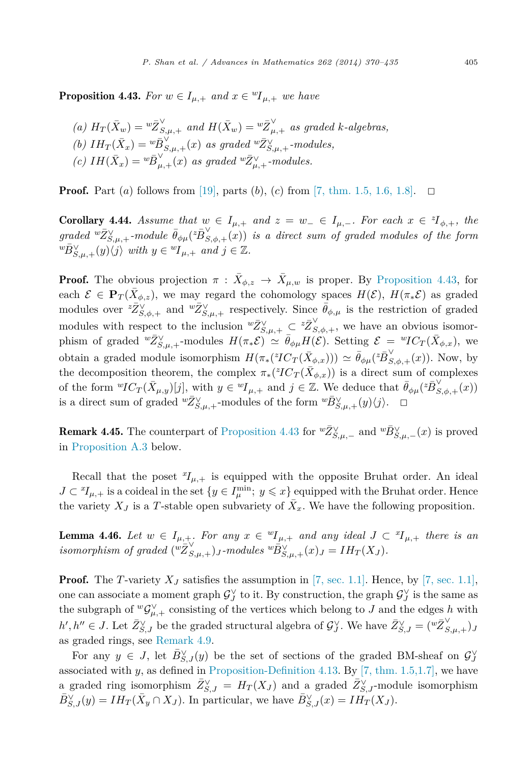<span id="page-35-0"></span>**Proposition 4.43.** For  $w \in I_{\mu,+}$  and  $x \in {}^wI_{\mu,+}$  we have

\n- (a) 
$$
H_T(\bar{X}_w) = {}^w\bar{Z}_{S,\mu,+}^{\vee}
$$
 and  $H(\bar{X}_w) = {}^w\bar{Z}_{\mu,+}^{\vee}$  as graded k-algebras,
\n- (b)  $IH_T(\bar{X}_x) = {}^w\bar{B}_{S,\mu,+}^{\vee}(x)$  as graded  ${}^w\bar{Z}_{S,\mu,+}^{\vee}$ -modules,
\n- (c)  $IH(\bar{X}_x) = {}^w\bar{B}_{\mu,+}^{\vee}(x)$  as graded  ${}^w\bar{Z}_{\mu,+}^{\vee}$ -modules.
\n

**Proof.** Part (*a*) follows from [\[19\],](#page-64-0) parts (*b*), (*c*) from [\[7, thm. 1.5, 1.6, 1.8\].](#page-64-0)  $\Box$ 

**Corollary 4.44.** Assume that  $w \in I_{\mu,+}$  and  $z = w_- \in I_{\mu,-}$ . For each  $x \in {}^zI_{\phi,+}$ , the  $graded$   $^{w}\bar{Z}_{S,\mu,+}^{\vee}$ *-module*  $\bar{\theta}_{\phi\mu}$ ( $^{z}\bar{B}_{S,\phi,+}^{\vee}(x)$ ) *is a direct sum of graded modules of the form*  $w\overline{B}_{S,\mu,+}^{\vee}(y)\langle j\rangle$  *with*  $y \in {}^{w}I_{\mu,+}$  *and*  $j \in \mathbb{Z}$ *.* 

**Proof.** The obvious projection  $\pi$  :  $\bar{X}_{\phi,z} \to \bar{X}_{\mu,w}$  is proper. By Proposition 4.43, for each  $\mathcal{E} \in \mathbf{P}_T(X_{\phi,z})$ , we may regard the cohomology spaces  $H(\mathcal{E}), H(\pi_*\mathcal{E})$  as graded modules over  ${}^{z}\bar{Z}_{S,\phi,+}^{\vee}$  and  ${}^{w}\bar{Z}_{S,\mu,+}^{\vee}$  respectively. Since  $\bar{\theta}_{\phi,\mu}$  is the restriction of graded modules with respect to the inclusion  ${}^w\bar{Z}_{S,\mu,+}^{\vee} \subset {}^z\bar{Z}_{S,\phi,+}^{\vee}$ , we have an obvious isomorphism of graded  ${}^{w}\bar{Z}_{S,\mu,+}^{\vee}$ -modules  $H(\pi_*\mathcal{E}) \cong \bar{\theta}_{\phi\mu}H(\mathcal{E})$ . Setting  $\mathcal{E} = {}^{w}\!IC_T(\bar{X}_{\phi,x})$ , we obtain a graded module isomorphism  $H(\pi_*(^zIC_T(\bar{X}_{\phi,x}))) \simeq \bar{\theta}_{\phi\mu}(*\bar{B}_{S,\phi,+}^{\vee}(x))$ . Now, by the decomposition theorem, the complex  $\pi_*({}^zIC_T(\bar{X}_{\phi,x}))$  is a direct sum of complexes of the form  ${}^wIC_T(\bar{X}_{\mu,y})[j],$  with  $y \in {}^wI_{\mu,+}$  and  $j \in \mathbb{Z}$ . We deduce that  $\bar{\theta}_{\phi\mu}({}^z\bar{B}_{S,\phi,+}^{\vee}(x))$ is a direct sum of graded  ${}^w\bar{Z}_{S,\mu,+}^{\vee}$ -modules of the form  ${}^w\bar{B}_{S,\mu,+}^{\vee}(y)\langle j\rangle$ .  $\Box$ 

**Remark 4.45.** The counterpart of Proposition 4.43 for  ${}^w\bar{Z}_{S,\mu,-}^{\vee}$  and  ${}^w\bar{B}_{S,\mu,-}^{\vee}(x)$  is proved in [Proposition A.3](#page-63-0) below.

Recall that the poset  ${}^{x}I_{\mu,+}$  is equipped with the opposite Bruhat order. An ideal  $J \subset {}^{x}\!I_{\mu,+}$  is a coideal in the set  $\{y \in I^{\min}_{\mu}; y \leqslant x\}$  equipped with the Bruhat order. Hence the variety  $X_J$  is a T-stable open subvariety of  $\overline{X}_x$ . We have the following proposition.

**Lemma 4.46.** Let  $w \in I_{\mu, \frac{1}{\sqrt{2}}}$ . For any  $x \in {}^{wI}I_{\mu, +}$  and any ideal  $J \subset {}^{xI}I_{\mu, +}$  there is an  $i$ somorphism of graded  $({}^w\overline{Z}_{S,\mu,+}^{\vee})_J$ -modules  ${}^w\overline{B}_{S,\mu,+}^{\vee}(x)_J = IH_T(X_J)$ .

**Proof.** The *T*-variety  $X_J$  satisfies the assumption in [\[7, sec. 1.1\].](#page-64-0) Hence, by [\[7, sec. 1.1\],](#page-64-0) one can associate a moment graph  $\mathcal{G}_J^{\vee}$  to it. By construction, the graph  $\mathcal{G}_J^{\vee}$  is the same as the subgraph of  $^w{\mathcal{G}}_{\mu,+}^{\vee}$  consisting of the vertices which belong to *J* and the edges *h* with  $h', h'' \in J$ . Let  $\bar{Z}_{S,J}^{\vee}$  be the graded structural algebra of  $\mathcal{G}_J^{\vee}$ . We have  $\bar{Z}_{S,J}^{\vee} = (\stackrel{w}{Z}_{S,\mu,+}^{\vee})_J$ as graded rings, see [Remark 4.9.](#page-19-0)

For any  $y \in J$ , let  $\bar{B}^{\vee}_{S,J}(y)$  be the set of sections of the graded BM-sheaf on  $\mathcal{G}^{\vee}_{J}$ associated with *y*, as defined in [Proposition-Definition 4.13.](#page-20-0) By [\[7, thm. 1.5,1.7\],](#page-64-0) we have a graded ring isomorphism  $\bar{Z}_{S,J}^{\vee} = H_T(X_J)$  and a graded  $\bar{Z}_{S,J}^{\vee}$ -module isomorphism  $\bar{B}^{\vee}_{S,J}(y) = IH_T(\bar{X}_y \cap X_J)$ . In particular, we have  $\bar{B}^{\vee}_{S,J}(x) = IH_T(X_J)$ .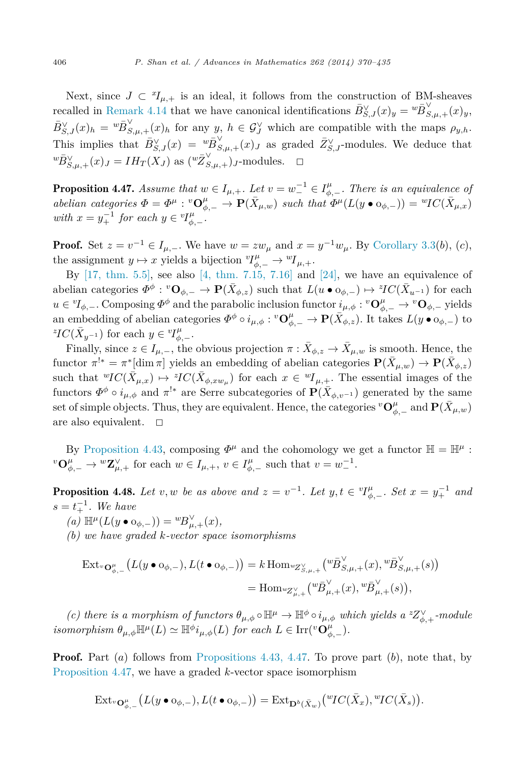<span id="page-36-0"></span>Next, since  $J \subset {}^{x}I_{\mu,+}$  is an ideal, it follows from the construction of BM-sheaves recalled in [Remark 4.14](#page-20-0) that we have canonical identifications  $\bar{B}^{\vee}_{S,J}(x)_y = {}^w \bar{B}^{\vee}_{S,\mu,+}(x)_y$ ,  $\bar{B}_{S,J}^{\vee}(x)_h = {}^w \bar{B}_{S,\mu,+}^{\vee}(x)_h$  for any *y*,  $h \in \mathcal{G}_J^{\vee}$  which are compatible with the maps  $\rho_{y,h}$ . This implies that  $\bar{B}_{S,J}^{\vee}(x) = {}^{w} \bar{B}_{S,\mu,+}^{\vee}(x)$  as graded  $\bar{Z}_{S,J}^{\vee}$ -modules. We deduce that  $^{w}\overline{B}_{S,\mu,+}^{\vee}(x)$ *J* =  $IH_{T}(X_{J})$  as  $({}^{w}\overline{Z}_{S,\mu,+}^{\vee})$ *J*-modules.  $\Box$ 

**Proposition 4.47.** *Assume that*  $w \in I_{\mu,+}$ *. Let*  $v = w_-^{-1} \in I_{\phi,-}^{\mu}$ *. There is an equivalence of* abelian categories  $\Phi = \Phi^{\mu} : {^v\mathbf{O}_{\phi,-}^{\mu}} \to \mathbf{P}(\bar{X}_{\mu,w})$  such that  $\Phi^{\mu}(L(y \bullet \mathrm{o}_{\phi,-})) = {^w}IC(\bar{X}_{\mu,x})$  $with x = y_{+}^{-1}$  *for each*  $y \in {}^{v}I_{\phi,-}^{\mu}$ .

**Proof.** Set  $z = v^{-1} \in I_{\mu,-}$ . We have  $w = zw_{\mu}$  and  $x = y^{-1}w_{\mu}$ . By [Corollary 3.3\(](#page-13-0)*b*), (*c*), the assignment  $y \mapsto x$  yields a bijection  ${}^{v}I^{\mu}_{\phi,-} \rightarrow {}^{w}I_{\mu,+}$ .

By [17, [thm. 5.5\],](#page-64-0) see also [\[4, thm. 7.15, 7.16\]](#page-64-0) and [\[24\],](#page-64-0) we have an equivalence of abelian categories  $\Phi^{\phi}: {^v\mathbf{O}_{\phi}}_{\phi,-} \to \mathbf{P}(\bar{X}_{\phi,z})$  such that  $L(u \bullet \mathrm{o}_{\phi,-}) \mapsto {^zIC(\bar{X}_{u^{-1}})}$  for each  $u \in {}^{v}I_{\phi,-}$ . Composing  $\Phi^{\phi}$  and the parabolic inclusion functor  $i_{\mu,\phi}: {}^{v}O_{\phi,-}^{\mu} \to {}^{v}O_{\phi,-}$  yields an embedding of abelian categories  $\Phi^{\phi} \circ i_{\mu,\phi}: {^v\mathbf{O}^{\mu}_{\phi,-}} \to \mathbf{P}(\bar{X}_{\phi,z})$ . It takes  $L(y \bullet \mathbf{o}_{\phi,-})$  to  ${}^zIC(\bar{X}_{-1})$  for each  $y \in {^vI}^{\mu}$ *IC*( $\bar{X}_{y^{-1}}$ ) for each  $y \in {}^vI_{\phi,-}^\mu$ .

Finally, since  $z \in I_{\mu,-}$ , the obvious projection  $\pi : \bar{X}_{\phi,z} \to \bar{X}_{\mu,w}$  is smooth. Hence, the functor  $\pi^{!*} = \pi^*$ [dim  $\pi$ ] yields an embedding of abelian categories  $\mathbf{P}(\bar{X}_{\mu,w}) \to \mathbf{P}(\bar{X}_{\phi,z})$ such that  ${}^wIC(\bar{X}_{\mu,x}) \mapsto {}^zIC(\bar{X}_{\phi,xw_\mu})$  for each  $x \in {}^wI_{\mu,\pm}$ . The essential images of the functors  $\Phi^{\phi} \circ i_{\mu,\phi}$  and  $\pi^{!*}$  are Serre subcategories of  $\mathbf{P}(\bar{X}_{\phi,v^{-1}})$  generated by the same set of simple objects. Thus, they are equivalent. Hence, the categories  $^v\mathbf{O}_{\phi,-}^\mu$  and  $\mathbf{P}(\bar{X}_{\mu,w})$ are also equivalent.  $\square$ 

By [Proposition 4.43,](#page-35-0) composing  $\Phi^{\mu}$  and the cohomology we get a functor  $\mathbb{H} = \mathbb{H}^{\mu}$ :  $v\mathbf{O}_{\phi,-}^{\mu} \to w\mathbf{Z}_{\mu,+}^{\vee}$  for each  $w \in I_{\mu,+}, v \in I_{\phi,-}^{\mu}$  such that  $v = w_-^{-1}$ .

**Proposition 4.48.** Let *v,w be as above and*  $z = v^{-1}$ . Let  $y, t \in {}^vI_{\phi,-}^\mu$ . Set  $x = y_+^{-1}$  and  $s = t_+^{-1}$ *. We have* 

$$
(a) \ \mathbb{H}^{\mu}(L(y \bullet \mathbf{o}_{\phi,-})) = {}^{w}B^{\vee}_{\mu,+}(x),
$$

*(b) we have graded k-vector space isomorphisms*

$$
\begin{split} \text{Ext}_{\mathbf{v}\mathbf{O}_{\phi,-}^{\mu}}\left(L(y\bullet\mathrm{o}_{\phi,-}),L(t\bullet\mathrm{o}_{\phi,-})\right) &= k \,\text{Hom}_{^{w}\!Z_{S,\mu,+}^{\vee}}\left({^{w}\!\bar{B}_{S,\mu,+}^{\vee}}(x),{^{w}\!\bar{B}_{S,\mu,+}^{\vee}}(s)\right) \\ &= \text{Hom}_{^{w}\!Z_{\mu,+}^{\vee}}\left({^{w}\!\bar{B}_{\mu,+}^{\vee}}(x),{^{w}\!\bar{B}_{\mu,+}^{\vee}}(s)\right), \end{split}
$$

*(c) there is a morphism of functors*  $\theta_{\mu,\phi} \circ \mathbb{H}^{\mu} \to \mathbb{H}^{\phi} \circ i_{\mu,\phi}$  *which yields a*  $^{z}\mathbb{Z}_{\phi,+}^{\vee}$ *-module*  $\mathcal{L}$ *isomorphism*  $\theta_{\mu,\phi} \mathbb{H}^{\mu}(L) \simeq \mathbb{H}^{\phi} i_{\mu,\phi}(L)$  *for each*  $L \in \text{Irr}({}^v\mathbf{O}_{\phi,-}^{\mu}).$ 

**Proof.** Part (*a*) follows from [Propositions 4.43, 4.47.](#page-35-0) To prove part (*b*), note that, by Proposition 4.47, we have a graded *k*-vector space isomorphism

$$
\mathrm{Ext}_{^v\mathbf{O}^\mu_{\phi,-}}\big(L(y\bullet\mathrm{o}_{\phi,-}),L(t\bullet\mathrm{o}_{\phi,-})\big)=\mathrm{Ext}_{\mathbf{D}^b(\bar{X}_w)}\big({^w}\!I\!C(\bar{X}_x),{^w}\!I\!C(\bar{X}_s)\big).
$$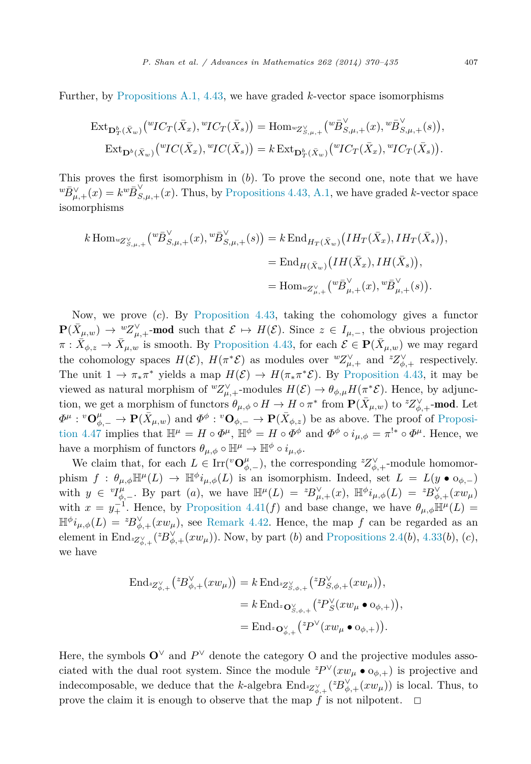Further, by [Propositions A.1, 4.43,](#page-58-0) we have graded *k*-vector space isomorphisms

$$
\begin{aligned} \text{Ext}_{\mathbf{D}_{T}^{b}(\bar{X}_{w})}(\mathbf{v}_{IC_{T}}(\bar{X}_{x}), \mathbf{v}_{IC_{T}}(\bar{X}_{s})) &= \text{Hom}_{^{w}Z_{S,\mu,+}^{\vee}}(\mathbf{v}_{\bar{B}_{S,\mu,+}^{\vee}}(x), \mathbf{v}_{\bar{B}_{S,\mu,+}^{\vee}}(s)),\\ \text{Ext}_{\mathbf{D}^{b}(\bar{X}_{w})}(\mathbf{v}_{IC}(\bar{X}_{x}), \mathbf{v}_{IC}(\bar{X}_{s})) &= k \text{Ext}_{\mathbf{D}_{T}^{b}(\bar{X}_{w})}(\mathbf{v}_{IC_{T}}(\bar{X}_{x}), \mathbf{v}_{IC_{T}}(\bar{X}_{s})). \end{aligned}
$$

This proves the first isomorphism in (*b*). To prove the second one, note that we have  $w\bar{B}^{\vee}_{\mu,+}(x) = k^w\bar{B}^{\vee}_{S,\mu,+}(x)$ . Thus, by [Propositions 4.43, A.1,](#page-35-0) we have graded *k*-vector space isomorphisms

$$
k \operatorname{Hom}_{^{wZ}\!S_{,\mu,+}}({}^{w\bar{B}}\!S_{,\mu,+}(x), {}^{w\bar{B}}\!S_{,\mu,+}(s)) = k \operatorname{End}_{H_T(\bar{X}_w)}(IH_T(\bar{X}_x), IH_T(\bar{X}_s)),
$$
  

$$
= \operatorname{End}_{H(\bar{X}_w)}(IH(\bar{X}_x), IH(\bar{X}_s)),
$$
  

$$
= \operatorname{Hom}_{^{wZ}\!L_{,\mu,+}}({}^{w\bar{B}}\!L_{\mu,+}(x), {}^{w\bar{B}}\!L_{\mu,+}(s)).
$$

Now, we prove (*c*). By [Proposition 4.43,](#page-35-0) taking the cohomology gives a functor  $\mathbf{P}(\bar{X}_{\mu,w}) \to {\nu Z_{\mu,+}^{\vee}}$ -mod such that  $\mathcal{E} \mapsto H(\mathcal{E})$ . Since  $z \in I_{\mu,-}$ , the obvious projection  $\pi : \bar{X}_{\phi,z} \to \bar{X}_{\mu,w}$  is smooth. By [Proposition 4.43,](#page-35-0) for each  $\mathcal{E} \in \mathbf{P}(\bar{X}_{\mu,w})$  we may regard the cohomology spaces  $H(\mathcal{E}), H(\pi^*\mathcal{E})$  as modules over  ${}^wZ^{\vee}_{\mu,+}$  and  ${}^zZ^{\vee}_{\phi,+}$  respectively. The unit  $1 \to \pi_* \pi^*$  yields a map  $H(\mathcal{E}) \to H(\pi_* \pi^* \mathcal{E})$ . By [Proposition 4.43,](#page-35-0) it may be viewed as natural morphism of  ${}^wZ^{\vee}_{\mu,+}$ -modules  $H(\mathcal{E}) \to \theta_{\phi,\mu}H(\pi^*\mathcal{E})$ . Hence, by adjunction, we get a morphism of functors  $\theta_{\mu,\phi} \circ H \to H \circ \pi^*$  from  $\mathbf{P}(\bar{X}_{\mu,w})$  to  $^zZ^{\vee}_{\phi,+}$ -mod. Let  $\Phi^{\mu}: {^v\mathbf{O}_{\phi,-}^{\mu}} \to \mathbf{P}(\bar{X}_{\mu,w})$  and  $\Phi^{\phi}: {^v\mathbf{O}_{\phi,-}} \to \mathbf{P}(\bar{X}_{\phi,z})$  be as above. The proof of [Proposi](#page-36-0)[tion 4.47](#page-36-0) implies that  $\mathbb{H}^{\mu} = H \circ \Phi^{\mu}$ ,  $\mathbb{H}^{\phi} = H \circ \Phi^{\phi}$  and  $\Phi^{\phi} \circ i_{\mu,\phi} = \pi^{!*} \circ \Phi^{\mu}$ . Hence, we have a morphism of functors  $\theta_{\mu,\phi} \circ \mathbb{H}^{\mu} \to \mathbb{H}^{\phi} \circ i_{\mu,\phi}$ .

We claim that, for each  $L \in \text{Irr}(^v\mathbb{O}_{\phi,-}^\mu)$ , the corresponding  $^zZ_{\phi,+}^\vee$ -module homomorphism  $f : \theta_{\mu,\phi} \mathbb{H}^{\mu}(L) \to \mathbb{H}^{\phi}i_{\mu,\phi}(L)$  is an isomorphism. Indeed, set  $L = L(y \bullet o_{\phi,-})$ with  $y \in {}^{v}I^{\mu}_{\phi_{i}}$ . By part (a), we have  $\mathbb{H}^{\mu}(L) = {}^{z}B^{\vee}_{\mu,+}(x)$ ,  $\mathbb{H}^{\phi}i_{\mu,\phi}(L) = {}^{z}B^{\vee}_{\phi,+}(x w_{\mu})$ with  $x = y_+^{-1}$ . Hence, by [Proposition 4.41\(](#page-32-0)*f*) and base change, we have  $\theta_{\mu,\phi} \mathbb{H}^{\mu}(L) =$  $\mathbb{H}^{\phi}i_{\mu,\phi}(L) = {}^{z}B^{\vee}_{\phi,+}(xw_{\mu}),$  see [Remark 4.42.](#page-34-0) Hence, the map f can be regarded as an element in  $\text{End}_{Z_{\phi,+}^{\vee}}({^z\!B}_{\phi,+}^{\vee}(xw_\mu)).$  Now, by part (*b*) and [Propositions 2.4\(](#page-7-0)*b*), [4.33\(](#page-28-0)*b*), (*c*), we have

$$
\begin{aligned} \text{End}_{^z\!Z_{\phi,+}^{\vee}}\left(^z\!B_{\phi,+}^{\vee}(x w_{\mu})\right) &= k \, \text{End}_{^z\!Z_{S,\phi,+}^{\vee}}\left(^z\!B_{S,\phi,+}^{\vee}(x w_{\mu})\right), \\ &= k \, \text{End}_{^z\mathbf{O}_{S,\phi,+}^{\vee}}\left(^z\!P_{S}^{\vee}(x w_{\mu} \bullet \mathbf{o}_{\phi,+})\right), \\ &= \text{End}_{^z\mathbf{O}_{\phi,+}^{\vee}}\left(^z\!P^{\vee}(x w_{\mu} \bullet \mathbf{o}_{\phi,+})\right). \end{aligned}
$$

Here, the symbols  $\mathbf{O}^{\vee}$  and  $P^{\vee}$  denote the category O and the projective modules associated with the dual root system. Since the module  ${}^{z}P^{\vee}(xw_{\mu} \bullet \mathfrak{o}_{\phi,+})$  is projective and indecomposable, we deduce that the *k*-algebra  $\text{End}_{z_{\phi,+}}({}^{z}B^{\vee}_{\phi,+}(xw_{\mu}))$  is local. Thus, to prove the claim it is enough to observe that the map  $f$  is not nilpotent.  $\Box$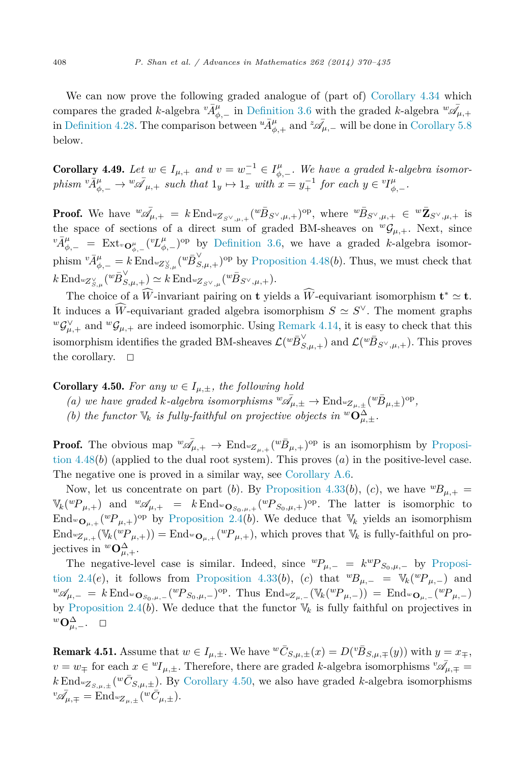<span id="page-38-0"></span>We can now prove the following graded analogue of (part of) [Corollary 4.34](#page-29-0) which compares the graded *k*-algebra  ${}^v \bar{A}^{\mu}_{\phi,-}$  in [Definition 3.6](#page-14-0) with the graded *k*-algebra  ${}^w \bar{A}^{\mu}_{\mu,+}$ in [Definition 4.28.](#page-24-0) The comparison between  ${}^u \bar{A}^{\mu}_{\phi,+}$  and  ${}^z \bar{\mathscr{A}}_{\mu,-}$  will be done in [Corollary 5.8](#page-44-0) below.

**Corollary 4.49.** *Let*  $w \in I_{\mu,+}$  and  $v = w_-^{-1} \in I_{\phi,-}^{\mu}$ . We have a graded *k*-algebra isomor $phism$   ${}^{v}\bar{A}^{\mu}_{\phi,-} \rightarrow {}^{w}\bar{\mathscr{A}}_{\mu,+}$  *such that*  $1_y \mapsto 1_x$  *with*  $x = y_+^{-1}$  *for each*  $y \in {}^{v}\!I^{\mu}_{\phi,-}$ .

**Proof.** We have  ${}^w\bar{\mathscr{A}}_{\mu,+} = k \operatorname{End} {}^w\mathcal{Z}_{S^\vee,\mu,+}({}^w\bar{B}_{S^\vee,\mu,+})^{\text{op}},$  where  ${}^w\bar{B}_{S^\vee,\mu,+} \in {}^w\bar{\mathbf{Z}}_{S^\vee,\mu,+}$  is the space of sections of a direct sum of graded BM-sheaves on  $^w\mathcal{G}_{\mu,+}$ . Next, since  $A_{\phi,-}^{\mu}$  = Ext<sub>*v*</sub>**O**<sub> $_{\phi,-}^{\mu}$  (*v*<sub>*L*</sub><sup> $\mu$ </sup><sub> $_{\phi,-}$ </sub>)<sup>op</sup> by [Definition 3.6,](#page-14-0) we have a graded *k*-algebra isomor-</sub> phism  ${}^{v} \bar{A}^{\mu}_{\phi,-} = k \text{End}_{{}^{w}Z_{S,\mu}^{\vee}}({}^{w} \bar{B}^{\vee}_{S,\mu,+})^{\text{op}}$  by [Proposition 4.48\(](#page-36-0)*b*). Thus, we must check that  $k\ \mathrm{End}_{^w\!Z_{S,\mu}^\vee}( ^w\!\bar{B}_{S,\mu,+}^\vee) \simeq k\ \mathrm{End}_{^w\!Z_{S^\vee,\mu}}(^w\!\bar{B}_{S^\vee,\mu,+}).$ 

The choice of a *W*-invariant pairing on **t** yields a *W*-equivariant isomorphism  $\mathbf{t}^* \simeq \mathbf{t}$ . It induces a W-equivariant graded algebra isomorphism  $S \simeq S^{\vee}$ . The moment graphs It induces a *W*-equivariant graded algebra isomorphism  $S \simeq S^{\vee}$ . The moment graphs  $^{w}\mathcal{G}_{\mu,+}^{\vee}$  and  $^{w}\mathcal{G}_{\mu,+}$  are indeed isomorphic. Using [Remark 4.14,](#page-20-0) it is easy to check that this isomorphism identifies the graded BM-sheaves  $\mathcal{L}(^w \overline{B}_{S,\mu,+}^{\vee})$  and  $\mathcal{L}(^w \overline{B}_{S^{\vee},\mu,+})$ . This proves the corollary.  $\square$ 

**Corollary 4.50.** For any  $w \in I_{\mu,\pm}$ , the following hold

- $(a)$  we have graded *k*-algebra isomorphisms  $^w\overline{\mathscr{A}}_{\mu,\pm} \to \text{End}_{^wZ_{\mu,\pm}}(^wB_{\mu,\pm})^{\text{op}},$
- *(b)* the functor  $\mathbb{V}_k$  *is fully-faithful on projective objects in*  $^wO_{\mu,\pm}^{\Delta}$ .

**Proof.** The obvious map  $^w\overline{\mathscr{A}}_{\mu,+} \to \text{End}_{^wZ_{\mu,+}}(^w\overline{B}_{\mu,+})^{\text{op}}$  is an isomorphism by [Proposi](#page-36-0)tion  $4.48(b)$  (applied to the dual root system). This proves (*a*) in the positive-level case. The negative one is proved in a similar way, see [Corollary A.6.](#page-64-0)

Now, let us concentrate on part (*b*). By [Proposition 4.33\(](#page-28-0)*b*), (*c*), we have  $^{w}B_{\mu,+}$  $V_k(^{w}P_{\mu,+})$  and  ${}^w\mathscr{A}_{\mu,+} = k \text{End}_{{}^w}O_{S_0,\mu,+}({}^wP_{S_0,\mu,+})^{\text{op}}$ . The latter is isomorphic to End<sub>w</sub><sub>O<sub>*u*</sub>+( $^{w}P_{\mu,+}$ )<sup>op</sup> by [Proposition 2.4\(](#page-7-0)*b*). We deduce that  $\mathbb{V}_{k}$  yields an isomorphism</sub>  $\text{End}_{{}^w\!Z_{\mu,+}}(\mathbb{V}_k({}^w\!P_{\mu,+})) = \text{End}_{{}^w\mathbf{O}_{\mu,+}}({}^w\!P_{\mu,+}),$  which proves that  $\mathbb{V}_k$  is fully-faithful on projectives in  $^wO_{\mu,+}^{\Delta}$ .

The negative-level case is similar. Indeed, since  ${}^{w}P_{\mu,-} = k{}^{w}P_{S_0,\mu,-}$  by Proposition 2.4(e), it follows from Proposition 4.33(b), (c) that  ${}^{w}B_{\mu,-} = \mathbb{V}_k({}^{w}P_{\mu,-})$  and  ${}^w\!\mathscr{A}_{\mu,-} = k \operatorname{End} {}^w\mathbf{O}_{S_0,\mu,-} ({}^w\!P_{S_0,\mu,-})^{\mathrm{op}}.$  Thus  $\operatorname{End} {}^w\!Z_{\mu,-} (\mathbb{V}_k ({}^w\!P_{\mu,-})) = \operatorname{End} {}^w\mathbf{O}_{\mu,-} ({}^w\!P_{\mu,-})$ by [Proposition 2.4\(](#page-7-0)*b*). We deduce that the functor  $V_k$  is fully faithful on projectives in  $^w$ **O**Δ<sub>μ,−</sub>. □

**Remark 4.51.** Assume that  $w \in I_{\mu,\pm}$ . We have  ${}^w\bar{C}_{S,\mu,\pm}(x) = D({}^v\bar{B}_{S,\mu,\mp}(y))$  with  $y = x_{\mp}$ ,  $v = w_{\mp}$  for each  $x \in {}^{w}I_{\mu,\pm}$ . Therefore, there are graded *k*-algebra isomorphisms  ${}^{v}\overline{\mathscr{A}}_{\mu,\mp} =$  $k \text{ End}_{\mathscr{C}_{S,\mu,\pm}}(w\bar{C}_{S,\mu,\pm})$ . By Corollary 4.50, we also have graded *k*-algebra isomorphisms  $\mathscr{A}_{\mu,\mp} = \text{End}_{^{wZ}\mu,\pm}({}^{w}\bar{C}_{\mu,\pm}).$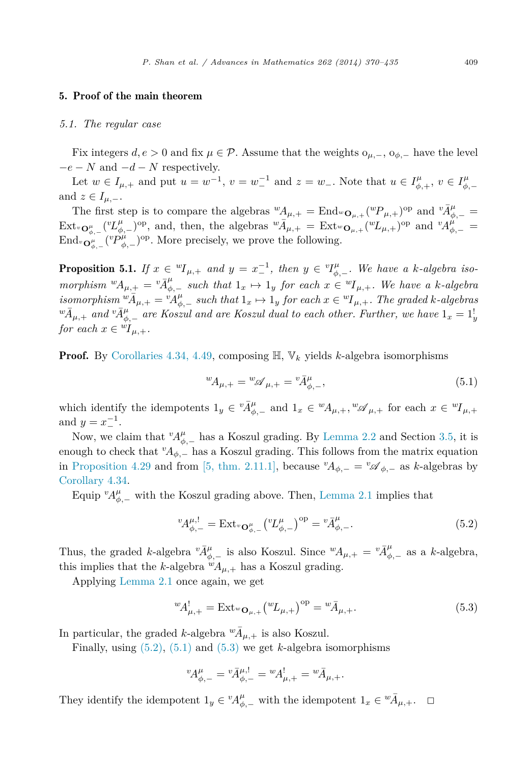# <span id="page-39-0"></span>5. Proof of the main theorem

#### *5.1. The regular case*

Fix integers  $d, e > 0$  and fix  $\mu \in \mathcal{P}$ . Assume that the weights  $o_{\mu,-}$ ,  $o_{\phi,-}$  have the level  $-e - N$  and  $-d - N$  respectively.

Let  $w \in I_{\mu,+}$  and put  $u = w^{-1}$ ,  $v = w_{-}^{-1}$  and  $z = w_{-}$ . Note that  $u \in I_{\phi,+}^{\mu}$ ,  $v \in I_{\phi,-}^{\mu}$ and  $z \in I_{\mu,-}$ .

The first step is to compare the algebras  ${}^wA_{\mu,+} = \text{End}_{}^w\mathbf{o}_{\mu,+}({}^wP_{\mu,+})^{\text{op}}$  and  ${}^v\bar{A}^{\mu}_{\phi,-} =$  $\text{Ext}_{\nu_{\phi,-}}(\nu_{L_{\phi,-}}^{\mu})^{\text{op}},$  and, then, the algebras  $\nu A_{\mu,+} = \text{Ext}_{\nu_{\phi,+}}(\nu_{L_{\mu,+}})^{\text{op}}$  and  $\nu A_{\phi,-}^{\mu'} =$  $\text{End}_{v} \mathbf{o}_{\phi,-}^{\mu} ({}^{v}P_{\phi,-}^{\mu})^{\text{op}}$ . More precisely, we prove the following.

**Proposition 5.1.** *If*  $x \in {}^{w}I_{\mu,+}$  *and*  $y = x_{-}^{-1}$ , *then*  $y \in {}^{v}I_{\phi,-}^{\mu}$ . We have a *k*-algebra iso $morphism$   $^{w}A_{\mu,\pm} = {^{v}\bar{A}_{\phi,\pm}^{\mu}}$  such that  $1_x \mapsto 1_y$  for each  $x \in {^{w}I}_{\mu,\pm}$ . We have a *k*-algebra isomorphism  ${}^w\bar{A}_{\mu,+} = {}^v\!A^\mu_{\phi,-}$  such that  $1_x \mapsto 1_y$  for each  $x \in {}^wI_{\mu,+}$ . The graded k-algebras  ${}^w\bar{A}_{\mu,+}$  and  ${}^v\bar{A}^\mu_{\phi,-}$  are Koszul and are Koszul dual to each other. Further, we have  $1_x = 1_y^1$  $A_{\phi,-}^{\mu}$  are Koszul and are Koszul dual to each other. Further, we have  $1_x = 1_y^1$ *for each*  $x \in {}^{w}I_{\mu,+}$ .

**Proof.** By [Corollaries](#page-29-0) 4.34, 4.49, composing  $\mathbb{H}$ ,  $\mathbb{V}_k$  yields *k*-algebra isomorphisms

$$
{}^{w}A_{\mu,+} = {}^{w}\mathscr{A}_{\mu,+} = {}^{v}\bar{A}^{\mu}_{\phi,-},\tag{5.1}
$$

which identify the idempotents  $1_y \in {^v\!\overline{A}}_{\phi,-}^\mu$  and  $1_x \in {^w\!A}_{\mu,+}, {^w\!{\mathscr A}}_{\mu,+}$  for each  $x \in {^w\!I}_{\mu,+}$ and  $y = x^{-1}$ .

Now, we claim that  $^vA^{\mu}_{\phi,-}$  has a Koszul grading. By [Lemma 2.2](#page-5-0) and Section [3.5,](#page-15-0) it is enough to check that  $^v\!A_{\phi,-}$  has a Koszul grading. This follows from the matrix equation in [Proposition 4.29](#page-24-0) and from [\[5, thm. 2.11.1\],](#page-64-0) because  ${}^v\!A_{\phi,-} = {}^v\!{\mathscr A}_{\phi,-}$  as *k*-algebras by [Corollary 4.34.](#page-29-0)

Equip  ${}^{v}A^{\mu}_{\phi,-}$  with the Koszul grading above. Then, [Lemma 2.1](#page-5-0) implies that

$$
{}^{v}A^{\mu,!}_{\phi,-} = \text{Ext}_{v}\mathbf{o}_{\phi,-}^{\mu} \left( {}^{v}L^{\mu}_{\phi,-} \right)^{\text{op}} = {}^{v}\bar{A}^{\mu}_{\phi,-}.
$$
 (5.2)

Thus, the graded *k*-algebra  ${}^v \bar{A}^{\mu}_{\phi,-}$  is also Koszul. Since  ${}^w A_{\mu,+} = {}^v \bar{A}^{\mu}_{\phi,-}$  as a *k*-algebra, this implies that the *k*-algebra  $^{w}A_{\mu,+}$  has a Koszul grading.

Applying [Lemma](#page-5-0) 2.1 once again, we get

$$
{}^{w}A^{!}_{\mu,+} = \text{Ext}_{w} \mathbf{O}_{\mu,+} \left( {}^{w}L_{\mu,+} \right)^{\text{op}} = {}^{w}\bar{A}_{\mu,+}. \tag{5.3}
$$

In particular, the graded *k*-algebra  $^{w}\bar{A}_{\mu,+}$  is also Koszul.

Finally, using (5.2), (5.1) and (5.3) we get *k*-algebra isomorphisms

$$
{}^{v}A^{\mu}_{\phi,-} = {}^{v}\bar{A}^{\mu,!}_{\phi,-} = {}^{w}A^!_{\mu,+} = {}^{w}\bar{A}^{\mu,+}
$$

They identify the idempotent  $1_y \in {}^v A^{\mu}_{\phi,-}$  with the idempotent  $1_x \in {}^w \bar{A}_{\mu,+}$ .  $\Box$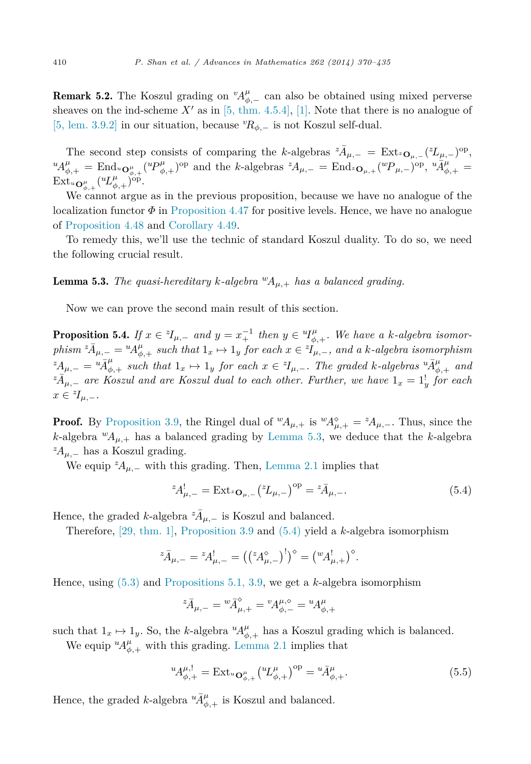<span id="page-40-0"></span>**Remark 5.2.** The Koszul grading on  $vA^{\mu}_{\phi,-}$  can also be obtained using mixed perverse sheaves on the ind-scheme  $X'$  as in  $[5, \text{thm. } 4.5.4]$ ,  $[1]$ . Note that there is no analogue of [\[5, lem. 3.9.2\]](#page-64-0) in our situation, because  ${}^v\! R_{\phi,-}$  is not Koszul self-dual.

The second step consists of comparing the *k*-algebras  $^{z}\bar{A}_{\mu,-} = \text{Ext}_{z\mathbf{O}_{\mu,-}}(^{z}L_{\mu,-})^{\text{op}},$ <br>  $u_{A}^{\mu} = \text{End}_{z\mathbf{O}_{\mu}} \left(\begin{array}{cc} u_{P}^{\mu} & \text{on} \end{array} \right)$  and the *k*-algebras  $^{z}A = \text{End}_{z\mathbf{O}} \left(\begin{array}{cc} u_{P} & \text{on} \end$  ${}^{\mu}A^{\mu}_{\phi,+} = \text{End}_{u\mathbf{O}^{\mu}_{\phi,+}}({}^{u}P^{\mu}_{\phi,+})^{\text{op}}$  and the k-algebras  ${}^{z}A_{\mu,-} = \text{End}_{z\mathbf{O}_{\mu,+}}({}^{w}P_{\mu,-})^{\text{op}},$   ${}^{u}\bar{A}^{\mu}_{\phi,+} =$  $\operatorname{Ext}_{u\mathbf{O}_{\phi,+}^{\mu}}( ^{u}L_{\phi,+}^{\mu})^{\operatorname{op}}.$ 

We cannot argue as in the previous proposition, because we have no analogue of the localization functor  $\Phi$  in [Proposition 4.47](#page-36-0) for positive levels. Hence, we have no analogue of [Proposition 4.48](#page-36-0) and [Corollary 4.49.](#page-38-0)

To remedy this, we'll use the technic of standard Koszul duality. To do so, we need the following crucial result.

**Lemma 5.3.** *The quasi-hereditary*  $k$ -algebra  $^wA_{\mu,+}$  has a balanced grading.

Now we can prove the second main result of this section.

**Proposition 5.4.** *If*  $x \in {}^{z}I_{\mu,-}$  and  $y = x_{+}^{-1}$  then  $y \in {}^{u}I_{\phi,+}^{\mu}$ . We have a *k*-algebra isomor $phism$   $z\bar{A}_{\mu,-} = uA_{\phi,+}^{\mu}$  such that  $1_x \mapsto 1_y$  for each  $x \in z\bar{I}_{\mu,-}$ , and a *k*-algebra isomorphism  ${}^zA_{\mu,-} = {}^u\bar{A}^{\mu}_{\phi,+}$  such that  $1_x \mapsto 1_y$  for each  $x \in {}^zI_{\mu,-}$ . The graded k-algebras  ${}^u\bar{A}^{\mu}_{\phi,+}$  and  ${}^z\bar{A}$  are Koszul and are Koszul dual to each other. Further, we have  $1 - 1$  for each  $\bar{A}_{\mu,-}$  *are Koszul and are Koszul dual to each other. Further, we have*  $1_x = 1$ <sup>*y*</sup> *for each*  $x \in {^zI}_{\mu,-}$ .

**Proof.** By [Proposition 3.9,](#page-15-0) the Ringel dual of  ${}^wA_{\mu,+}$  is  ${}^wA_{\mu,+}^{\diamond} = {}^zA_{\mu,-}$ . Thus, since the *k*-algebra  ${}^wA_{\mu,+}$  has a balanced grading by Lemma 5.3, we deduce that the *k*-algebra *z Aμ,*<sup>−</sup> has a Koszul grading.

We equip  $^zA_{\mu,-}$  with this grading. Then, [Lemma 2.1](#page-5-0) implies that

$$
{}^{z}A^{!}_{\mu,-} = \text{Ext}_{z_{\mathbf{O}_{\mu,-}}}({}^{z}L_{\mu,-})^{\text{op}} = {}^{z}\bar{A}_{\mu,-}.
$$
 (5.4)

Hence, the graded *k*-algebra  $^{z}\bar{A}_{\mu,-}$  is Koszul and balanced.

Therefore, [29, [thm. 1\],](#page-65-0) [Proposition 3.9](#page-15-0) and (5.4) yield a *k*-algebra isomorphism

$$
{}^{z}\bar{A}_{\mu,-} = {}^{z}A_{\mu,-}^{!} = (({}^{z}A_{\mu,-}^{\diamond})^!)^{\diamond} = ({}^{w}A_{\mu,+}^{!})^{\diamond}.
$$

Hence, using [\(5.3\)](#page-39-0) and [Propositions 5.1, 3.9,](#page-39-0) we get a *k*-algebra isomorphism

$$
{}^{z}\!\bar{A}_{\mu,-} = {}^{w}\!\bar{A}^{\diamond}_{\mu,+} = {}^{v}\!A^{\mu,\diamond}_{\phi,-} = {}^{u}\!A^{\mu}_{\phi,+}
$$

such that  $1_x \mapsto 1_y$ . So, the *k*-algebra  $^uA^{\mu}_{\phi,+}$  has a Koszul grading which is balanced.

We equip  ${}^u \! A_{\phi,+}^\mu$  with this grading. [Lemma 2.1](#page-5-0) implies that

$$
{}^{u}A^{\mu,!}_{\phi,+} = \text{Ext}_{u}\mathbf{o}_{\phi,+}^{\mu}\left({}^{u}L^{\mu}_{\phi,+}\right)^{\text{op}} = {}^{u}\bar{A}^{\mu}_{\phi,+}.
$$
 (5.5)

Hence, the graded *k*-algebra  $^u \bar{A}^{\mu}_{\phi,+}$  is Koszul and balanced.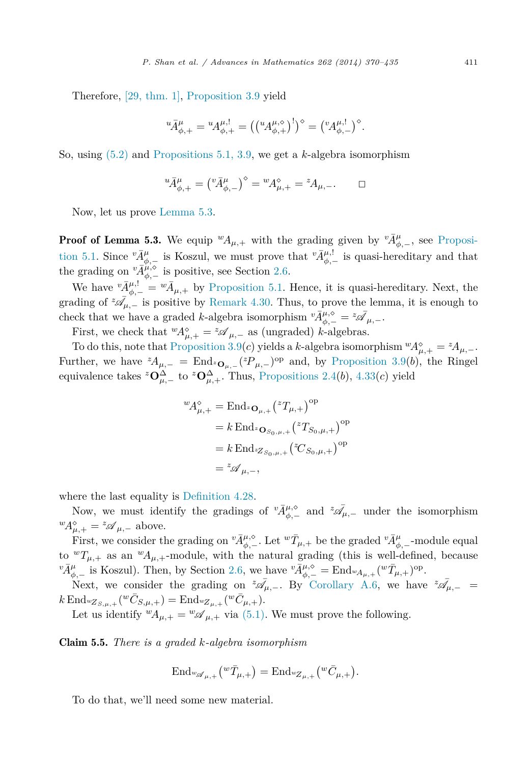<span id="page-41-0"></span>Therefore, [\[29, thm. 1\],](#page-65-0) [Proposition 3.9](#page-15-0) yield

$$
{}^{u}\bar{A}^{\mu}_{\phi,+} = {}^{u}A^{\mu,!}_{\phi,+} = (({}^{u}A^{\mu,\diamond}_{\phi,+})^!)^{\diamond} = ({}^{v}A^{\mu,!}_{\phi,-})^{\diamond}.
$$

So, using [\(5.2\)](#page-39-0) and [Propositions 5.1, 3.9,](#page-39-0) we get a *k*-algebra isomorphism

$$
{}^u \!\bar{A}^\mu_{\phi,+} = \left( {}^v \!\bar{A}^\mu_{\phi,-} \right)^\diamond = {}^w \! A^\diamond_{\mu,+} = {}^z \! A_{\mu,-}.\qquad \Box
$$

Now, let us prove [Lemma 5.3.](#page-40-0)

**Proof of Lemma 5.3.** We equip  ${}^wA_{\mu,+}$  with the grading given by  ${}^v\overline{A}^{\mu}_{\phi,-}$ , see [Proposi](#page-39-0)[tion 5.1.](#page-39-0) Since  $v \bar{A}^{\mu}_{\phi}$  is Koszul, we must prove that  $v \bar{A}^{\mu,!}_{\phi,-}$  is quasi-hereditary and that the grading on  $v\bar{A}^{\mu,\diamond}_{\phi,-}$  is positive, see Section [2.6.](#page-8-0)

We have  ${}^v\bar{A}^{\mu,1}_{\phi,-} = {}^w\bar{A}_{\mu,+}$  by [Proposition 5.1.](#page-39-0) Hence, it is quasi-hereditary. Next, the grading of  $\overline{z}_{\mathscr{A}_{\mu,-}}$  is positive by [Remark 4.30.](#page-26-0) Thus, to prove the lemma, it is enough to check that we have a graded *k*-algebra isomorphism  $v \bar{A}^{\mu, \diamond}_{\phi, -} = z \bar{\mathscr{A}}_{\mu, -}$ .

First, we check that  ${}^wA^{\diamond}_{\mu,+} = {}^z\mathscr{A}_{\mu,-}$  as (ungraded) *k*-algebras.

To do this, note that [Proposition 3.9\(](#page-15-0)*c*) yields a *k*-algebra isomorphism  ${}^wA^\diamond_{\mu,+} = {}^zA_{\mu,-}$ . Further, we have  ${}^zA_{\mu,-} = \text{End}_{}^z \mathbf{o}_{\mu,-} ({}^zP_{\mu,-})^{\text{op}}$  and, by [Proposition 3.9\(](#page-15-0)*b*), the Ringel equivalence takes <sup>z</sup> $O_{\mu,-}^{\Delta}$  to <sup>z</sup> $O_{\mu,+}^{\Delta}$ . Thus, [Propositions 2.4\(](#page-7-0)*b*), [4.33\(](#page-28-0)*c*) yield

$$
{}^{w}A^{\diamond}_{\mu,+} = \text{End}_{^z\mathbf{O}_{\mu,+}}({^zT_{\mu,+}})^{\text{op}}
$$
  
=  $k \text{End}_{^z\mathbf{O}_{S_0,\mu,+}}({^zT_{S_0,\mu,+}})^{\text{op}}$   
=  $k \text{End}_{^z\mathbf{Z}_{S_0,\mu,+}}({^zC_{S_0,\mu,+}})^{\text{op}}$   
=  ${}^{z}\mathscr{A}_{\mu,-}$ ,

where the last equality is [Definition 4.28.](#page-24-0)

Now, we must identify the gradings of  ${}^v \bar{A}^{\mu,\circ}_{\phi,-}$  and  ${}^z \bar{\mathscr{A}}_{\mu,-}$  under the isomorphism  ${}^w A^{\circ}_{\mu,+} = {}^z \mathscr{A}_{\mu,-}$  above.  $\phi_{\mu,+}^{\diamond} = {}^z\mathscr{A}_{\mu,-}$  above.

First, we consider the grading on  ${}^v \bar{A}^{\mu,\diamond}_{\phi,-}$ . Let  ${}^w \bar{T}_{\mu,+}$  be the graded  ${}^v \bar{A}^{\mu}_{\phi,-}$ -module equal to  ${}^{w}T_{\mu,+}$  as an  ${}^{w}A_{\mu,+}$ -module, with the natural grading (this is well-defined, because  $v\bar{A}^{\mu}_{\phi,-}$  is Koszul). Then, by Section [2.6,](#page-8-0) we have  $v\bar{A}^{\mu,\diamond}_{\phi,-} = \text{End}_{{}^w\!A_{\mu,+}}({}^w\bar{T}_{\mu,+})^{\text{op}}$ .

Next, we consider the grading on  $z\bar{A}_{\mu,-}$ . By [Corollary A.6,](#page-64-0) we have  $z\bar{A}_{\mu,-}$  $k \text{ End}_{wZ_{S,\mu,+}}(w\bar{C}_{S,\mu,+}) = \text{End}_{wZ_{\mu,+}}(w\bar{C}_{\mu,+}).$ 

Let us identify  $^{w}A_{\mu,+} = {^{w}\mathscr{A}}_{\mu,+}$  via [\(5.1\).](#page-39-0) We must prove the following.

Claim 5.5. *There is a graded k-algebra isomorphism*

$$
\text{End}_{\mathscr{A}_{\mu,+}}({}^{w}\bar{T}_{\mu,+})=\text{End}_{{}^{w}\!}\bar{Z}_{\mu,+}}({}^{w}\bar{C}_{\mu,+}).
$$

To do that, we'll need some new material.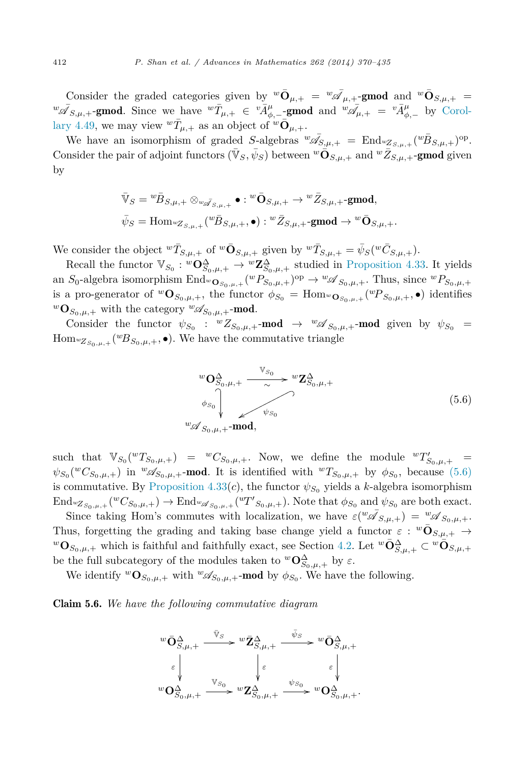<span id="page-42-0"></span>Consider the graded categories given by  $^w\overline{O}_{\mu,+} = {^w\mathscr{A}}_{\mu,+}$ -gmod and  $^w\overline{O}_{S,\mu,+}$  ${}^w\bar{\mathscr{A}}_{S,\mu,+}$ **-gmod**. Since we have  ${}^w\bar{T}_{\mu,+} \in {}^v\!\bar{A}^{\mu}_{\phi,-}$ **-gmod** and  ${}^w\bar{\mathscr{A}}_{\mu,+} = {}^v\!\bar{A}^{\mu}_{\phi,-}$  by [Corol](#page-38-0)[lary 4.49,](#page-38-0) we may view  ${}^w\bar{T}_{\mu,+}$  as an object of  ${}^w\bar{\mathbf{O}}_{\mu,+}$ .

We have an isomorphism of graded *S*-algebras  $^w\overline{\mathcal{A}}_{S,\mu,+} = \text{End}_{^{wZ_{S,\mu,+}}}({}^{w\overline{B}_{S,\mu,+}})^{\text{op}}$ . Consider the pair of adjoint functors  $(\bar{\mathbb{V}}_S, \bar{\psi}_S)$  between  $^w\bar{\mathbf{O}}_{S,\mu,+}$  and  $^w\bar{Z}_{S,\mu,+}$ **gmod** given by

$$
\begin{aligned}\n\bar{\mathbb{V}}_S &= {}^{w}\bar{B}_{S,\mu,+} \otimes {}_{^{w}\bar{\mathscr{A}}_{S,\mu,+}} \bullet : {}^{w}\bar{\mathbf{O}}_{S,\mu,+} \to {}^{w}\bar{Z}_{S,\mu,+} \text{-gmod}, \\
\bar{\psi}_S &= \text{Hom}_{{}^{w}\!Z_{S,\mu,+}}({}^{w}\!\bar{B}_{S,\mu,+}, \bullet) : {}^{w}\bar{Z}_{S,\mu,+} \text{-gmod} \to {}^{w}\bar{\mathbf{O}}_{S,\mu,+}.\n\end{aligned}
$$

We consider the object  ${}^{w}\bar{T}_{S,\mu,+}$  of  ${}^{w}\bar{O}_{S,\mu,+}$  given by  ${}^{w}\bar{T}_{S,\mu,+} = \bar{\psi}_{S}({}^{w}\bar{C}_{S,\mu,+}).$ 

Recall the functor  $\mathbb{V}_{S_0}:$   $^w\mathbb{O}_{S_0,\mu,+}^{\Delta} \to {^w\mathbb{Z}_{S_0,\mu,+}^{\Delta}}$  studied in [Proposition 4.33.](#page-28-0) It yields an *S*<sub>0</sub>-algebra isomorphism End<sub>*w*</sub>**O**<sub>*S*<sub>0</sub>,*u*<sub>*i*</sub>,  $(y^{\text{op}})$   $\rightarrow$  *w*<sub> $\mathscr{A}_{S_0,\mu}$ <sub>*i*</sub>, Thus, since *w*<sub>*P*<sub>S<sub>0</sub>,*u*<sub>*i*</sub></sub></sub></sub></sub> is a pro-generator of  ${}^w\mathbf{O}_{S_0,\mu,+}$ , the functor  $\phi_{S_0} = \text{Hom}_{{}^w\mathbf{O}_{S_0,\mu,+}}({}^wP_{S_0,\mu,+},\bullet)$  identifies  ${}^w\mathbf{O}_{S_0,\mu,+}$  with the category  ${}^w\mathscr{A}_{S_0,\mu,+}$ **mod**.

Consider the functor  $\psi_{S_0}$ :  ${}^wZ_{S_0,\mu,+}$ -mod  $\rightarrow {}^w\mathscr{A}_{S_0,\mu,+}$ -mod given by  $\psi_{S_0}$  =  $\text{Hom}_{^{wZ}S_0,\mu,+}(^{w}B_{S_0,\mu,+},\bullet)$ . We have the commutative triangle

$$
w\mathbf{O}_{S_0,\mu,+}^{\Delta} \xrightarrow{\nabla_{S_0}} w\mathbf{Z}_{S_0,\mu,+}^{\Delta}
$$
  
\n
$$
\phi_{S_0}
$$
\n
$$
w_{\mathscr{A}_{S_0,\mu,+}} \xrightarrow{\nabla_{S_0}} w\mathbf{Z}_{S_0,\mu,+}^{\Delta}
$$
\n
$$
(5.6)
$$

 $\text{such that } V_{S_0}({}^w T_{S_0,\mu,+}) = {}^w C_{S_0,\mu,+}$ . Now, we define the module  ${}^w T'_{S_0,\mu,+} =$  $\psi_{S_0}(^wC_{S_0,\mu,+})$  in  $^w\mathscr{A}_{S_0,\mu,+}$ -mod. It is identified with  $^wT_{S_0,\mu,+}$  by  $\phi_{S_0}$ , because (5.6) is commutative. By [Proposition 4.33\(](#page-28-0)*c*), the functor  $\psi_{S_0}$  yields a *k*-algebra isomorphism  $\text{End}_{{}^w\!Z_{S_0,\mu,+}}({}^wC_{S_0,\mu,+}) \to \text{End}_{{}^w\!M_{S_0,\mu,+}}({}^wT'_{S_0,\mu,+}).$  Note that  $\phi_{S_0}$  and  $\psi_{S_0}$  are both exact.

Since taking Hom's commutes with localization, we have  $\varepsilon({^w\mathscr{A}}_{S,\mu,+}) = {^w\mathscr{A}}_{S_0,\mu,+}$ . Thus, forgetting the grading and taking base change yield a functor  $\varepsilon : {}^wO_{S,\mu,+} \to$  ${}^w\mathbf{O}_{S_0,\mu,+}$  which is faithful and faithfully exact, see Section 4.2. Let  ${}^w\mathbf{O}_{S_0,\mu,+}^S \subset {}^w\mathbf{O}_{S,\mu,+}$ be the full subcategory of the modules taken to  $^wO_{S_0,\mu,+}^{\Delta}$  by  $\varepsilon$ .

We identify  $^wO_{S_0,\mu,+}$  with  $^w\mathscr{A}_{S_0,\mu,+}$ -mod by  $\phi_{S_0}$ . We have the following.

Claim 5.6. *We have the following commutative diagram*

$$
\begin{array}{ccc}\nw\bar{\mathbf{O}}_{S,\mu,+}^{\Delta} & \stackrel{\bar{\mathbb{V}}_S}{\longrightarrow} w\bar{\mathbf{Z}}_{S,\mu,+}^{\Delta} & \stackrel{\bar{\psi}_S}{\longrightarrow} w\bar{\mathbf{O}}_{S,\mu,+}^{\Delta}\\ \varepsilon & \Big\downarrow & \Big\downarrow\varepsilon & \varepsilon & \Big\downarrow\\ w\mathbf{O}_{S_0,\mu,+}^{\Delta} & \stackrel{\mathbb{V}_{S_0}}{\longrightarrow} w\mathbf{Z}_{S_0,\mu,+}^{\Delta} & \stackrel{\psi_{S_0}}{\longrightarrow} w\mathbf{O}_{S_0,\mu,+}^{\Delta}.\end{array}
$$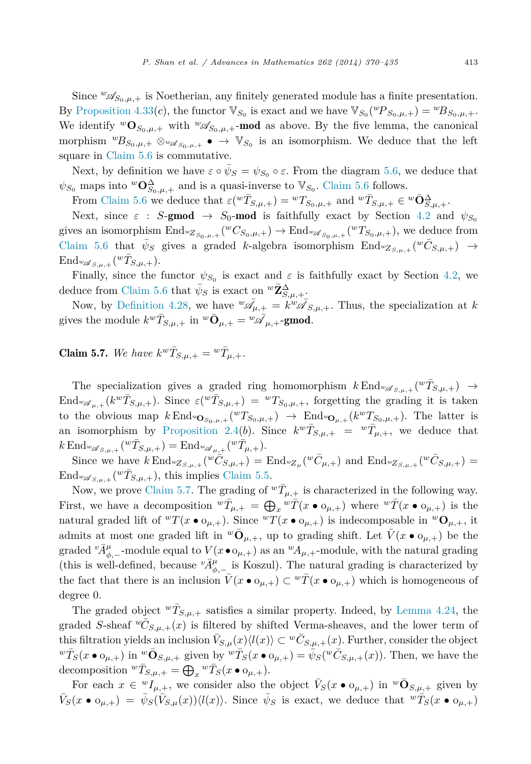<span id="page-43-0"></span>Since  $^w\mathscr{A}_{S_0,\mu,+}$  is Noetherian, any finitely generated module has a finite presentation. By [Proposition 4.33\(](#page-28-0)*c*), the functor  $\mathbb{V}_{S_0}$  is exact and we have  $\mathbb{V}_{S_0}({}^w P_{S_0,\mu,+}) = {}^w B_{S_0,\mu,+}$ . We identify  $^wO_{S_0,\mu,+}$  with  $^w\mathscr{A}_{S_0,\mu,+}$ -mod as above. By the five lemma, the canonical morphism  ${}^w\!B_{S_0,\mu,+}\otimes{}^w\!\mathcal{A}_{S_0,\mu,+}\bullet\to{}^w\!S_0$  is an isomorphism. We deduce that the left square in [Claim 5.6](#page-42-0) is commutative.

Next, by definition we have  $\varepsilon \circ \bar{\psi}_s = \psi_{s_0} \circ \varepsilon$ . From the diagram [5.6,](#page-42-0) we deduce that  $\psi_{S_0}$  maps into  $^wO_{S_0,\mu,+}^{\Delta}$  and is a quasi-inverse to  $\mathbb{V}_{S_0}$ . [Claim 5.6](#page-42-0) follows.

From [Claim](#page-42-0) 5.6 we deduce that  $\varepsilon({}^w \bar{T}_{S,\mu,+}) = {}^w T_{S_0,\mu,+}$  and  ${}^w \bar{T}_{S,\mu,+} \in {}^w \bar{\mathbf{O}}_{S,\mu,+}^{\Delta}$ .

Next, since  $\varepsilon$  : *S*-gmod  $\rightarrow$  *S*<sub>0</sub>-mod is faithfully exact by Section [4.2](#page-21-0) and  $\psi_{S_0}$ gives an isomorphism  $\text{End}_{^{wZ}S_0,\mu,+}(^{w}C_{S_0,\mu,+}) \to \text{End}_{^{w\mathscr{A}}S_0,\mu,+}(^{w}T_{S_0,\mu,+}),$  we deduce from [Claim 5.6](#page-42-0) that  $\bar{\psi}_S$  gives a graded *k*-algebra isomorphism  $\text{End}_{Z_{S,\mu,+}}({}^w\bar{C}_{S,\mu,+}) \rightarrow$  $\operatorname{End}_{{}^w\!\mathscr{A}_{S,\mu,+}}(^w\bar{T}_{S,\mu,+}).$ 

Finally, since the functor  $\psi_{S_0}$  is exact and  $\varepsilon$  is faithfully exact by Section [4.2,](#page-21-0) we deduce from [Claim 5.6](#page-42-0) that  $\bar{\psi}_S$  is exact on  ${}^w\bar{\mathbf{Z}}_{S,\mu,+}^{\Delta}$ .

Now, by [Definition](#page-24-0) 4.28, we have  ${}^w\overline{\mathscr{A}}_{\mu,+} = k^w\overline{\mathscr{A}}_{S,\mu,+}$ . Thus, the specialization at *k* gives the module  $k^w \bar{T}_{S,\mu,+}$  in  ${}^w \bar{O}_{\mu,+} = {}^w \bar{\mathscr{A}}_{\mu,+}$ -gmod.

 $\textbf{Claim 5.7.} \ \textit{We have} \ k^w \bar{T}_{S,\mu,+} = {}^w \bar{T}_{\mu,+}.$ 

The specialization gives a graded ring homomorphism  $k \text{ End}_{\mathscr{A}_{S,\mu,+}}({}^w \bar{T}_{S,\mu,+}) \rightarrow$  $\text{End}_{\mathscr{A}_{\mu,+}}(k^w \bar{T}_{S,\mu,+})$ . Since  $\varepsilon({}^w \bar{T}_{S,\mu,+}) = {}^w T_{S_0,\mu,+}$ , forgetting the grading it is taken to the obvious map  $k \text{ End}_{\mathcal{W}_{\mathcal{O}_{S_0,\mu,+}}}(\mathcal{W}_{S_0,\mu,+}) \to \text{End}_{\mathcal{W}_{\mathcal{O}_{\mu,+}}}(\mathcal{W}_{S_0,\mu,+})$ . The latter is an isomorphism by [Proposition 2.4\(](#page-7-0)*b*). Since  $k^w \bar{T}_{S,\mu,+} = w \bar{T}_{\mu,+}$ , we deduce that  $k \operatorname{End}_{\mathscr{A}_{S,\mu,+}}(^w \bar{T}_{S,\mu,+}) = \operatorname{End}_{^w\!\mathscr{A}_{\mu,+}}(^w \bar{T}_{\mu,+}).$ 

Since we have  $k \operatorname{End}_{Z_{S,\mu,+}}(w\overline{\tilde{C}}_{S,\mu,+}) = \operatorname{End}_{w_{Z_\mu}}(w\overline{\tilde{C}}_{\mu,+})$  and  $\operatorname{End}_{w_{Z_{S,\mu,+}}}(w\overline{\tilde{C}}_{S,\mu,+}) =$  $\text{End}_{\mathscr{A}_{S,\mu,+}}(^w \bar{T}_{S,\mu,+}),$  this implies [Claim 5.5.](#page-41-0)

Now, we prove Claim 5.7. The grading of  ${}^{w}\bar{T}_{\mu,+}$  is characterized in the following way. First, we have a decomposition  ${}^w\bar{T}_{\mu,+} = \bigoplus_x {}^w\bar{T}(x \bullet \mathfrak{o}_{\mu,+})$  where  ${}^w\bar{T}(x \bullet \mathfrak{o}_{\mu,+})$  is the natural graded lift of  ${}^wT(x \bullet o_{\mu,+})$ . Since  ${}^wT(x \bullet o_{\mu,+})$  is indecomposable in  ${}^wO_{\mu,+}$ , it admits at most one graded lift in  $^w\bar{\mathbf{O}}_{\mu,+}$ , up to grading shift. Let  $\bar{V}(x \bullet \mathbf{o}_{\mu,+})$  be the graded  ${}^{v} \bar{A}^{\mu}_{\phi,-}$ -module equal to  $V(x \bullet o_{\mu,+})$  as an  ${}^{w}A_{\mu,+}$ -module, with the natural grading (this is well-defined, because  $v \bar{A}^{\mu}_{\phi,-}$  is Koszul). The natural grading is characterized by the fact that there is an inclusion  $\bar{V}(x \bullet o_{\mu,+}) \subset {}^{w}\bar{T}(x \bullet o_{\mu,+})$  which is homogeneous of degree 0.

The graded object  ${}^{w} \bar{T}_{S,\mu,+}$  satisfies a similar property. Indeed, by [Lemma 4.24,](#page-23-0) the graded *S*-sheaf  $^{w}C_{S,\mu,+}(x)$  is filtered by shifted Verma-sheaves, and the lower term of this filtration yields an inclusion  $\bar{V}_{S,\mu}(x)\langle l(x)\rangle \subset {}^{w}\bar{C}_{S,\mu,+}(x)$ . Further, consider the object  ${}^{w}\bar{T}_{S}(x \bullet o_{\mu,+})$  in  ${}^{w}\bar{O}_{S,\mu,+}$  given by  ${}^{w}\bar{T}_{S}(x \bullet o_{\mu,+}) = \bar{\psi}_{S}({}^{w}\bar{C}_{S,\mu,+}(x)).$  Then, we have the decomposition  ${}^w\bar{T}_{S,\mu,+} = \bigoplus_x {}^w\bar{T}_S(x \bullet \mathfrak{o}_{\mu,+}).$ 

For each  $x \in {}^{w}I_{\mu,+}$ , we consider also the object  $\bar{V}_{S}(x \bullet o_{\mu,+})$  in  ${}^{w}\bar{\mathbf{O}}_{S,\mu,+}$  given by  $\bar{V}_S(x \bullet o_{\mu,+}) = \bar{\psi}_S(\bar{V}_{S,\mu}(x)) \langle l(x) \rangle$ . Since  $\bar{\psi}_S$  is exact, we deduce that  ${}^w\bar{T}_S(x \bullet o_{\mu,+})$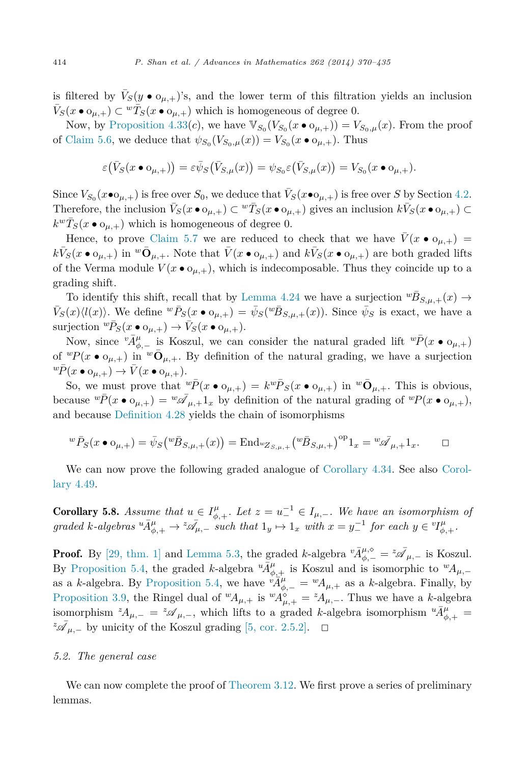<span id="page-44-0"></span>is filtered by  $\bar{V}_S(y \bullet o_{\mu,+})$ 's, and the lower term of this filtration yields an inclusion  $\bar{V}_S(x \bullet o_{\mu,+}) \subset {}^{w}\bar{T}_S(x \bullet o_{\mu,+})$  which is homogeneous of degree 0.

Now, by [Proposition 4.33\(](#page-28-0)*c*), we have  $\mathbb{V}_{S_0}(V_{S_0}(x \bullet \mathfrak{o}_{\mu,+})) = V_{S_0,\mu}(x)$ . From the proof of [Claim 5.6,](#page-42-0) we deduce that  $\psi_{S_0}(V_{S_0,\mu}(x)) = V_{S_0}(x \bullet \mathfrak{o}_{\mu,+})$ . Thus

$$
\varepsilon(\bar{V}_S(x \bullet \mathbf{o}_{\mu,+})) = \varepsilon \bar{\psi}_S(\bar{V}_{S,\mu}(x)) = \psi_{S_0} \varepsilon(\bar{V}_{S,\mu}(x)) = V_{S_0}(x \bullet \mathbf{o}_{\mu,+}).
$$

Since  $V_{S_0}(x \bullet o_{\mu,+})$  is free over  $S_0$ , we deduce that  $\bar{V}_S(x \bullet o_{\mu,+})$  is free over *S* by Section [4.2.](#page-21-0) Therefore, the inclusion  $\bar{V}_S(x \bullet o_{\mu,+}) \subset {}^w \bar{T}_S(x \bullet o_{\mu,+})$  gives an inclusion  $k\bar{V}_S(x \bullet o_{\mu,+}) \subset$  $k^w \bar{T}_S(x \bullet \mathfrak{0}_{\mu,+})$  which is homogeneous of degree 0.

Hence, to prove [Claim](#page-43-0) 5.7 we are reduced to check that we have  $\bar{V}(x \bullet o_{\mu,+})$  =  $k\bar{V}_S(x \bullet o_{\mu,+})$  in  ${}^w\bar{\mathbf{O}}_{\mu,+}$ . Note that  $\bar{V}(x \bullet o_{\mu,+})$  and  $k\bar{V}_S(x \bullet o_{\mu,+})$  are both graded lifts of the Verma module  $V(x \bullet o_{\mu,+})$ , which is indecomposable. Thus they coincide up to a grading shift.

To identify this shift, recall that by [Lemma](#page-23-0) 4.24 we have a surjection  ${}^w\overline{B}_{S,\mu,+}(x) \rightarrow$  $\bar{V}_S(x)\langle l(x)\rangle$ . We define  ${}^w\bar{P}_S(x \bullet o_{\mu,+}) = \bar{\psi}_S({}^w\bar{B}_{S,\mu,+}(x))$ . Since  $\bar{\psi}_S$  is exact, we have a  $\text{surjection } ^{w}P_{S}(x \bullet o_{\mu,+}) \to V_{S}(x \bullet o_{\mu,+}).$ 

Now, since  ${}^v\bar{A}^{\mu}_{\phi,-}$  is Koszul, we can consider the natural graded lift  ${}^{w}\bar{P}(x \bullet o_{\mu,+})$ of  ${}^{w}P(x \bullet o_{\mu,+})$  in  ${}^{w}\overline{O}_{\mu,+}$ . By definition of the natural grading, we have a surjection  ${}^{w}\overline{P}(x \bullet o_{\mu,+}) \to \overline{V}(x \bullet o_{\mu,+})$ .

So, we must prove that  ${}^w\bar{P}(x \bullet o_{\mu,+}) = k^w\bar{P}_S(x \bullet o_{\mu,+})$  in  ${}^w\bar{O}_{\mu,+}$ . This is obvious, because  ${}^{w}\bar{P}(x \bullet o_{\mu,+}) = {}^{w}\bar{A}_{\mu,+}1_{x}$  by definition of the natural grading of  ${}^{w}P(x \bullet o_{\mu,+}),$ and because [Definition 4.28](#page-24-0) yields the chain of isomorphisms

$$
{}^{w}\bar{P}_S(x \bullet \mathbf{o}_{\mu,+}) = \bar{\psi}_S({}^{w}\bar{B}_{S,\mu,+}(x)) = \text{End}{}^{w}\mathbf{Z}_{S,\mu,+}({}^{w}\bar{B}_{S,\mu,+})^{\text{op}}\mathbf{1}_x = {}^{w}\bar{\mathbf{Z}}_{\mu,+}\mathbf{1}_x. \square
$$

We can now prove the following graded analogue of [Corollary 4.34.](#page-29-0) See also [Corol](#page-38-0)[lary 4.49.](#page-38-0)

**Corollary 5.8.** Assume that  $u \in I_{\phi,+}^{\mu}$ . Let  $z = u^{-1} \in I_{\mu,-}$ . We have an isomorphism of  $graded \ k\text{-}algebras \ ^{u\bar{A}}\!\!\!\!{}^{\mu}_{\phi,+} \to {^z\!\!\!\mathscr{A}}_{\mu,-} \ \ \textit{such that} \ 1_y \mapsto 1_x \ \ \textit{with} \ \ x = y^{-1}_- \ \ \textit{for each} \ \ y \in {^v\!I}_{\phi,+}^\mu.$ 

**Proof.** By [29, [thm. 1\]](#page-65-0) and [Lemma 5.3,](#page-40-0) the graded *k*-algebra  ${}^v \bar{A}^{\mu,\diamond}_{\phi,-} = {}^z \bar{\mathscr{A}}_{\mu,-}$  is Koszul. By [Proposition 5.4,](#page-40-0) the graded *k*-algebra  $^u \bar{A}^{\mu}_{\phi,+}$  is Koszul and is isomorphic to  $^w A_{\mu,-}$ as a *k*-algebra. By [Proposition 5.4,](#page-40-0) we have  $v \tilde{A}^{\mu}_{\phi,-} = w A_{\mu,+}$  as a *k*-algebra. Finally, by [Proposition 3.9,](#page-15-0) the Ringel dual of  ${}^wA_{\mu,+}$  is  ${}^wA_{\mu,+}^{\diamond} = {}^zA_{\mu,-}$ . Thus we have a *k*-algebra isomorphism  ${}^zA_{\mu,-} = {}^z\mathscr{A}_{\mu,-}$ , which lifts to a graded *k*-algebra isomorphism  ${}^u\bar{A}^{\mu}_{\phi,+} = {}^z\mathscr{A}$  by unicity of the Koszul grading [5, cor 2.5.2]  $\overline{\mathscr{A}}_{\mu,-}$  by unicity of the Koszul grading [\[5, cor. 2.5.2\].](#page-64-0)  $\Box$ 

# *5.2. The general case*

We can now complete the proof of [Theorem 3.12.](#page-16-0) We first prove a series of preliminary lemmas.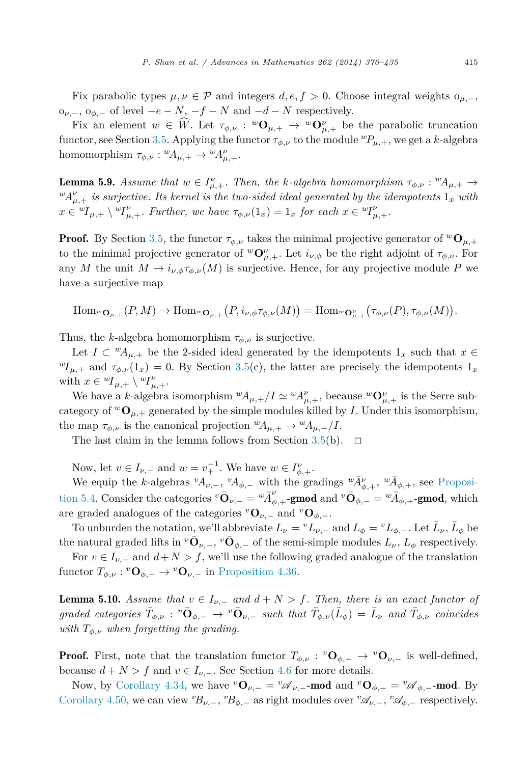<span id="page-45-0"></span>Fix parabolic types  $\mu, \nu \in \mathcal{P}$  and integers  $d, e, f > 0$ . Choose integral weights  $o_{\mu,-}$ , o*ν,*−, o*φ,*<sup>−</sup> of level −*e* − *N*, −*f* − *N* and −*d* − *N* respectively.

Fix an element  $w \in W$ . Let  $\tau_{\phi,\nu}: {^w\mathbf{O}_{\mu,+}} \to {^w\mathbf{O}_{\mu,+}}$  be the parabolic truncation functor, see Section [3.5.](#page-15-0) Applying the functor  $\tau_{\phi,\nu}$  to the module  ${}^wP_{\mu,+}$ , we get a *k*-algebra homomorphism  $\tau_{\phi,\nu}: {}^{w}A_{\mu,+} \to {}^{w}A_{\mu,+}^{\nu}$ .

**Lemma 5.9.** *Assume that*  $w \in I_{\mu,+}^{\nu}$ . *Then, the k-algebra homomorphism*  $\tau_{\phi,\nu}: {}^{w}A_{\mu,+} \to {}^{w}A_{\mu,+}^{\nu}$  is surjective. Its kernel is the two-sided ideal generated by the idempotents  $1_x$  with  $u_{A_{\mu,+}}^{\mu}$  *is surjective. Its kernel is the two-sided ideal generated by the idempotents*  $1_x$  *with*  $x \in {}^{w}I_{\mu,+} \setminus {}^{w}I^{\nu}_{\mu,+}$ *. Further, we have*  $\tau_{\phi,\nu}(1_x) = 1_x$  *for each*  $x \in {}^{w}I^{\nu}_{\mu,+}$ *.* 

**Proof.** By Section [3.5,](#page-15-0) the functor  $\tau_{\phi,\nu}$  takes the minimal projective generator of  $^wO_{\mu,+}$ to the minimal projective generator of  $^wO_{\mu,+}^{\nu}$ . Let  $i_{\nu,\phi}$  be the right adjoint of  $\tau_{\phi,\nu}$ . For any *M* the unit  $M \to i_{\nu,\phi} \tau_{\phi,\nu}(M)$  is surjective. Hence, for any projective module P we have a surjective map

$$
\mathrm{Hom}_{^w\mathbf{O}_{\mu,+}}(P,M)\to \mathrm{Hom}_{^w\mathbf{O}_{\mu,+}}(P,i_{\nu,\phi}\tau_{\phi,\nu}(M))=\mathrm{Hom}_{^w\mathbf{O}_{\mu,+}^{\nu}}(\tau_{\phi,\nu}(P),\tau_{\phi,\nu}(M)).
$$

Thus, the *k*-algebra homomorphism  $\tau_{\phi,\nu}$  is surjective.

Let  $I \subset {}^{w}A_{\mu,+}$  be the 2-sided ideal generated by the idempotents  $1_x$  such that  $x \in {}^{w}I_{\mu,+}$  and  $\tau_{\phi,\nu}(1_x) = 0$ . By Section [3.5\(](#page-15-0)c), the latter are precisely the idempotents  $1_x$ with  $x \in {}^{w}I_{\mu,+} \setminus {}^{w}I_{\mu,+}^{\nu}$ .

We have a *k*-algebra isomorphism  ${}^wA_{\mu,+}/I \simeq {}^wA_{\mu,+}^{\nu}$ , because  ${}^w\mathbf{O}_{\mu,+}^{\nu}$  is the Serre subcategory of  $^wO_{\mu,+}$  generated by the simple modules killed by *I*. Under this isomorphism, the map  $\tau_{\phi,\nu}$  is the canonical projection  ${}^wA_{\mu,+} \to {}^wA_{\mu,+}/I$ .

The last claim in the lemma follows from Section [3.5\(](#page-15-0)b).  $\Box$ 

Now, let  $v \in I_{\nu,-}$  and  $w = v_{+}^{-1}$ . We have  $w \in I_{\phi,+}^{\nu}$ .

We equip the *k*-algebras  ${}^v A_{\nu,-}$ ,  ${}^v A_{\phi,-}$  with the gradings  ${}^w \bar{A}^{\nu}_{\phi,+}$ ,  ${}^w \bar{A}_{\phi,+}$ , see [Proposi](#page-40-0)[tion 5.4.](#page-40-0) Consider the categories  ${}^v \bar{\mathbf{O}}_{\nu,-} = {}^w \bar{A}^{\nu}_{\phi,+}$ -gmod and  ${}^v \bar{\mathbf{O}}_{\phi,-} = {}^w \bar{A}_{\phi,+}$ -gmod, which are graded analogues of the categories  $^vO_{\nu,-}$  and  $^vO_{\phi,-}$ .

To unburden the notation, we'll abbreviate  $L_{\nu} = {^v}L_{\nu,-}$  and  $L_{\phi} = {^v}L_{\phi,-}$ . Let  $L_{\nu}, L_{\phi}$  be the natural graded lifts in <sup>*v*</sup>**O**<sub>*v*</sub>,−, <sup>*v*</sup>**O**<sub>*φ*</sub>,− of the semi-simple modules  $L_{\nu}$ ,  $L_{\phi}$  respectively.

For  $v \in I_{\nu,-}$  and  $d+N>f$ , we'll use the following graded analogue of the translation functor  $T_{\phi,\nu}: {^v}O_{\phi,-} \to {^v}O_{\nu,-}$  in [Proposition 4.36.](#page-30-0)

**Lemma 5.10.** *Assume that*  $v \in I_{\nu,-}$  *and*  $d + N > f$ *. Then, there is an exact functor of* graded categories  $\bar{T}_{\phi,\nu}: {^v\bar{\mathbf{O}}}_{\phi,-} \to {^v\bar{\mathbf{O}}}_{\nu,-}$  such that  $\bar{T}_{\phi,\nu}(\bar{L}_{\phi}) = \bar{L}_{\nu}$  and  $\bar{T}_{\phi,\nu}$  coincides *with Tφ,ν when forgetting the grading.*

**Proof.** First, note that the translation functor  $T_{\phi,\nu}: {^v}O_{\phi,-} \to {^v}O_{\nu,-}$  is well-defined, because  $d + N > f$  and  $v \in I_{\nu,-}$ . See Section [4.6](#page-29-0) for more details.

Now, by [Corollary](#page-29-0) 4.34, we have  ${}^v\mathbf{O}_{\nu,-} = {}^v\mathscr{A}_{\nu,-}$ -mod and  ${}^v\mathbf{O}_{\phi,-} = {}^v\mathscr{A}_{\phi,-}$ -mod. By [Corollary 4.50,](#page-38-0) we can view  ${}^v\!B_{\nu,-}$ ,  ${}^v\!B_{\phi,-}$  as right modules over  ${}^v\!{\mathscr A}_{\nu,-}$ ,  ${}^v\!{\mathscr A}_{\phi,-}$  respectively.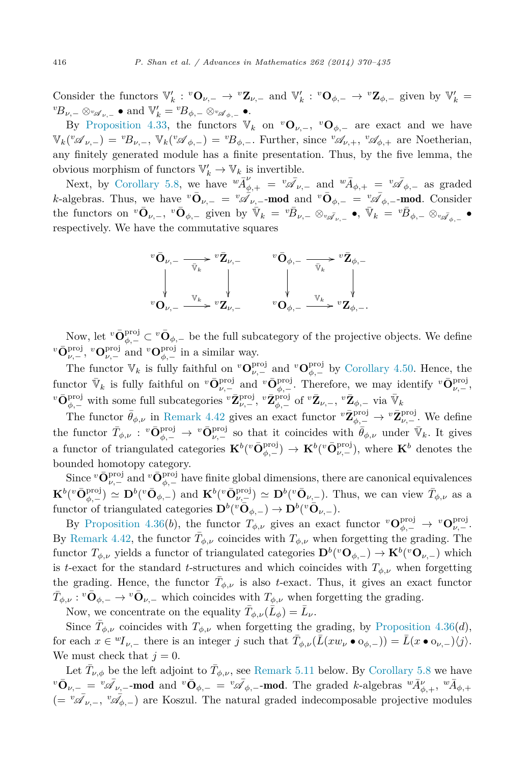Consider the functors  $\mathbb{V}_k' : {^v\mathbf{O}_{\nu,-}} \to {^v\mathbf{Z}_{\nu,-}}$  and  $\mathbb{V}_k' : {^v\mathbf{O}_{\phi,-}} \to {^v\mathbf{Z}_{\phi,-}}$  given by  $\mathbb{V}_k' = {^vR}_{\nu,-}$  and  $\mathbb{V}' = {^vR}_{\nu,-}$  some  $\mathbb{V}_k' = \mathbb{V}$ *B*<sup>*ν*</sup>,− ⊗*v*<sub>*N*</sub><sup>*γ*</sup>,− • and  $\mathbb{V}'_k = {^vB_{\phi, -}} \otimes {^v\mathscr{A}_{\phi, -}}$  •.

By [Proposition 4.33,](#page-28-0) the functors  $\mathbb{V}_k$  on  ${}^v\mathbf{O}_{\nu,-}$ ,  ${}^v\mathbf{O}_{\phi,-}$  are exact and we have  $\mathbb{V}_k(v\mathscr{A}_{\nu,-}) = {}^v\!B_{\nu,-}, \mathbb{V}_k(v\mathscr{A}_{\phi,-}) = {}^v\!B_{\phi,-}.$  Further, since  ${}^v\!\mathscr{A}_{\nu,+}, {}^v\!\mathscr{A}_{\phi,+}$  are Noetherian, any finitely generated module has a finite presentation. Thus, by the five lemma, the obvious morphism of functors  $\mathbb{V}'_k \to \mathbb{V}_k$  is invertible.

Next, by [Corollary](#page-44-0) 5.8, we have  ${}^w\bar{A}^{\nu}_{\phi,+} = {}^v\!\overline{\mathscr{A}}_{\nu,-}$  and  ${}^w\bar{A}_{\phi,+} = {}^v\!\overline{\mathscr{A}}_{\phi,-}$  as graded *k*-algebras. Thus, we have  ${}^v\bar{\mathbf{O}}_{\nu,-} = {}^v\mathscr{\bar{A}}_{\nu,-}$ -mod and  ${}^v\bar{\mathbf{O}}_{\phi,-} = {}^v\mathscr{\bar{A}}_{\phi,-}$ -mod. Consider  $\overline{\mathbf{v}}$  the functors on  ${}^v\overline{\mathbf{O}}_{\nu,-}$ ,  ${}^v\overline{\mathbf{O}}_{\phi,-}$  given by  $\overline{\mathbb{V}}_k = {}^v\overline{B}_{\nu,-} \otimes {}_{^v\mathscr{A}_{\nu,-}} \bullet$ ,  $\overline{\mathbb{V}}_k = {}^v\overline{B}_{\phi,-} \otimes {}_{^v\mathscr{A}_{\phi,-}} \bullet$ respectively. We have the commutative squares



Now, let <sup>*v*</sup> $\overrightarrow{\mathbf{O}}_{\phi,-}^{\text{proj}} \subset {}^{v} \overrightarrow{\mathbf{O}}_{\phi,-}$  be the full subcategory of the projective objects. We define  $v\overline{\mathbf{O}}_{\nu,-}^{\text{proj}}, v\mathbf{O}_{\nu,-}^{\text{proj}}$  and  $v\mathbf{O}_{\phi,-}^{\text{proj}}$  in a similar way.

The functor  $\mathbb{V}_k$  is fully faithful on  $^v\mathbb{O}_{\nu,-}^{\text{proj}}$  and  $^v\mathbb{O}_{\phi,-}^{\text{proj}}$  by [Corollary 4.50.](#page-38-0) Hence, the functor  $\bar{\mathbb{V}}_k$  is fully faithful on  ${}^v\bar{\mathbf{O}}_{\nu,-}^{\text{proj}}$  and  ${}^v\bar{\mathbf{O}}_{\nu,-}^{\text{proj}}$ . Therefore, we may identify  ${}^v\bar{\mathbf{O}}_{\nu,-}^{\text{proj}}$ ,  $v\bar{\mathbf{O}}_{\phi,-}^{\text{proj}}$  with some full subcategories  $v\bar{\mathbf{Z}}_{\nu,-}^{\text{proj}}, v\bar{\mathbf{Z}}_{\phi,-}^{\text{proj}}$  of  $v\bar{\mathbf{Z}}_{\nu,-}, v\bar{\mathbf{Z}}_{\phi,-}$  via  $\bar{\mathbb{V}}_k$ 

The functor  $\bar{\theta}_{\phi,\nu}$  in [Remark 4.42](#page-34-0) gives an exact functor  $v\bar{\mathbf{Z}}_{\phi,-}^{\text{proj}} \to v\bar{\mathbf{Z}}_{\nu,-}^{\text{proj}}$ . We define the functor  $\bar{T}_{\phi,\nu}: {^v\mathbf{\bar{O}}}_{\phi,-}^{\text{proj}} \to {^v\mathbf{\bar{O}}}_{\nu,-}^{\text{proj}}$  so that it coincides with  $\bar{\theta}_{\phi,\nu}$  under  $\bar{\mathbb{V}}_k$ . It gives a functor of triangulated categories  $\mathbf{K}^b({}^v\bar{\mathbf{O}}_{\phi,-}^{\text{proj}}) \to \mathbf{K}^b({}^v\bar{\mathbf{O}}_{\nu,-}^{\text{proj}})$ , where  $\mathbf{K}^b$  denotes the bounded homotopy category.

Since  $v\bar{\mathbf{O}}_{\nu,-}^{\text{proj}}$  and  $v\bar{\mathbf{O}}_{\phi,-}^{\text{proj}}$  have finite global dimensions, there are canonical equivalences  $\mathbf{K}^b(^v\bar{\mathbf{O}}_{\phi,-}^{\text{proj}}) \simeq \mathbf{D}^b(^v\bar{\mathbf{O}}_{\phi,-})$  and  $\mathbf{K}^b(^v\bar{\mathbf{O}}_{\nu,-}^{\text{proj}}) \simeq \mathbf{D}^b(^v\bar{\mathbf{O}}_{\nu,-})$ . Thus, we can view  $\bar{T}_{\phi,\nu}$  as a functor of triangulated categories  $\mathbf{D}^b(^v\bar{\mathbf{O}}_{\phi,-}) \to \mathbf{D}^b(^v\bar{\mathbf{O}}_{\nu,-}).$ 

By [Proposition 4.36\(](#page-30-0)*b*), the functor  $T_{\phi,\nu}$  gives an exact functor  $^v\mathbf{O}_{\phi,-}^{\text{proj}} \to {^v\mathbf{O}_{\nu,-}^{\text{proj}}}.$ By [Remark 4.42,](#page-34-0) the functor  $\bar{T}_{\phi,\nu}$  coincides with  $T_{\phi,\nu}$  when forgetting the grading. The functor  $T_{\phi,\nu}$  yields a functor of triangulated categories  $\mathbf{D}^b(^v\mathbf{O}_{\phi,-}) \to \mathbf{K}^b(^v\mathbf{O}_{\nu,-})$  which is *t*-exact for the standard *t*-structures and which coincides with  $T_{\phi,\nu}$  when forgetting the grading. Hence, the functor  $\bar{T}_{\phi,\nu}$  is also *t*-exact. Thus, it gives an exact functor  $\bar{T}_{\phi,\nu}: {^v\bar{\mathbf{O}}}_{\phi,-} \to {^v\bar{\mathbf{O}}}_{\nu,-}$  which coincides with  $T_{\phi,\nu}$  when forgetting the grading.

Now, we concentrate on the equality  $\bar{T}_{\phi,\nu}(\bar{L}_{\phi}) = \bar{L}_{\nu}$ .

Since  $\bar{T}_{\phi,\nu}$  coincides with  $T_{\phi,\nu}$  when forgetting the grading, by [Proposition 4.36\(](#page-30-0)*d*), for each  $x \in {}^{w}I_{\nu,-}$  there is an integer *j* such that  $\overline{T}_{\phi,\nu}(\overline{L}(xw_{\nu} \bullet o_{\phi,-})) = \overline{L}(x \bullet o_{\nu,-})\langle j \rangle$ . We must check that  $j = 0$ .

Let  $\bar{T}_{\nu,\phi}$  be the left adjoint to  $\bar{T}_{\phi,\nu}$ , see [Remark 5.11](#page-47-0) below. By [Corollary 5.8](#page-44-0) we have  $v\bar{\mathbf{O}}_{\nu,-} = v\bar{\mathscr{A}}_{\nu,-}$ -mod and  $v\bar{\mathbf{O}}_{\phi,-} = v\bar{\mathscr{A}}_{\phi,-}$ -mod. The graded *k*-algebras  $w\bar{A}^{\nu}_{\phi,+}, w\bar{A}_{\phi,+}$ (=  $\vec{v}_{\mathscr{A}_{\nu,-}}$ ,  $\vec{v}_{\mathscr{A}_{\phi,-}}$ ) are Koszul. The natural graded indecomposable projective modules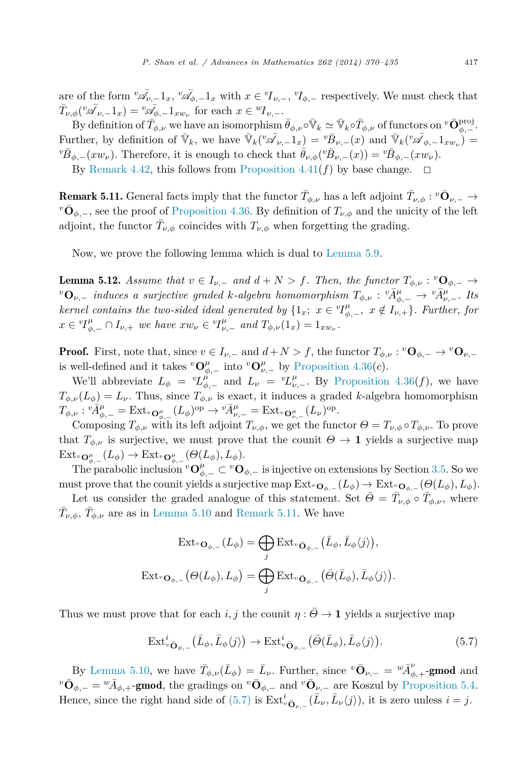<span id="page-47-0"></span>are of the form  $\sqrt[n]{\mathscr{A}}_{\nu,-}1_x$ ,  $\sqrt[n]{\mathscr{A}}_{\phi,-}1_x$  with  $x \in {^vI}_{\nu,-}$ ,  ${^vI}_{\phi,-}$  respectively. We must check that  $\bar{T}_{\nu,\phi}(^v\bar{a}_{\nu,-1x}) = {^v\bar{a}_{\phi,-1xw_{\nu}}}$  for each  $x \in {^wI}_{\nu,-1}$ .

By definition of  $\overline{T}_{\phi,\nu}$  we have an isomorphism  $\overline{\theta}_{\phi,\nu} \circ \overline{V}_k \simeq \overline{V}_k \circ \overline{T}_{\phi,\nu}$  of functors on  $^v \overline{Q}_{\phi,-}^{\text{proj}}$ . Further, by definition of  $\bar{\mathbb{V}}_k$ , we have  $\bar{\mathbb{V}}_k({}^v\bar{\mathscr{A}}_{\nu,-1x}) = {}^v\bar{B}_{\nu,-}(x)$  and  $\bar{\mathbb{V}}_k({}^v\bar{\mathscr{A}}_{\phi,-1xw_{\nu}}) = {}^v\bar{B}_{\nu-}(xv)$ . Therefore it is enough to check that  $\bar{\theta}_{\nu-1}({}^v\bar{B}_{\nu-1}(x)) = {}^v$  $B_{\phi,-}(xw_{\nu})$ . Therefore, it is enough to check that  $\bar{\theta}_{\nu,\phi}(^v\bar{B}_{\nu,-}(x)) = {}^v\bar{B}_{\phi,-}(xw_{\nu})$ .

By [Remark](#page-34-0) 4.42, this follows from Proposition  $4.41(f)$  by base change.  $\Box$ 

**Remark 5.11.** General facts imply that the functor  $\bar{T}_{\phi,\nu}$  has a left adjoint  $\bar{T}_{\nu,\phi}: {^v\mathbf{O}_{\nu,-}} \to {^v\mathbf{O}_{\phi,-}}$ , see the proof of [Proposition 4.36.](#page-30-0) By definition of  $T_{\nu,\phi}$  and the unicity of the left adjoint, the functor  $\bar{T}_{\nu,\phi}$  coincides with  $T_{\nu,\phi}$  when forgetting the grading.

Now, we prove the following lemma which is dual to [Lemma](#page-45-0) 5.9.

**Lemma 5.12.** Assume that  $v \in I_{\nu,-}$  and  $d + N > f$ . Then, the functor  $T_{\phi,\nu}: {^v\mathbf{O}_{\phi,-}} \to {^v\mathbf{O}_{\nu,-}}$  induces a surjective graded k-algebra homomorphism  $T_{\phi,\nu}: {^v\bar{A}_{\phi,-}^{\mu}} \to {^v\bar{A}_{\nu,-}^{\mu}}$ . Its *kernel contains the two-sided ideal generated by*  $\{1_x; x \in {}^vI^{\mu}_{\phi,-}, x \notin I_{\nu,+}\}\)$ *. Further, for*  $x \in {}^{v}I_{\phi,-}^{\mu} \cap I_{\nu,+}$  *we have*  $xw_{\nu} \in {}^{v}I_{\nu,-}^{\mu}$  *and*  $T_{\phi,\nu}(1_{x})=1_{xw_{\nu}}$ *.* 

**Proof.** First, note that, since  $v \in I_{\nu,-}$  and  $d+N>f$ , the functor  $T_{\phi,\nu}: {^v}O_{\phi,-} \to {^v}O_{\nu,-}$ is well-defined and it takes  $^v\mathbf{O}_{\phi,-}^{\mu}$  into  $^v\mathbf{O}_{\nu,-}^{\mu}$  by [Proposition 4.36\(](#page-30-0)*c*).

We'll abbreviate  $L_{\phi} = v L^{\mu}_{\phi,-}$  and  $L_{\nu} = v L^{\mu}_{\nu,-}$ . By [Proposition 4.36\(](#page-30-0)*f*), we have  $T_{\phi,\nu}(L_{\phi}) = L_{\nu}$ . Thus, since  $T_{\phi,\nu}$  is exact, it induces a graded *k*-algebra homomorphism  $T_{\phi,\nu}: {^v\!\bar{A}}_{\phi,-}^\mu = \mathrm{Ext}_v\mathbf{o}_{\phi,-}^\mu (L_\phi)^{\mathrm{op}} \to {^v\!\bar{A}}_{\nu,-}^\mu = \mathrm{Ext}_v\mathbf{o}_{\nu,-}^\mu (L_\nu)^{\mathrm{op}}.$ 

Composing  $T_{\phi,\nu}$  with its left adjoint  $T_{\nu,\phi}$ , we get the functor  $\Theta = T_{\nu,\phi} \circ T_{\phi,\nu}$ . To prove that  $T_{\phi,\nu}$  is surjective, we must prove that the counit  $\theta \to 1$  yields a surjective map  $\operatorname{Ext}_{\nu} \mathbf{o}_{\phi,-}^{\mu}(L_{\phi}) \to \operatorname{Ext}_{\nu} \mathbf{o}_{\phi,-}^{\mu}(\Theta(L_{\phi}), L_{\phi}).$ 

The parabolic inclusion  $^v\mathbf{O}_{\phi,-}^{\mu} \subset {}^v\mathbf{O}_{\phi,-}$  is injective on extensions by Section [3.5.](#page-15-0) So we must prove that the counit yields a surjective map  $Ext_{\nu_{\mathbf{O}_{\phi_{-}}}}(L_{\phi}) \to Ext_{\nu_{\mathbf{O}_{\phi_{-}}}}(\Theta(L_{\phi}), L_{\phi}).$ 

Let us consider the graded analogue of this statement. Set  $\bar{\Theta} = \bar{T}_{\nu,\phi} \circ \bar{T}_{\phi,\nu}$ , where  $\bar{T}_{\nu,\phi}$ ,  $\bar{T}_{\phi,\nu}$  are as in [Lemma 5.10](#page-45-0) and Remark 5.11. We have

$$
\operatorname{Ext}_{\mathbf{v}}_{\mathbf{O}_{\phi,-}}(L_{\phi}) = \bigoplus_{j} \operatorname{Ext}_{\mathbf{v}}_{\bar{\mathbf{O}}_{\phi,-}}(\bar{L}_{\phi}, \bar{L}_{\phi}\langle j \rangle),
$$
  

$$
\operatorname{Ext}_{\mathbf{v}}_{\mathbf{O}_{\phi,-}}(\Theta(L_{\phi}), L_{\phi}) = \bigoplus_{j} \operatorname{Ext}_{\mathbf{v}}_{\bar{\mathbf{O}}_{\phi,-}}(\bar{\Theta}(\bar{L}_{\phi}), \bar{L}_{\phi}\langle j \rangle).
$$

Thus we must prove that for each *i, j* the counit  $\eta : \bar{\Theta} \to \mathbf{1}$  yields a surjective map

$$
\operatorname{Ext}^i_{\nu} \bar{\mathbf{O}}_{\phi,-} (\bar{L}_{\phi}, \bar{L}_{\phi} \langle j \rangle) \to \operatorname{Ext}^i_{\nu} \bar{\mathbf{O}}_{\phi,-} (\bar{\Theta}(\bar{L}_{\phi}), \bar{L}_{\phi} \langle j \rangle). \tag{5.7}
$$

By [Lemma 5.10,](#page-45-0) we have  $\bar{T}_{\phi,\nu}(\bar{L}_{\phi}) = \bar{L}_{\nu}$ . Further, since  ${}^v\bar{\mathbf{O}}_{\nu,-} = {}^w\bar{A}^{\nu}_{\phi,+}$ -gmod and  $v\bar{\mathbf{O}}_{\phi,-} = w\bar{A}_{\phi,+}$ -gmod, the gradings on  $v\bar{\mathbf{O}}_{\phi,-}$  and  $v\bar{\mathbf{O}}_{\nu,-}$  are Koszul by [Proposition 5.4.](#page-40-0) Hence, since the right hand side of  $(5.7)$  is  $\text{Ext}_{v}^{i} \bar{\mathbf{o}}_{\nu,-}(\bar{L}_{\nu}, \bar{L}_{\nu}(j))$ , it is zero unless  $i = j$ .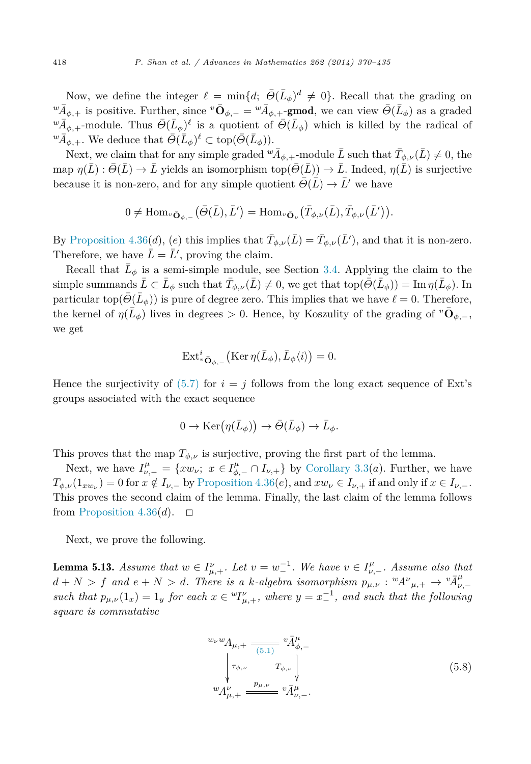<span id="page-48-0"></span>Now, we define the integer  $\ell = \min\{d; \overline{\Theta}(\overline{L}_{\phi})^d \neq 0\}$ . Recall that the grading on  ${}^w\overline{A}_{\phi,+}$  is positive. Further, since  ${}^v\overline{\mathbf{O}}_{\phi,-} = {}^w\overline{A}_{\phi,+}$ -gmod, we can view  $\overline{\Theta}(\overline{L}_{\phi})$  as a graded  ${}^w\bar{A}_{\phi,+}$ -module. Thus  $\bar{\Theta}(\bar{L}_{\phi})^{\ell}$  is a quotient of  $\bar{\Theta}(\bar{L}_{\phi})$  which is killed by the radical of  ${}^{w\bar{A}}\phi$ <sub>,+</sub>. We deduce that  $\bar{\Theta}(\bar{L}_{\phi})^{\ell} \subset \text{top}(\bar{\Theta}(\bar{L}_{\phi}))$ .

Next, we claim that for any simple graded  ${}^w\bar{A}_{\phi,+}$ -module  $\bar{L}$  such that  $\bar{T}_{\phi,\nu}(\bar{L}) \neq 0$ , the  $\text{map } \eta(\bar{L}) : \bar{\Theta}(\bar{L}) \to \bar{L}$  yields an isomorphism  $\text{top}(\bar{\Theta}(\bar{L})) \to \bar{L}$ . Indeed,  $\eta(\bar{L})$  is surjective because it is non-zero, and for any simple quotient  $\overline{\Theta}(\overline{L}) \to \overline{L}'$  we have

$$
0 \neq \text{Hom}_{\nu\bar{\mathbf{O}}_{\phi,-}}\big(\bar{\Theta}(\bar{L}),\bar{L}'\big) = \text{Hom}_{\nu\bar{\mathbf{O}}_{\nu}}\big(\bar{T}_{\phi,\nu}(\bar{L}),\bar{T}_{\phi,\nu}\big(\bar{L}'\big)\big).
$$

By [Proposition 4.36\(](#page-30-0)*d*), (*e*) this implies that  $\bar{T}_{\phi,\nu}(\bar{L}) = \bar{T}_{\phi,\nu}(\bar{L}')$ , and that it is non-zero. Therefore, we have  $\bar{L} = \bar{L}'$ , proving the claim.

Recall that  $L_{\phi}$  is a semi-simple module, see Section [3.4.](#page-13-0) Applying the claim to the  $\lim_{\Delta \to 0} \lim_{\Delta \to 0} \frac{1}{\Delta} \leq \bar{L}_{\phi} \text{ such that } \bar{T}_{\phi,\nu}(\bar{L}) \neq 0$ , we get that  $\text{top}(\bar{\Theta}(\bar{L}_{\phi})) = \text{Im } \eta(\bar{L}_{\phi})$ . In particular top( $\Theta(L_{\phi})$ ) is pure of degree zero. This implies that we have  $\ell = 0$ . Therefore, the kernel of  $\eta(L_{\phi})$  lives in degrees > 0. Hence, by Koszulity of the grading of  ${}^{v}O_{\phi,-}$ , we get

$$
\operatorname{Ext}_{^v\bar{\mathbf{O}}_{\phi,-}}^i\bigl(\operatorname{Ker} \eta(\bar{L}_{\phi}), \bar{L}_{\phi}\langle i \rangle\bigr) = 0.
$$

Hence the surjectivity of  $(5.7)$  for  $i = j$  follows from the long exact sequence of Ext's groups associated with the exact sequence

$$
0 \to \text{Ker}(\eta(\bar{L}_{\phi})) \to \bar{\Theta}(\bar{L}_{\phi}) \to \bar{L}_{\phi}.
$$

This proves that the map  $T_{\phi,\nu}$  is surjective, proving the first part of the lemma.

Next, we have  $I_{\nu,-}^{\mu} = \{xw_{\nu}; x \in I_{\phi,-}^{\mu} \cap I_{\nu,+}\}\$  by [Corollary 3.3\(](#page-13-0)*a*). Further, we have  $T_{\phi,\nu}(1_{xw_{\nu}}) = 0$  for  $x \notin I_{\nu,-}$  by [Proposition 4.36\(](#page-30-0)*e*), and  $xw_{\nu} \in I_{\nu,+}$  if and only if  $x \in I_{\nu,-}$ . This proves the second claim of the lemma. Finally, the last claim of the lemma follows from [Proposition 4.36\(](#page-30-0)*d*).  $\Box$ 

Next, we prove the following.

**Lemma 5.13.** Assume that  $w \in I_{\mu,+}^{\nu}$ . Let  $v = w_{-}^{-1}$ . We have  $v \in I_{\nu,-}^{\mu}$ . Assume also that  $d + N > f$  and  $e + N > d$ . There is a *k*-algebra isomorphism  $p_{\mu,\nu}: {}^{w}A^{\nu}{}_{\mu,+} \to {}^{v}\bar{A}^{\mu}{}_{\nu,-}$ *such that*  $p_{\mu,\nu}(1_x) = 1_y$  *for each*  $x \in {}^{w}I^{\nu}_{\mu,+}$ , where  $y = x_{-}^{-1}$ , and such that the following *square is commutative*

$$
w_{\nu} w_{A_{\mu,+}} \xrightarrow{(\overline{5},1)} v_{A_{\phi,-}} \overline{A_{\phi,-}} \qquad (5.8)
$$

$$
w_{A_{\mu,+}} \xrightarrow{p_{\mu,\nu}} v_{A_{\nu,-}} \cdots \xrightarrow{p_{\mu,\nu}}
$$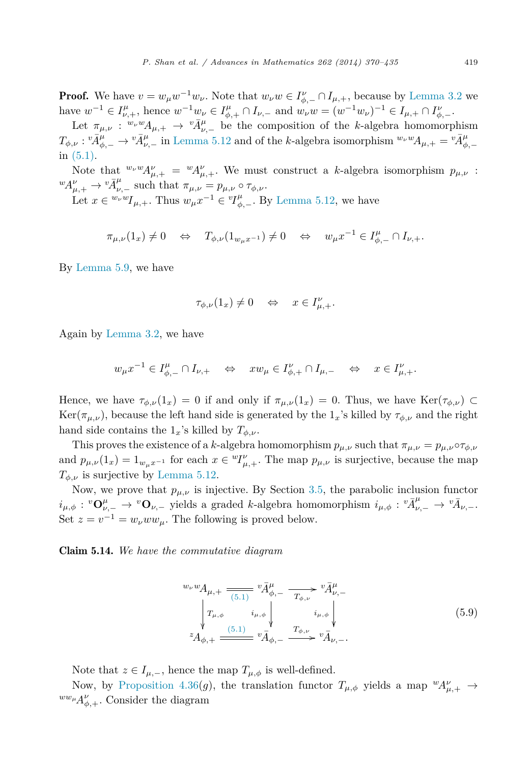<span id="page-49-0"></span>**Proof.** We have  $v = w_\mu w^{-1} w_\nu$ . Note that  $w_\nu w \in I_{\phi, -}^{\nu} \cap I_{\mu, +}$ , because by [Lemma 3.2](#page-12-0) we have  $w^{-1} \in I_{\nu,+}^{\mu}$ , hence  $w^{-1}w_{\nu} \in I_{\phi,+}^{\mu} \cap I_{\nu,-}$  and  $w_{\nu}w = (w^{-1}w_{\nu})^{-1} \in I_{\mu,+} \cap I_{\phi,-}^{\nu}$ .

Let  $\pi_{\mu,\nu}: \nu^w A_{\mu,+} \to \nu \bar{A}_{\nu,-}^{\mu}$  be the composition of the *k*-algebra homomorphism  $T_{\phi,\nu}: {^v\!\bar{A}}_{\phi,-}^{\mu}\to {^v\!\bar{A}}_{\nu,-}^{\mu}$  in [Lemma 5.12](#page-47-0) and of the k-algebra isomorphism  ${^{w_\nu w}\!A}_{\mu,+}={^v\!\bar{A}}_{\phi,-}^{\mu}$ in [\(5.1\).](#page-39-0)

Note that  ${}^{w_{\nu}w}A_{\mu,+}^{\nu} = {}^{w}A_{\mu,+}^{\nu}$ . We must construct a *k*-algebra isomorphism  $p_{\mu,\nu}$ :  ${}^wA^{\nu}_{\mu,+} \to {}^v\bar{A}^{\mu}_{\nu,-}$  such that  $\pi_{\mu,\nu} = p_{\mu,\nu} \circ \tau_{\phi,\nu}.$ 

Let  $x \in {w_{\nu}}^{w_{\nu}} U_{\mu,+}$ . Thus  $w_{\mu} x^{-1} \in {^vI}_{\phi,-}^{\mu}$ . By [Lemma 5.12,](#page-47-0) we have

$$
\pi_{\mu,\nu}(1_x) \neq 0 \quad \Leftrightarrow \quad T_{\phi,\nu}(1_{w_{\mu}x^{-1}}) \neq 0 \quad \Leftrightarrow \quad w_{\mu}x^{-1} \in I^{\mu}_{\phi,-} \cap I_{\nu,+}.
$$

By [Lemma 5.9,](#page-45-0) we have

$$
\tau_{\phi,\nu}(1_x) \neq 0 \quad \Leftrightarrow \quad x \in I_{\mu,+}^\nu.
$$

Again by [Lemma 3.2,](#page-12-0) we have

$$
w_{\mu}x^{-1} \in I^{\mu}_{\phi,-} \cap I_{\nu,+} \quad \Leftrightarrow \quad x w_{\mu} \in I^{\nu}_{\phi,+} \cap I_{\mu,-} \quad \Leftrightarrow \quad x \in I^{\nu}_{\mu,+}.
$$

Hence, we have  $\tau_{\phi,\nu}(1_x) = 0$  if and only if  $\pi_{\mu,\nu}(1_x) = 0$ . Thus, we have Ker( $\tau_{\phi,\nu}$ ) ⊂ Ker( $\pi_{\mu,\nu}$ ), because the left hand side is generated by the 1<sub>x</sub>'s killed by  $\tau_{\phi,\nu}$  and the right hand side contains the  $1_x$ 's killed by  $T_{\phi,\nu}$ .

This proves the existence of a *k*-algebra homomorphism  $p_{\mu,\nu}$  such that  $\pi_{\mu,\nu} = p_{\mu,\nu} \circ \tau_{\phi,\nu}$ and  $p_{\mu,\nu}(1_x) = 1_{w_\mu x^{-1}}$  for each  $x \in {}^{w}I_{\mu,+}^{\nu}$ . The map  $p_{\mu,\nu}$  is surjective, because the map  $T_{\phi,\nu}$  is surjective by [Lemma 5.12.](#page-47-0)

Now, we prove that  $p_{\mu,\nu}$  is injective. By Section [3.5,](#page-15-0) the parabolic inclusion functor  $i_{\mu,\phi}: {^v\mathbf{O}}_{\nu,-}^{\mu} \to {^v\mathbf{O}}_{\nu,-}$  yields a graded *k*-algebra homomorphism  $i_{\mu,\phi}: {^v\!\bar{A}}_{\nu,-}^{\mu} \to {^v\!\bar{A}}_{\nu,-}$ . Set  $z = v^{-1} = w_{\nu}ww_{\mu}$ . The following is proved below.

Claim 5.14. *We have the commutative diagram*

$$
\begin{aligned}\n & \stackrel{w_{\nu}w_{\mu,+}}{=} \frac{\overline{\phantom{w_{\nu}}\phantom{w_{\nu}}}}{(5.1)} \stackrel{v\bar{A}_{\phi,-}^{\mu}}{-} \overline{\phantom{w_{\phi,\nu}}\phantom{w_{\mu,\phi}}^{}} \stackrel{v\bar{A}_{\nu,-}^{\mu}}{=} \\
 & \downarrow \quad \mathbf{r}_{\mu,\phi} \quad \downarrow \quad \mathbf{i}_{\mu,\phi} \quad \downarrow \quad \mathbf{r}_{\mu,\phi} \\
 & \stackrel{z_{\phi,+}}{=} \frac{\overline{\phantom{w_{\phi,\nu}}\phantom{w_{\phi,\phi}}}}{-} \stackrel{T_{\phi,\nu}}{=} \stackrel{T_{\phi,\nu}}{=} \stackrel{T_{\phi,\nu}}{=} \stackrel{v\bar{A}_{\nu,-}}{=} \\
 & \downarrow \quad \mathbf{r}_{\phi,-}.\n \end{aligned} \tag{5.9}
$$

Note that  $z \in I_{\mu,-}$ , hence the map  $T_{\mu,\phi}$  is well-defined.

Now, by [Proposition 4.36\(](#page-30-0)*g*), the translation functor  $T_{\mu,\phi}$  yields a map  ${}^wA_{\mu,+}^{\nu} \to {}^{ww}_{\mu}A_{\phi,+}^{\nu}$ . Consider the diagram  $w_{\mu}A_{\phi,+}^{\nu}$ . Consider the diagram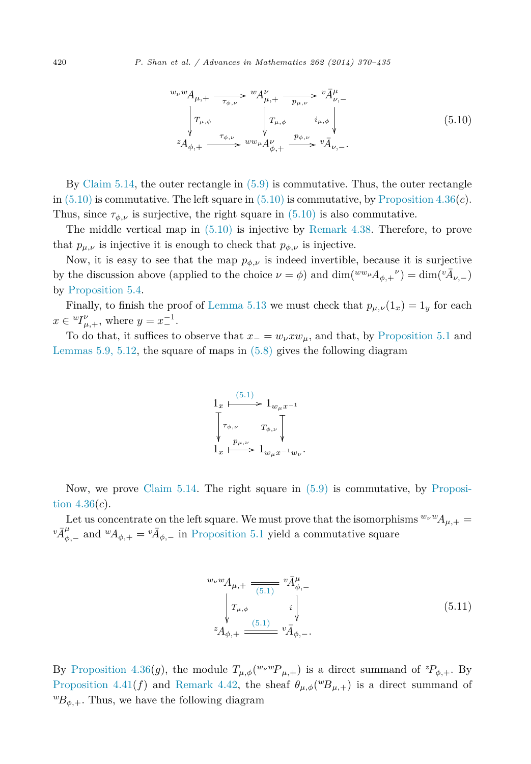$$
w_{\nu}w_{A_{\mu,+}} \longrightarrow w_{A_{\mu,+}} \longrightarrow w_{A_{\mu,+}} \longrightarrow v_{A_{\nu,-}} \longrightarrow v_{A_{\nu,-}} \longrightarrow w_{A_{\nu,-}} \longrightarrow w_{A_{\nu,-}} \longrightarrow w_{\mu,\phi} \longrightarrow w_{\mu,A_{\phi,+}} \longrightarrow w_{\mu,A_{\phi,+}} \longrightarrow w_{A_{\mu,-}} \tag{5.10}
$$

<span id="page-50-0"></span>By [Claim 5.14,](#page-49-0) the outer rectangle in [\(5.9\)](#page-49-0) is commutative. Thus, the outer rectangle in (5.10) is commutative. The left square in (5.10) is commutative, by [Proposition 4.36\(](#page-30-0)*c*). Thus, since  $\tau_{\phi,\nu}$  is surjective, the right square in  $(5.10)$  is also commutative.

The middle vertical map in (5.10) is injective by [Remark 4.38.](#page-31-0) Therefore, to prove that  $p_{\mu,\nu}$  is injective it is enough to check that  $p_{\phi,\nu}$  is injective.

Now, it is easy to see that the map  $p_{\phi,\nu}$  is indeed invertible, because it is surjective by the discussion above (applied to the choice  $\nu = \phi$ ) and  $\dim({^{ww_\mu}A_{\phi,+}}^\nu) = \dim({^{v\bar{A}}\nu,-})$ by [Proposition 5.4.](#page-40-0)

Finally, to finish the proof of [Lemma](#page-48-0) 5.13 we must check that  $p_{\mu,\nu}(1_x)=1_y$  for each  $x \in {}^{w}I_{\mu,+}^{\nu}$ , where  $y = x_{-}^{-1}$ .

To do that, it suffices to observe that  $x = w_\nu x w_\nu$ , and that, by [Proposition 5.1](#page-39-0) and Lemmas  $5.9, 5.12$ , the square of maps in  $(5.8)$  gives the following diagram



Now, we prove [Claim 5.14.](#page-49-0) The right square in [\(5.9\)](#page-49-0) is commutative, by [Proposi](#page-30-0)[tion 4.36\(](#page-30-0)*c*).

Let us concentrate on the left square. We must prove that the isomorphisms  $^{w_{\nu}w}A_{\mu,+}$  $v\bar{A}^{\mu}_{\phi,-}$  and  ${}^wA_{\phi,+} = {}^v\bar{A}_{\phi,-}$  in [Proposition 5.1](#page-39-0) yield a commutative square

$$
w_{\nu}w_{A_{\mu,+}} \frac{1}{\overline{(5.1)}} \cdot \bar{A}^{\mu}_{\phi,-}
$$
\n
$$
\begin{array}{c} \downarrow T_{\mu,\phi} & i \downarrow \\ \chi_{A_{\phi,+}} & \stackrel{(5.1)}{=} \cdot \bar{A}_{\phi,-}. \end{array} \tag{5.11}
$$

By [Proposition 4.36\(](#page-30-0)*g*), the module  $T_{\mu,\phi}(^{w_{\nu}w}P_{\mu,+})$  is a direct summand of  ${}^{z}P_{\phi,+}$ . By [Proposition 4.41\(](#page-32-0)*f*) and [Remark 4.42,](#page-34-0) the sheaf  $\theta_{\mu,\phi}(^wB_{\mu,+})$  is a direct summand of  $^{w}B_{\phi,+}$ . Thus, we have the following diagram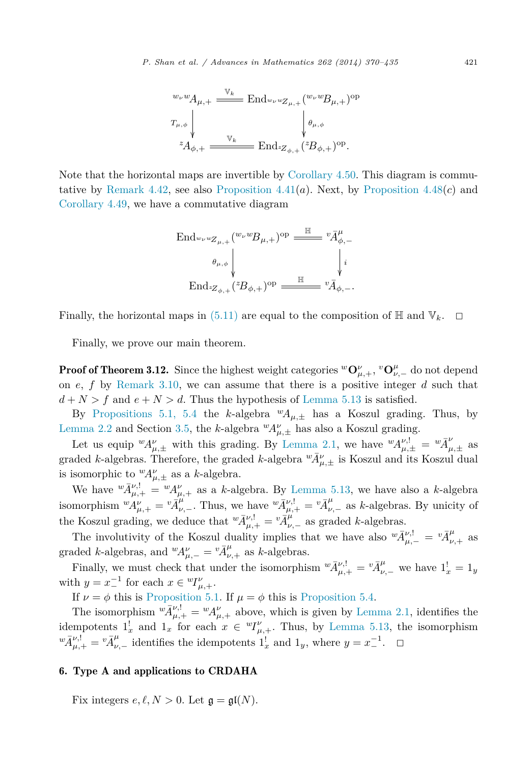$$
\begin{aligned}\n& {}^{w_\nu w}\!A_{\mu,+} \xrightarrow{\hspace{0.5cm}\mathbb{V}_k} \mathrm{End}_{{}^{w_\nu w}\!Z_{\mu,+}} \big({}^{w_\nu w}\!B_{\mu,+}\big){}^\mathrm{op}\\ \tau_{\mu,\phi} &\Bigg\downarrow{}\\ {}^{z}\!A_{\phi,+} \xrightarrow{\hspace{0.5cm}\mathbb{V}_k} \mathrm{End}_{{}^{z}\!Z_{\phi,+}} \big({}^{z}\!B_{\phi,+}\big){}^\mathrm{op}.\end{aligned}
$$

<span id="page-51-0"></span>Note that the horizontal maps are invertible by [Corollary 4.50.](#page-38-0) This diagram is commutative by [Remark 4.42,](#page-34-0) see also [Proposition 4.41\(](#page-32-0)*a*). Next, by [Proposition 4.48\(](#page-36-0)*c*) and [Corollary 4.49,](#page-38-0) we have a commutative diagram

$$
\begin{aligned}\n\text{End}_{^{w_{\nu}wZ_{\mu,+}}}({}^{w_{\nu}w\!}B_{\mu,+})^{\text{op}} & \xrightarrow{\mathbb{H}} {}^{v\!\overline{A}_{\phi,-}^{\mu}} \\
&\theta_{\mu,\phi} \, \Bigg\downarrow_{i} \\
\text{End}_{^{z\!}Z_{\phi,+}}({}^{z\!}B_{\phi,+})^{\text{op}} & \xrightarrow{\mathbb{H}} {}^{v\!\overline{A}_{\phi,-}}.\n\end{aligned}
$$

Finally, the horizontal maps in [\(5.11\)](#page-50-0) are equal to the composition of  $\mathbb{H}$  and  $\mathbb{V}_k$ .  $\Box$ 

Finally, we prove our main theorem.

**Proof of Theorem 3.12.** Since the highest weight categories  $^wO_{\mu,+}^\nu, {^vO}_{\nu,-}^\mu$  do not depend on *e*, *f* by [Remark 3.10,](#page-15-0) we can assume that there is a positive integer *d* such that  $d + N > f$  and  $e + N > d$ . Thus the hypothesis of [Lemma 5.13](#page-48-0) is satisfied.

By [Propositions 5.1, 5.4](#page-39-0) the *k*-algebra  $^{w}A_{\mu,\pm}$  has a Koszul grading. Thus, by [Lemma 2.2](#page-5-0) and Section [3.5,](#page-15-0) the *k*-algebra  $^{w}A^{\nu}_{\mu,\pm}$  has also a Koszul grading.

Let us equip  ${}^wA^{\nu}_{\mu,\pm}$  with this grading. By [Lemma 2.1,](#page-5-0) we have  ${}^wA^{\nu,!}_{\mu,\pm} = {}^w{\bar A}^{\nu}_{\mu,\pm}$  as graded *k*-algebras. Therefore, the graded *k*-algebra  $^w\bar{A}^{\nu}_{\mu,\pm}$  is Koszul and its Koszul dual is isomorphic to  $^wA^{\nu}_{\mu,\pm}$  as a *k*-algebra.

We have  ${}^w\bar{A}^{\nu,!}_{\mu,+} = {}^wA^{\nu}_{\mu,+}$  as a *k*-algebra. By [Lemma 5.13,](#page-48-0) we have also a *k*-algebra isomorphism  ${}^wA^{\nu}_{\mu,+} = {}^v\overline{A}^{\mu}_{\nu,-}$ . Thus, we have  ${}^w\overline{A}^{\nu,!}_{\mu,+} = {}^v\overline{A}^{\mu}_{\nu,-}$  as *k*-algebras. By unicity of the Koszul grading, we deduce that  ${}^{w}\bar{A}^{\nu,!}_{\mu,+} = {}^{v}\bar{A}^{\mu'}_{\nu,-}$  as graded *k*-algebras.

The involutivity of the Koszul duality implies that we have also  ${}^w\bar{A}^{\nu,!}_{\mu,-} = {}^v\bar{A}^{\mu}_{\nu,+}$  as graded *k*-algebras, and  $^{w}A^{\nu}_{\mu,-} = {^{v}\bar{A}}^{\mu}_{\nu,+}$  as *k*-algebras.

Finally, we must check that under the isomorphism  ${}^w \bar{A}^{\nu,!}_{\mu,+} = {}^v \bar{A}^{\mu}_{\nu,-}$  we have  $1_x^! = 1_y$ with  $y = x^{-1}$  for each  $x \in {}^{w}I^{\nu}_{\mu,+}$ .

If  $\nu = \phi$  this is [Proposition 5.1.](#page-39-0) If  $\mu = \phi$  this is [Proposition 5.4.](#page-40-0)

The isomorphism  ${}^w \bar{A}^{\nu,!}_{\mu,+} = {}^w A^{\nu}_{\mu,+}$  above, which is given by [Lemma 2.1,](#page-5-0) identifies the idempotents  $1_x^!$  and  $1_x$  for each  $x \in {}^{w}I^{\nu}_{\mu,+}$ . Thus, by [Lemma 5.13,](#page-48-0) the isomorphism  $w\bar{A}^{\nu,!}_{\mu,+} = v\bar{A}^{\mu}_{\nu,-}$  identifies the idempotents  $1_x^{\nu}$  and  $1_y$ , where  $y = x_-^{-1}$ .  $\Box$ 

# 6. Type A and applications to CRDAHA

Fix integers  $e, \ell, N > 0$ . Let  $\mathfrak{g} = \mathfrak{gl}(N)$ .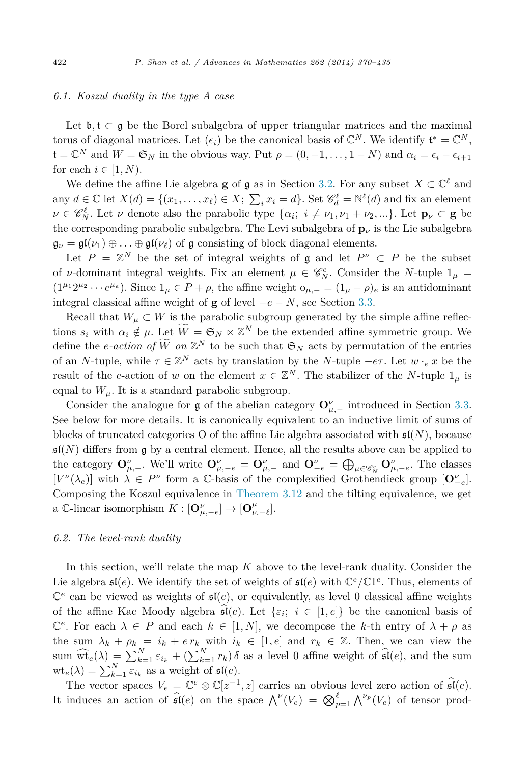# *6.1. Koszul duality in the type A case*

Let  $\mathfrak{b}, \mathfrak{t} \subset \mathfrak{g}$  be the Borel subalgebra of upper triangular matrices and the maximal torus of diagonal matrices. Let  $(\epsilon_i)$  be the canonical basis of  $\mathbb{C}^N$ . We identify  $\mathfrak{t}^* = \mathbb{C}^N$ ,  $\mathbf{t} = \mathbb{C}^N$  and  $W = \mathfrak{S}_N$  in the obvious way. Put  $\rho = (0, -1, \ldots, 1 - N)$  and  $\alpha_i = \epsilon_i - \epsilon_{i+1}$ for each  $i \in [1, N)$ .

We define the affine Lie algebra **g** of **g** as in Section [3.2.](#page-10-0) For any subset  $X \subset \mathbb{C}^{\ell}$  and any  $d \in \mathbb{C}$  let  $X(d) = \{(x_1, \ldots, x_\ell) \in X; \sum_i x_i = d\}$ . Set  $\mathscr{C}_d^{\ell} = \mathbb{N}^{\ell}(d)$  and fix an element  $\nu \in \mathscr{C}_N^{\ell}$ . Let  $\nu$  denote also the parabolic type  $\{\alpha_i; i \neq \nu_1, \nu_1 + \nu_2, ...\}$ . Let  $\mathbf{p}_{\nu} \subset \mathbf{g}$  be the corresponding parabolic subalgebra. The Levi subalgebra of **p***<sup>ν</sup>* is the Lie subalgebra  $\mathfrak{g}_{\nu} = \mathfrak{gl}(\nu_1) \oplus \ldots \oplus \mathfrak{gl}(\nu_{\ell})$  of  $\mathfrak g$  consisting of block diagonal elements.

Let  $P = \mathbb{Z}^N$  be the set of integral weights of g and let  $P^{\nu} \subset P$  be the subset of *ν*-dominant integral weights. Fix an element  $\mu \in \mathcal{C}_N^e$ . Consider the *N*-tuple  $1_\mu =$  $(1^{\mu_1}2^{\mu_2}\cdots e^{\mu_e})$ . Since  $1_{\mu} \in P + \rho$ , the affine weight  $o_{\mu,-} = (1_{\mu} - \rho)_e$  is an antidominant integral classical affine weight of **g** of level  $-e - N$ , see Section [3.3.](#page-11-0)

Recall that  $W_\mu \subset W$  is the parabolic subgroup generated by the simple affine reflections  $s_i$  with  $\alpha_i \notin \mu$ . Let  $\widetilde{W} = \mathfrak{S}_N \ltimes \mathbb{Z}^N$  be the extended affine symmetric group. We define the *e*-action of  $\widetilde{W}$  on  $\mathbb{Z}^N$  to be such that  $\mathfrak{S}_N$  acts by permutation of the entries of an *N*-tuple, while  $\tau \in \mathbb{Z}^N$  acts by translation by the *N*-tuple  $-e\tau$ . Let  $w \cdot_e x$  be the result of the *e*-action of *w* on the element  $x \in \mathbb{Z}^N$ . The stabilizer of the *N*-tuple  $1_\mu$  is equal to  $W_\mu$ . It is a standard parabolic subgroup.

Consider the analogue for  $\mathfrak g$  of the abelian category  $\mathbf O_{\mu,-}^\nu$  introduced in Section [3.3.](#page-11-0) See below for more details. It is canonically equivalent to an inductive limit of sums of blocks of truncated categories O of the affine Lie algebra associated with  $\mathfrak{sl}(N)$ , because  $\mathfrak{sl}(N)$  differs from g by a central element. Hence, all the results above can be applied to the category  $\mathbf{O}_{\mu,-}^{\nu}$ . We'll write  $\mathbf{O}_{\mu,-e}^{\nu} = \mathbf{O}_{\mu,-}^{\nu}$  and  $\mathbf{O}_{-e}^{\nu} = \bigoplus_{\mu \in \mathscr{C}_{N}} \mathbf{O}_{\mu,-e}^{\nu}$ . The classes  $[V^{\nu}(\lambda_e)]$  with  $\lambda \in P^{\nu}$  form a  $\mathbb{C}$ -basis of the complexified Grothendieck group  $[\mathbf{O}^{\nu}_{-e}]$ . Composing the Koszul equivalence in [Theorem 3.12](#page-16-0) and the tilting equivalence, we get a C-linear isomorphism  $K : [\mathbf{O}_{\mu, -e}^{\nu}] \to [\mathbf{O}_{\nu, -\ell}^{\mu}]$ .

### *6.2. The level-rank duality*

In this section, we'll relate the map *K* above to the level-rank duality. Consider the Lie algebra  $\mathfrak{sl}(e)$ . We identify the set of weights of  $\mathfrak{sl}(e)$  with  $\mathbb{C}^e/\mathbb{C}1^e$ . Thus, elements of  $\mathbb{C}^e$  can be viewed as weights of  $\mathfrak{sl}(e)$ , or equivalently, as level 0 classical affine weights of the affine Kac–Moody algebra  $\mathfrak{sl}(e)$ . Let  $\{\varepsilon_i; i \in [1,e]\}$  be the canonical basis of  $\mathbb{C}^e$ . For each  $\lambda \in P$  and each  $k \in [1, N]$ , we decompose the *k*-th entry of  $\lambda + \rho$  as the sum  $\lambda_k + \rho_k = i_k + e r_k$  with  $i_k \in [1, e]$  and  $r_k \in \mathbb{Z}$ . Then, we can view the  $\widehat{\text{wt}}_e(\lambda) = \sum_{k=1}^N \varepsilon_{i_k} + (\sum_{k=1}^N r_k) \delta$  as a level 0 affine weight of  $\widehat{\mathfrak{sl}}(e)$ , and the sum  $\mathrm{wt}_e(\lambda) = \sum_{k=1}^N \varepsilon_{i_k}$  as a weight of  $\mathfrak{sl}(e)$ .

The vector spaces  $V_e = \mathbb{C}^e \otimes \mathbb{C}[z^{-1}, z]$  carries an obvious level zero action of  $\widehat{\mathfrak{sl}}(e)$ . It induces an action of  $\widehat{\mathfrak{sl}}(e)$  on the space  $\bigwedge^{\nu}(V_e) = \bigotimes_{p=1}^{\ell} \bigwedge^{\nu_p}(V_e)$  of tensor prod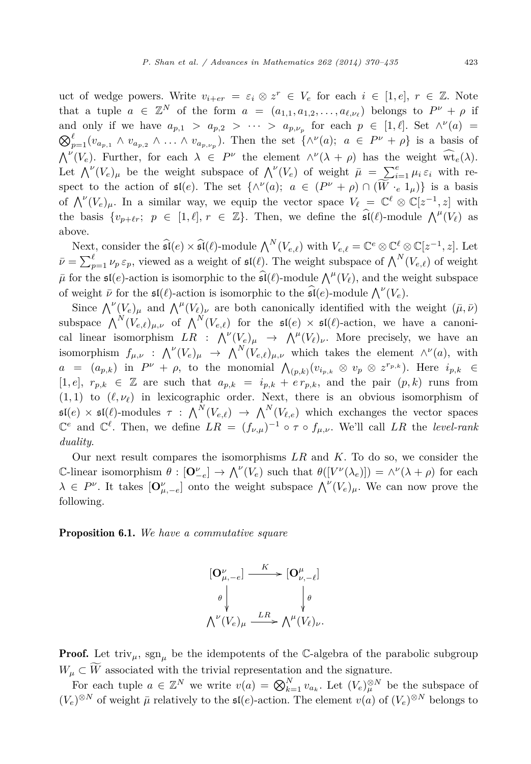<span id="page-53-0"></span>uct of wedge powers. Write  $v_{i+er} = \varepsilon_i \otimes z^r \in V_e$  for each  $i \in [1, e], r \in \mathbb{Z}$ . Note that a tuple  $a \in \mathbb{Z}^N$  of the form  $a = (a_{1,1}, a_{1,2}, \ldots, a_{\ell,\nu_\ell})$  belongs to  $P^{\nu} + \rho$  if and only if we have  $a_{p,1} > a_{p,2} > \cdots > a_{p,\nu_p}$  for each  $p \in [1,\ell]$ . Set  $\wedge^{\nu}(a) =$  $\bigotimes_{p=1}^{\ell} (v_{a_{p,1}} \wedge v_{a_{p,2}} \wedge ... \wedge v_{a_{p,\nu_p}})$ . Then the set { $\wedge^{\nu}(a)$ ;  $a \in P^{\nu} + \rho$ } is a basis of  $\overline{\Lambda}^{\nu}(V_e)$ . Further, for each  $\lambda \in P^{\nu}$  the element  $\wedge^{\nu}(\lambda + \rho)$  has the weight  $\widehat{\mathrm{wt}}_e(\lambda)$ . Let  $\bigwedge^{\nu} (V_e)_{\mu}$  be the weight subspace of  $\bigwedge^{\nu} (V_e)$  of weight  $\bar{\mu} = \sum_{i=1}^{e} \mu_i \varepsilon_i$  with respect to the action of  $\mathfrak{sl}(e)$ . The set  $\{\wedge^{\nu}(a); a \in (P^{\nu} + \rho) \cap (W \cdot_{e} 1_{\mu})\}\$ is a basis of  $\bigwedge^{\nu} (V_e)_{\mu}$ . In a similar way, we equip the vector space  $V_{\ell} = \mathbb{C}^{\ell} \otimes \mathbb{C}[z^{-1}, z]$  with the basis  $\{v_{p+\ell r}; p \in [1,\ell], r \in \mathbb{Z}\}$ . Then, we define the  $\widehat{\mathfrak{sl}}(\ell)$ -module  $\bigwedge^{\mu}(V_{\ell})$  as above.

Next, consider the  $\widehat{\mathfrak{sl}}(e) \times \widehat{\mathfrak{sl}}(\ell)$ -module  $\bigwedge^N(V_{e,\ell})$  with  $V_{e,\ell} = \mathbb{C}^e \otimes \mathbb{C}^{\ell} \otimes \mathbb{C}[z^{-1},z]$ . Let  $\bar{\nu} = \sum_{p=1}^{\ell} \nu_p \epsilon_p$ , viewed as a weight of  $\mathfrak{sl}(\ell)$ . The weight subspace of  $\bigwedge^N (V_{e,\ell})$  of weight  $\bar{\mu}$  for the  $\mathfrak{sl}(e)$ -action is isomorphic to the  $\widehat{\mathfrak{sl}}(\ell)$ -module  $\bigwedge^{\mu}(V_{\ell})$ , and the weight subspace of weight  $\bar{\nu}$  for the  $\mathfrak{sl}(\ell)$ -action is isomorphic to the  $\widehat{\mathfrak{sl}}(e)$ -module  $\bigwedge^{\nu}(V_e)$ .

Since  $\bigwedge^{\nu} (V_e)_{\mu}$  and  $\bigwedge^{\mu} (V_{\ell})_{\nu}$  are both canonically identified with the weight  $(\bar{\mu}, \bar{\nu})$ subspace  $\bigwedge^N (V_{e,\ell})_{\mu,\nu}$  of  $\bigwedge^N (V_{e,\ell})$  for the  $\mathfrak{sl}(e) \times \mathfrak{sl}(\ell)$ -action, we have a canonical linear isomorphism  $LR$  :  $\bigwedge^{\nu}(V_e)_{\mu} \to \bigwedge^{\mu}(V_{\ell})_{\nu}$ . More precisely, we have an isomorphism  $f_{\mu,\nu}$  :  $\bigwedge^{\nu} (V_e)_{\mu} \to \bigwedge^N (V_{e,\ell})_{\mu,\nu}$  which takes the element  $\wedge^{\nu}(a)$ , with  $a = (a_{p,k})$  in  $P^{\nu} + \rho$ , to the monomial  $\bigwedge_{(p,k)} (v_{i_{p,k}} \otimes v_p \otimes z^{r_{p,k}})$ . Here  $i_{p,k} \in$ [1, e],  $r_{p,k} \in \mathbb{Z}$  are such that  $a_{p,k} = i_{p,k} + e r_{p,k}$ , and the pair  $(p,k)$  runs from  $(1,1)$  to  $(\ell,\nu_{\ell})$  in lexicographic order. Next, there is an obvious isomorphism of  $\mathfrak{sl}(e) \times \mathfrak{sl}(\ell)$ -modules  $\tau : \bigwedge^N(V_{e,\ell}) \to \bigwedge^N(V_{\ell,e})$  which exchanges the vector spaces  $\mathbb{C}^e$  and  $\mathbb{C}^{\ell}$ . Then, we define  $LR = (f_{\nu,\mu})^{-1} \circ \tau \circ f_{\mu,\nu}$ . We'll call  $LR$  the *level-rank duality*.

Our next result compares the isomorphisms *LR* and *K*. To do so, we consider the C-linear isomorphism  $\theta : [\mathbf{O}^{\nu}_{-e}] \to \bigwedge^{\nu}(V_e)$  such that  $\theta([V^{\nu}(\lambda_e)]) = \wedge^{\nu}(\lambda + \rho)$  for each  $\lambda \in P^{\nu}$ . It takes  $[\mathbf{O}^{\nu}_{\mu,-e}]$  onto the weight subspace  $\Lambda^{\nu}(V_e)_{\mu}$ . We can now prove the following.

Proposition 6.1. *We have a commutative square*



**Proof.** Let triv<sub>μ</sub>, sgn<sub>μ</sub> be the idempotents of the C-algebra of the parabolic subgroup  $W_{\mu} \subset W$  associated with the trivial representation and the signature.

For each tuple  $a \in \mathbb{Z}^N$  we write  $v(a) = \bigotimes_{k=1}^N v_{a_k}$ . Let  $(V_e)_{\mu}^{\otimes N}$  be the subspace of  $(V_e)^{\otimes N}$  of weight  $\bar{\mu}$  relatively to the  $\mathfrak{sl}(e)$ -action. The element  $v(a)$  of  $(V_e)^{\otimes N}$  belongs to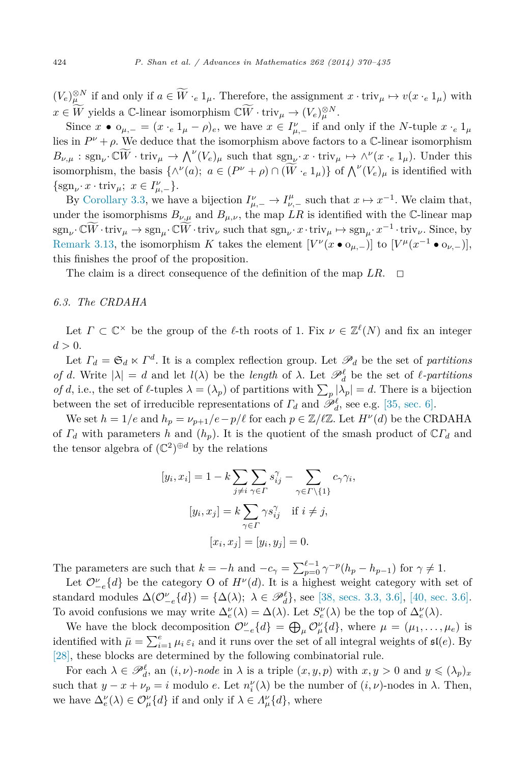$(V_e)_{\mu}^{\otimes N}$  if and only if  $a \in W \cdot_e 1_\mu$ . Therefore, the assignment  $x \cdot \text{triv}_\mu \mapsto v(x \cdot_e 1_\mu)$  with  $x \in W$  yields a  $\mathbb{C}\text{-linear}$  isomorphism  $\mathbb{C}W$  · triv<sub>*μ*</sub>  $\rightarrow (V_e)_{\mu}^{\otimes N}$ .

Since  $x \bullet o_{\mu,-} = (x \cdot e 1_{\mu} - \rho)e$ , we have  $x \in I_{\mu,-}^{\nu}$  if and only if the *N*-tuple  $x \cdot e 1_{\mu}$ lies in  $P^{\nu} + \rho$ . We deduce that the isomorphism above factors to a C-linear isomorphism  $B_{\nu,\mu}: \text{sgn}_{\nu} \cdot \mathbb{C}\widetilde{W} \cdot \text{triv}_{\mu} \to \bigwedge^{\nu}(V_e)_{\mu}$  such that  $\text{sgn}_{\nu} \cdot x \cdot \text{triv}_{\mu} \mapsto \bigwedge^{\nu}(x \cdot_e 1_{\mu})$ . Under this isomorphism, the basis  $\{\wedge^{\nu}(a); a \in (P^{\nu} + \rho) \cap (\widetilde{W} \cdot_e 1_{\mu})\}$  of  $\bigwedge^{\nu}(V_e)_{\mu}$  is identified with  $\{\operatorname{sgn}_{\nu} \cdot x \cdot \operatorname{triv}_{\mu}; \ x \in I_{\mu,-}^{\nu}\}.$ 

By [Corollary](#page-13-0) 3.3, we have a bijection  $I_{\mu,-}^{\nu} \to I_{\nu,-}^{\mu}$  such that  $x \mapsto x^{-1}$ . We claim that, under the isomorphisms  $B_{\nu,\mu}$  and  $B_{\mu,\nu}$ , the map *LR* is identified with the C-linear map  $\operatorname{sgn}_{\nu} \cdot \mathbb{C}W$  ·  $\operatorname{triv}_{\mu} \to \operatorname{sgn}_{\mu} \cdot \mathbb{C}W$  ·  $\operatorname{triv}_{\nu}$  such that  $\operatorname{sgn}_{\nu} \cdot x$  ·  $\operatorname{triv}_{\mu} \mapsto \operatorname{sgn}_{\mu} \cdot x^{-1}$  ·  $\operatorname{triv}_{\nu}$ . Since, by [Remark 3.13,](#page-16-0) the isomorphism *K* takes the element  $[V^{\nu}(x \bullet o_{\mu,-})]$  to  $[V^{\mu}(x^{-1} \bullet o_{\nu,-})]$ , this finishes the proof of the proposition.

The claim is a direct consequence of the definition of the map  $LR$ .  $\Box$ 

# *6.3. The CRDAHA*

Let  $\Gamma \subset \mathbb{C}^\times$  be the group of the  $\ell$ -th roots of 1. Fix  $\nu \in \mathbb{Z}^{\ell}(N)$  and fix an integer  $d > 0$ .

Let  $\Gamma_d = \mathfrak{S}_d \ltimes \Gamma^d$ . It is a complex reflection group. Let  $\mathscr{P}_d$  be the set of *partitions of d*. Write  $|\lambda| = d$  and let  $l(\lambda)$  be the *length* of  $\lambda$ . Let  $\mathscr{P}_d^{\ell}$  be the set of  $\ell$ -partitions *of d*, i.e., the set of  $\ell$ -tuples  $\lambda = (\lambda_p)$  of partitions with  $\sum_p |\lambda_p| = d$ . There is a bijection between the set of irreducible representations of  $\Gamma_d$  and  $\mathscr{P}_d^{\ell}$ , see e.g. [\[35, sec. 6\].](#page-65-0)

We set  $h = 1/e$  and  $h_p = \nu_{p+1}/e - p/\ell$  for each  $p \in \mathbb{Z}/\ell\mathbb{Z}$ . Let  $H^{\nu}(d)$  be the CRDAHA of *Γ<sup>d</sup>* with parameters *h* and (*hp*). It is the quotient of the smash product of C*Γ<sup>d</sup>* and the tensor algebra of  $(\mathbb{C}^2)^{\oplus d}$  by the relations

$$
[y_i, x_i] = 1 - k \sum_{j \neq i} \sum_{\gamma \in \Gamma} s_{ij}^{\gamma} - \sum_{\gamma \in \Gamma \setminus \{1\}} c_{\gamma} \gamma_i,
$$

$$
[y_i, x_j] = k \sum_{\gamma \in \Gamma} \gamma s_{ij}^{\gamma} \quad \text{if } i \neq j,
$$

$$
[x_i, x_j] = [y_i, y_j] = 0.
$$

The parameters are such that  $k = -h$  and  $-c_{\gamma} = \sum_{p=0}^{\ell-1} \gamma^{-p} (h_p - h_{p-1})$  for  $\gamma \neq 1$ .

Let  $\mathcal{O}_{-e}^{\nu}\lbrace d \rbrace$  be the category O of  $H^{\nu}(d)$ . It is a highest weight category with set of standard modules  $\Delta(\mathcal{O}_{-e}^{\nu}\lbrace d \rbrace) = \lbrace \Delta(\lambda); \lambda \in \mathcal{P}_d^{\ell} \rbrace$ , see [\[38, secs. 3.3, 3.6\],](#page-65-0) [\[40, sec. 3.6\].](#page-65-0) To avoid confusions we may write  $\Delta_e^{\nu}(\lambda) = \Delta(\lambda)$ . Let  $S_e^{\nu}(\lambda)$  be the top of  $\Delta_e^{\nu}(\lambda)$ .

We have the block decomposition  $\mathcal{O}_{-e}^{\nu}\lbrace d \rbrace = \bigoplus_{\mu} \mathcal{O}_{\mu}^{\nu}\lbrace d \rbrace$ , where  $\mu = (\mu_1, \ldots, \mu_e)$  is identified with  $\bar{\mu} = \sum_{i=1}^{e} \mu_i \varepsilon_i$  and it runs over the set of all integral weights of  $\mathfrak{sl}(e)$ . By [\[28\],](#page-64-0) these blocks are determined by the following combinatorial rule.

For each  $\lambda \in \mathscr{P}_d^{\ell}$ , an  $(i, \nu)$ -node in  $\lambda$  is a triple  $(x, y, p)$  with  $x, y > 0$  and  $y \leq (\lambda_p)_x$ such that  $y - x + \nu_p = i$  modulo *e*. Let  $n_i^{\nu}(\lambda)$  be the number of  $(i, \nu)$ -nodes in  $\lambda$ . Then, we have  $\Delta_e^{\nu}(\lambda) \in \mathcal{O}_{\mu}^{\nu}\{d\}$  if and only if  $\lambda \in \Lambda_{\mu}^{\nu}\{d\}$ , where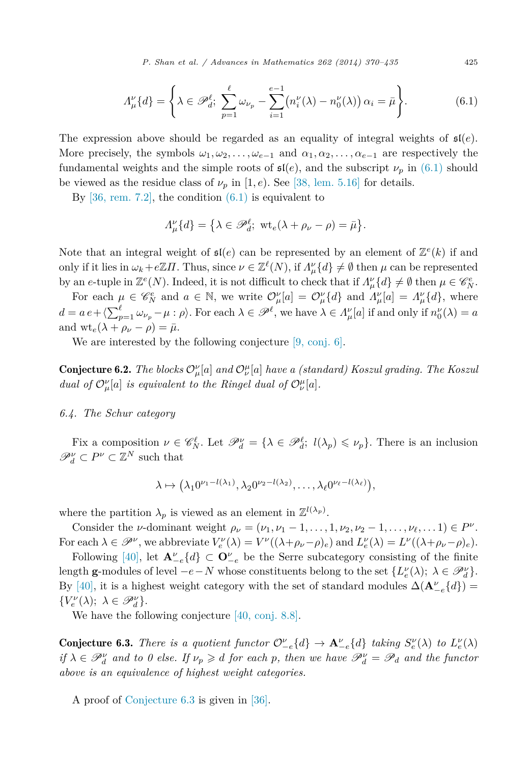*P. Shan et al. / Advances in Mathematics 262 (2014) 370–435* 425

$$
A^{\nu}_{\mu}\{d\} = \left\{\lambda \in \mathscr{P}_{d}^{\ell}; \ \sum_{p=1}^{\ell} \omega_{\nu_p} - \sum_{i=1}^{e-1} \left(n_i^{\nu}(\lambda) - n_0^{\nu}(\lambda)\right)\alpha_i = \bar{\mu}\right\}.
$$
 (6.1)

<span id="page-55-0"></span>The expression above should be regarded as an equality of integral weights of  $\mathfrak{sl}(e)$ . More precisely, the symbols  $\omega_1, \omega_2, \ldots, \omega_{e-1}$  and  $\alpha_1, \alpha_2, \ldots, \alpha_{e-1}$  are respectively the fundamental weights and the simple roots of  $\mathfrak{sl}(e)$ , and the subscript  $\nu_p$  in (6.1) should be viewed as the residue class of  $\nu_p$  in [1, e). See [\[38, lem. 5.16\]](#page-65-0) for details.

By  $[36, \text{ rem. } 7.2]$ , the condition  $(6.1)$  is equivalent to

$$
\Lambda_{\mu}^{\nu}\{d\} = \left\{\lambda \in \mathscr{P}_d^{\ell}; \ \mathrm{wt}_e(\lambda + \rho_{\nu} - \rho) = \bar{\mu}\right\}.
$$

Note that an integral weight of  $\mathfrak{sl}(e)$  can be represented by an element of  $\mathbb{Z}^e(k)$  if and only if it lies in  $\omega_k + e \mathbb{Z} \Pi$ . Thus, since  $\nu \in \mathbb{Z}^{\ell}(N)$ , if  $\Lambda^{\nu}_{\mu}\{d\} \neq \emptyset$  then  $\mu$  can be represented by an *e*-tuple in  $\mathbb{Z}^e(N)$ . Indeed, it is not difficult to check that if  $\Lambda^{\nu}_{\mu}\{d\} \neq \emptyset$  then  $\mu \in \mathscr{C}_N^e$ .

For each  $\mu \in \mathscr{C}_N^e$  and  $a \in \mathbb{N}$ , we write  $\mathcal{O}_{\mu}^{\nu}[a] = \mathcal{O}_{\mu}^{\nu}\{d\}$  and  $\Lambda_{\mu}^{\nu}[a] = \Lambda_{\mu}^{\nu}\{d\}$ , where  $d = a e + \langle \sum_{p=1}^{\ell} \omega_{\nu_p} - \mu : \rho \rangle$ . For each  $\lambda \in \mathscr{P}^{\ell}$ , we have  $\lambda \in \Lambda_{\mu}^{\nu}[a]$  if and only if  $n_0^{\nu}(\lambda) = a$ and  $\mathrm{wt}_e(\lambda + \rho_\nu - \rho) = \bar{\mu}$ .

We are interested by the following conjecture [9, [conj. 6\].](#page-64-0)

**Conjecture 6.2.** *The blocks*  $\mathcal{O}_{\mu}^{\nu}[a]$  *and*  $\mathcal{O}_{\nu}^{\mu}[a]$  *have a (standard) Koszul grading. The Koszul dual of*  $\mathcal{O}_{\mu}^{\nu}[a]$  *is equivalent to the Ringel dual of*  $\mathcal{O}_{\nu}^{\mu}[a]$ *.* 

# *6.4. The Schur category*

Fix a composition  $\nu \in \mathscr{C}_N^{\ell}$ . Let  $\mathscr{P}_d^{\nu} = {\lambda \in \mathscr{P}_d^{\ell}}; l(\lambda_p) \leq \nu_p$ . There is an inclusion  $\mathscr{P}_d^{\nu} \subset P^{\nu} \subset \mathbb{Z}^N$  such that

$$
\lambda \mapsto (\lambda_1 0^{\nu_1 - l(\lambda_1)}, \lambda_2 0^{\nu_2 - l(\lambda_2)}, \dots, \lambda_\ell 0^{\nu_\ell - l(\lambda_\ell)}),
$$

where the partition  $\lambda_p$  is viewed as an element in  $\mathbb{Z}^{l(\lambda_p)}$ .

Consider the *ν*-dominant weight  $\rho_{\nu} = (\nu_1, \nu_1 - 1, \dots, 1, \nu_2, \nu_2 - 1, \dots, \nu_{\ell}, \dots) \in P^{\nu}$ . For each  $\lambda \in \mathscr{P}^{\nu}$ , we abbreviate  $V_e^{\nu}(\lambda) = V^{\nu}((\lambda + \rho_{\nu} - \rho)_e)$  and  $L_e^{\nu}(\lambda) = L^{\nu}((\lambda + \rho_{\nu} - \rho)_e)$ .

Following [\[40\],](#page-65-0) let  $\mathbf{A}^{\nu}_{-e}$  {*d*}  $\subset \mathbf{O}^{\nu}_{-e}$  be the Serre subcategory consisting of the finite length **g**-modules of level  $-e-N$  whose constituents belong to the set  $\{L_e^{\nu}(\lambda); \lambda \in \mathcal{P}_d^{\nu}\}.$ By [\[40\],](#page-65-0) it is a highest weight category with the set of standard modules  $\Delta(\mathbf{A}_{-e}^{\nu}\{d\}) =$  $\{V_e^{\nu}(\lambda); \lambda \in \mathscr{P}_d^{\nu}\}.$ 

We have the following conjecture [40, [conj. 8.8\].](#page-65-0)

**Conjecture 6.3.** There is a quotient functor  $\mathcal{O}_{-e}^{\nu} \{d\} \to \mathbf{A}_{-e}^{\nu} \{d\}$  taking  $S_e^{\nu}(\lambda)$  to  $L_e^{\nu}(\lambda)$ *if*  $\lambda \in \mathcal{P}_d^{\nu}$  and to 0 else. If  $\nu_p \geq d$  for each p, then we have  $\mathcal{P}_d^{\nu} = \mathcal{P}_d$  and the functor *above is an equivalence of highest weight categories.*

A proof of Conjecture 6.3 is given in [\[36\].](#page-65-0)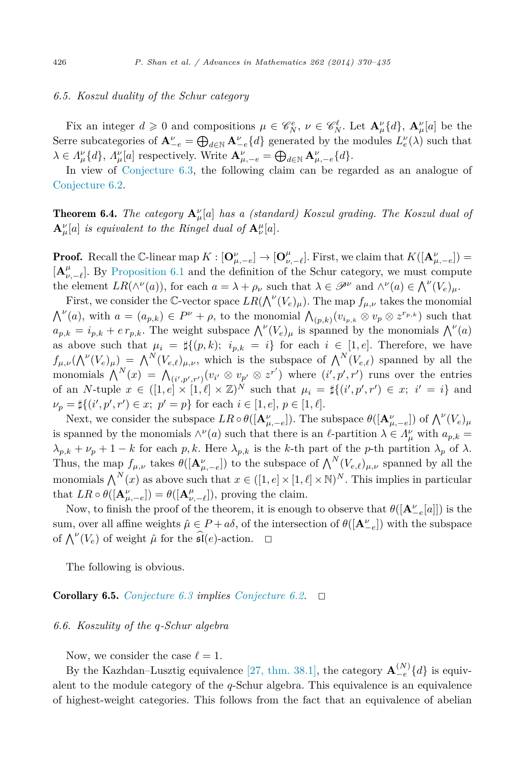# <span id="page-56-0"></span>*6.5. Koszul duality of the Schur category*

Fix an integer  $d \geq 0$  and compositions  $\mu \in \mathscr{C}_N^e$ ,  $\nu \in \mathscr{C}_N^{\ell}$ . Let  $\mathbf{A}_{\mu}^{\nu}[d]$ ,  $\mathbf{A}_{\mu}^{\nu}[a]$  be the Serre subcategories of  $\mathbf{A}^{\nu}_{-e} = \bigoplus_{d \in \mathbb{N}} \mathbf{A}^{\nu}_{-e} \{d\}$  generated by the modules  $L^{\nu}_e(\lambda)$  such that  $\lambda \in \Lambda^{\nu}_{\mu}\{d\}, \Lambda^{\nu}_{\mu}[a]$  respectively. Write  $\mathbf{A}^{\nu}_{\mu,-e} = \bigoplus_{d \in \mathbb{N}} \mathbf{A}^{\nu}_{\mu,-e}\{d\}.$ 

In view of [Conjecture](#page-55-0) 6.3, the following claim can be regarded as an analogue of [Conjecture 6.2.](#page-55-0)

Theorem 6.4. *The category* **A***<sup>ν</sup> <sup>μ</sup>*[*a*] *has a (standard) Koszul grading. The Koszul dual of*  $\mathbf{A}_{\mu}^{\nu}[a]$  *is equivalent to the Ringel dual of*  $\mathbf{A}_{\nu}^{\mu}[a]$ *.* 

**Proof.** Recall the  $\mathbb{C}\text{-linear map } K : [\mathbf{O}^{\nu}_{\mu,-e}] \to [\mathbf{O}^{\mu}_{\nu,-e}]$ . First, we claim that  $K([\mathbf{A}^{\nu}_{\mu,-e}]) =$  $[\mathbf{A}_{\nu,-\ell}^{\mu}]$ . By [Proposition 6.1](#page-53-0) and the definition of the Schur category, we must compute the element  $LR(\wedge^{\nu}(a))$ , for each  $a = \lambda + \rho_{\nu}$  such that  $\lambda \in \mathscr{P}^{\nu}$  and  $\wedge^{\nu}(a) \in \bigwedge^{\nu}(V_e)_{\mu}$ .

First, we consider the C-vector space  $LR(\bigwedge^{\nu}(V_e)_{\mu})$ . The map  $f_{\mu,\nu}$  takes the monomial  $\bigwedge^{\nu}(a)$ , with  $a = (a_{p,k}) \in P^{\nu} + \rho$ , to the monomial  $\bigwedge_{(p,k)} (v_{i_{p,k}} \otimes v_p \otimes z^{r_{p,k}})$  such that  $a_{p,k} = i_{p,k} + e r_{p,k}$ . The weight subspace  $\bigwedge^{\nu}(V_e)_{\mu}$  is spanned by the monomials  $\bigwedge^{\nu}(a)$ as above such that  $\mu_i = \sharp \{(p, k); i_{p,k} = i\}$  for each  $i \in [1, e]$ . Therefore, we have  $f_{\mu,\nu}(\Lambda^{\nu}(V_e)_{\mu}) = \Lambda^N(V_{e,\ell})_{\mu,\nu}$ , which is the subspace of  $\Lambda^N(V_{e,\ell})$  spanned by all the monomials  $\bigwedge^N(x) = \bigwedge_{(i',p',r')}(v_{i'} \otimes v_{p'} \otimes z^{r'})$  where  $(i',p',r')$  runs over the entries of an *N*-tuple  $x \in ([1, e] \times [1, \ell] \times \mathbb{Z})^N$  such that  $\mu_i = \sharp \{(i', p', r') \in x; i' = i\}$  and  $\nu_p = \sharp\{(i', p', r') \in x; \ p' = p\}$  for each  $i \in [1, e], \ p \in [1, \ell].$ 

Next, we consider the subspace  $LR \circ \theta([\mathbf{A}_{\mu,-e}^{\nu}])$ . The subspace  $\theta([\mathbf{A}_{\mu,-e}^{\nu}])$  of  $\bigwedge^{\nu}(V_e)_{\mu}$ is spanned by the monomials  $\wedge$ <sup>*ν*</sup>(*a*) such that there is an *l*-partition  $\lambda \in \Lambda^{\nu}_{\mu}$  with  $a_{p,k} =$  $λ_{p,k} + ν_p + 1 - k$  for each *p, k*. Here  $λ_{p,k}$  is the *k*-th part of the *p*-th partition  $λ_p$  of  $λ$ . Thus, the map  $f_{\mu,\nu}$  takes  $\theta([\mathbf{A}_{\mu,-e}^{\nu}])$  to the subspace of  $\bigwedge^{N}(V_{e,\ell})_{\mu,\nu}$  spanned by all the monomials  $\bigwedge^N(x)$  as above such that  $x \in ([1, e] \times [1, \ell] \times \mathbb{N})^N$ . This implies in particular that  $LR \circ \theta([\mathbf{A}_{\mu,-e}^{\nu}]) = \theta([\mathbf{A}_{\nu,-\ell}^{\mu}]),$  proving the claim.

Now, to finish the proof of the theorem, it is enough to observe that  $\theta([\mathbf{A}^{\nu}_{-e}[a]])$  is the sum, over all affine weights  $\hat{\mu} \in P + a\delta$ , of the intersection of  $\theta([\mathbf{A}_{-e}^{\nu}])$  with the subspace of  $\bigwedge^{\nu}(V_e)$  of weight  $\hat{\mu}$  for the  $\hat{\mathfrak{sl}}(e)$ -action.  $\Box$ 

The following is obvious.

# Corollary 6.5. *[Conjecture 6.3](#page-55-0) implies [Conjecture 6.2.](#page-55-0)* ✷

#### *6.6. Koszulity of the q-Schur algebra*

Now, we consider the case  $\ell = 1$ .

By the Kazhdan–Lusztig equivalence [27, [thm. 38.1\],](#page-64-0) the category  $\mathbf{A}_{-e}^{(N)}\{d\}$  is equivalent to the module category of the *q*-Schur algebra. This equivalence is an equivalence of highest-weight categories. This follows from the fact that an equivalence of abelian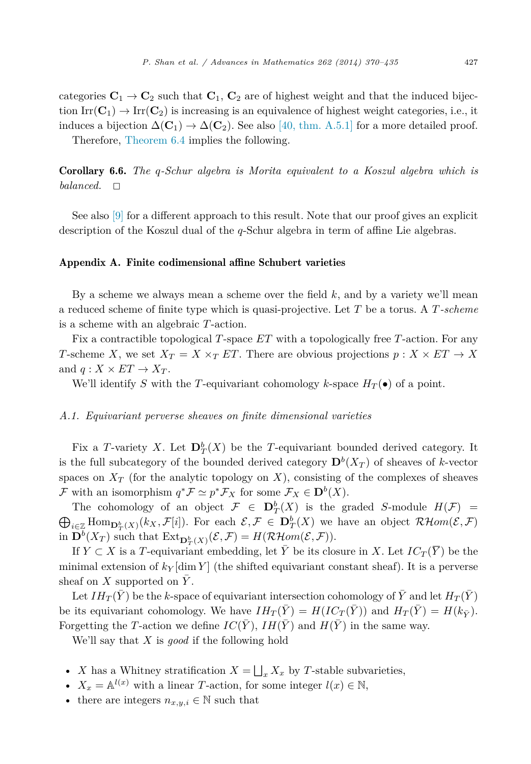<span id="page-57-0"></span>categories  $C_1 \rightarrow C_2$  such that  $C_1$ ,  $C_2$  are of highest weight and that the induced bijection  $\text{Irr}(\mathbf{C}_1) \to \text{Irr}(\mathbf{C}_2)$  is increasing is an equivalence of highest weight categories, i.e., it induces a bijection  $\Delta(\mathbf{C}_1) \rightarrow \Delta(\mathbf{C}_2)$ . See also [\[40, thm. A.5.1\]](#page-65-0) for a more detailed proof. Therefore, [Theorem](#page-56-0) 6.4 implies the following.

Corollary 6.6. *The q-Schur algebra is Morita equivalent to a Koszul algebra which is balanced.* □

See also [\[9\]](#page-64-0) for a different approach to this result. Note that our proof gives an explicit description of the Koszul dual of the *q*-Schur algebra in term of affine Lie algebras.

# Appendix A. Finite codimensional affine Schubert varieties

By a scheme we always mean a scheme over the field *k*, and by a variety we'll mean a reduced scheme of finite type which is quasi-projective. Let *T* be a torus. A *T-scheme* is a scheme with an algebraic *T*-action.

Fix a contractible topological *T*-space *ET* with a topologically free *T*-action. For any *T*-scheme *X*, we set  $X_T = X \times_T ET$ . There are obvious projections  $p: X \times ET \rightarrow X$ and  $q: X \times ET \rightarrow X_T$ .

We'll identify *S* with the *T*-equivariant cohomology *k*-space  $H_T(\bullet)$  of a point.

# *A.1. Equivariant perverse sheaves on finite dimensional varieties*

Fix a *T*-variety *X*. Let  $\mathbf{D}_T^b(X)$  be the *T*-equivariant bounded derived category. It is the full subcategory of the bounded derived category  $\mathbf{D}^b(X_T)$  of sheaves of *k*-vector spaces on  $X_T$  (for the analytic topology on X), consisting of the complexes of sheaves *F* with an isomorphism  $q^*$   $F$   $\cong$   $p^*$   $F_X$  for some  $F_X$  ∈  $\mathbf{D}^b(X)$ .

The cohomology of an object  $\mathcal{F} \in \mathbf{D}_T^b(X)$  is the graded *S*-module  $H(\mathcal{F}) =$  $\bigoplus_{i\in\mathbb{Z}}\text{Hom}_{\mathbf{D}_T^b(X)}(k_X,\mathcal{F}[i])$ . For each  $\mathcal{E},\mathcal{F}\in\mathbf{D}_T^b(X)$  we have an object  $\mathcal{RH}om(\mathcal{E},\mathcal{F})$ in  $\mathbf{D}^b(X_T)$  such that  $\mathrm{Ext}_{\mathbf{D}_T^b(X)}(\mathcal{E}, \mathcal{F}) = H(\mathcal{RH}_{\mathcal{O}}^m(\mathcal{E}, \mathcal{F})).$ 

If *Y*  $\subset X$  is a *T*-equivariant embedding, let  $\overline{Y}$  be its closure in *X*. Let  $IC_T(\overline{Y})$  be the minimal extension of  $k_Y$  dim *Y* | (the shifted equivariant constant sheaf). It is a perverse sheaf on  $X$  supported on  $Y$ .

Let  $IH_{T}(\overline{Y})$  be the *k*-space of equivariant intersection cohomology of  $\overline{Y}$  and let  $H_{T}(\overline{Y})$ be its equivariant cohomology. We have  $IH_T(\overline{Y}) = H(IC_T(\overline{Y}))$  and  $H_T(\overline{Y}) = H(k_{\overline{Y}})$ . Forgetting the *T*-action we define  $IC(\overline{Y})$ ,  $IH(\overline{Y})$  and  $H(\overline{Y})$  in the same way.

We'll say that *X* is *good* if the following hold

- *X* has a Whitney stratification  $X = \bigsqcup_x X_x$  by *T*-stable subvarieties,
- $X_x = \mathbb{A}^{l(x)}$  with a linear *T*-action, for some integer  $l(x) \in \mathbb{N}$ ,
- there are integers  $n_{x,y,i} \in \mathbb{N}$  such that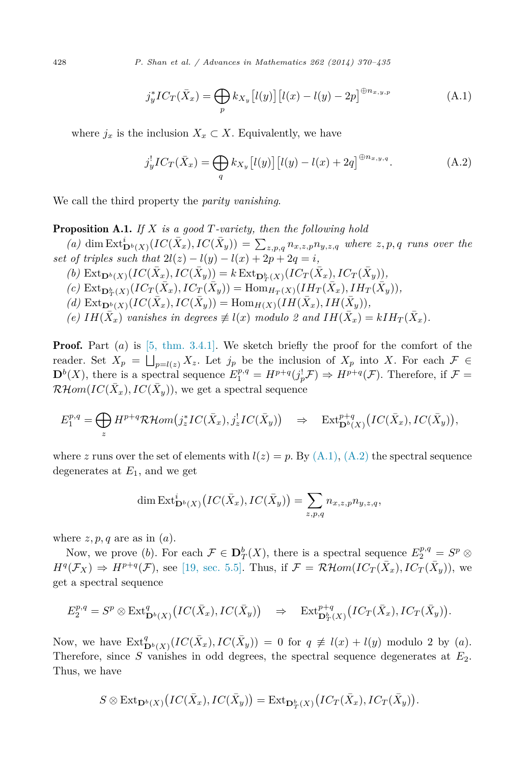<span id="page-58-0"></span>428 *P. Shan et al. / Advances in Mathematics 262 (2014) 370–435*

$$
j_y^* IC_T(\bar{X}_x) = \bigoplus_p k_{X_y} [l(y)] [l(x) - l(y) - 2p]^{\oplus n_{x,y,p}}
$$
(A.1)

where  $j_x$  is the inclusion  $X_x \subset X$ . Equivalently, we have

$$
j_y^! IC_T(\bar{X}_x) = \bigoplus_{q} k_{X_y} [l(y)] [l(y) - l(x) + 2q]^{\oplus n_{x,y,q}}.
$$
 (A.2)

We call the third property the *parity vanishing*.

Proposition A.1. *If X is a good T-variety, then the following hold*

 $\sum_{z,p,q} n_{x,z,p} n_{y,z,q}$  *where*  $z, p, q$  *runs over the set of triples such that*  $2l(z) - l(y) - l(x) + 2p + 2q = i$ ,

- (b)  $\mathrm{Ext}_{\mathbf{D}^b(X)}(IC(\bar{X}_x),IC(\bar{X}_y)) = k \, \mathrm{Ext}_{\mathbf{D}_T^b(X)}(IC_T(\bar{X}_x),IC_T(\bar{X}_y)),$
- (c)  $\operatorname{Ext}_{\mathbf{D}_T^b(X)}(IC_T(\bar{X}_x),IC_T(\bar{X}_y)) = \operatorname{Hom}_{H_T(X)}(IH_T(\bar{X}_x),IH_T(\bar{X}_y)),$
- $(d)$  Ext<sub>D</sub><sub>*b*</sub>(*X*)( $IC(\bar{X}_x)$ ,  $IC(\bar{X}_y)) =$  Hom<sub>*H*(*X*)</sub>( $IH(\bar{X}_x)$ ,  $IH(\bar{X}_y)$ ),
- *(e) IH*( $X_x$ ) *vanishes in degrees*  $\not\equiv l(x)$  *modulo 2 and*  $IH(X_x) = kIH(X_x)$ .

**Proof.** Part (*a*) is [\[5, thm. 3.4.1\].](#page-64-0) We sketch briefly the proof for the comfort of the reader. Set  $X_p = \bigsqcup_{p=l(z)} X_z$ . Let  $j_p$  be the inclusion of  $X_p$  into *X*. For each  $\mathcal{F} \in$  $\mathbf{D}^{b}(X)$ , there is a spectral sequence  $E_1^{p,q} = H^{p+q}(j_p^!\mathcal{F}) \Rightarrow H^{p+q}(\mathcal{F})$ . Therefore, if  $\mathcal{F} =$  $\mathcal{R}Hom(IC(X_x), IC(X_y))$ , we get a spectral sequence

$$
E_1^{p,q} = \bigoplus_z H^{p+q} \mathcal{RH}om(j_z^* IC(\bar{X}_x), j_z^! IC(\bar{X}_y)) \Rightarrow \operatorname{Ext}_{\mathbf{D}^b(X)}^{p+q} (IC(\bar{X}_x), IC(\bar{X}_y)),
$$

where *z* runs over the set of elements with  $l(z) = p$ . By  $(A.1)$ ,  $(A.2)$  the spectral sequence degenerates at *E*1, and we get

$$
\dim \operatorname{Ext}^i_{\mathbf{D}^b(X)}\big( IC(\bar{X}_x), IC(\bar{X}_y) \big) = \sum_{z,p,q} n_{x,z,p} n_{y,z,q},
$$

where  $z, p, q$  are as in  $(a)$ .

Now, we prove (*b*). For each  $\mathcal{F} \in \mathbf{D}_T^b(X)$ , there is a spectral sequence  $E_2^{p,q} = S^p \otimes$  $H^q(\mathcal{F}_X) \Rightarrow H^{p+q}(\mathcal{F})$ , see [\[19, sec. 5.5\].](#page-64-0) Thus, if  $\mathcal{F} = \mathcal{RH}om(IC_T(\bar{X}_x), IC_T(\bar{X}_y))$ , we get a spectral sequence

$$
E_2^{p,q} = S^p \otimes \text{Ext}^q_{\mathbf{D}^b(X)}\big( IC(\bar{X}_x), IC(\bar{X}_y) \big) \quad \Rightarrow \quad \text{Ext}^{p+q}_{\mathbf{D}_T^b(X)}\big( IC_T(\bar{X}_x), IC_T(\bar{X}_y) \big).
$$

Now, we have  $\text{Ext}^q_{\mathbf{D}^b(X)}(IC(\bar{X}_x),IC(\bar{X}_y)) = 0$  for  $q \neq l(x) + l(y)$  modulo 2 by (*a*). Therefore, since *S* vanishes in odd degrees, the spectral sequence degenerates at *E*2. Thus, we have

$$
S\otimes \text{Ext}_{\mathbf{D}^b(X)}\big( IC(\bar{X}_x), IC(\bar{X}_y) \big) = \text{Ext}_{\mathbf{D}_T^b(X)}\big( IC_T(\bar{X}_x), IC_T(\bar{X}_y) \big).
$$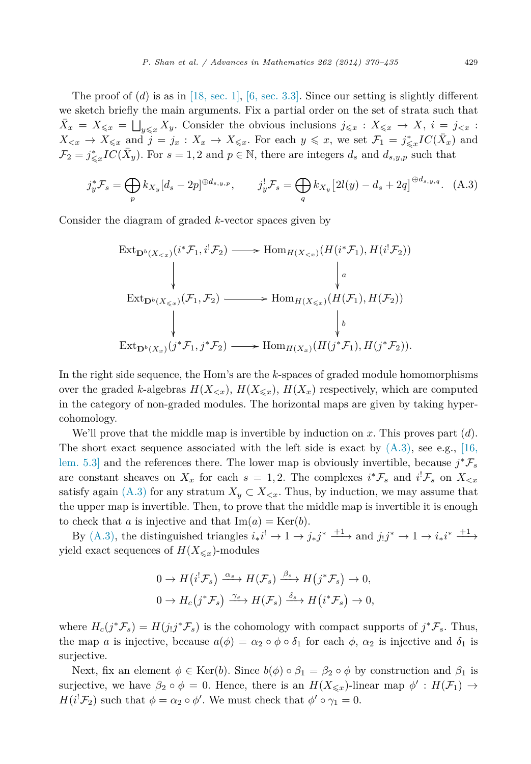The proof of  $(d)$  is as in [\[18, sec. 1\],](#page-64-0) [\[6, sec. 3.3\].](#page-64-0) Since our setting is slightly different we sketch briefly the main arguments. Fix a partial order on the set of strata such that  $\bar{X}_x = X_{\leq x} = \bigsqcup_{y \leq x} X_y$ . Consider the obvious inclusions  $j_{\leq x} : X_{\leq x} \to X$ ,  $i = j_{\leq x}$ :  $X_{\leq x} \to X_{\leq x}$  and  $\hat{j} = j_x : X_x \to X_{\leq x}$ . For each  $y \leq x$ , we set  $\mathcal{F}_1 = j_{\leq x}^* IC(\bar{X}_x)$  and  $\mathcal{F}_2 = j^*_{\leq x}IC(\bar{X}_y)$ . For  $s = 1, 2$  and  $p \in \mathbb{N}$ , there are integers  $d_s$  and  $d_{s,y,p}$  such that

$$
j_y^* \mathcal{F}_s = \bigoplus_p k_{X_y} [d_s - 2p]^{\oplus d_{s,y,p}}, \qquad j_y^! \mathcal{F}_s = \bigoplus_q k_{X_y} [2l(y) - d_s + 2q]^{\oplus d_{s,y,q}}.
$$
 (A.3)

Consider the diagram of graded *k*-vector spaces given by

$$
\begin{aligned}\n\text{Ext}_{\mathbf{D}^{b}(X_{< x})}(i^{*}\mathcal{F}_{1}, i^{!}\mathcal{F}_{2}) &\longrightarrow \text{Hom}_{H(X_{< x})}(H(i^{*}\mathcal{F}_{1}), H(i^{!}\mathcal{F}_{2})) \\
&\downarrow \qquad \qquad \downarrow a \\
\text{Ext}_{\mathbf{D}^{b}(X_{< x})}(\mathcal{F}_{1}, \mathcal{F}_{2}) &\longrightarrow \text{Hom}_{H(X_{< x})}(H(\mathcal{F}_{1}), H(\mathcal{F}_{2})) \\
&\downarrow \qquad \qquad \downarrow b \\
\text{Ext}_{\mathbf{D}^{b}(X_{x})}(j^{*}\mathcal{F}_{1}, j^{*}\mathcal{F}_{2}) &\longrightarrow \text{Hom}_{H(X_{x})}(H(j^{*}\mathcal{F}_{1}), H(j^{*}\mathcal{F}_{2})).\n\end{aligned}
$$

In the right side sequence, the Hom's are the *k*-spaces of graded module homomorphisms over the graded *k*-algebras  $H(X_{\leq x})$ ,  $H(X_{\leq x})$ ,  $H(X_x)$  respectively, which are computed in the category of non-graded modules. The horizontal maps are given by taking hypercohomology.

We'll prove that the middle map is invertible by induction on *x*. This proves part (*d*). The short exact sequence associated with the left side is exact by  $(A.3)$ , see e.g., [\[16,](#page-64-0) [lem. 5.3\]](#page-64-0) and the references there. The lower map is obviously invertible, because  $j^* \mathcal{F}_s$ are constant sheaves on  $X_x$  for each  $s = 1, 2$ . The complexes  $i^* \mathcal{F}_s$  and  $i^! \mathcal{F}_s$  on  $X_{< x}$ satisfy again (A.3) for any stratum  $X_y \subset X_{\leq x}$ . Thus, by induction, we may assume that the upper map is invertible. Then, to prove that the middle map is invertible it is enough to check that *a* is injective and that  $\text{Im}(a) = \text{Ker}(b)$ .

By (A.3), the distinguished triangles  $i_*i^! \to 1 \to j_*j^* \xrightarrow{+1}$  and  $j_!j^* \to 1 \to i_*i^* \xrightarrow{+1}$ yield exact sequences of  $H(X_{\leq x})$ -modules

$$
0 \to H(i^! \mathcal{F}_s) \xrightarrow{\alpha_s} H(\mathcal{F}_s) \xrightarrow{\beta_s} H(j^* \mathcal{F}_s) \to 0,
$$
  

$$
0 \to H_c(j^* \mathcal{F}_s) \xrightarrow{\gamma_s} H(\mathcal{F}_s) \xrightarrow{\delta_s} H(i^* \mathcal{F}_s) \to 0,
$$

where  $H_c(j^*\mathcal{F}_s) = H(j_1j^*\mathcal{F}_s)$  is the cohomology with compact supports of  $j^*\mathcal{F}_s$ . Thus, the map *a* is injective, because  $a(\phi) = \alpha_2 \circ \phi \circ \delta_1$  for each  $\phi$ ,  $\alpha_2$  is injective and  $\delta_1$  is surjective.

Next, fix an element  $\phi \in \text{Ker}(b)$ . Since  $b(\phi) \circ \beta_1 = \beta_2 \circ \phi$  by construction and  $\beta_1$  is surjective, we have  $\beta_2 \circ \phi = 0$ . Hence, there is an  $H(X_{\leq x})$ -linear map  $\phi' : H(\mathcal{F}_1) \to$ *H*(*i*<sup>1</sup> $\mathcal{F}_2$ ) such that  $\phi = \alpha_2 \circ \phi'$ . We must check that  $\phi' \circ \gamma_1 = 0$ .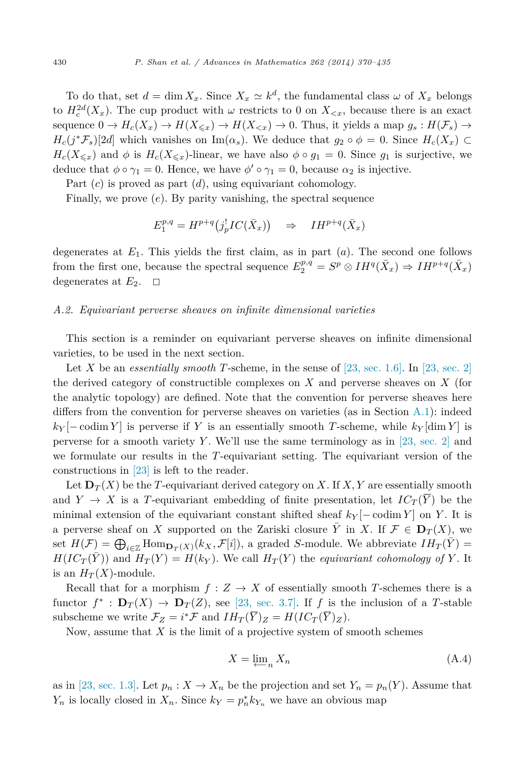To do that, set  $d = \dim X_x$ . Since  $X_x \simeq k^d$ , the fundamental class  $\omega$  of  $X_x$  belongs to  $H_c^{2d}(X_x)$ . The cup product with  $\omega$  restricts to 0 on  $X_{\leq x}$ , because there is an exact sequence  $0 \to H_c(X_x) \to H(X_{\leq x}) \to H(X_{\leq x}) \to 0$ . Thus, it yields a map  $g_s : H(\mathcal{F}_s) \to$  $H_c(j^* \mathcal{F}_s)[2d]$  which vanishes on Im( $\alpha_s$ ). We deduce that  $g_2 \circ \phi = 0$ . Since  $H_c(X_x) \subset$  $H_c(X_{\leq x})$  and  $\phi$  is  $H_c(X_{\leq x})$ -linear, we have also  $\phi \circ g_1 = 0$ . Since  $g_1$  is surjective, we deduce that  $\phi \circ \gamma_1 = 0$ . Hence, we have  $\phi' \circ \gamma_1 = 0$ , because  $\alpha_2$  is injective.

Part (*c*) is proved as part (*d*), using equivariant cohomology.

Finally, we prove (*e*). By parity vanishing, the spectral sequence

$$
E_1^{p,q} = H^{p+q} (j_p^! IC(\bar{X}_x)) \quad \Rightarrow \quad IH^{p+q} (\bar{X}_x)
$$

degenerates at *E*1. This yields the first claim, as in part (*a*). The second one follows from the first one, because the spectral sequence  $E_2^{p,q} = S^p \otimes IH^q(\bar{X}_x) \Rightarrow IH^{p+q}(\bar{X}_x)$ degenerates at  $E_2$ .  $\Box$ 

# *A.2. Equivariant perverse sheaves on infinite dimensional varieties*

This section is a reminder on equivariant perverse sheaves on infinite dimensional varieties, to be used in the next section.

Let X be an *essentially smooth* T-scheme, in the sense of  $[23, \text{sec}, 1.6]$ . In  $[23, \text{sec}, 2]$ the derived category of constructible complexes on *X* and perverse sheaves on *X* (for the analytic topology) are defined. Note that the convention for perverse sheaves here differs from the convention for perverse sheaves on varieties (as in Section  $A.1$ ): indeed  $k_Y$  [− codim *Y* ] is perverse if *Y* is an essentially smooth *T*-scheme, while  $k_Y$  [dim *Y* ] is perverse for a smooth variety *Y* . We'll use the same terminology as in [\[23, sec. 2\]](#page-64-0) and we formulate our results in the *T*-equivariant setting. The equivariant version of the constructions in [\[23\]](#page-64-0) is left to the reader.

Let  $\mathbf{D}_T(X)$  be the *T*-equivariant derived category on *X*. If *X*, *Y* are essentially smooth and  $Y \to X$  is a *T*-equivariant embedding of finite presentation, let  $IC_T(Y)$  be the minimal extension of the equivariant constant shifted sheaf  $k_Y$ [− codim *Y*] on *Y*. It is a perverse sheaf on *X* supported on the Zariski closure *Y* in *X*. If  $\mathcal{F} \in \mathbf{D}_T(X)$ , we set  $H(\mathcal{F}) = \bigoplus_{i \in \mathbb{Z}} \text{Hom}_{\mathbf{D}_T(X)}(k_X, \mathcal{F}[i])$ , a graded *S*-module. We abbreviate  $IH_T(\overline{Y}) =$  $H(IC_T(Y))$  and  $H_T(Y) = H(k_Y)$ . We call  $H_T(Y)$  the *equivariant cohomology of Y*. It is an  $H_T(X)$ -module.

Recall that for a morphism  $f: Z \to X$  of essentially smooth *T*-schemes there is a functor  $f^*$ :  $\mathbf{D}_T(X) \to \mathbf{D}_T(Z)$ , see [\[23, sec. 3.7\].](#page-64-0) If f is the inclusion of a T-stable subscheme we write  $\mathcal{F}_Z = i^*\mathcal{F}$  and  $IH_T(Y)_Z = H(IC_T(Y)_Z)$ .

Now, assume that *X* is the limit of a projective system of smooth schemes

$$
X = \varprojlim_{n} X_{n} \tag{A.4}
$$

as in [\[23, sec. 1.3\].](#page-64-0) Let  $p_n: X \to X_n$  be the projection and set  $Y_n = p_n(Y)$ . Assume that *Y<sub>n</sub>* is locally closed in *X<sub>n</sub>*. Since  $k_Y = p_n^* k_{Y_n}$  we have an obvious map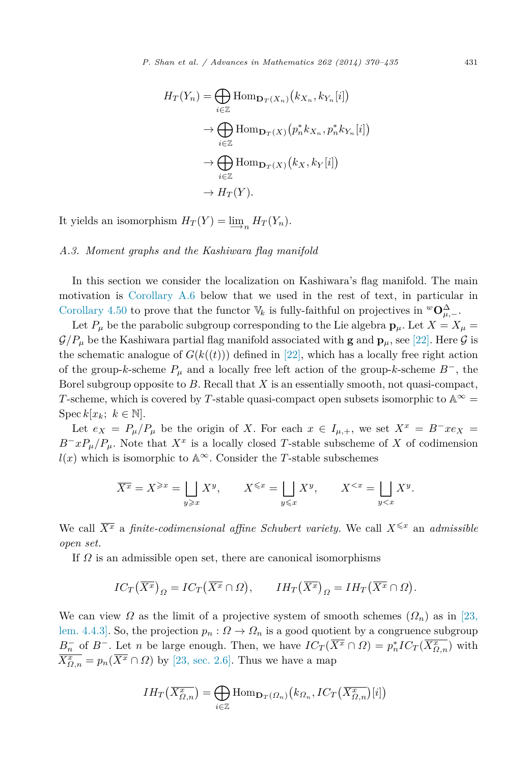*P. Shan et al. / Advances in Mathematics 262 (2014) 370–435* 431

$$
H_T(Y_n) = \bigoplus_{i \in \mathbb{Z}} \text{Hom}_{\mathbf{D}_T(X_n)}(k_{X_n}, k_{Y_n}[i])
$$

$$
\to \bigoplus_{i \in \mathbb{Z}} \text{Hom}_{\mathbf{D}_T(X)}(p_n^* k_{X_n}, p_n^* k_{Y_n}[i])
$$

$$
\to \bigoplus_{i \in \mathbb{Z}} \text{Hom}_{\mathbf{D}_T(X)}(k_X, k_Y[i])
$$

$$
\to H_T(Y).
$$

It yields an isomorphism  $H_T(Y) = \lim_{n \to \infty} H_T(Y_n)$ .

# *A.3. Moment graphs and the Kashiwara flag manifold*

In this section we consider the localization on Kashiwara's flag manifold. The main motivation is [Corollary A.6](#page-64-0) below that we used in the rest of text, in particular in [Corollary 4.50](#page-38-0) to prove that the functor  $\mathbb{V}_k$  is fully-faithful on projectives in  $^w\mathbf{O}^\Delta_{\mu,-}$ .

Let  $P_\mu$  be the parabolic subgroup corresponding to the Lie algebra  $\mathbf{p}_\mu$ . Let  $X = X_\mu =$  $\mathcal{G}/P_\mu$  be the Kashiwara partial flag manifold associated with **g** and  $\mathbf{p}_\mu$ , see [\[22\].](#page-64-0) Here  $\mathcal{G}$  is the schematic analogue of  $G(k(\ell))$  defined in [\[22\],](#page-64-0) which has a locally free right action of the group-*k*-scheme  $P_\mu$  and a locally free left action of the group-*k*-scheme  $B^-$ , the Borel subgroup opposite to *B*. Recall that *X* is an essentially smooth, not quasi-compact, *T*-scheme, which is covered by *T*-stable quasi-compact open subsets isomorphic to  $\mathbb{A}^{\infty}$  =  $\text{Spec } k[x_k; k \in \mathbb{N}].$ 

Let  $e_X = P_\mu/P_\mu$  be the origin of *X*. For each  $x \in I_{\mu,+}$ , we set  $X^x = B^-xe_X =$  $B^{-}xP_{\mu}/P_{\mu}$ . Note that  $X^{x}$  is a locally closed *T*-stable subscheme of *X* of codimension  $l(x)$  which is isomorphic to  $\mathbb{A}^{\infty}$ . Consider the *T*-stable subschemes

$$
\overline{X^x} = X^{\geqslant x} = \bigsqcup_{y \geqslant x} X^y, \qquad X^{\leqslant x} = \bigsqcup_{y \leqslant x} X^y, \qquad X^{
$$

We call  $\overline{X^x}$  a *finite-codimensional affine Schubert variety.* We call  $X^{\leq x}$  an *admissible open set.*

If  $\Omega$  is an admissible open set, there are canonical isomorphisms

$$
IC_T(\overline{X^x})_{\Omega} = IC_T(\overline{X^x} \cap \Omega), \qquad IH_T(\overline{X^x})_{\Omega} = IH_T(\overline{X^x} \cap \Omega).
$$

We can view  $\Omega$  as the limit of a projective system of smooth schemes  $(\Omega_n)$  as in [\[23,](#page-64-0) [lem. 4.4.3\].](#page-64-0) So, the projection  $p_n: \Omega \to \Omega_n$  is a good quotient by a congruence subgroup *B*<sup>−</sup> of *B*<sup>−</sup>. Let *n* be large enough. Then, we have  $IC_T(\overline{X^x} \cap \Omega) = p_n^* IC_T(\overline{X_{\Omega,n}^x})$  with  $\overline{X_{\Omega,n}^x} = p_n(\overline{X^x} \cap \Omega)$  by [\[23, sec. 2.6\].](#page-64-0) Thus we have a map

$$
IH_{T}\left(\overline{X_{\Omega,n}^{x}}\right)=\bigoplus_{i\in\mathbb{Z}}\text{Hom}_{\mathbf{D}_{T}(\Omega_{n})}\left(k_{\Omega_{n}}, IC_{T}\left(\overline{X_{\Omega,n}^{x}}\right)[i]\right)
$$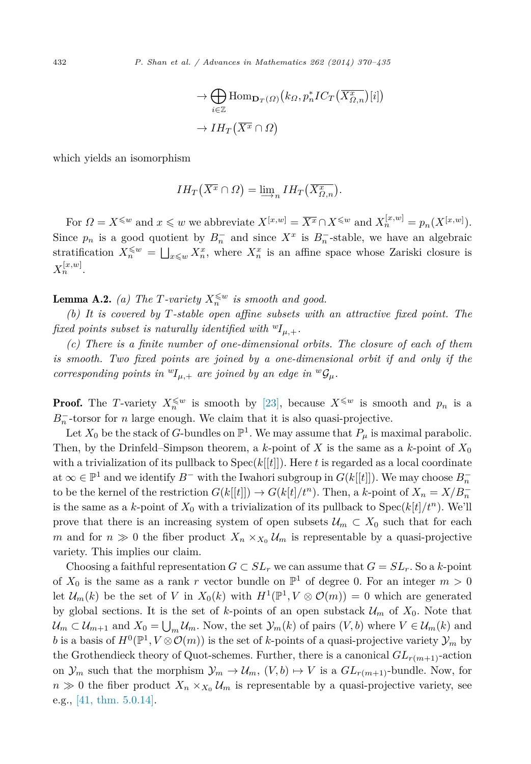$$
\rightarrow \bigoplus_{i \in \mathbb{Z}} \text{Hom}_{\mathbf{D}_T(\varOmega)} (k_\varOmega, p_n^* IC_T(\overline{X_{\varOmega,n}^x})[i])
$$
  

$$
\rightarrow IH_T(\overline{X^x} \cap \varOmega)
$$

which yields an isomorphism

$$
IH_T(\overline{X^x} \cap \Omega) = \underline{\lim}_n IH_T(\overline{X^x_{\Omega,n}}).
$$

For  $\Omega = X^{\leq w}$  and  $x \leq w$  we abbreviate  $X^{[x,w]} = \overline{X^x} \cap X^{\leq w}$  and  $X_n^{[x,w]} = p_n(X^{[x,w]})$ . Since  $p_n$  is a good quotient by  $B_n^-$  and since  $X^x$  is  $B_n^-$ -stable, we have an algebraic stratification  $X_n^{\leq w} = \bigsqcup_{x \leq w} X_n^x$ , where  $X_n^x$  is an affine space whose Zariski closure is  $X_n^{[x,w]}$ .

**Lemma A.2.** *(a) The T-variety*  $X_n^{\leq w}$  *is smooth and good.* 

*(b) It is covered by T-stable open affine subsets with an attractive fixed point. The fixed points subset is naturally identified with*  ${}^wI_{\mu,+}$ *.* 

*(c) There is a finite number of one-dimensional orbits. The closure of each of them is smooth. Two fixed points are joined by a one-dimensional orbit if and only if the corresponding points in*  $^{w}I_{\mu,+}$  *are joined by an edge in*  $^{w}G_{\mu}$ *.* 

**Proof.** The *T*-variety  $X_n^{\leq w}$  is smooth by [\[23\],](#page-64-0) because  $X^{\leq w}$  is smooth and  $p_n$  is a  $B_n^-$ -torsor for *n* large enough. We claim that it is also quasi-projective.

Let  $X_0$  be the stack of *G*-bundles on  $\mathbb{P}^1$ . We may assume that  $P_\mu$  is maximal parabolic. Then, by the Drinfeld–Simpson theorem, a *k*-point of *X* is the same as a *k*-point of  $X_0$ with a trivialization of its pullback to Spec(*k*[[*t*]]). Here *t* is regarded as a local coordinate at  $\infty \in \mathbb{P}^1$  and we identify  $B^-$  with the Iwahori subgroup in  $G(k[[t]])$ . We may choose  $B_n^$ to be the kernel of the restriction  $G(k[[t]]) \to G(k[t]/t^n)$ . Then, a *k*-point of  $X_n = X/B_n^$ is the same as a *k*-point of  $X_0$  with a trivialization of its pullback to  $Spec(k[t]/t^n)$ . We'll prove that there is an increasing system of open subsets  $\mathcal{U}_m \subset X_0$  such that for each *m* and for  $n \gg 0$  the fiber product  $X_n \times_{X_0} U_m$  is representable by a quasi-projective variety. This implies our claim.

Choosing a faithful representation  $G \subset SL_r$  we can assume that  $G = SL_r$ . So a *k*-point of  $X_0$  is the same as a rank *r* vector bundle on  $\mathbb{P}^1$  of degree 0. For an integer  $m > 0$ let  $\mathcal{U}_m(k)$  be the set of *V* in  $X_0(k)$  with  $H^1(\mathbb{P}^1, V \otimes \mathcal{O}(m)) = 0$  which are generated by global sections. It is the set of  $k$ -points of an open substack  $\mathcal{U}_m$  of  $X_0$ . Note that  $\mathcal{U}_m \subset \mathcal{U}_{m+1}$  and  $X_0 = \bigcup_m \mathcal{U}_m$ . Now, the set  $\mathcal{Y}_m(k)$  of pairs  $(V, b)$  where  $V \in \mathcal{U}_m(k)$  and *b* is a basis of  $H^0(\mathbb{P}^1, V \otimes \mathcal{O}(m))$  is the set of *k*-points of a quasi-projective variety  $\mathcal{Y}_m$  by the Grothendieck theory of Quot-schemes. Further, there is a canonical  $GL_{r(m+1)}$ -action on  $\mathcal{Y}_m$  such that the morphism  $\mathcal{Y}_m \to \mathcal{U}_m$ ,  $(V, b) \mapsto V$  is a  $GL_{r(m+1)}$ -bundle. Now, for  $n \gg 0$  the fiber product  $X_n \times_{X_0} U_m$  is representable by a quasi-projective variety, see e.g., [\[41, thm. 5.0.14\].](#page-65-0)

<span id="page-62-0"></span>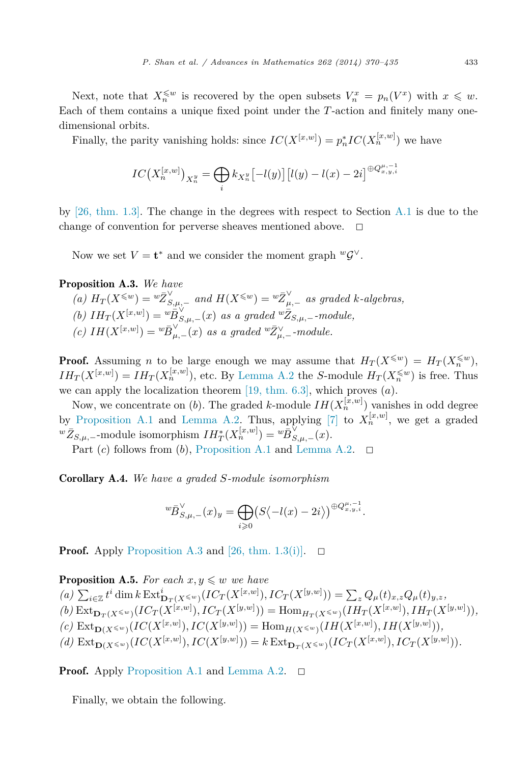<span id="page-63-0"></span>Next, note that  $X_n^{\leq w}$  is recovered by the open subsets  $V_n^x = p_n(V^x)$  with  $x \leq w$ . Each of them contains a unique fixed point under the *T*-action and finitely many onedimensional orbits.

Finally, the parity vanishing holds: since  $IC(X^{[x,w]}) = p_n^* IC(X_n^{[x,w]})$  we have

$$
IC\big(X_n^{[x,w]}\big)_{X_n^y} = \bigoplus_i k_{X_n^y} \big[ -l(y) \big] \big[ l(y) - l(x) - 2i \big]^{\oplus Q_{x,y,i}^{\mu,-1}}
$$

by [\[26, thm. 1.3\].](#page-64-0) The change in the degrees with respect to Section [A.1](#page-57-0) is due to the change of convention for perverse sheaves mentioned above.  $\Box$ 

Now we set  $V = \mathbf{t}^*$  and we consider the moment graph  $^wG^{\vee}$ .

# Proposition A.3. *We have*

 $H_T(X^{\leq w}) = w\overline{Z}_{S,\mu,-}^{\vee}$  *and*  $H(X^{\leq w}) = w\overline{Z}_{\mu,-}^{\vee}$  *as graded k-algebras,*  $(b) \ IH_{T}(X^{[x,w]}) = \sum_{j=0}^{w} \sum_{j=0}^{w} f_{j}^{(j)}(x)$  *as a graded*  $\sum_{j=0}^{w} \bar{Z}_{S,\mu,-}$ *-module,*  $(c)$  *IH*( $X^{[x,w]}$ ) =  $^{w}\overline{B}_{\mu,-}^{\vee}(x)$  *as a graded*  $^{w}\overline{Z}_{\mu,-}^{\vee}$ *-module.* 

**Proof.** Assuming *n* to be large enough we may assume that  $H_T(X^{\leq w}) = H_T(X^{\leq w}_n)$ ,  $IH_{T}(X^{[x,w]}) = IH_{T}(X^{[x,w]}_{n})$ , etc. By [Lemma A.2](#page-62-0) the *S*-module  $H_{T}(X^{(\leq w)}_{n})$  is free. Thus we can apply the localization theorem [\[19, thm. 6.3\],](#page-64-0) which proves (*a*).

Now, we concentrate on (*b*). The graded *k*-module  $IH(X_n^{[x,w]})$  vanishes in odd degree by [Proposition A.1](#page-58-0) and [Lemma A.2.](#page-62-0) Thus, applying [\[7\]](#page-64-0) to  $X_n^{[x,w]}$ , we get a graded  ${}^{w}\bar{Z}_{S,\mu,-}$ -module isomorphism  $IH_{T}^{*}(X_{n}^{[x,w]}) = {}^{w}\bar{B}_{S,\mu,-}^{\vee}(x)$ .

Part  $(c)$  follows from  $(b)$ , [Proposition A.1](#page-58-0) and [Lemma A.2.](#page-62-0)  $\Box$ 

Corollary A.4. *We have a graded S-module isomorphism*

$$
{}^{w}\overline{B}_{S,\mu,-}^{\vee}(x)_y = \bigoplus_{i \geqslant 0} \left( S\bigl\langle -l(x) - 2i \bigr\rangle \right) {}^{\oplus Q_{x,y,i}^{\mu,-1}}.
$$

**Proof.** Apply Proposition A.3 and [\[26, thm. 1.3\(i\)\].](#page-64-0)  $\Box$ 

**Proposition A.5.** For each  $x, y \leq w$  we have (a)  $\sum_{i\in\mathbb{Z}}t^i\dim k\operatorname{Ext}^i_{\mathbf{D}_T(X\leqslant w)}(IC_T(X^{[x,w]}),IC_T(X^{[y,w]}))=\sum_zQ_\mu(t)_{x,z}Q_\mu(t)_{y,z},$ (b)  $\text{Ext}_{\mathbf{D}_T(X^{\{\omega\}})}(IC_T(X^{[x,w]}), IC_T(X^{[y,w]})) = \text{Hom}_{H_T(X^{\{\omega\}})}(IH_T(X^{[x,w]}), IH_T(X^{[y,w]})),$  $(C) \text{Ext}_{\mathbf{D}(X^{\leq w})}(IC(X^{[x,w]}),IC(X^{[y,w]})) = \text{Hom}_{H(X^{\leq w})}(IH(X^{[x,w]}),IH(X^{[y,w]})),$ (d)  $\text{Ext}_{\mathbf{D}(X^{\leq w})}(IC(X^{[x,w]}), IC(X^{[y,w]})) = k \text{Ext}_{\mathbf{D}_T(X^{\leq w})}(IC_T(X^{[x,w]}), IC_T(X^{[y,w]})).$ 

**Proof.** Apply [Proposition A.1](#page-58-0) and [Lemma A.2.](#page-62-0)  $\Box$ 

Finally, we obtain the following.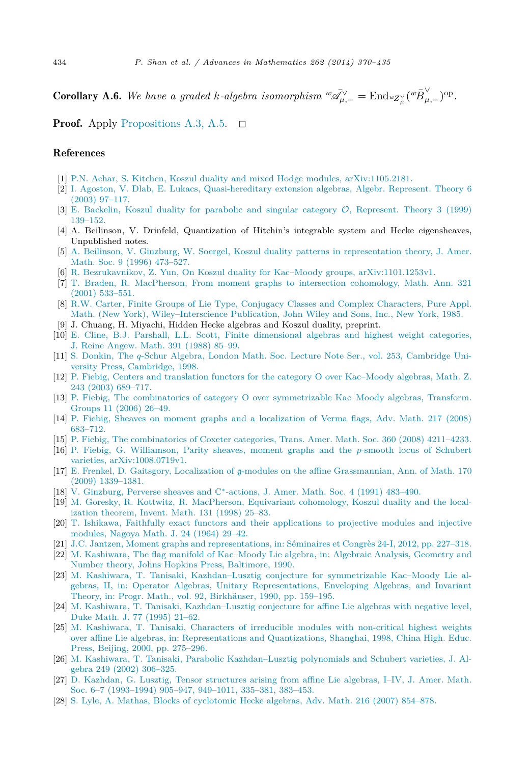<span id="page-64-0"></span> $\textbf{Corollary A.6.}$  We have a graded *k*-algebra isomorphism  $^w\bar{\mathscr{A}}_{\mu,-}^{\vee} = \text{End}_{^wZ_{\mu}^{\vee}}(^w\bar{B}_{\mu,-}^{\vee})^{\text{op}}$ .

**Proof.** Apply [Propositions A.3, A.5.](#page-63-0)  $\Box$ 

# References

- [1] [P.N. Achar, S. Kitchen, Koszul duality and mixed Hodge modules, arXiv:1105.2181.](http://refhub.elsevier.com/S0001-8708(14)00178-9/bib414Bs1)
- [2] I. [Agoston, V. Dlab, E. Lukacs, Quasi-hereditary extension algebras, Algebr. Represent. Theory 6](http://refhub.elsevier.com/S0001-8708(14)00178-9/bib41444Cs1) [\(2003\) 97–117.](http://refhub.elsevier.com/S0001-8708(14)00178-9/bib41444Cs1)
- [3] E. [Backelin, Koszul duality for parabolic and singular category](http://refhub.elsevier.com/S0001-8708(14)00178-9/bib42s1) O, Represent. Theory 3 (1999) [139–152.](http://refhub.elsevier.com/S0001-8708(14)00178-9/bib42s1)
- [4] A. Beilinson, V. Drinfeld, Quantization of Hitchin's integrable system and Hecke eigensheaves, Unpublished notes.
- [5] A. [Beilinson, V. Ginzburg, W. Soergel, Koszul duality patterns in representation theory, J. Amer.](http://refhub.elsevier.com/S0001-8708(14)00178-9/bib424753s1) [Math. Soc. 9 \(1996\) 473–527.](http://refhub.elsevier.com/S0001-8708(14)00178-9/bib424753s1)
- [6] R. [Bezrukavnikov, Z. Yun, On Koszul duality for Kac–Moody groups, arXiv:1101.1253v1.](http://refhub.elsevier.com/S0001-8708(14)00178-9/bib4259s1)
- [7] T. [Braden, R. MacPherson, From moment graphs to intersection cohomology, Math. Ann. 321](http://refhub.elsevier.com/S0001-8708(14)00178-9/bib424Ds1) [\(2001\) 533–551.](http://refhub.elsevier.com/S0001-8708(14)00178-9/bib424Ds1)
- [8] R.W. [Carter, Finite Groups of Lie Type, Conjugacy Classes and Complex Characters, Pure Appl.](http://refhub.elsevier.com/S0001-8708(14)00178-9/bib4361s1) [Math. \(New York\), Wiley–Interscience Publication, John Wiley and Sons, Inc., New York, 1985.](http://refhub.elsevier.com/S0001-8708(14)00178-9/bib4361s1)
- [9] J. Chuang, H. Miyachi, Hidden Hecke algebras and Koszul duality, preprint.
- [10] E. [Cline, B.J. Parshall, L.L. Scott, Finite dimensional algebras and highest weight categories,](http://refhub.elsevier.com/S0001-8708(14)00178-9/bib43505332s1) [J. Reine Angew. Math. 391 \(1988\) 85–99.](http://refhub.elsevier.com/S0001-8708(14)00178-9/bib43505332s1)
- [11] S. Donkin, The *q*[-Schur Algebra, London Math. Soc. Lecture Note Ser., vol. 253, Cambridge Uni](http://refhub.elsevier.com/S0001-8708(14)00178-9/bib446Fs1)[versity Press, Cambridge, 1998.](http://refhub.elsevier.com/S0001-8708(14)00178-9/bib446Fs1)
- [12] [P. Fiebig, Centers and translation functors for the category O over Kac–Moody algebras, Math. Z.](http://refhub.elsevier.com/S0001-8708(14)00178-9/bib4631s1) [243 \(2003\) 689–717.](http://refhub.elsevier.com/S0001-8708(14)00178-9/bib4631s1)
- [13] [P. Fiebig, The combinatorics of category O over symmetrizable Kac–Moody algebras, Transform.](http://refhub.elsevier.com/S0001-8708(14)00178-9/bib4632s1) [Groups 11 \(2006\) 26–49.](http://refhub.elsevier.com/S0001-8708(14)00178-9/bib4632s1)
- [14] [P. Fiebig, Sheaves on moment graphs and a localization of Verma flags, Adv. Math. 217 \(2008\)](http://refhub.elsevier.com/S0001-8708(14)00178-9/bib4633s1) [683–712.](http://refhub.elsevier.com/S0001-8708(14)00178-9/bib4633s1)
- [15] [P. Fiebig, The combinatorics of Coxeter categories, Trans. Amer. Math. Soc. 360 \(2008\) 4211–4233.](http://refhub.elsevier.com/S0001-8708(14)00178-9/bib4634s1)
- [16] [P. Fiebig, G. Williamson, Parity sheaves, moment graphs and the](http://refhub.elsevier.com/S0001-8708(14)00178-9/bib4657s1) *p*-smooth locus of Schubert [varieties, arXiv:1008.0719v1.](http://refhub.elsevier.com/S0001-8708(14)00178-9/bib4657s1)
- [17] E. Frenkel, D. Gaitsgory, Localization of g[-modules on the affine Grassmannian, Ann. of Math. 170](http://refhub.elsevier.com/S0001-8708(14)00178-9/bib464732s1) [\(2009\) 1339–1381.](http://refhub.elsevier.com/S0001-8708(14)00178-9/bib464732s1)
- [18] V. Ginzburg, Perverse sheaves and C∗[-actions, J. Amer. Math. Soc. 4 \(1991\) 483–490.](http://refhub.elsevier.com/S0001-8708(14)00178-9/bib47s1)
- [19] M. [Goresky, R. Kottwitz, R. MacPherson, Equivariant cohomology, Koszul duality and the local](http://refhub.elsevier.com/S0001-8708(14)00178-9/bib474B4Ds1)[ization theorem, Invent. Math. 131 \(1998\) 25–83.](http://refhub.elsevier.com/S0001-8708(14)00178-9/bib474B4Ds1)
- [20] T. [Ishikawa, Faithfully exact functors and their applications to projective modules and injective](http://refhub.elsevier.com/S0001-8708(14)00178-9/bib49736869s1) [modules, Nagoya Math. J. 24 \(1964\) 29–42.](http://refhub.elsevier.com/S0001-8708(14)00178-9/bib49736869s1)
- [21] J.C. [Jantzen, Moment graphs and representations, in: Séminaires et Congrès 24-I, 2012, pp. 227–318.](http://refhub.elsevier.com/S0001-8708(14)00178-9/bib4As1)
- [22] M. [Kashiwara, The flag manifold of Kac–Moody Lie algebra, in: Algebraic Analysis, Geometry and](http://refhub.elsevier.com/S0001-8708(14)00178-9/bib4Bs1) [Number theory, Johns Hopkins Press, Baltimore, 1990.](http://refhub.elsevier.com/S0001-8708(14)00178-9/bib4Bs1)
- [23] M. [Kashiwara, T. Tanisaki, Kazhdan–Lusztig conjecture for symmetrizable Kac–Moody Lie al](http://refhub.elsevier.com/S0001-8708(14)00178-9/bib4B5433s1)[gebras, II, in: Operator Algebras, Unitary Representations, Enveloping Algebras, and Invariant](http://refhub.elsevier.com/S0001-8708(14)00178-9/bib4B5433s1) [Theory, in: Progr. Math., vol. 92, Birkhäuser, 1990, pp. 159–195.](http://refhub.elsevier.com/S0001-8708(14)00178-9/bib4B5433s1)
- [24] M. [Kashiwara, T. Tanisaki, Kazhdan–Lusztig conjecture for affine Lie algebras with negative level,](http://refhub.elsevier.com/S0001-8708(14)00178-9/bib4B5434s1) [Duke Math. J. 77 \(1995\) 21–62.](http://refhub.elsevier.com/S0001-8708(14)00178-9/bib4B5434s1)
- [25] M. [Kashiwara, T. Tanisaki, Characters of irreducible modules with non-critical highest weights](http://refhub.elsevier.com/S0001-8708(14)00178-9/bib4B54s1) [over affine Lie algebras, in: Representations and Quantizations, Shanghai, 1998, China High. Educ.](http://refhub.elsevier.com/S0001-8708(14)00178-9/bib4B54s1) [Press, Beijing, 2000, pp. 275–296.](http://refhub.elsevier.com/S0001-8708(14)00178-9/bib4B54s1)
- [26] M. [Kashiwara, T. Tanisaki, Parabolic Kazhdan–Lusztig polynomials and Schubert varieties, J. Al](http://refhub.elsevier.com/S0001-8708(14)00178-9/bib4B5432s1)[gebra 249 \(2002\) 306–325.](http://refhub.elsevier.com/S0001-8708(14)00178-9/bib4B5432s1)
- [27] D. [Kazhdan, G. Lusztig, Tensor structures arising from affine Lie algebras, I–IV, J. Amer. Math.](http://refhub.elsevier.com/S0001-8708(14)00178-9/bib4B4Cs1) [Soc. 6–7 \(1993–1994\) 905–947, 949–1011, 335–381, 383–453.](http://refhub.elsevier.com/S0001-8708(14)00178-9/bib4B4Cs1)
- [28] S. [Lyle, A. Mathas, Blocks of cyclotomic Hecke algebras, Adv. Math. 216 \(2007\) 854–878.](http://refhub.elsevier.com/S0001-8708(14)00178-9/bib4C4Ds1)